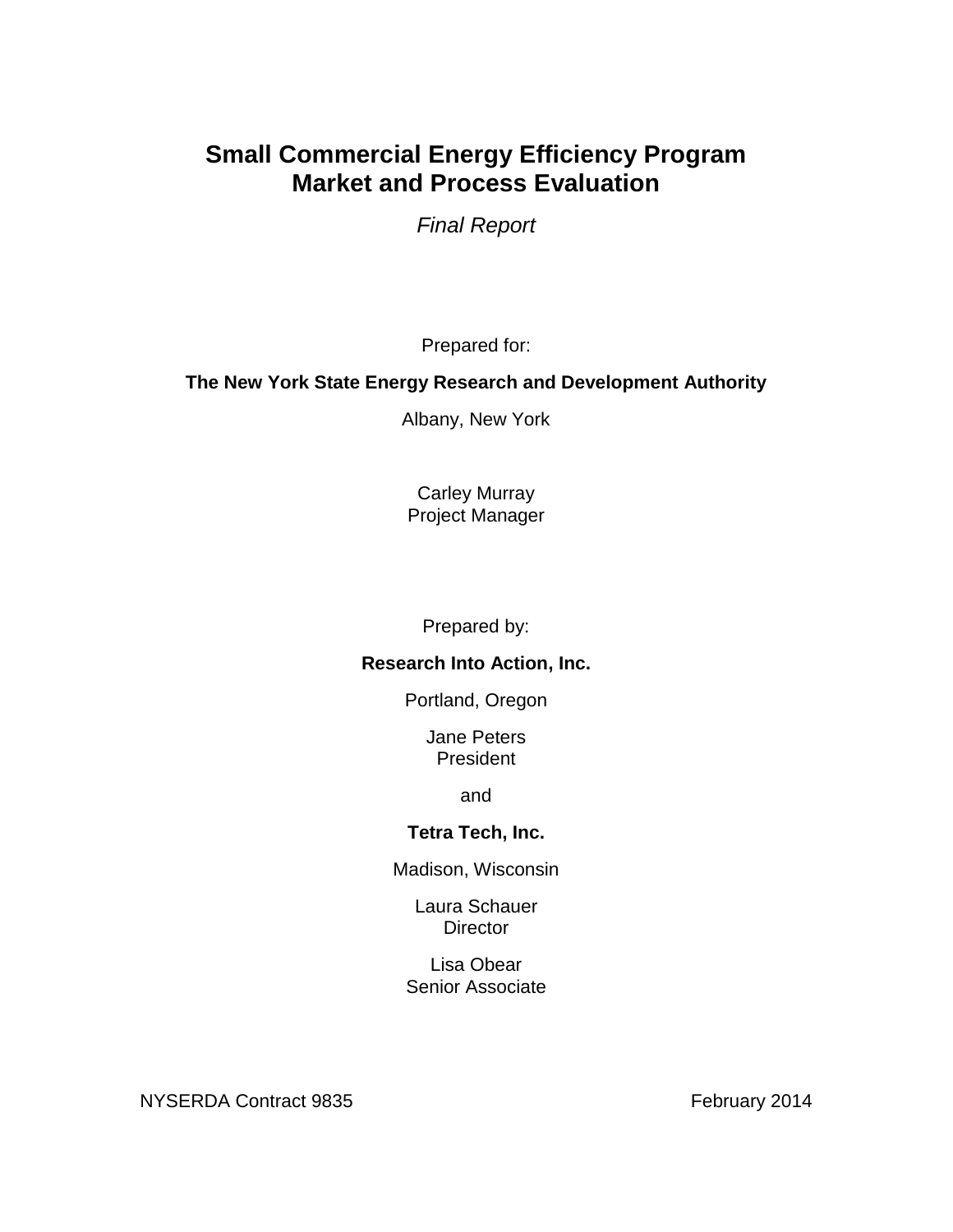# **Small Commercial Energy Efficiency Program Market and Process Evaluation**

*Final Report*

Prepared for:

## **The New York State Energy Research and Development Authority**

Albany, New York

Carley Murray Project Manager

Prepared by:

## **Research Into Action, Inc.**

Portland, Oregon

Jane Peters President

and

## **Tetra Tech, Inc.**

Madison, Wisconsin

Laura Schauer **Director** 

Lisa Obear Senior Associate

NYSERDA Contract 9835 February 2014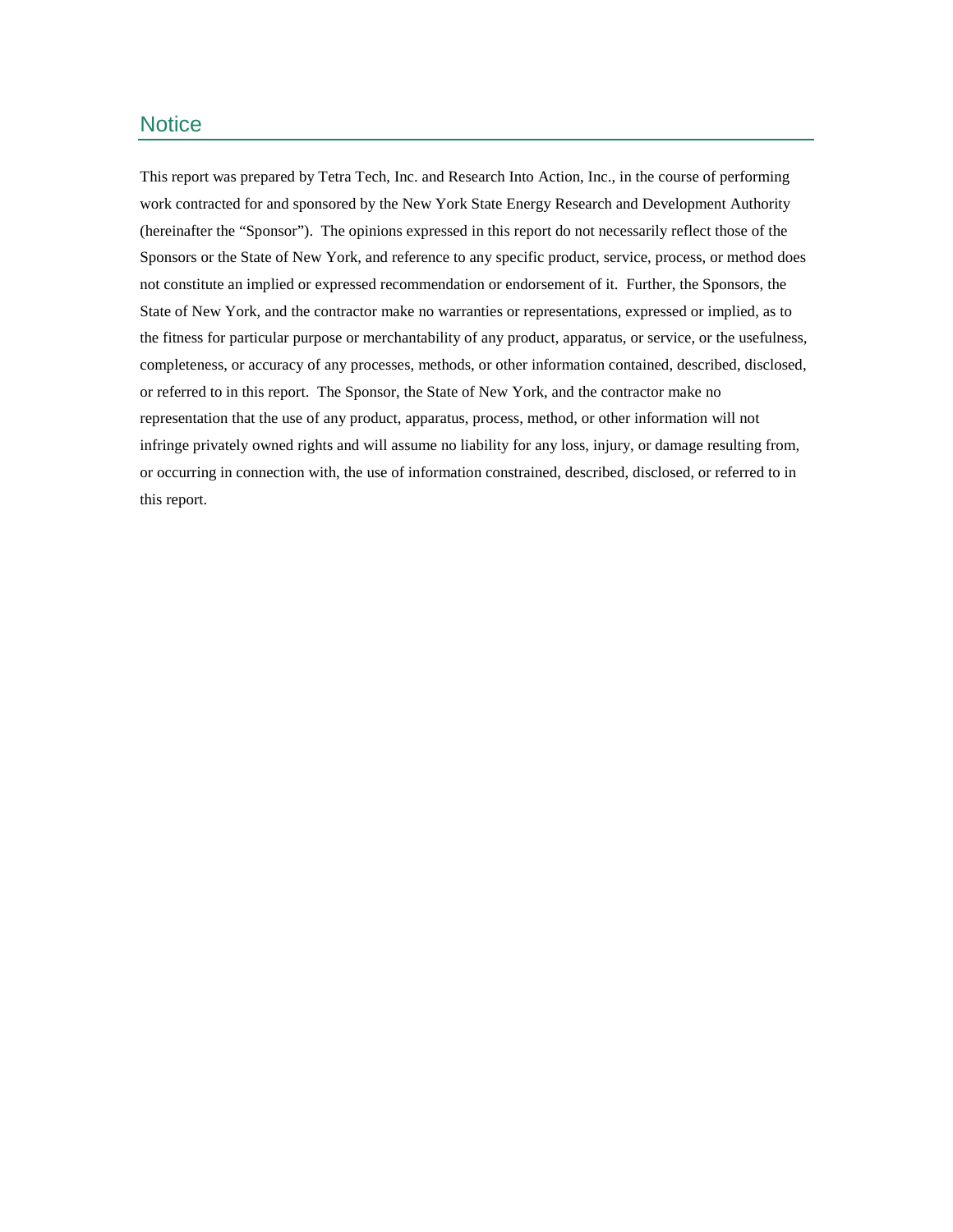## **Notice**

This report was prepared by Tetra Tech, Inc. and Research Into Action, Inc., in the course of performing work contracted for and sponsored by the New York State Energy Research and Development Authority (hereinafter the "Sponsor"). The opinions expressed in this report do not necessarily reflect those of the Sponsors or the State of New York, and reference to any specific product, service, process, or method does not constitute an implied or expressed recommendation or endorsement of it. Further, the Sponsors, the State of New York, and the contractor make no warranties or representations, expressed or implied, as to the fitness for particular purpose or merchantability of any product, apparatus, or service, or the usefulness, completeness, or accuracy of any processes, methods, or other information contained, described, disclosed, or referred to in this report. The Sponsor, the State of New York, and the contractor make no representation that the use of any product, apparatus, process, method, or other information will not infringe privately owned rights and will assume no liability for any loss, injury, or damage resulting from, or occurring in connection with, the use of information constrained, described, disclosed, or referred to in this report.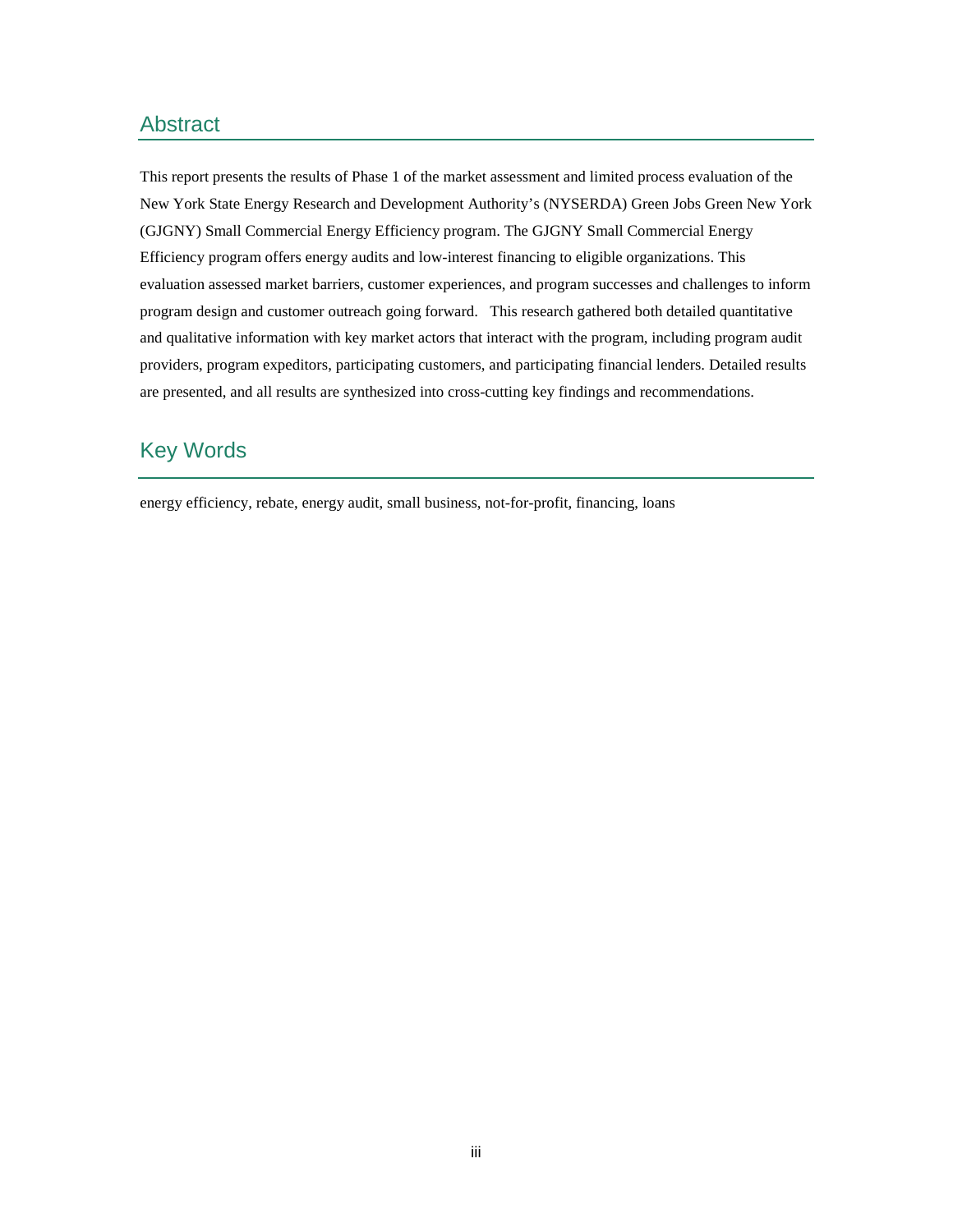## Abstract

This report presents the results of Phase 1 of the market assessment and limited process evaluation of the New York State Energy Research and Development Authority's (NYSERDA) Green Jobs Green New York (GJGNY) Small Commercial Energy Efficiency program. The GJGNY Small Commercial Energy Efficiency program offers energy audits and low-interest financing to eligible organizations. This evaluation assessed market barriers, customer experiences, and program successes and challenges to inform program design and customer outreach going forward. This research gathered both detailed quantitative and qualitative information with key market actors that interact with the program, including program audit providers, program expeditors, participating customers, and participating financial lenders. Detailed results are presented, and all results are synthesized into cross-cutting key findings and recommendations.

## Key Words

energy efficiency, rebate, energy audit, small business, not-for-profit, financing, loans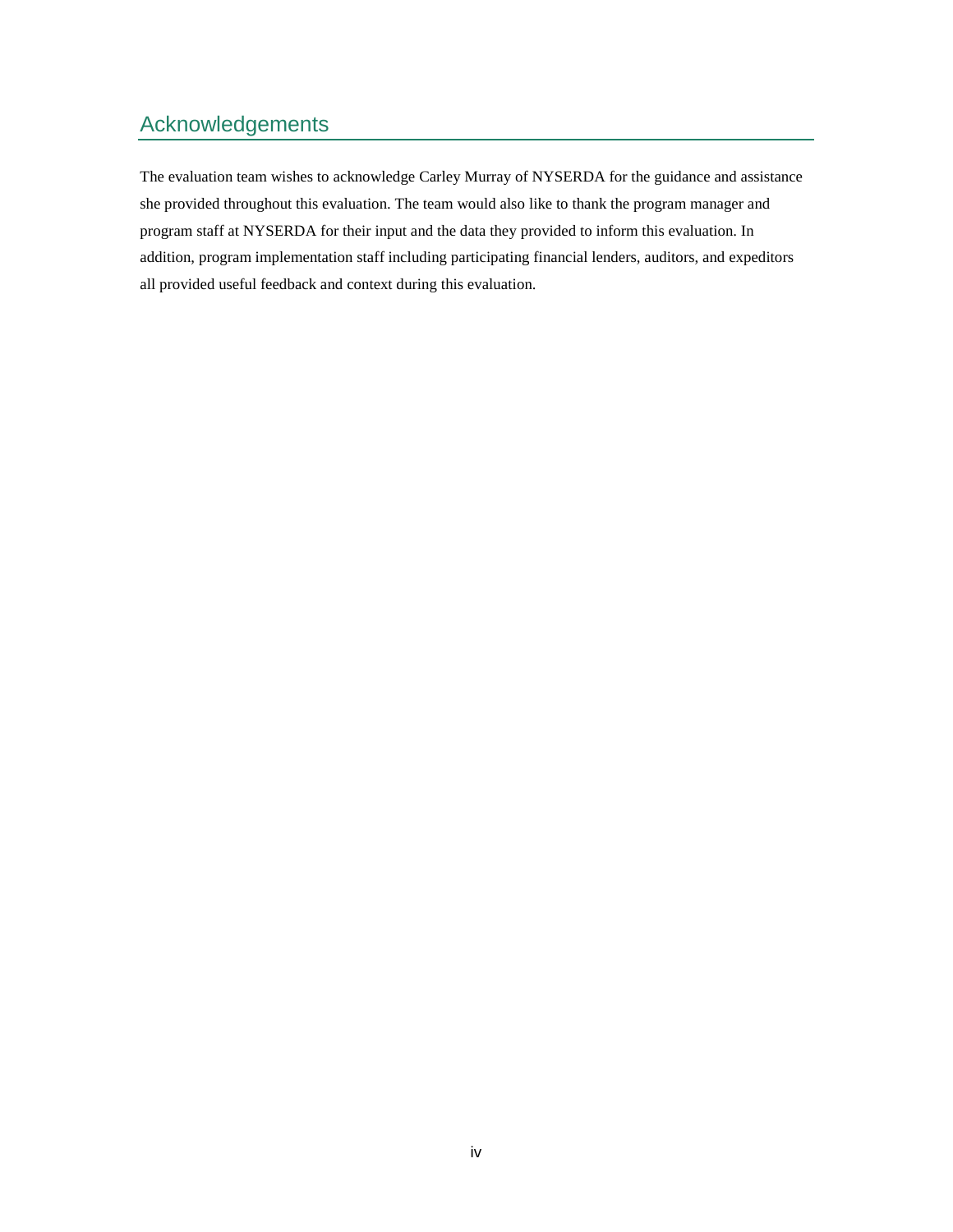# Acknowledgements

The evaluation team wishes to acknowledge Carley Murray of NYSERDA for the guidance and assistance she provided throughout this evaluation. The team would also like to thank the program manager and program staff at NYSERDA for their input and the data they provided to inform this evaluation. In addition, program implementation staff including participating financial lenders, auditors, and expeditors all provided useful feedback and context during this evaluation.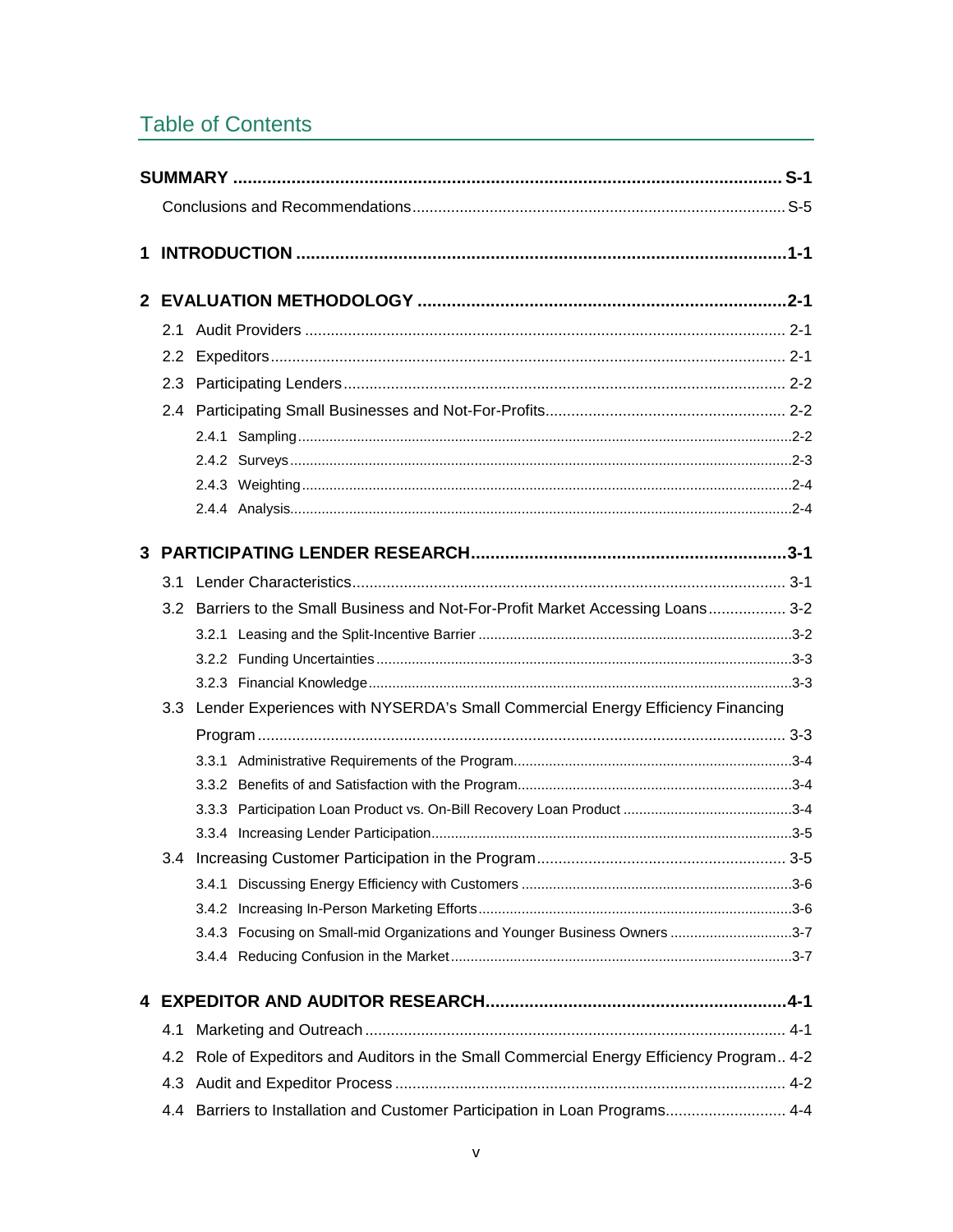# **Table of Contents**

|   |     | 3-2 Barriers to the Small Business and Not-For-Profit Market Accessing Loans 3-2          |  |
|---|-----|-------------------------------------------------------------------------------------------|--|
|   |     |                                                                                           |  |
|   |     |                                                                                           |  |
|   |     |                                                                                           |  |
|   |     | 3.3 Lender Experiences with NYSERDA's Small Commercial Energy Efficiency Financing        |  |
|   |     |                                                                                           |  |
|   |     |                                                                                           |  |
|   |     |                                                                                           |  |
|   |     |                                                                                           |  |
|   |     |                                                                                           |  |
|   |     | 3.4 Increasing Customer Participation in the Program<br>3-5                               |  |
|   |     |                                                                                           |  |
|   |     |                                                                                           |  |
|   |     | 3.4.3 Focusing on Small-mid Organizations and Younger Business Owners 3-7                 |  |
|   |     |                                                                                           |  |
| 4 |     |                                                                                           |  |
|   | 4.1 |                                                                                           |  |
|   |     | 4.2 Role of Expeditors and Auditors in the Small Commercial Energy Efficiency Program 4-2 |  |
|   | 4.3 |                                                                                           |  |
|   | 4.4 | Barriers to Installation and Customer Participation in Loan Programs 4-4                  |  |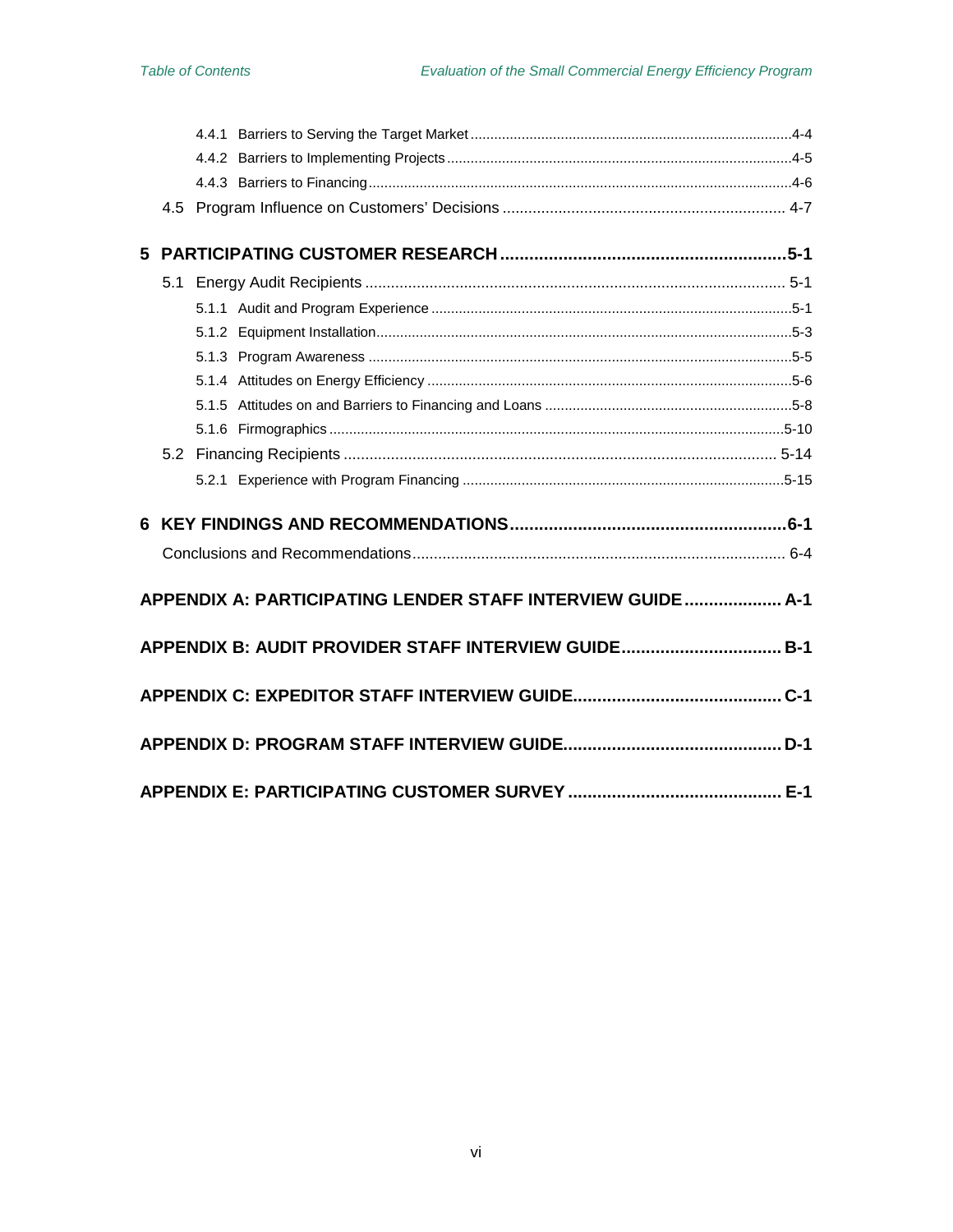|                                                      |  | APPENDIX A: PARTICIPATING LENDER STAFF INTERVIEW GUIDE  A-1 |  |  |
|------------------------------------------------------|--|-------------------------------------------------------------|--|--|
|                                                      |  |                                                             |  |  |
| APPENDIX B: AUDIT PROVIDER STAFF INTERVIEW GUIDE B-1 |  |                                                             |  |  |
|                                                      |  |                                                             |  |  |
|                                                      |  |                                                             |  |  |
|                                                      |  |                                                             |  |  |
|                                                      |  |                                                             |  |  |
|                                                      |  |                                                             |  |  |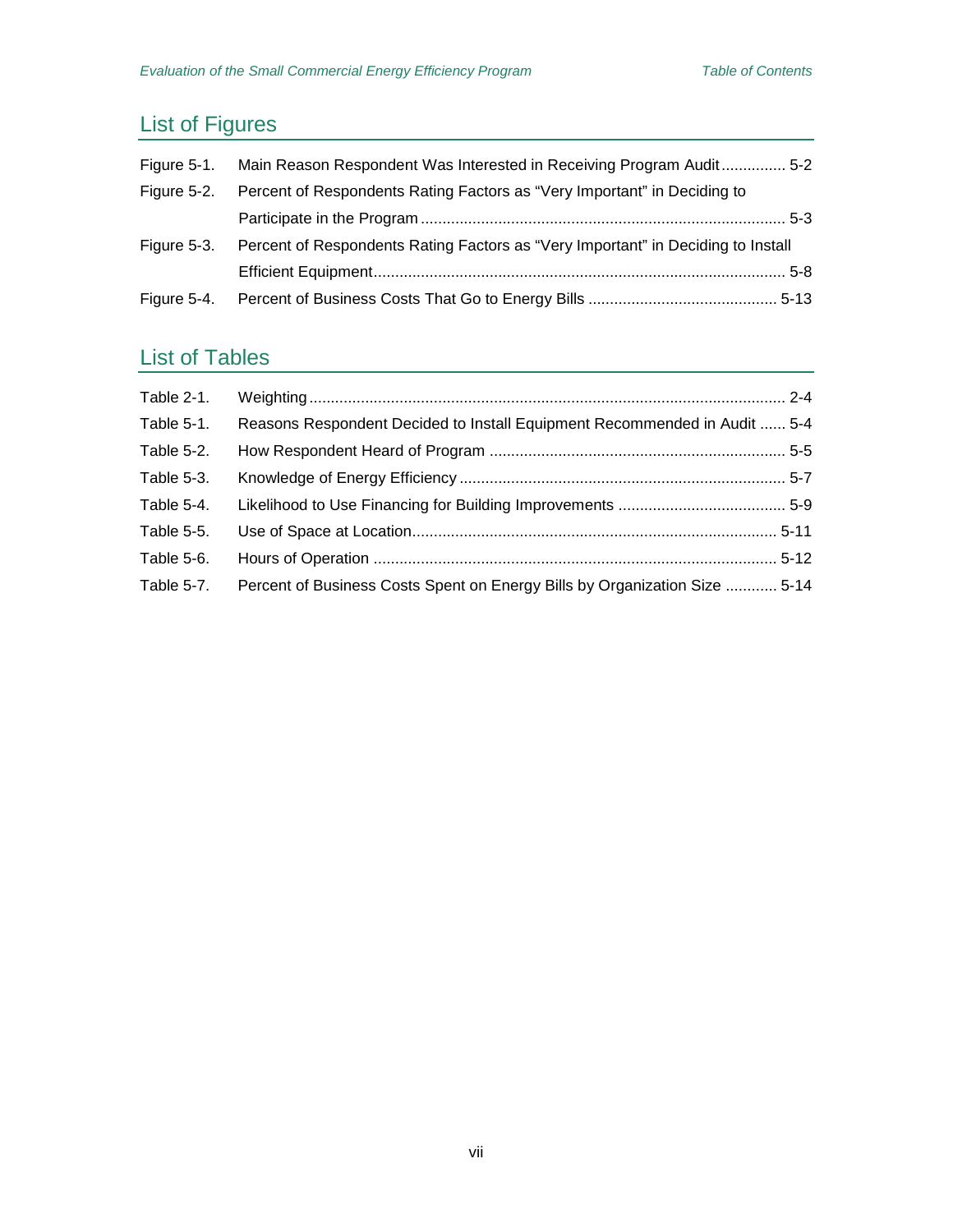# List of Figures

| Figure 5-1. | Main Reason Respondent Was Interested in Receiving Program Audit 5-2             |  |
|-------------|----------------------------------------------------------------------------------|--|
| Figure 5-2. | Percent of Respondents Rating Factors as "Very Important" in Deciding to         |  |
|             |                                                                                  |  |
| Figure 5-3. | Percent of Respondents Rating Factors as "Very Important" in Deciding to Install |  |
|             |                                                                                  |  |
| Figure 5-4. |                                                                                  |  |

# List of Tables

| Table 2-1. |                                                                            |  |
|------------|----------------------------------------------------------------------------|--|
| Table 5-1. | Reasons Respondent Decided to Install Equipment Recommended in Audit  5-4  |  |
| Table 5-2. |                                                                            |  |
| Table 5-3. |                                                                            |  |
| Table 5-4. |                                                                            |  |
| Table 5-5. |                                                                            |  |
| Table 5-6. |                                                                            |  |
| Table 5-7. | Percent of Business Costs Spent on Energy Bills by Organization Size  5-14 |  |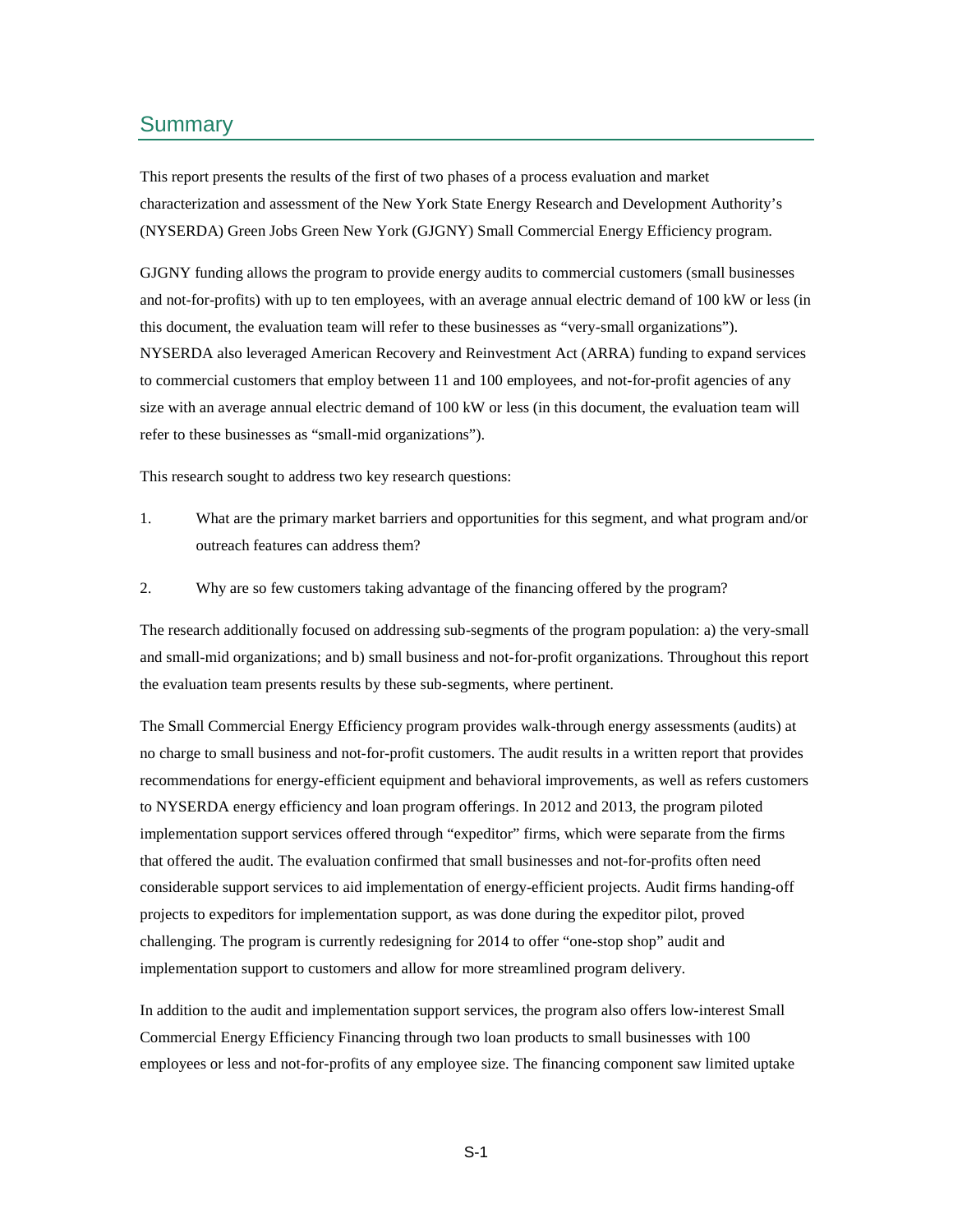#### <span id="page-10-0"></span>Summary

This report presents the results of the first of two phases of a process evaluation and market characterization and assessment of the New York State Energy Research and Development Authority's (NYSERDA) Green Jobs Green New York (GJGNY) Small Commercial Energy Efficiency program.

GJGNY funding allows the program to provide energy audits to commercial customers (small businesses and not-for-profits) with up to ten employees, with an average annual electric demand of 100 kW or less (in this document, the evaluation team will refer to these businesses as "very-small organizations"). NYSERDA also leveraged American Recovery and Reinvestment Act (ARRA) funding to expand services to commercial customers that employ between 11 and 100 employees, and not-for-profit agencies of any size with an average annual electric demand of 100 kW or less (in this document, the evaluation team will refer to these businesses as "small-mid organizations").

This research sought to address two key research questions:

- 1. What are the primary market barriers and opportunities for this segment, and what program and/or outreach features can address them?
- 2. Why are so few customers taking advantage of the financing offered by the program?

The research additionally focused on addressing sub-segments of the program population: a) the very-small and small-mid organizations; and b) small business and not-for-profit organizations. Throughout this report the evaluation team presents results by these sub-segments, where pertinent.

The Small Commercial Energy Efficiency program provides walk-through energy assessments (audits) at no charge to small business and not-for-profit customers. The audit results in a written report that provides recommendations for energy-efficient equipment and behavioral improvements, as well as refers customers to NYSERDA energy efficiency and loan program offerings. In 2012 and 2013, the program piloted implementation support services offered through "expeditor" firms, which were separate from the firms that offered the audit. The evaluation confirmed that small businesses and not-for-profits often need considerable support services to aid implementation of energy-efficient projects. Audit firms handing-off projects to expeditors for implementation support, as was done during the expeditor pilot, proved challenging. The program is currently redesigning for 2014 to offer "one-stop shop" audit and implementation support to customers and allow for more streamlined program delivery.

In addition to the audit and implementation support services, the program also offers low-interest Small Commercial Energy Efficiency Financing through two loan products to small businesses with 100 employees or less and not-for-profits of any employee size. The financing component saw limited uptake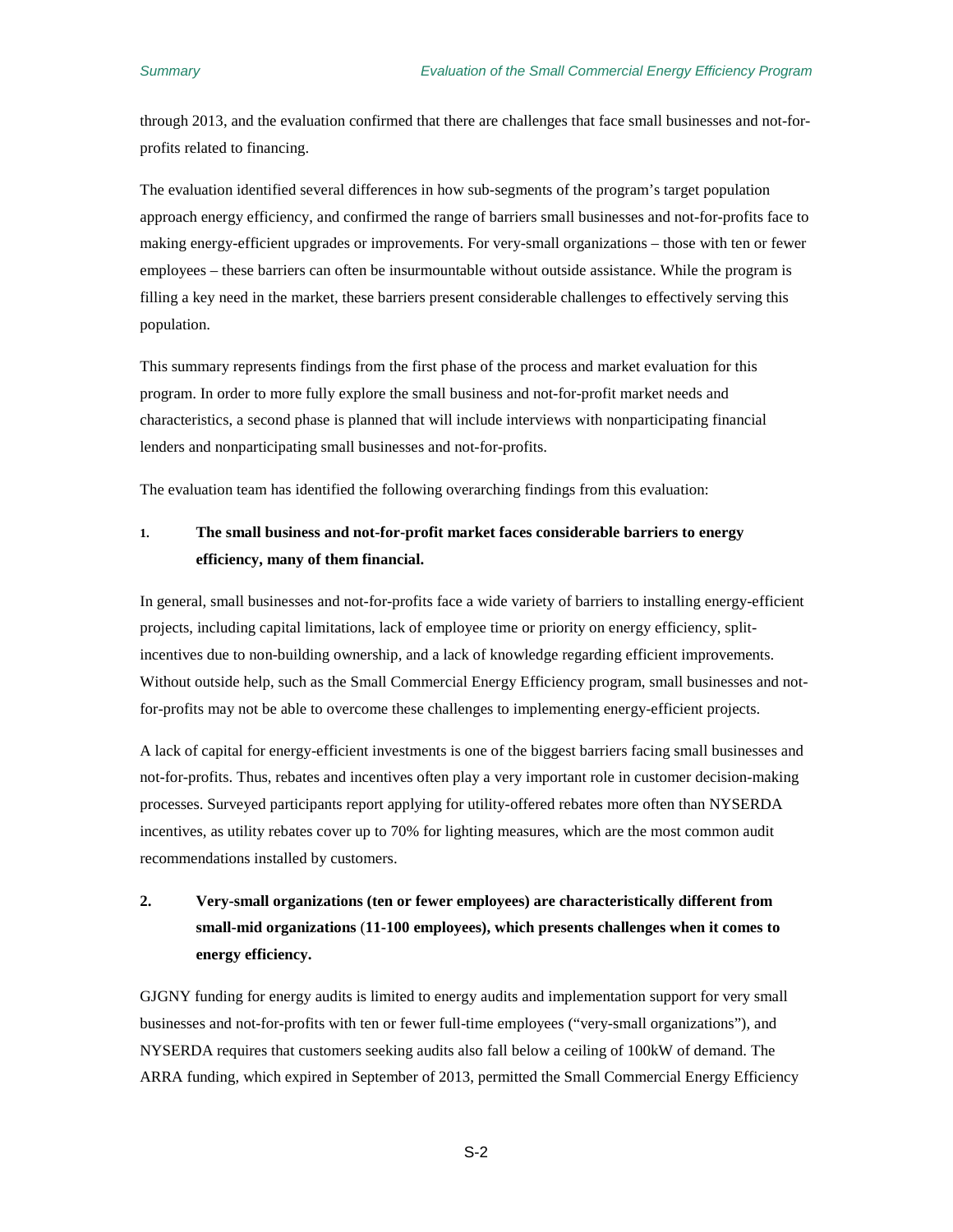through 2013, and the evaluation confirmed that there are challenges that face small businesses and not-forprofits related to financing.

The evaluation identified several differences in how sub-segments of the program's target population approach energy efficiency, and confirmed the range of barriers small businesses and not-for-profits face to making energy-efficient upgrades or improvements. For very-small organizations – those with ten or fewer employees – these barriers can often be insurmountable without outside assistance. While the program is filling a key need in the market, these barriers present considerable challenges to effectively serving this population.

This summary represents findings from the first phase of the process and market evaluation for this program. In order to more fully explore the small business and not-for-profit market needs and characteristics, a second phase is planned that will include interviews with nonparticipating financial lenders and nonparticipating small businesses and not-for-profits.

The evaluation team has identified the following overarching findings from this evaluation:

### **1. The small business and not-for-profit market faces considerable barriers to energy efficiency, many of them financial.**

In general, small businesses and not-for-profits face a wide variety of barriers to installing energy-efficient projects, including capital limitations, lack of employee time or priority on energy efficiency, splitincentives due to non-building ownership, and a lack of knowledge regarding efficient improvements. Without outside help, such as the Small Commercial Energy Efficiency program, small businesses and notfor-profits may not be able to overcome these challenges to implementing energy-efficient projects.

A lack of capital for energy-efficient investments is one of the biggest barriers facing small businesses and not-for-profits. Thus, rebates and incentives often play a very important role in customer decision-making processes. Surveyed participants report applying for utility-offered rebates more often than NYSERDA incentives, as utility rebates cover up to 70% for lighting measures, which are the most common audit recommendations installed by customers.

## **2. Very-small organizations (ten or fewer employees) are characteristically different from small-mid organizations** (**11-100 employees), which presents challenges when it comes to energy efficiency.**

GJGNY funding for energy audits is limited to energy audits and implementation support for very small businesses and not-for-profits with ten or fewer full-time employees ("very-small organizations"), and NYSERDA requires that customers seeking audits also fall below a ceiling of 100kW of demand. The ARRA funding, which expired in September of 2013, permitted the Small Commercial Energy Efficiency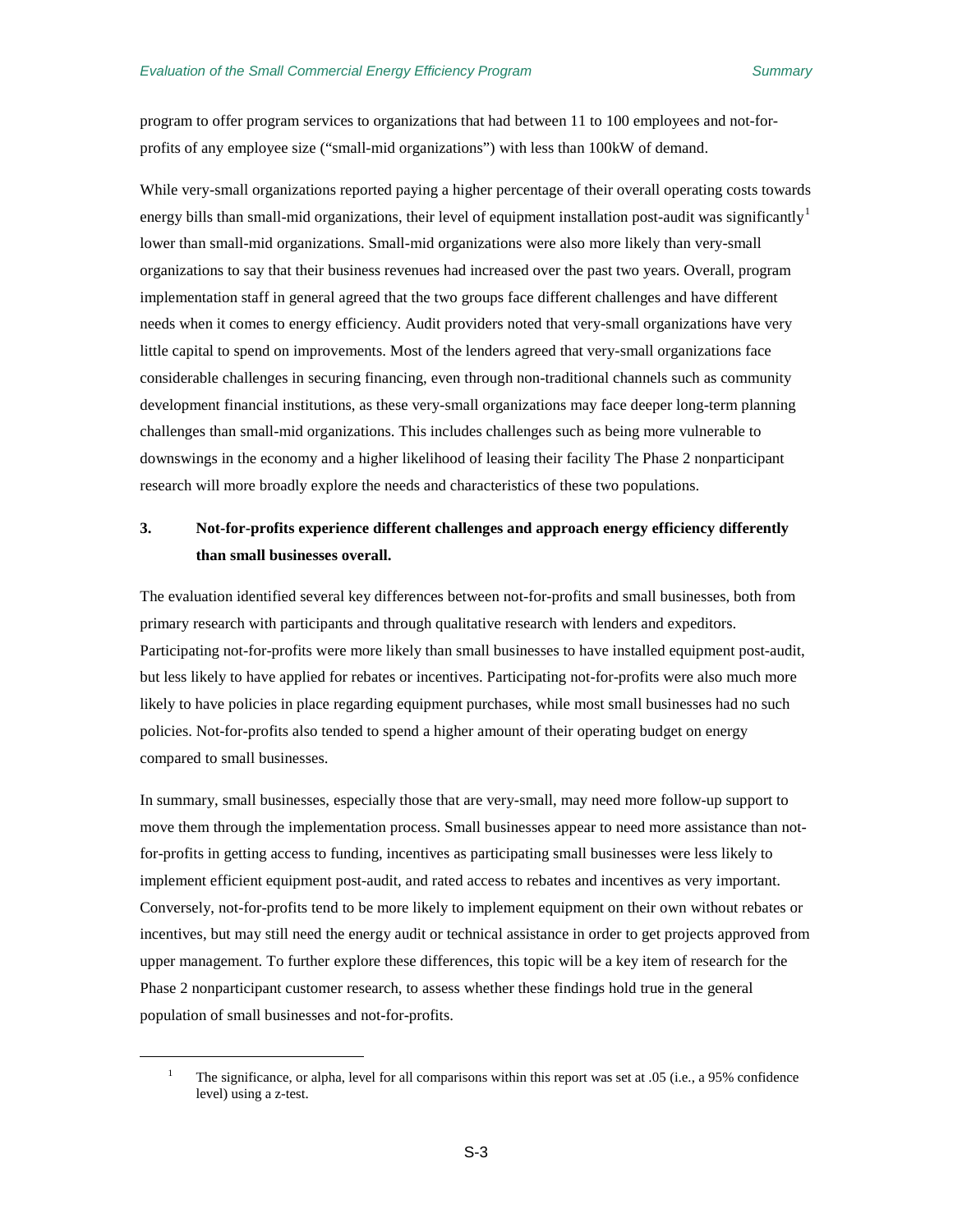program to offer program services to organizations that had between 11 to 100 employees and not-forprofits of any employee size ("small-mid organizations") with less than 100kW of demand.

While very-small organizations reported paying a higher percentage of their overall operating costs towards energy bills than small-mid organizations, their level of equipment installation post-audit was significantly  $\mu$ lower than small-mid organizations. Small-mid organizations were also more likely than very-small organizations to say that their business revenues had increased over the past two years. Overall, program implementation staff in general agreed that the two groups face different challenges and have different needs when it comes to energy efficiency. Audit providers noted that very-small organizations have very little capital to spend on improvements. Most of the lenders agreed that very-small organizations face considerable challenges in securing financing, even through non-traditional channels such as community development financial institutions, as these very-small organizations may face deeper long-term planning challenges than small-mid organizations. This includes challenges such as being more vulnerable to downswings in the economy and a higher likelihood of leasing their facility The Phase 2 nonparticipant research will more broadly explore the needs and characteristics of these two populations.

## **3. Not-for-profits experience different challenges and approach energy efficiency differently than small businesses overall.**

The evaluation identified several key differences between not-for-profits and small businesses, both from primary research with participants and through qualitative research with lenders and expeditors. Participating not-for-profits were more likely than small businesses to have installed equipment post-audit, but less likely to have applied for rebates or incentives. Participating not-for-profits were also much more likely to have policies in place regarding equipment purchases, while most small businesses had no such policies. Not-for-profits also tended to spend a higher amount of their operating budget on energy compared to small businesses.

In summary, small businesses, especially those that are very-small, may need more follow-up support to move them through the implementation process. Small businesses appear to need more assistance than notfor-profits in getting access to funding, incentives as participating small businesses were less likely to implement efficient equipment post-audit, and rated access to rebates and incentives as very important. Conversely, not-for-profits tend to be more likely to implement equipment on their own without rebates or incentives, but may still need the energy audit or technical assistance in order to get projects approved from upper management. To further explore these differences, this topic will be a key item of research for the Phase 2 nonparticipant customer research, to assess whether these findings hold true in the general population of small businesses and not-for-profits.

<span id="page-12-0"></span> $\overline{a}$ 

<sup>&</sup>lt;sup>1</sup> The significance, or alpha, level for all comparisons within this report was set at  $.05$  (i.e., a 95% confidence level) using a z-test.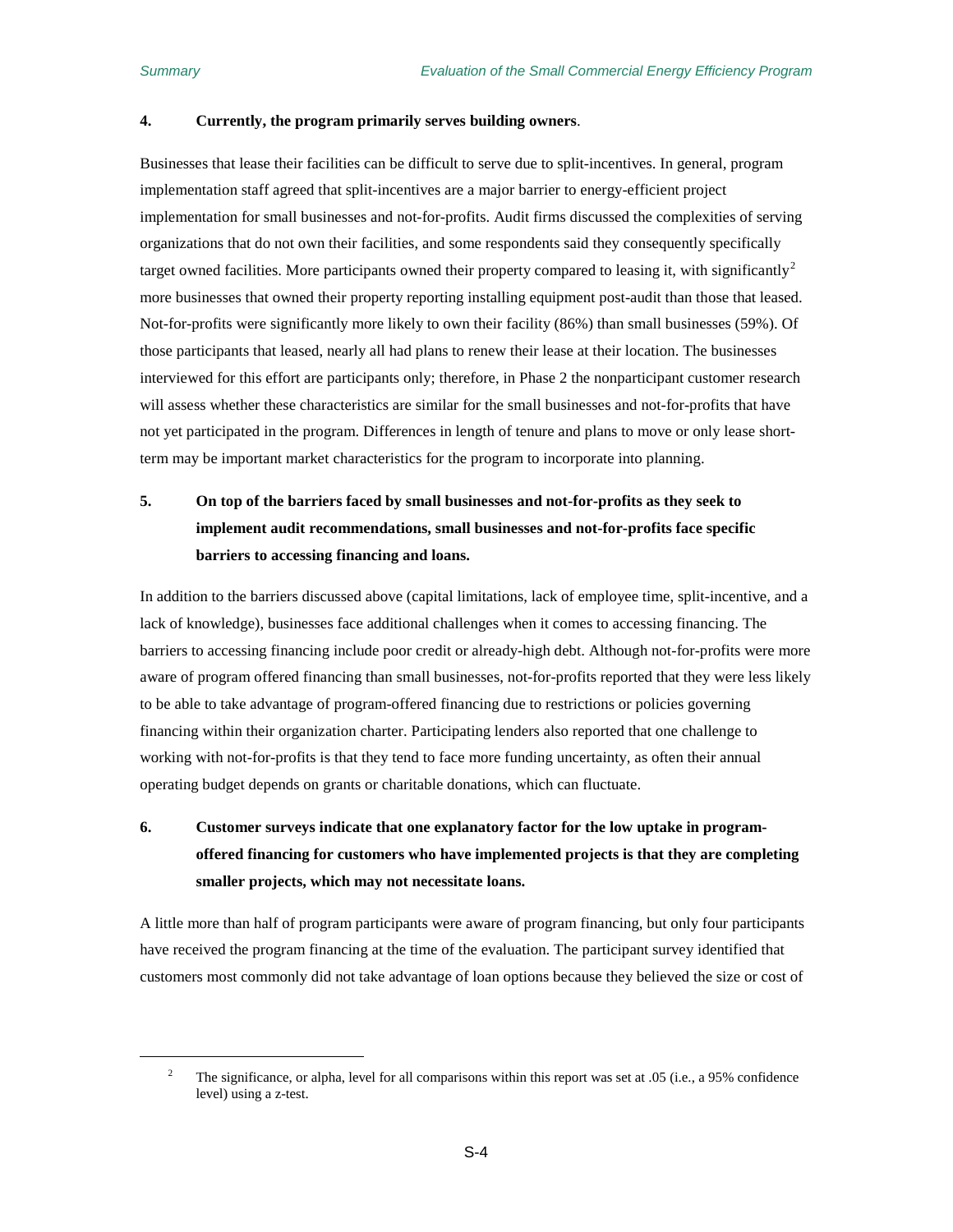<span id="page-13-0"></span> $\overline{a}$ 

#### **4. Currently, the program primarily serves building owners**.

Businesses that lease their facilities can be difficult to serve due to split-incentives. In general, program implementation staff agreed that split-incentives are a major barrier to energy-efficient project implementation for small businesses and not-for-profits. Audit firms discussed the complexities of serving organizations that do not own their facilities, and some respondents said they consequently specifically target owned facilities. More participants owned their property compared to leasing it, with significantly<sup>[2](#page-13-0)</sup> more businesses that owned their property reporting installing equipment post-audit than those that leased. Not-for-profits were significantly more likely to own their facility (86%) than small businesses (59%). Of those participants that leased, nearly all had plans to renew their lease at their location. The businesses interviewed for this effort are participants only; therefore, in Phase 2 the nonparticipant customer research will assess whether these characteristics are similar for the small businesses and not-for-profits that have not yet participated in the program. Differences in length of tenure and plans to move or only lease shortterm may be important market characteristics for the program to incorporate into planning.

## **5. On top of the barriers faced by small businesses and not-for-profits as they seek to implement audit recommendations, small businesses and not-for-profits face specific barriers to accessing financing and loans.**

In addition to the barriers discussed above (capital limitations, lack of employee time, split-incentive, and a lack of knowledge), businesses face additional challenges when it comes to accessing financing. The barriers to accessing financing include poor credit or already-high debt. Although not-for-profits were more aware of program offered financing than small businesses, not-for-profits reported that they were less likely to be able to take advantage of program-offered financing due to restrictions or policies governing financing within their organization charter. Participating lenders also reported that one challenge to working with not-for-profits is that they tend to face more funding uncertainty, as often their annual operating budget depends on grants or charitable donations, which can fluctuate.

## **6. Customer surveys indicate that one explanatory factor for the low uptake in programoffered financing for customers who have implemented projects is that they are completing smaller projects, which may not necessitate loans.**

A little more than half of program participants were aware of program financing, but only four participants have received the program financing at the time of the evaluation. The participant survey identified that customers most commonly did not take advantage of loan options because they believed the size or cost of

<sup>&</sup>lt;sup>2</sup> The significance, or alpha, level for all comparisons within this report was set at  $.05$  (i.e., a 95% confidence level) using a z-test.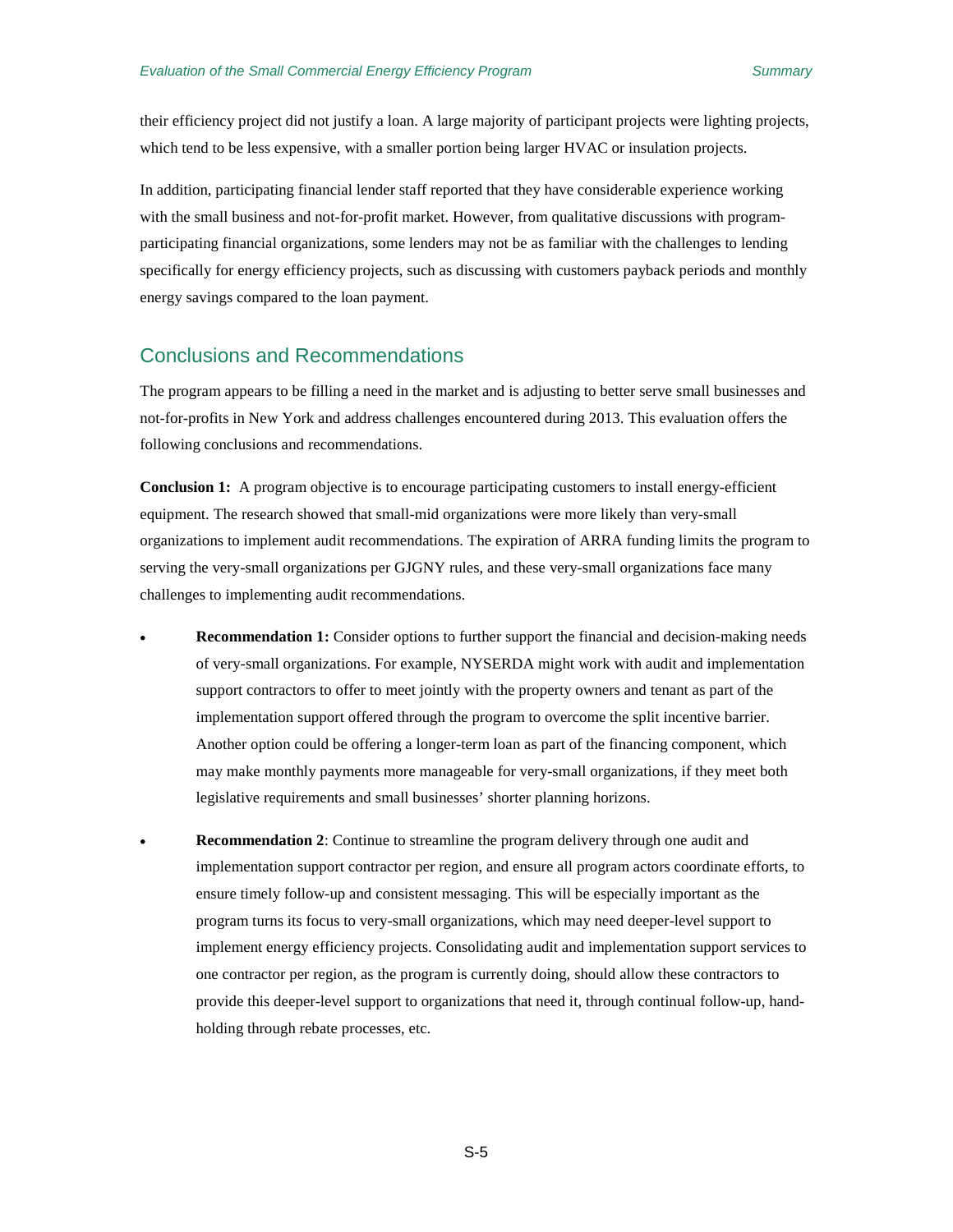their efficiency project did not justify a loan. A large majority of participant projects were lighting projects, which tend to be less expensive, with a smaller portion being larger HVAC or insulation projects.

In addition, participating financial lender staff reported that they have considerable experience working with the small business and not-for-profit market. However, from qualitative discussions with programparticipating financial organizations, some lenders may not be as familiar with the challenges to lending specifically for energy efficiency projects, such as discussing with customers payback periods and monthly energy savings compared to the loan payment.

### <span id="page-14-0"></span>Conclusions and Recommendations

The program appears to be filling a need in the market and is adjusting to better serve small businesses and not-for-profits in New York and address challenges encountered during 2013. This evaluation offers the following conclusions and recommendations.

**Conclusion 1:** A program objective is to encourage participating customers to install energy-efficient equipment. The research showed that small-mid organizations were more likely than very-small organizations to implement audit recommendations. The expiration of ARRA funding limits the program to serving the very-small organizations per GJGNY rules, and these very-small organizations face many challenges to implementing audit recommendations.

- **Recommendation 1:** Consider options to further support the financial and decision-making needs of very-small organizations. For example, NYSERDA might work with audit and implementation support contractors to offer to meet jointly with the property owners and tenant as part of the implementation support offered through the program to overcome the split incentive barrier. Another option could be offering a longer-term loan as part of the financing component, which may make monthly payments more manageable for very-small organizations, if they meet both legislative requirements and small businesses' shorter planning horizons.
- **Recommendation 2**: Continue to streamline the program delivery through one audit and implementation support contractor per region, and ensure all program actors coordinate efforts, to ensure timely follow-up and consistent messaging. This will be especially important as the program turns its focus to very-small organizations, which may need deeper-level support to implement energy efficiency projects. Consolidating audit and implementation support services to one contractor per region, as the program is currently doing, should allow these contractors to provide this deeper-level support to organizations that need it, through continual follow-up, handholding through rebate processes, etc.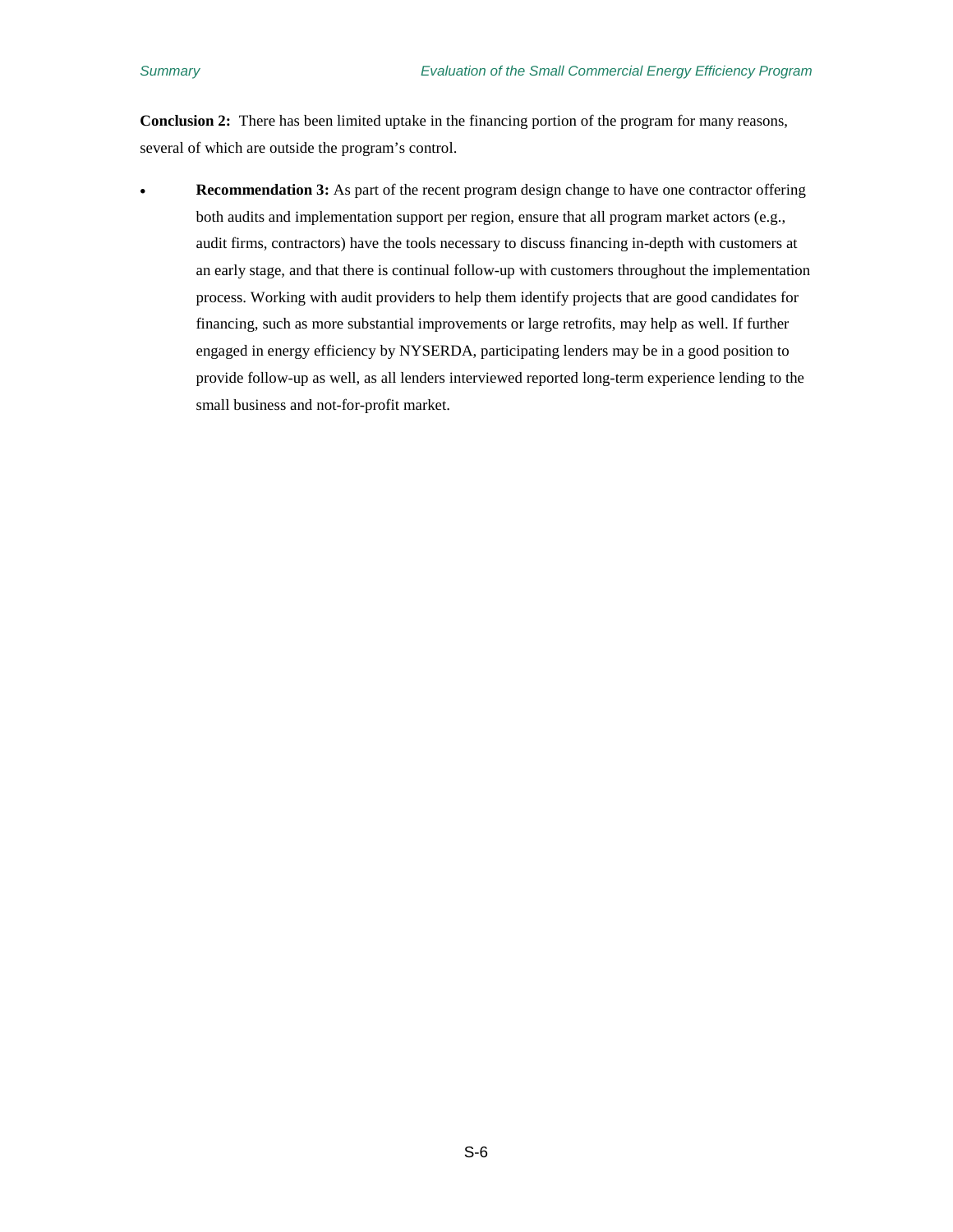**Conclusion 2:** There has been limited uptake in the financing portion of the program for many reasons, several of which are outside the program's control.

• **Recommendation 3:** As part of the recent program design change to have one contractor offering both audits and implementation support per region, ensure that all program market actors (e.g., audit firms, contractors) have the tools necessary to discuss financing in-depth with customers at an early stage, and that there is continual follow-up with customers throughout the implementation process. Working with audit providers to help them identify projects that are good candidates for financing, such as more substantial improvements or large retrofits, may help as well. If further engaged in energy efficiency by NYSERDA, participating lenders may be in a good position to provide follow-up as well, as all lenders interviewed reported long-term experience lending to the small business and not-for-profit market.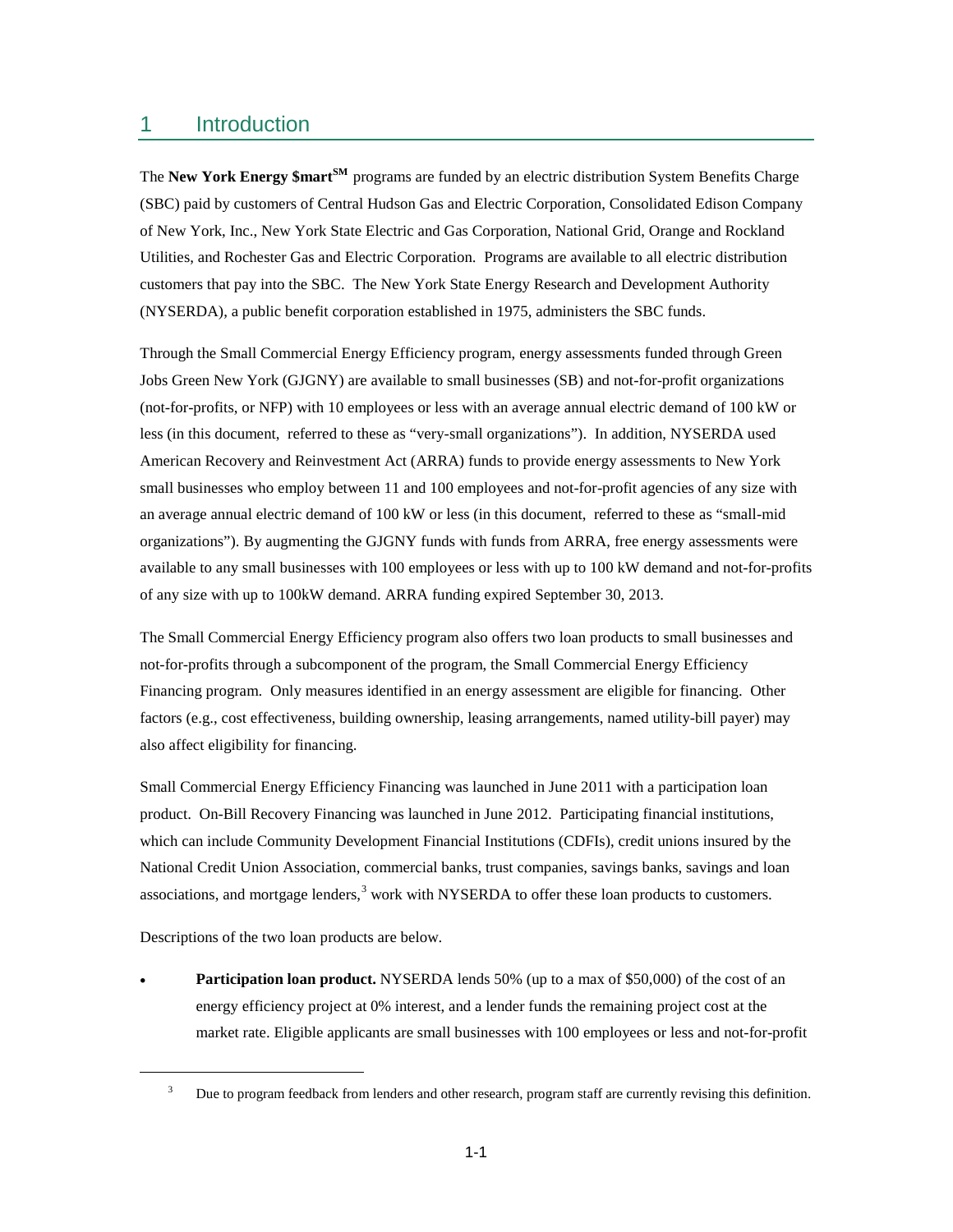## <span id="page-16-0"></span>1 Introduction

The **New York Energy \$martSM**  programs are funded by an electric distribution System Benefits Charge (SBC) paid by customers of Central Hudson Gas and Electric Corporation, Consolidated Edison Company of New York, Inc., New York State Electric and Gas Corporation, National Grid, Orange and Rockland Utilities, and Rochester Gas and Electric Corporation. Programs are available to all electric distribution customers that pay into the SBC. The New York State Energy Research and Development Authority (NYSERDA), a public benefit corporation established in 1975, administers the SBC funds.

Through the Small Commercial Energy Efficiency program, energy assessments funded through Green Jobs Green New York (GJGNY) are available to small businesses (SB) and not-for-profit organizations (not-for-profits, or NFP) with 10 employees or less with an average annual electric demand of 100 kW or less (in this document, referred to these as "very-small organizations"). In addition, NYSERDA used American Recovery and Reinvestment Act (ARRA) funds to provide energy assessments to New York small businesses who employ between 11 and 100 employees and not-for-profit agencies of any size with an average annual electric demand of 100 kW or less (in this document, referred to these as "small-mid organizations"). By augmenting the GJGNY funds with funds from ARRA, free energy assessments were available to any small businesses with 100 employees or less with up to 100 kW demand and not-for-profits of any size with up to 100kW demand. ARRA funding expired September 30, 2013.

The Small Commercial Energy Efficiency program also offers two loan products to small businesses and not-for-profits through a subcomponent of the program, the Small Commercial Energy Efficiency Financing program. Only measures identified in an energy assessment are eligible for financing. Other factors (e.g., cost effectiveness, building ownership, leasing arrangements, named utility-bill payer) may also affect eligibility for financing.

Small Commercial Energy Efficiency Financing was launched in June 2011 with a participation loan product. On-Bill Recovery Financing was launched in June 2012. Participating financial institutions, which can include Community Development Financial Institutions (CDFIs), credit unions insured by the National Credit Union Association, commercial banks, trust companies, savings banks, savings and loan associations, and mortgage lenders,<sup>[3](#page-16-1)</sup> work with NYSERDA to offer these loan products to customers.

Descriptions of the two loan products are below.

<span id="page-16-1"></span> $\overline{a}$ 

• **Participation loan product.** NYSERDA lends 50% (up to a max of \$50,000) of the cost of an energy efficiency project at 0% interest, and a lender funds the remaining project cost at the market rate. Eligible applicants are small businesses with 100 employees or less and not-for-profit

<sup>&</sup>lt;sup>3</sup> Due to program feedback from lenders and other research, program staff are currently revising this definition.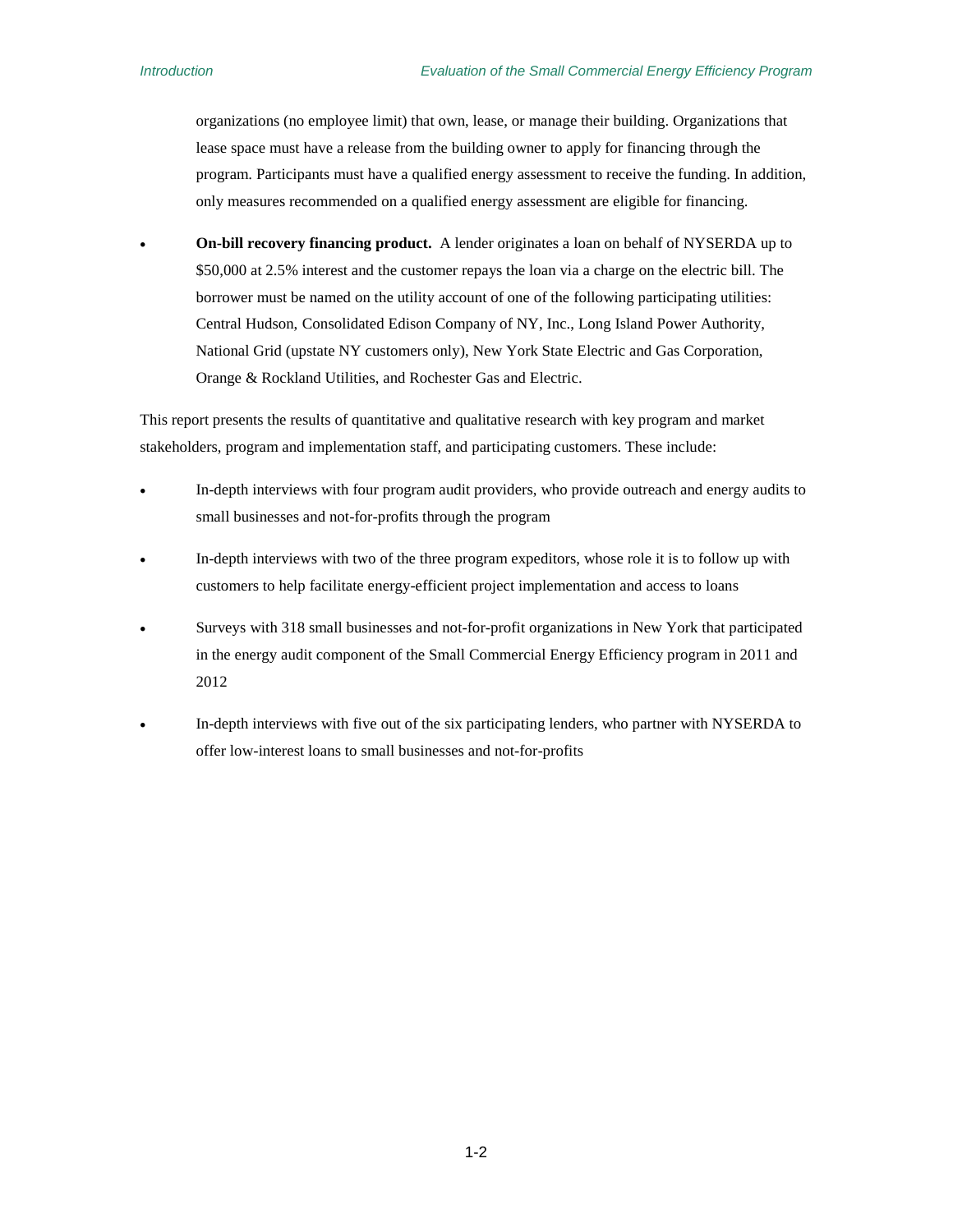organizations (no employee limit) that own, lease, or manage their building. Organizations that lease space must have a release from the building owner to apply for financing through the program. Participants must have a qualified energy assessment to receive the funding. In addition, only measures recommended on a qualified energy assessment are eligible for financing.

• **On-bill recovery financing product.** A lender originates a loan on behalf of NYSERDA up to \$50,000 at 2.5% interest and the customer repays the loan via a charge on the electric bill. The borrower must be named on the utility account of one of the following participating utilities: Central Hudson, Consolidated Edison Company of NY, Inc., Long Island Power Authority, National Grid (upstate NY customers only), New York State Electric and Gas Corporation, Orange & Rockland Utilities, and Rochester Gas and Electric.

This report presents the results of quantitative and qualitative research with key program and market stakeholders, program and implementation staff, and participating customers. These include:

- In-depth interviews with four program audit providers, who provide outreach and energy audits to small businesses and not-for-profits through the program
- In-depth interviews with two of the three program expeditors, whose role it is to follow up with customers to help facilitate energy-efficient project implementation and access to loans
- Surveys with 318 small businesses and not-for-profit organizations in New York that participated in the energy audit component of the Small Commercial Energy Efficiency program in 2011 and 2012
- In-depth interviews with five out of the six participating lenders, who partner with NYSERDA to offer low-interest loans to small businesses and not-for-profits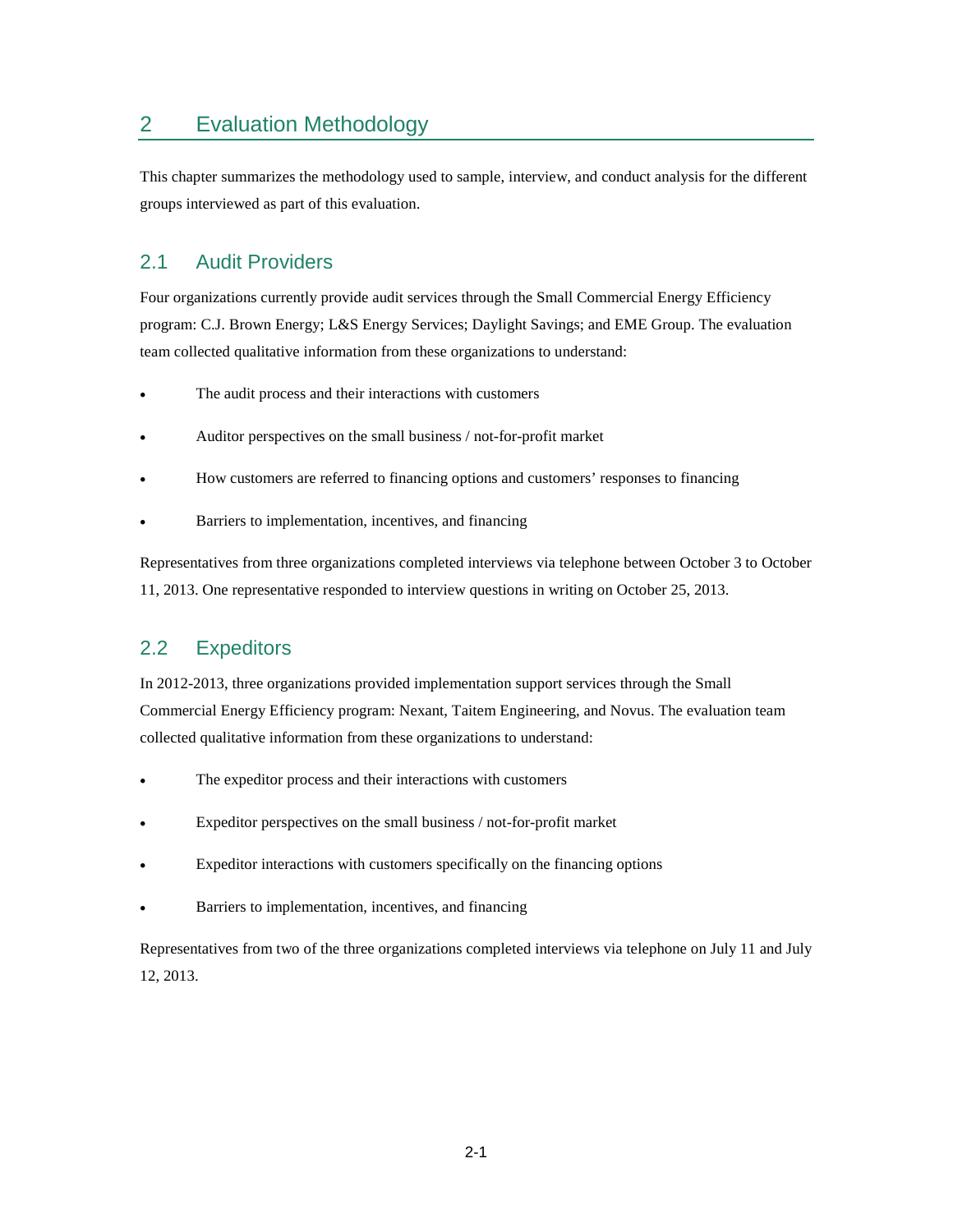## <span id="page-18-0"></span>2 Evaluation Methodology

This chapter summarizes the methodology used to sample, interview, and conduct analysis for the different groups interviewed as part of this evaluation.

## <span id="page-18-1"></span>2.1 Audit Providers

Four organizations currently provide audit services through the Small Commercial Energy Efficiency program: C.J. Brown Energy; L&S Energy Services; Daylight Savings; and EME Group. The evaluation team collected qualitative information from these organizations to understand:

- The audit process and their interactions with customers
- Auditor perspectives on the small business / not-for-profit market
- How customers are referred to financing options and customers' responses to financing
- Barriers to implementation, incentives, and financing

Representatives from three organizations completed interviews via telephone between October 3 to October 11, 2013. One representative responded to interview questions in writing on October 25, 2013.

## <span id="page-18-2"></span>2.2 Expeditors

In 2012-2013, three organizations provided implementation support services through the Small Commercial Energy Efficiency program: Nexant, Taitem Engineering, and Novus. The evaluation team collected qualitative information from these organizations to understand:

- The expeditor process and their interactions with customers
- Expeditor perspectives on the small business / not-for-profit market
- Expeditor interactions with customers specifically on the financing options
- Barriers to implementation, incentives, and financing

Representatives from two of the three organizations completed interviews via telephone on July 11 and July 12, 2013.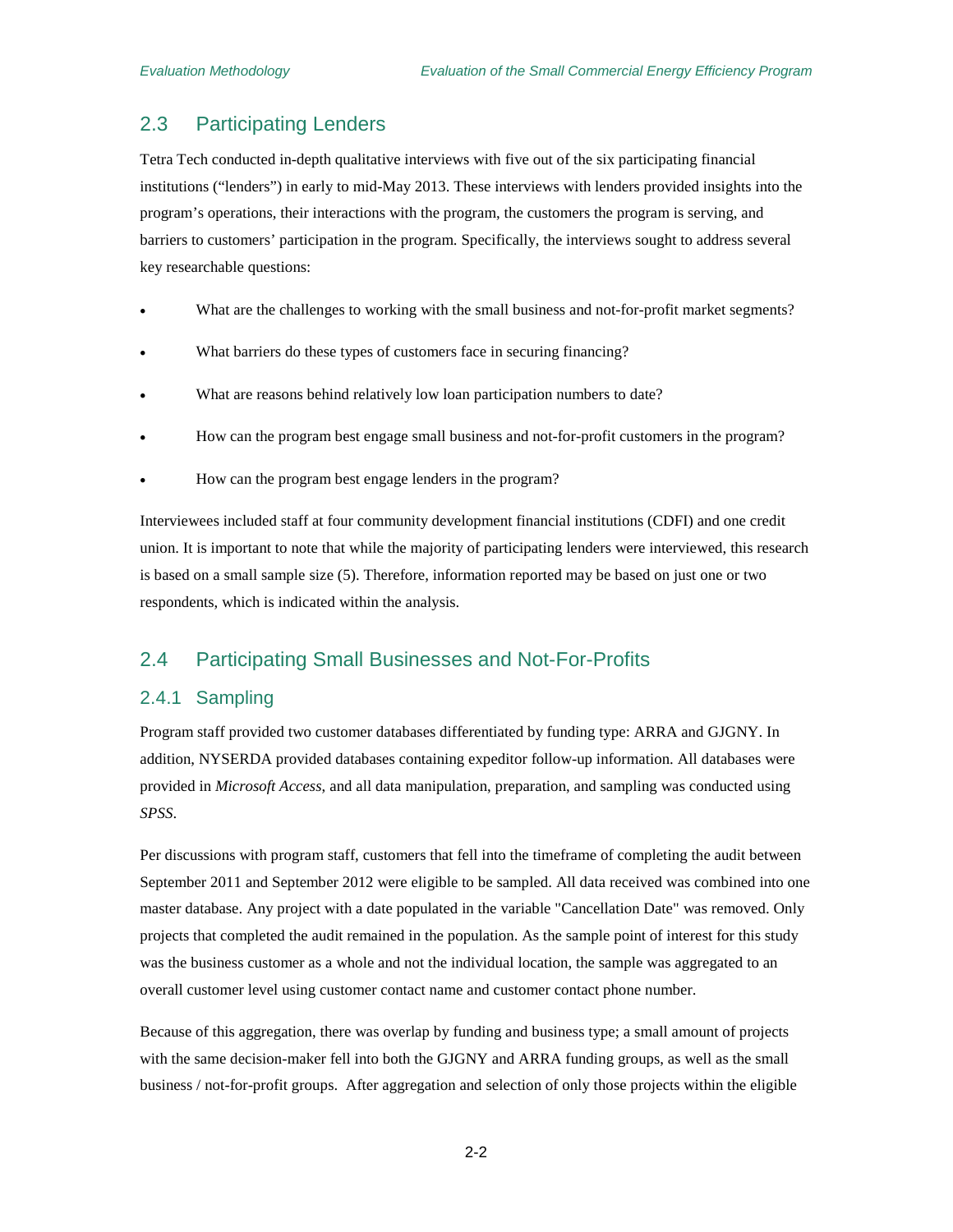## <span id="page-19-0"></span>2.3 Participating Lenders

Tetra Tech conducted in-depth qualitative interviews with five out of the six participating financial institutions ("lenders") in early to mid-May 2013. These interviews with lenders provided insights into the program's operations, their interactions with the program, the customers the program is serving, and barriers to customers' participation in the program. Specifically, the interviews sought to address several key researchable questions:

- What are the challenges to working with the small business and not-for-profit market segments?
- What barriers do these types of customers face in securing financing?
- What are reasons behind relatively low loan participation numbers to date?
- How can the program best engage small business and not-for-profit customers in the program?
- How can the program best engage lenders in the program?

Interviewees included staff at four community development financial institutions (CDFI) and one credit union. It is important to note that while the majority of participating lenders were interviewed, this research is based on a small sample size (5). Therefore, information reported may be based on just one or two respondents, which is indicated within the analysis.

### <span id="page-19-1"></span>2.4 Participating Small Businesses and Not-For-Profits

#### <span id="page-19-2"></span>2.4.1 Sampling

Program staff provided two customer databases differentiated by funding type: ARRA and GJGNY. In addition, NYSERDA provided databases containing expeditor follow-up information. All databases were provided in *Microsoft Access*, and all data manipulation, preparation, and sampling was conducted using *SPSS*.

Per discussions with program staff, customers that fell into the timeframe of completing the audit between September 2011 and September 2012 were eligible to be sampled. All data received was combined into one master database. Any project with a date populated in the variable "Cancellation Date" was removed. Only projects that completed the audit remained in the population. As the sample point of interest for this study was the business customer as a whole and not the individual location, the sample was aggregated to an overall customer level using customer contact name and customer contact phone number.

Because of this aggregation, there was overlap by funding and business type; a small amount of projects with the same decision-maker fell into both the GJGNY and ARRA funding groups, as well as the small business / not-for-profit groups. After aggregation and selection of only those projects within the eligible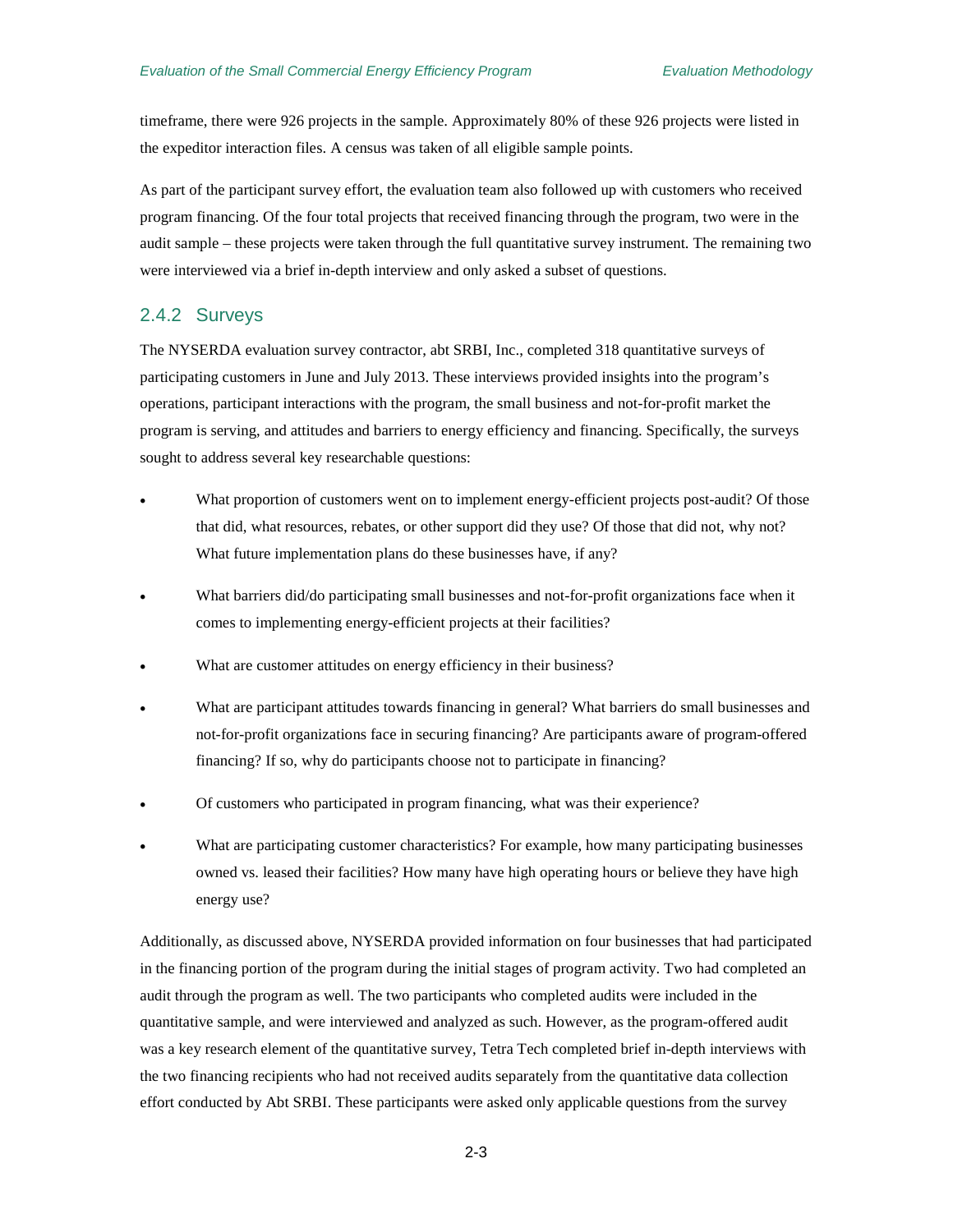timeframe, there were 926 projects in the sample. Approximately 80% of these 926 projects were listed in the expeditor interaction files. A census was taken of all eligible sample points.

As part of the participant survey effort, the evaluation team also followed up with customers who received program financing. Of the four total projects that received financing through the program, two were in the audit sample – these projects were taken through the full quantitative survey instrument. The remaining two were interviewed via a brief in-depth interview and only asked a subset of questions.

#### <span id="page-20-0"></span>2.4.2 Surveys

The NYSERDA evaluation survey contractor, abt SRBI, Inc., completed 318 quantitative surveys of participating customers in June and July 2013. These interviews provided insights into the program's operations, participant interactions with the program, the small business and not-for-profit market the program is serving, and attitudes and barriers to energy efficiency and financing. Specifically, the surveys sought to address several key researchable questions:

- What proportion of customers went on to implement energy-efficient projects post-audit? Of those that did, what resources, rebates, or other support did they use? Of those that did not, why not? What future implementation plans do these businesses have, if any?
- What barriers did/do participating small businesses and not-for-profit organizations face when it comes to implementing energy-efficient projects at their facilities?
- What are customer attitudes on energy efficiency in their business?
- What are participant attitudes towards financing in general? What barriers do small businesses and not-for-profit organizations face in securing financing? Are participants aware of program-offered financing? If so, why do participants choose not to participate in financing?
- Of customers who participated in program financing, what was their experience?
- What are participating customer characteristics? For example, how many participating businesses owned vs. leased their facilities? How many have high operating hours or believe they have high energy use?

Additionally, as discussed above, NYSERDA provided information on four businesses that had participated in the financing portion of the program during the initial stages of program activity. Two had completed an audit through the program as well. The two participants who completed audits were included in the quantitative sample, and were interviewed and analyzed as such. However, as the program-offered audit was a key research element of the quantitative survey, Tetra Tech completed brief in-depth interviews with the two financing recipients who had not received audits separately from the quantitative data collection effort conducted by Abt SRBI. These participants were asked only applicable questions from the survey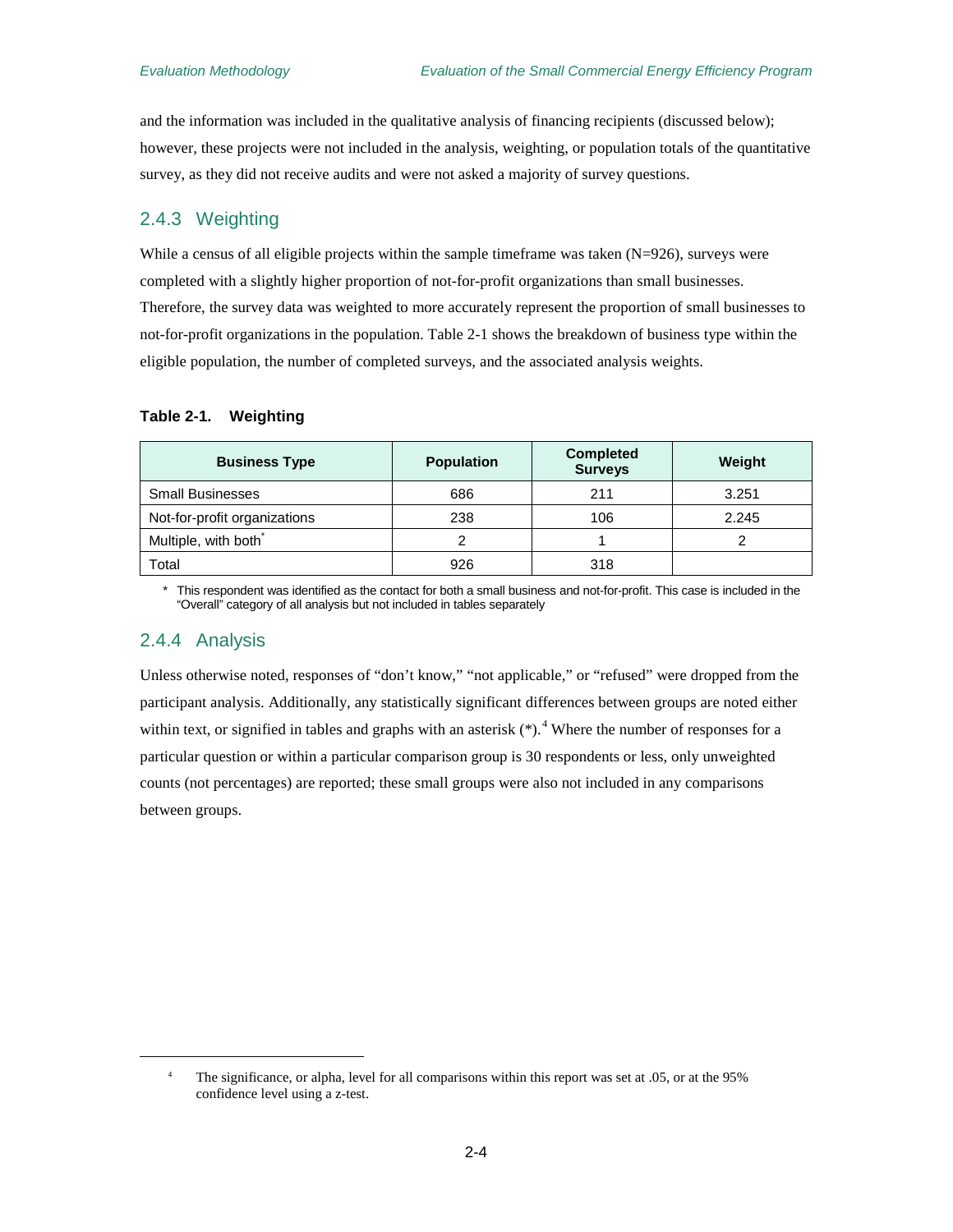and the information was included in the qualitative analysis of financing recipients (discussed below); however, these projects were not included in the analysis, weighting, or population totals of the quantitative survey, as they did not receive audits and were not asked a majority of survey questions.

#### <span id="page-21-0"></span>2.4.3 Weighting

While a census of all eligible projects within the sample timeframe was taken  $(N=926)$ , surveys were completed with a slightly higher proportion of not-for-profit organizations than small businesses. Therefore, the survey data was weighted to more accurately represent the proportion of small businesses to not-for-profit organizations in the population. [Table 2-1](#page-21-2) shows the breakdown of business type within the eligible population, the number of completed surveys, and the associated analysis weights.

#### <span id="page-21-2"></span>**Table 2-1. Weighting**

| <b>Business Type</b>             | <b>Population</b> | <b>Completed</b><br><b>Surveys</b> | Weight |
|----------------------------------|-------------------|------------------------------------|--------|
| <b>Small Businesses</b>          | 686               | 211                                | 3.251  |
| Not-for-profit organizations     | 238               | 106                                | 2.245  |
| Multiple, with both <sup>®</sup> |                   |                                    |        |
| Total                            | 926               | 318                                |        |

This respondent was identified as the contact for both a small business and not-for-profit. This case is included in the "Overall" category of all analysis but not included in tables separately

#### <span id="page-21-1"></span>2.4.4 Analysis

<span id="page-21-3"></span> $\overline{a}$ 

Unless otherwise noted, responses of "don't know," "not applicable," or "refused" were dropped from the participant analysis. Additionally, any statistically significant differences between groups are noted either within text, or signified in tables and graphs with an asterisk  $(*)$ .<sup>[4](#page-21-3)</sup> Where the number of responses for a particular question or within a particular comparison group is 30 respondents or less, only unweighted counts (not percentages) are reported; these small groups were also not included in any comparisons between groups.

<sup>&</sup>lt;sup>4</sup> The significance, or alpha, level for all comparisons within this report was set at .05, or at the 95% confidence level using a z-test.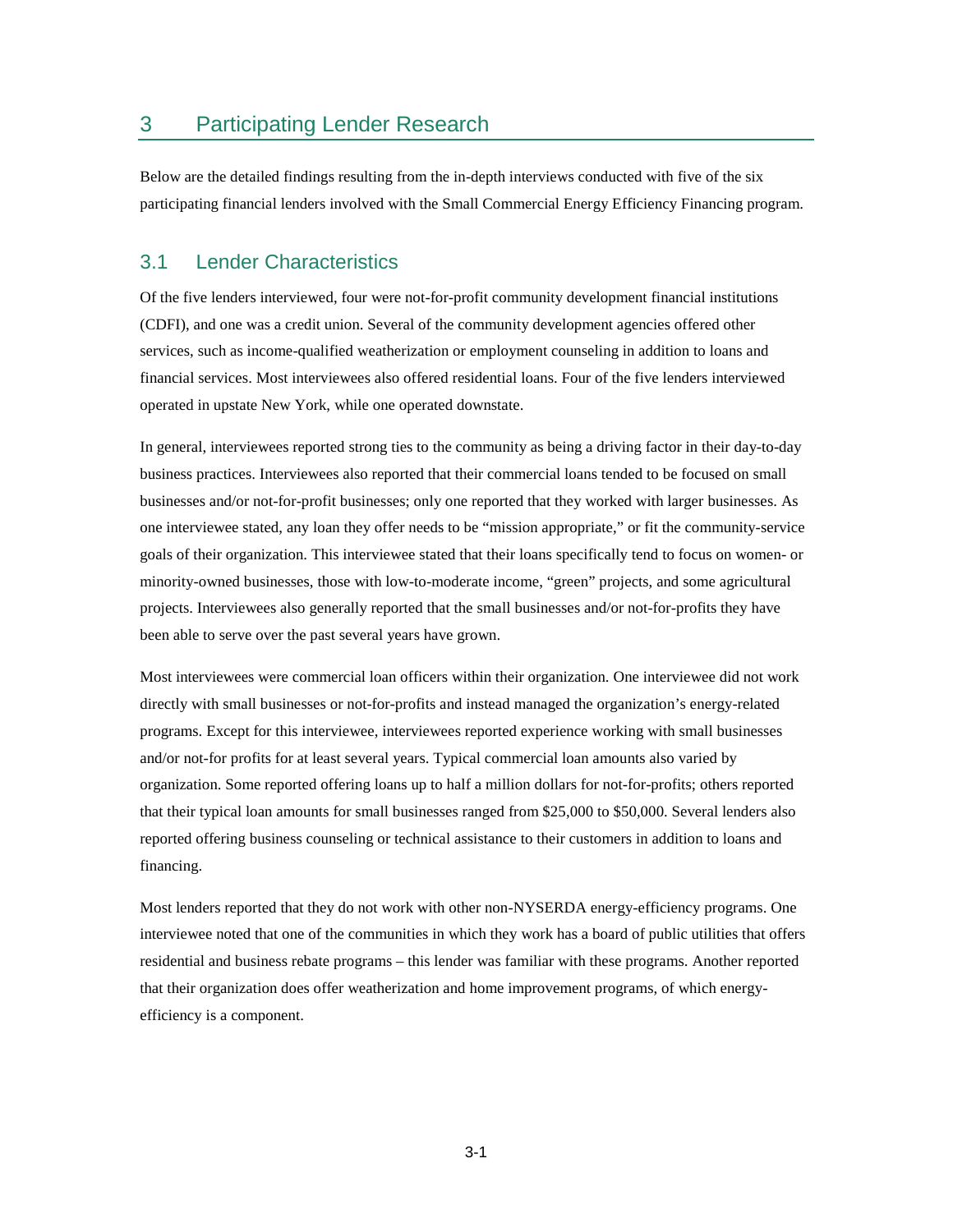## <span id="page-22-0"></span>3 Participating Lender Research

Below are the detailed findings resulting from the in-depth interviews conducted with five of the six participating financial lenders involved with the Small Commercial Energy Efficiency Financing program.

## <span id="page-22-1"></span>3.1 Lender Characteristics

Of the five lenders interviewed, four were not-for-profit community development financial institutions (CDFI), and one was a credit union. Several of the community development agencies offered other services, such as income-qualified weatherization or employment counseling in addition to loans and financial services. Most interviewees also offered residential loans. Four of the five lenders interviewed operated in upstate New York, while one operated downstate.

In general, interviewees reported strong ties to the community as being a driving factor in their day-to-day business practices. Interviewees also reported that their commercial loans tended to be focused on small businesses and/or not-for-profit businesses; only one reported that they worked with larger businesses. As one interviewee stated, any loan they offer needs to be "mission appropriate," or fit the community-service goals of their organization. This interviewee stated that their loans specifically tend to focus on women- or minority-owned businesses, those with low-to-moderate income, "green" projects, and some agricultural projects. Interviewees also generally reported that the small businesses and/or not-for-profits they have been able to serve over the past several years have grown.

Most interviewees were commercial loan officers within their organization. One interviewee did not work directly with small businesses or not-for-profits and instead managed the organization's energy-related programs. Except for this interviewee, interviewees reported experience working with small businesses and/or not-for profits for at least several years. Typical commercial loan amounts also varied by organization. Some reported offering loans up to half a million dollars for not-for-profits; others reported that their typical loan amounts for small businesses ranged from \$25,000 to \$50,000. Several lenders also reported offering business counseling or technical assistance to their customers in addition to loans and financing.

Most lenders reported that they do not work with other non-NYSERDA energy-efficiency programs. One interviewee noted that one of the communities in which they work has a board of public utilities that offers residential and business rebate programs – this lender was familiar with these programs. Another reported that their organization does offer weatherization and home improvement programs, of which energyefficiency is a component.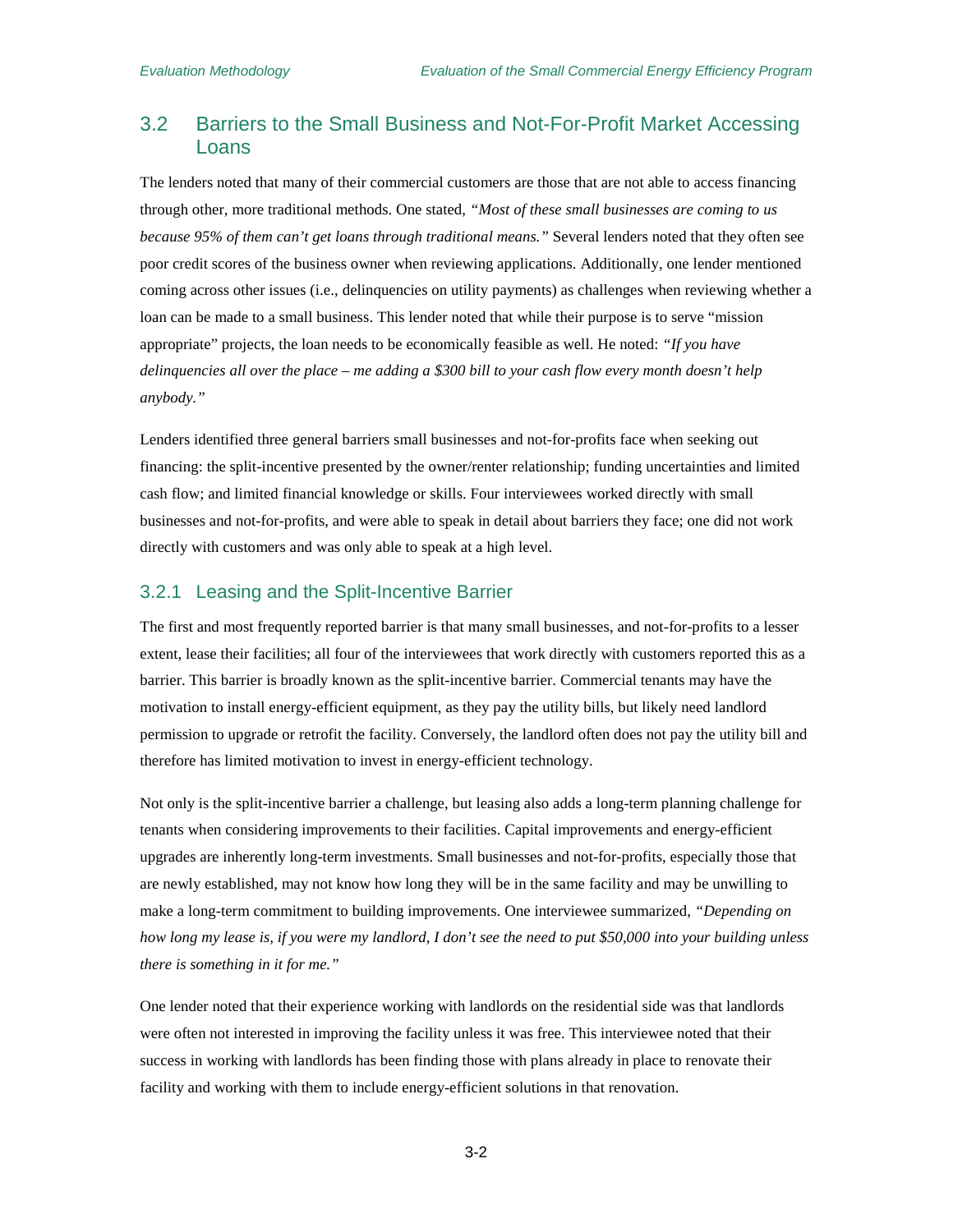## <span id="page-23-0"></span>3.2 Barriers to the Small Business and Not-For-Profit Market Accessing Loans

The lenders noted that many of their commercial customers are those that are not able to access financing through other, more traditional methods. One stated, *"Most of these small businesses are coming to us because 95% of them can't get loans through traditional means."* Several lenders noted that they often see poor credit scores of the business owner when reviewing applications. Additionally, one lender mentioned coming across other issues (i.e., delinquencies on utility payments) as challenges when reviewing whether a loan can be made to a small business. This lender noted that while their purpose is to serve "mission appropriate" projects, the loan needs to be economically feasible as well. He noted: *"If you have delinquencies all over the place – me adding a \$300 bill to your cash flow every month doesn't help anybody."*

Lenders identified three general barriers small businesses and not-for-profits face when seeking out financing: the split-incentive presented by the owner/renter relationship; funding uncertainties and limited cash flow; and limited financial knowledge or skills. Four interviewees worked directly with small businesses and not-for-profits, and were able to speak in detail about barriers they face; one did not work directly with customers and was only able to speak at a high level.

#### <span id="page-23-1"></span>3.2.1 Leasing and the Split-Incentive Barrier

The first and most frequently reported barrier is that many small businesses, and not-for-profits to a lesser extent, lease their facilities; all four of the interviewees that work directly with customers reported this as a barrier. This barrier is broadly known as the split-incentive barrier. Commercial tenants may have the motivation to install energy-efficient equipment, as they pay the utility bills, but likely need landlord permission to upgrade or retrofit the facility. Conversely, the landlord often does not pay the utility bill and therefore has limited motivation to invest in energy-efficient technology.

Not only is the split-incentive barrier a challenge, but leasing also adds a long-term planning challenge for tenants when considering improvements to their facilities. Capital improvements and energy-efficient upgrades are inherently long-term investments. Small businesses and not-for-profits, especially those that are newly established, may not know how long they will be in the same facility and may be unwilling to make a long-term commitment to building improvements. One interviewee summarized, *"Depending on how long my lease is, if you were my landlord, I don't see the need to put \$50,000 into your building unless there is something in it for me."*

One lender noted that their experience working with landlords on the residential side was that landlords were often not interested in improving the facility unless it was free. This interviewee noted that their success in working with landlords has been finding those with plans already in place to renovate their facility and working with them to include energy-efficient solutions in that renovation.

3-2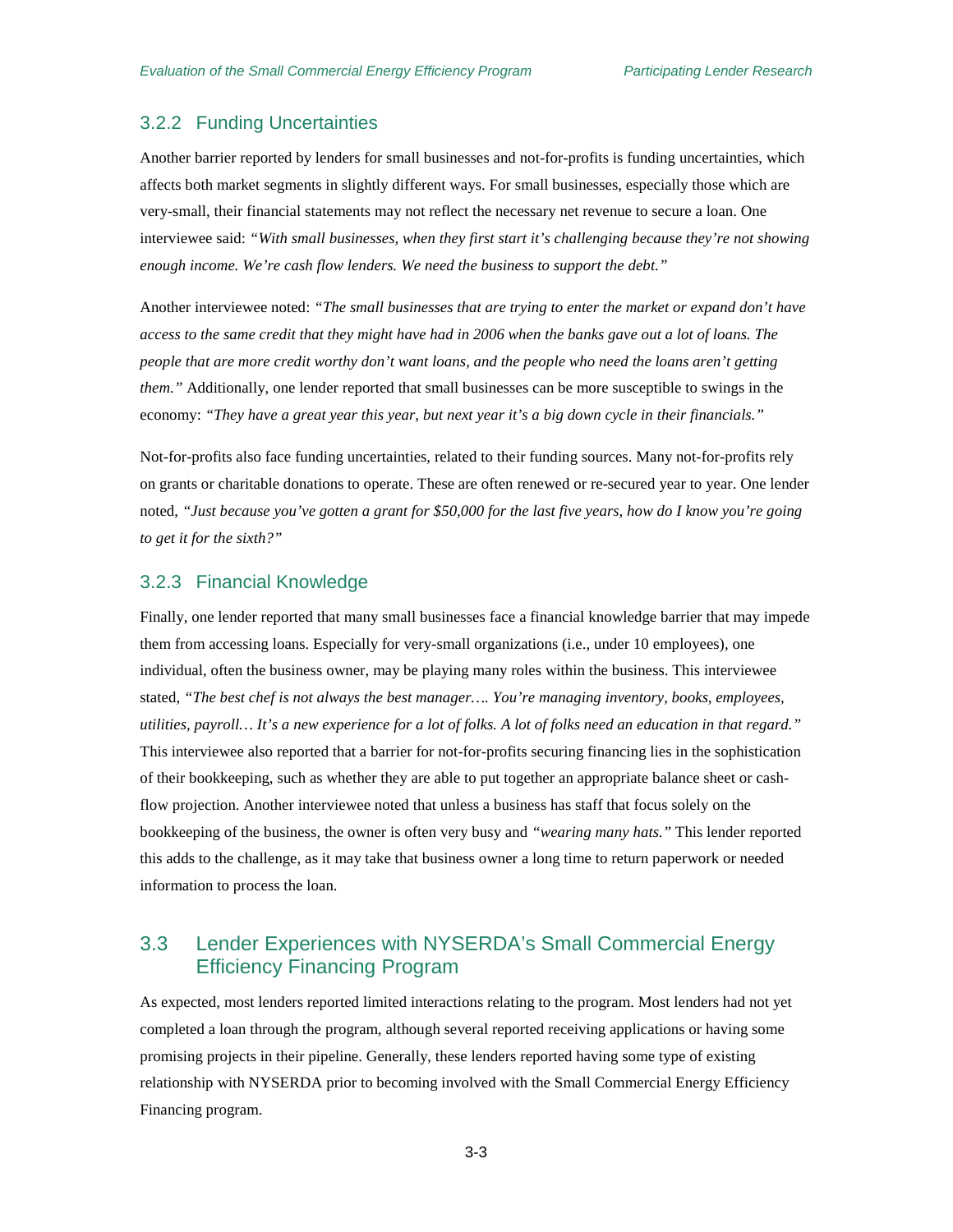### <span id="page-24-0"></span>3.2.2 Funding Uncertainties

Another barrier reported by lenders for small businesses and not-for-profits is funding uncertainties, which affects both market segments in slightly different ways. For small businesses, especially those which are very-small, their financial statements may not reflect the necessary net revenue to secure a loan. One interviewee said: *"With small businesses, when they first start it's challenging because they're not showing enough income. We're cash flow lenders. We need the business to support the debt."*

Another interviewee noted: *"The small businesses that are trying to enter the market or expand don't have access to the same credit that they might have had in 2006 when the banks gave out a lot of loans. The people that are more credit worthy don't want loans, and the people who need the loans aren't getting them.*" Additionally, one lender reported that small businesses can be more susceptible to swings in the economy: *"They have a great year this year, but next year it's a big down cycle in their financials."*

Not-for-profits also face funding uncertainties, related to their funding sources. Many not-for-profits rely on grants or charitable donations to operate. These are often renewed or re-secured year to year. One lender noted, *"Just because you've gotten a grant for \$50,000 for the last five years, how do I know you're going to get it for the sixth?"*

#### <span id="page-24-1"></span>3.2.3 Financial Knowledge

Finally, one lender reported that many small businesses face a financial knowledge barrier that may impede them from accessing loans. Especially for very-small organizations (i.e., under 10 employees), one individual, often the business owner, may be playing many roles within the business. This interviewee stated, *"The best chef is not always the best manager…. You're managing inventory, books, employees, utilities, payroll… It's a new experience for a lot of folks. A lot of folks need an education in that regard."*  This interviewee also reported that a barrier for not-for-profits securing financing lies in the sophistication of their bookkeeping, such as whether they are able to put together an appropriate balance sheet or cashflow projection. Another interviewee noted that unless a business has staff that focus solely on the bookkeeping of the business, the owner is often very busy and *"wearing many hats."* This lender reported this adds to the challenge, as it may take that business owner a long time to return paperwork or needed information to process the loan.

## <span id="page-24-2"></span>3.3 Lender Experiences with NYSERDA's Small Commercial Energy Efficiency Financing Program

As expected, most lenders reported limited interactions relating to the program. Most lenders had not yet completed a loan through the program, although several reported receiving applications or having some promising projects in their pipeline. Generally, these lenders reported having some type of existing relationship with NYSERDA prior to becoming involved with the Small Commercial Energy Efficiency Financing program.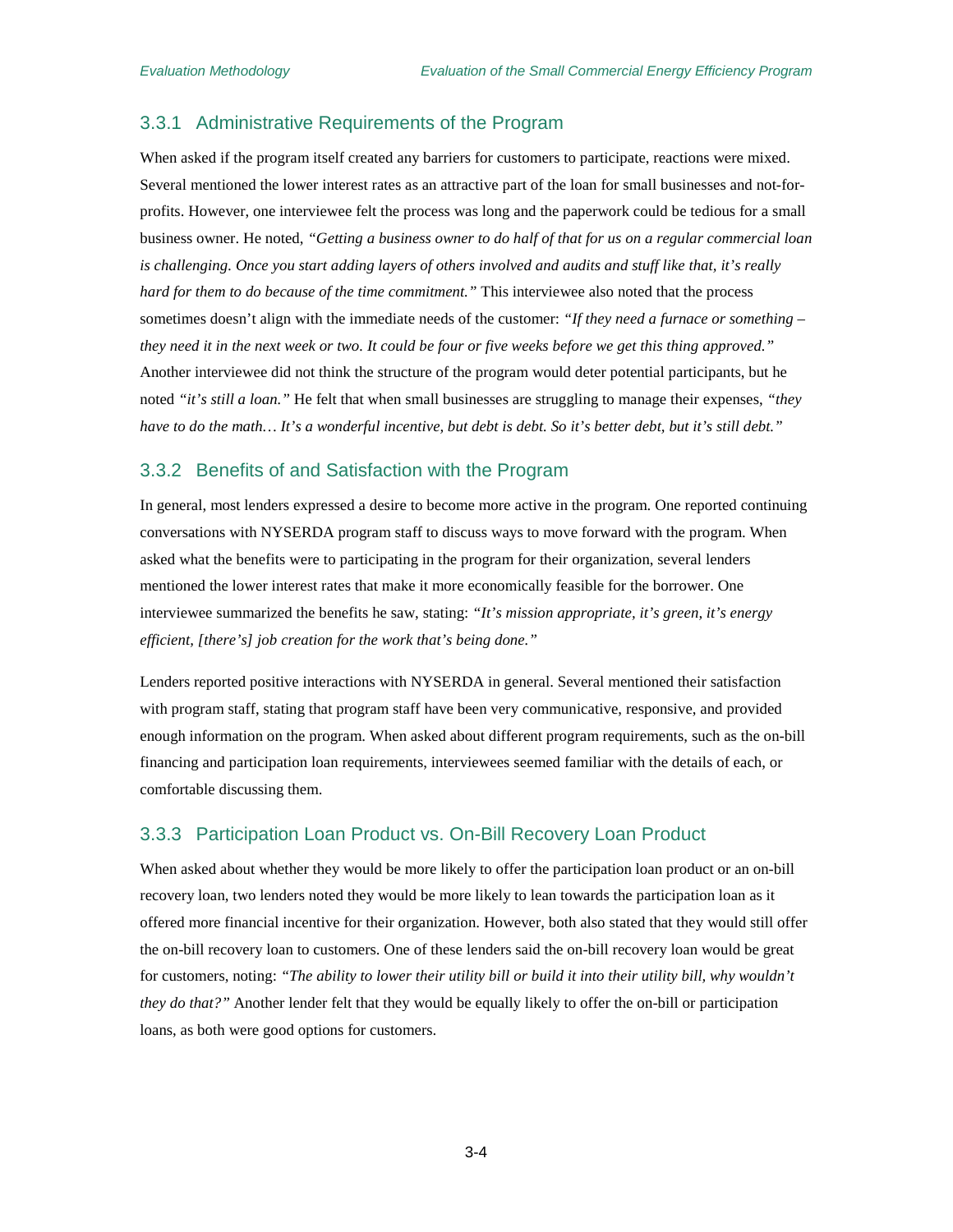#### <span id="page-25-0"></span>3.3.1 Administrative Requirements of the Program

When asked if the program itself created any barriers for customers to participate, reactions were mixed. Several mentioned the lower interest rates as an attractive part of the loan for small businesses and not-forprofits. However, one interviewee felt the process was long and the paperwork could be tedious for a small business owner. He noted, *"Getting a business owner to do half of that for us on a regular commercial loan is challenging. Once you start adding layers of others involved and audits and stuff like that, it's really hard for them to do because of the time commitment."* This interviewee also noted that the process sometimes doesn't align with the immediate needs of the customer: *"If they need a furnace or something – they need it in the next week or two. It could be four or five weeks before we get this thing approved."*  Another interviewee did not think the structure of the program would deter potential participants, but he noted *"it's still a loan."* He felt that when small businesses are struggling to manage their expenses, *"they have to do the math… It's a wonderful incentive, but debt is debt. So it's better debt, but it's still debt."*

#### <span id="page-25-1"></span>3.3.2 Benefits of and Satisfaction with the Program

In general, most lenders expressed a desire to become more active in the program. One reported continuing conversations with NYSERDA program staff to discuss ways to move forward with the program. When asked what the benefits were to participating in the program for their organization, several lenders mentioned the lower interest rates that make it more economically feasible for the borrower. One interviewee summarized the benefits he saw, stating: *"It's mission appropriate, it's green, it's energy efficient, [there's] job creation for the work that's being done."*

Lenders reported positive interactions with NYSERDA in general. Several mentioned their satisfaction with program staff, stating that program staff have been very communicative, responsive, and provided enough information on the program. When asked about different program requirements, such as the on-bill financing and participation loan requirements, interviewees seemed familiar with the details of each, or comfortable discussing them.

### <span id="page-25-2"></span>3.3.3 Participation Loan Product vs. On-Bill Recovery Loan Product

When asked about whether they would be more likely to offer the participation loan product or an on-bill recovery loan, two lenders noted they would be more likely to lean towards the participation loan as it offered more financial incentive for their organization. However, both also stated that they would still offer the on-bill recovery loan to customers. One of these lenders said the on-bill recovery loan would be great for customers, noting: *"The ability to lower their utility bill or build it into their utility bill, why wouldn't they do that?"* Another lender felt that they would be equally likely to offer the on-bill or participation loans, as both were good options for customers.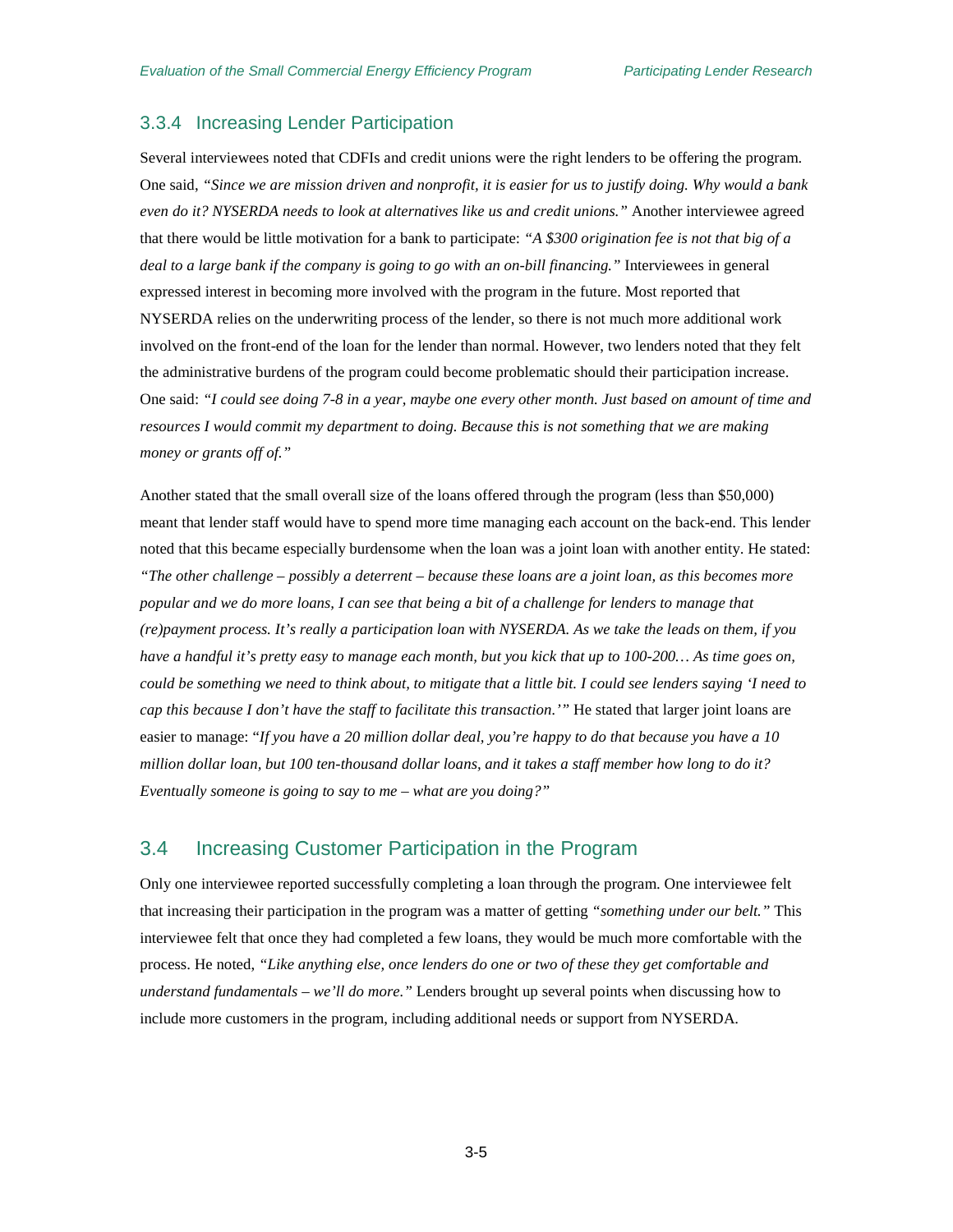#### <span id="page-26-0"></span>3.3.4 Increasing Lender Participation

Several interviewees noted that CDFIs and credit unions were the right lenders to be offering the program. One said, *"Since we are mission driven and nonprofit, it is easier for us to justify doing. Why would a bank even do it? NYSERDA needs to look at alternatives like us and credit unions."* Another interviewee agreed that there would be little motivation for a bank to participate: *"A \$300 origination fee is not that big of a deal to a large bank if the company is going to go with an on-bill financing."* Interviewees in general expressed interest in becoming more involved with the program in the future. Most reported that NYSERDA relies on the underwriting process of the lender, so there is not much more additional work involved on the front-end of the loan for the lender than normal. However, two lenders noted that they felt the administrative burdens of the program could become problematic should their participation increase. One said: *"I could see doing 7-8 in a year, maybe one every other month. Just based on amount of time and resources I would commit my department to doing. Because this is not something that we are making money or grants off of."*

Another stated that the small overall size of the loans offered through the program (less than \$50,000) meant that lender staff would have to spend more time managing each account on the back-end. This lender noted that this became especially burdensome when the loan was a joint loan with another entity. He stated: *"The other challenge – possibly a deterrent – because these loans are a joint loan, as this becomes more popular and we do more loans, I can see that being a bit of a challenge for lenders to manage that (re)payment process. It's really a participation loan with NYSERDA. As we take the leads on them, if you have a handful it's pretty easy to manage each month, but you kick that up to 100-200… As time goes on, could be something we need to think about, to mitigate that a little bit. I could see lenders saying 'I need to cap this because I don't have the staff to facilitate this transaction.'"* He stated that larger joint loans are easier to manage: "*If you have a 20 million dollar deal, you're happy to do that because you have a 10 million dollar loan, but 100 ten-thousand dollar loans, and it takes a staff member how long to do it? Eventually someone is going to say to me – what are you doing?"* 

## <span id="page-26-1"></span>3.4 Increasing Customer Participation in the Program

Only one interviewee reported successfully completing a loan through the program. One interviewee felt that increasing their participation in the program was a matter of getting *"something under our belt."* This interviewee felt that once they had completed a few loans, they would be much more comfortable with the process. He noted, *"Like anything else, once lenders do one or two of these they get comfortable and understand fundamentals – we'll do more."* Lenders brought up several points when discussing how to include more customers in the program, including additional needs or support from NYSERDA.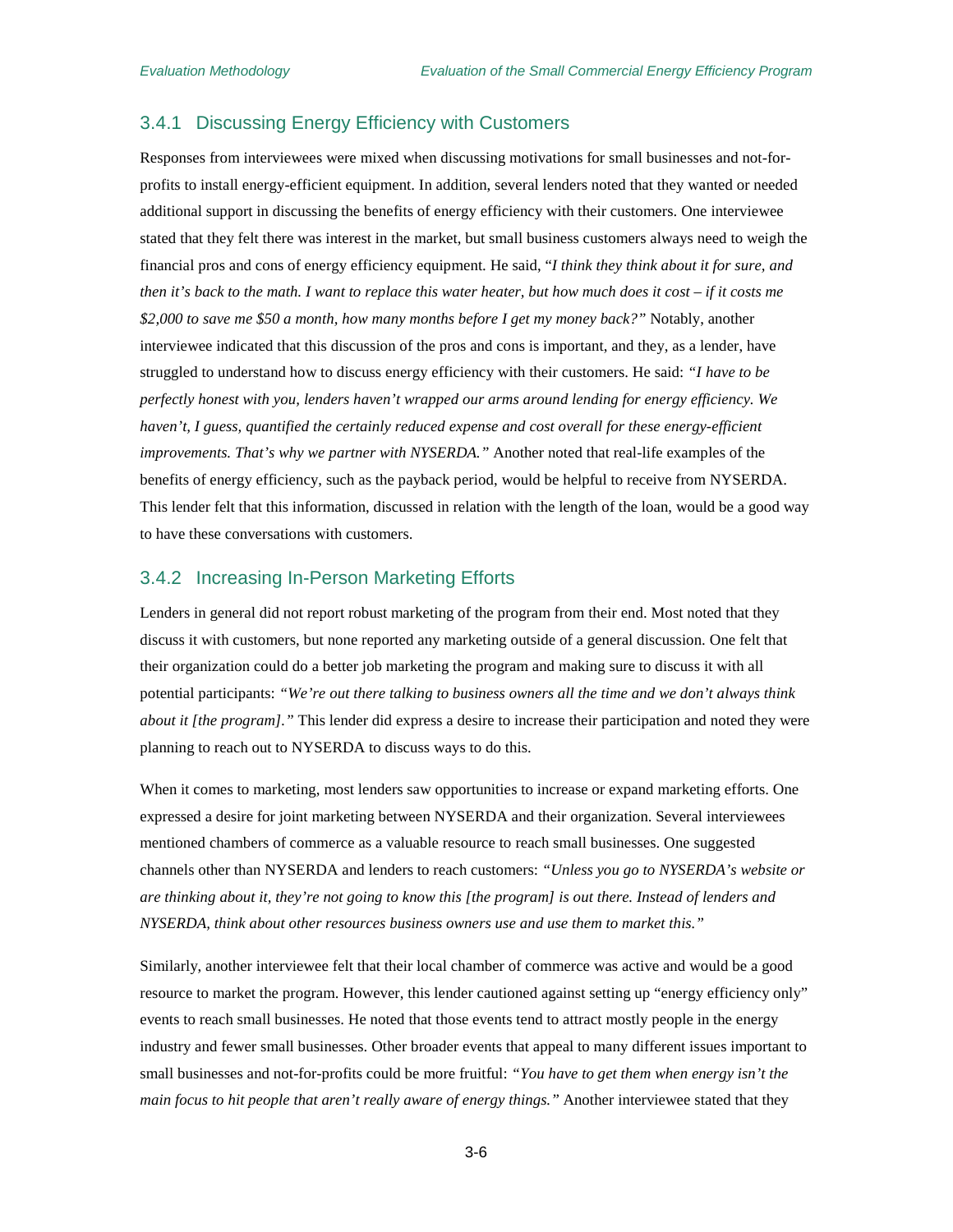#### <span id="page-27-0"></span>3.4.1 Discussing Energy Efficiency with Customers

Responses from interviewees were mixed when discussing motivations for small businesses and not-forprofits to install energy-efficient equipment. In addition, several lenders noted that they wanted or needed additional support in discussing the benefits of energy efficiency with their customers. One interviewee stated that they felt there was interest in the market, but small business customers always need to weigh the financial pros and cons of energy efficiency equipment. He said, "*I think they think about it for sure, and then it's back to the math. I want to replace this water heater, but how much does it cost – if it costs me \$2,000 to save me \$50 a month, how many months before I get my money back?"* Notably, another interviewee indicated that this discussion of the pros and cons is important, and they, as a lender, have struggled to understand how to discuss energy efficiency with their customers. He said: *"I have to be perfectly honest with you, lenders haven't wrapped our arms around lending for energy efficiency. We haven't, I guess, quantified the certainly reduced expense and cost overall for these energy-efficient improvements. That's why we partner with NYSERDA."* Another noted that real-life examples of the benefits of energy efficiency, such as the payback period, would be helpful to receive from NYSERDA. This lender felt that this information, discussed in relation with the length of the loan, would be a good way to have these conversations with customers.

#### <span id="page-27-1"></span>3.4.2 Increasing In-Person Marketing Efforts

Lenders in general did not report robust marketing of the program from their end. Most noted that they discuss it with customers, but none reported any marketing outside of a general discussion. One felt that their organization could do a better job marketing the program and making sure to discuss it with all potential participants: *"We're out there talking to business owners all the time and we don't always think about it [the program]."* This lender did express a desire to increase their participation and noted they were planning to reach out to NYSERDA to discuss ways to do this.

When it comes to marketing, most lenders saw opportunities to increase or expand marketing efforts. One expressed a desire for joint marketing between NYSERDA and their organization. Several interviewees mentioned chambers of commerce as a valuable resource to reach small businesses. One suggested channels other than NYSERDA and lenders to reach customers: *"Unless you go to NYSERDA's website or are thinking about it, they're not going to know this [the program] is out there. Instead of lenders and NYSERDA, think about other resources business owners use and use them to market this."*

Similarly, another interviewee felt that their local chamber of commerce was active and would be a good resource to market the program. However, this lender cautioned against setting up "energy efficiency only" events to reach small businesses. He noted that those events tend to attract mostly people in the energy industry and fewer small businesses. Other broader events that appeal to many different issues important to small businesses and not-for-profits could be more fruitful: *"You have to get them when energy isn't the main focus to hit people that aren't really aware of energy things."* Another interviewee stated that they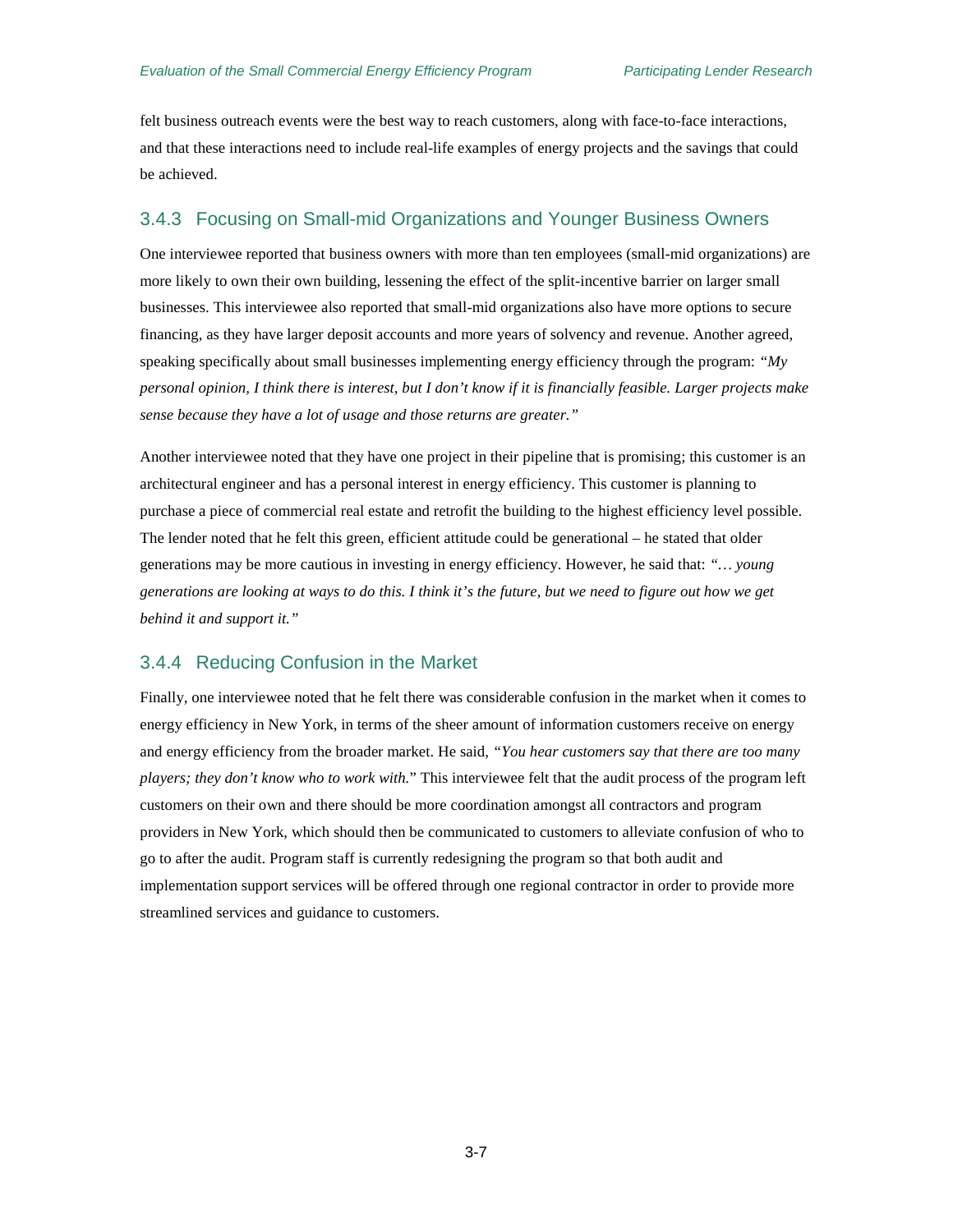felt business outreach events were the best way to reach customers, along with face-to-face interactions, and that these interactions need to include real-life examples of energy projects and the savings that could be achieved.

#### <span id="page-28-0"></span>3.4.3 Focusing on Small-mid Organizations and Younger Business Owners

One interviewee reported that business owners with more than ten employees (small-mid organizations) are more likely to own their own building, lessening the effect of the split-incentive barrier on larger small businesses. This interviewee also reported that small-mid organizations also have more options to secure financing, as they have larger deposit accounts and more years of solvency and revenue. Another agreed, speaking specifically about small businesses implementing energy efficiency through the program: *"My personal opinion, I think there is interest, but I don't know if it is financially feasible. Larger projects make sense because they have a lot of usage and those returns are greater."*

Another interviewee noted that they have one project in their pipeline that is promising; this customer is an architectural engineer and has a personal interest in energy efficiency. This customer is planning to purchase a piece of commercial real estate and retrofit the building to the highest efficiency level possible. The lender noted that he felt this green, efficient attitude could be generational – he stated that older generations may be more cautious in investing in energy efficiency. However, he said that: *"… young generations are looking at ways to do this. I think it's the future, but we need to figure out how we get behind it and support it."*

#### <span id="page-28-1"></span>3.4.4 Reducing Confusion in the Market

Finally, one interviewee noted that he felt there was considerable confusion in the market when it comes to energy efficiency in New York, in terms of the sheer amount of information customers receive on energy and energy efficiency from the broader market. He said, *"You hear customers say that there are too many players; they don't know who to work with.*" This interviewee felt that the audit process of the program left customers on their own and there should be more coordination amongst all contractors and program providers in New York, which should then be communicated to customers to alleviate confusion of who to go to after the audit. Program staff is currently redesigning the program so that both audit and implementation support services will be offered through one regional contractor in order to provide more streamlined services and guidance to customers.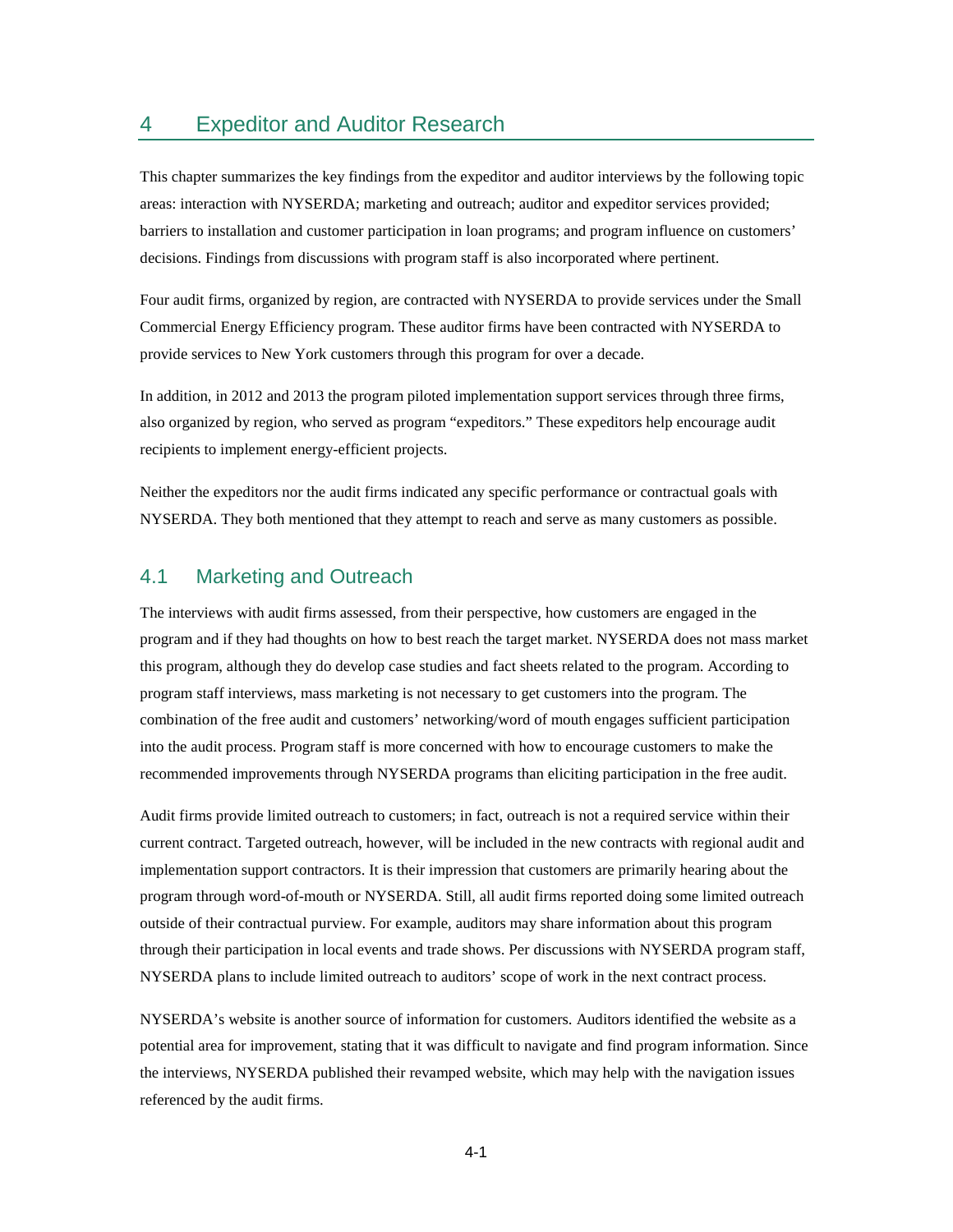## <span id="page-30-0"></span>4 Expeditor and Auditor Research

This chapter summarizes the key findings from the expeditor and auditor interviews by the following topic areas: interaction with NYSERDA; marketing and outreach; auditor and expeditor services provided; barriers to installation and customer participation in loan programs; and program influence on customers' decisions. Findings from discussions with program staff is also incorporated where pertinent.

Four audit firms, organized by region, are contracted with NYSERDA to provide services under the Small Commercial Energy Efficiency program. These auditor firms have been contracted with NYSERDA to provide services to New York customers through this program for over a decade.

In addition, in 2012 and 2013 the program piloted implementation support services through three firms, also organized by region, who served as program "expeditors." These expeditors help encourage audit recipients to implement energy-efficient projects.

Neither the expeditors nor the audit firms indicated any specific performance or contractual goals with NYSERDA. They both mentioned that they attempt to reach and serve as many customers as possible.

### <span id="page-30-1"></span>4.1 Marketing and Outreach

The interviews with audit firms assessed, from their perspective, how customers are engaged in the program and if they had thoughts on how to best reach the target market. NYSERDA does not mass market this program, although they do develop case studies and fact sheets related to the program. According to program staff interviews, mass marketing is not necessary to get customers into the program. The combination of the free audit and customers' networking/word of mouth engages sufficient participation into the audit process. Program staff is more concerned with how to encourage customers to make the recommended improvements through NYSERDA programs than eliciting participation in the free audit.

Audit firms provide limited outreach to customers; in fact, outreach is not a required service within their current contract. Targeted outreach, however, will be included in the new contracts with regional audit and implementation support contractors. It is their impression that customers are primarily hearing about the program through word-of-mouth or NYSERDA. Still, all audit firms reported doing some limited outreach outside of their contractual purview. For example, auditors may share information about this program through their participation in local events and trade shows. Per discussions with NYSERDA program staff, NYSERDA plans to include limited outreach to auditors' scope of work in the next contract process.

NYSERDA's website is another source of information for customers. Auditors identified the website as a potential area for improvement, stating that it was difficult to navigate and find program information. Since the interviews, NYSERDA published their revamped website, which may help with the navigation issues referenced by the audit firms.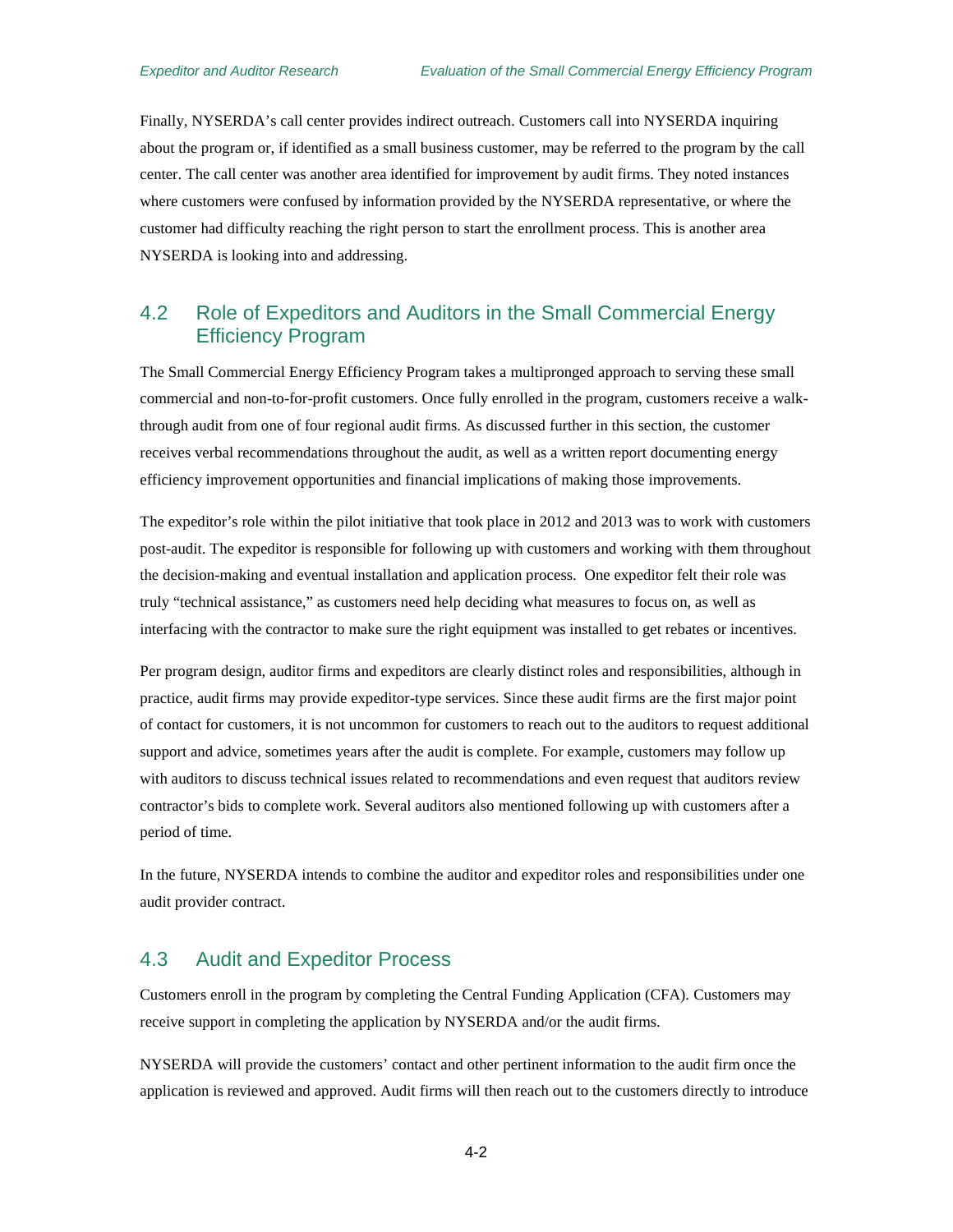Finally, NYSERDA's call center provides indirect outreach. Customers call into NYSERDA inquiring about the program or, if identified as a small business customer, may be referred to the program by the call center. The call center was another area identified for improvement by audit firms. They noted instances where customers were confused by information provided by the NYSERDA representative, or where the customer had difficulty reaching the right person to start the enrollment process. This is another area NYSERDA is looking into and addressing.

## <span id="page-31-0"></span>4.2 Role of Expeditors and Auditors in the Small Commercial Energy Efficiency Program

The Small Commercial Energy Efficiency Program takes a multipronged approach to serving these small commercial and non-to-for-profit customers. Once fully enrolled in the program, customers receive a walkthrough audit from one of four regional audit firms. As discussed further in this section, the customer receives verbal recommendations throughout the audit, as well as a written report documenting energy efficiency improvement opportunities and financial implications of making those improvements.

The expeditor's role within the pilot initiative that took place in 2012 and 2013 was to work with customers post-audit. The expeditor is responsible for following up with customers and working with them throughout the decision-making and eventual installation and application process. One expeditor felt their role was truly "technical assistance," as customers need help deciding what measures to focus on, as well as interfacing with the contractor to make sure the right equipment was installed to get rebates or incentives.

Per program design, auditor firms and expeditors are clearly distinct roles and responsibilities, although in practice, audit firms may provide expeditor-type services. Since these audit firms are the first major point of contact for customers, it is not uncommon for customers to reach out to the auditors to request additional support and advice, sometimes years after the audit is complete. For example, customers may follow up with auditors to discuss technical issues related to recommendations and even request that auditors review contractor's bids to complete work. Several auditors also mentioned following up with customers after a period of time.

In the future, NYSERDA intends to combine the auditor and expeditor roles and responsibilities under one audit provider contract.

## <span id="page-31-1"></span>4.3 Audit and Expeditor Process

Customers enroll in the program by completing the Central Funding Application (CFA). Customers may receive support in completing the application by NYSERDA and/or the audit firms.

NYSERDA will provide the customers' contact and other pertinent information to the audit firm once the application is reviewed and approved. Audit firms will then reach out to the customers directly to introduce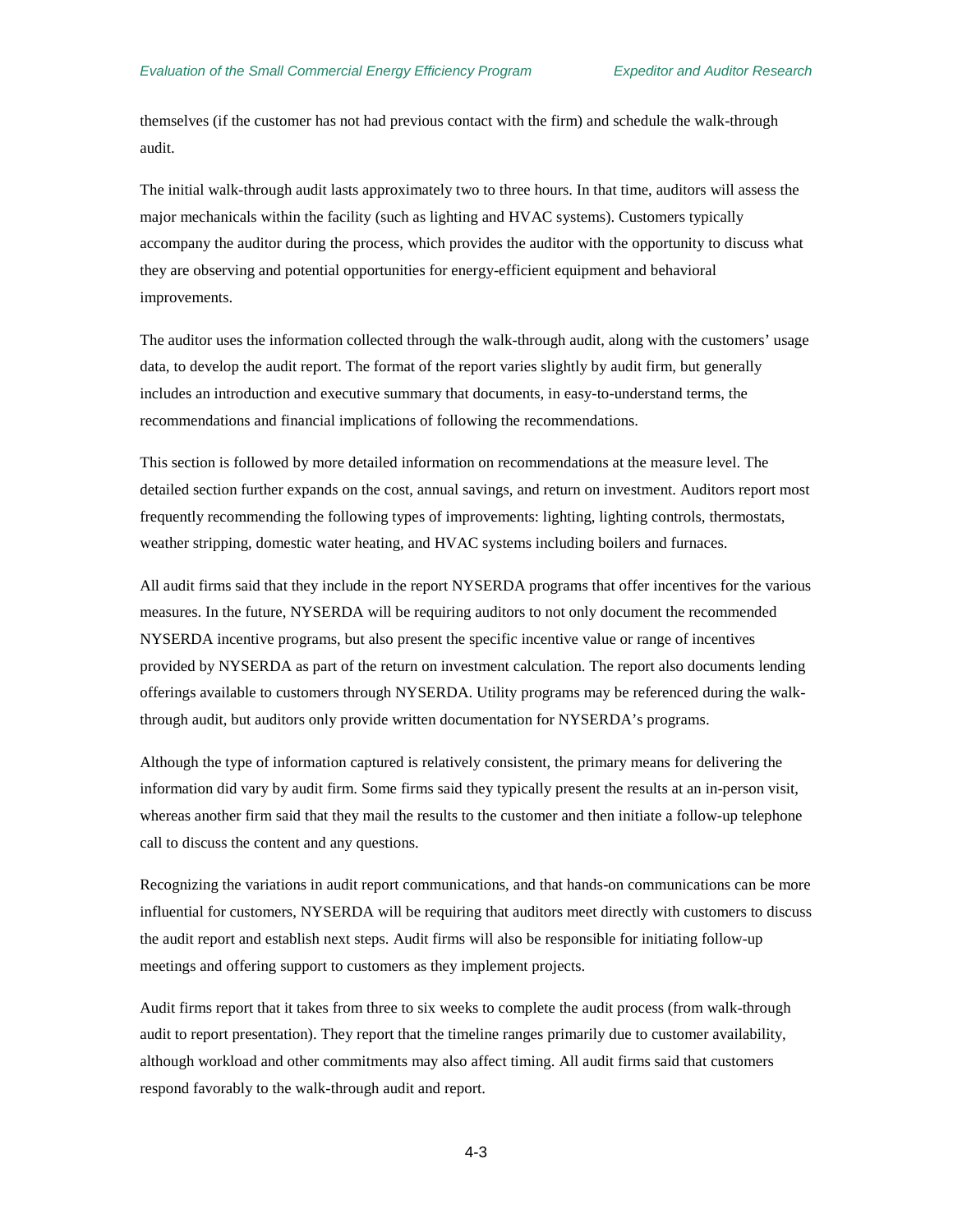themselves (if the customer has not had previous contact with the firm) and schedule the walk-through audit.

The initial walk-through audit lasts approximately two to three hours. In that time, auditors will assess the major mechanicals within the facility (such as lighting and HVAC systems). Customers typically accompany the auditor during the process, which provides the auditor with the opportunity to discuss what they are observing and potential opportunities for energy-efficient equipment and behavioral improvements.

The auditor uses the information collected through the walk-through audit, along with the customers' usage data, to develop the audit report. The format of the report varies slightly by audit firm, but generally includes an introduction and executive summary that documents, in easy-to-understand terms, the recommendations and financial implications of following the recommendations.

This section is followed by more detailed information on recommendations at the measure level. The detailed section further expands on the cost, annual savings, and return on investment. Auditors report most frequently recommending the following types of improvements: lighting, lighting controls, thermostats, weather stripping, domestic water heating, and HVAC systems including boilers and furnaces.

All audit firms said that they include in the report NYSERDA programs that offer incentives for the various measures. In the future, NYSERDA will be requiring auditors to not only document the recommended NYSERDA incentive programs, but also present the specific incentive value or range of incentives provided by NYSERDA as part of the return on investment calculation. The report also documents lending offerings available to customers through NYSERDA. Utility programs may be referenced during the walkthrough audit, but auditors only provide written documentation for NYSERDA's programs.

Although the type of information captured is relatively consistent, the primary means for delivering the information did vary by audit firm. Some firms said they typically present the results at an in-person visit, whereas another firm said that they mail the results to the customer and then initiate a follow-up telephone call to discuss the content and any questions.

Recognizing the variations in audit report communications, and that hands-on communications can be more influential for customers, NYSERDA will be requiring that auditors meet directly with customers to discuss the audit report and establish next steps. Audit firms will also be responsible for initiating follow-up meetings and offering support to customers as they implement projects.

Audit firms report that it takes from three to six weeks to complete the audit process (from walk-through audit to report presentation). They report that the timeline ranges primarily due to customer availability, although workload and other commitments may also affect timing. All audit firms said that customers respond favorably to the walk-through audit and report.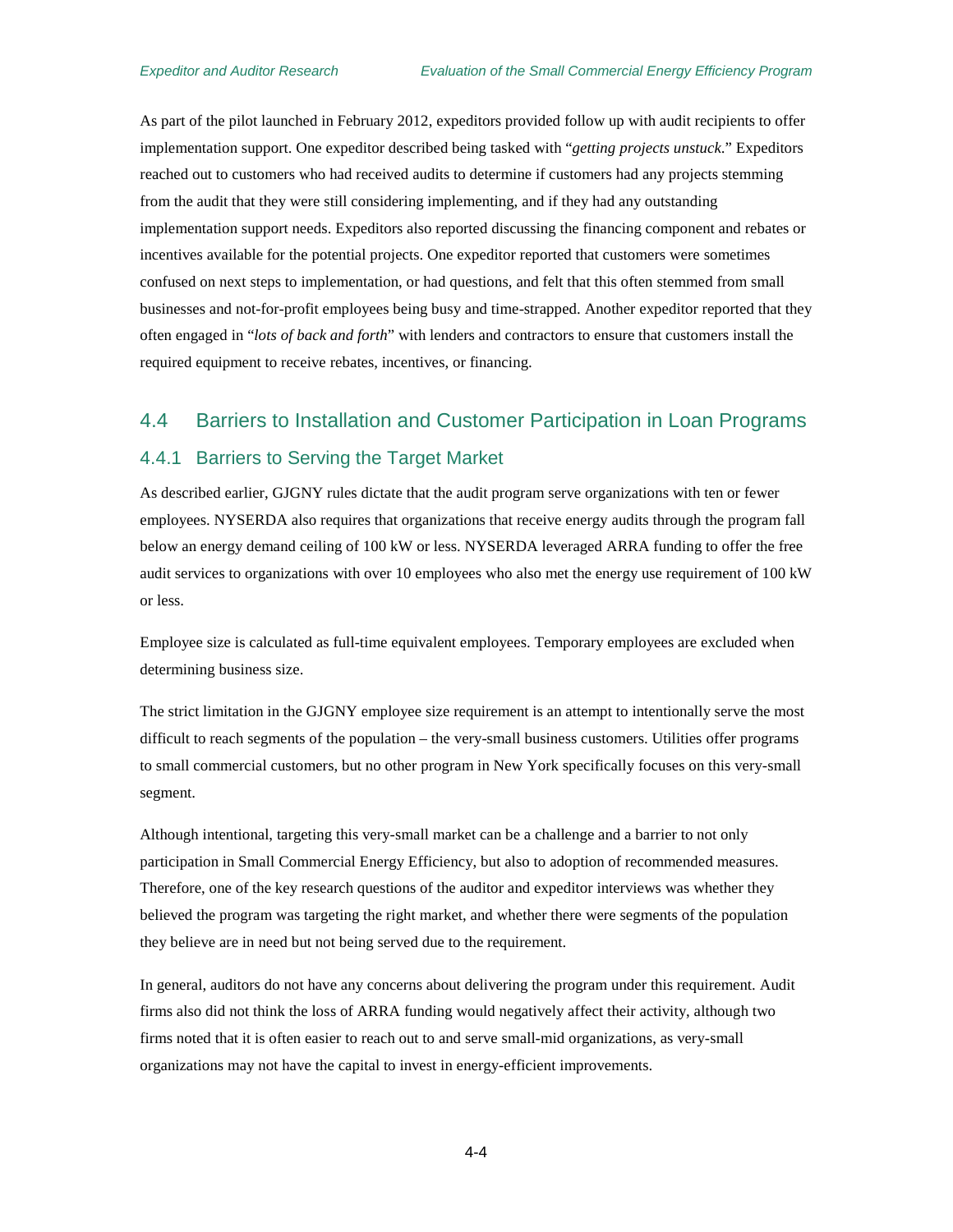As part of the pilot launched in February 2012, expeditors provided follow up with audit recipients to offer implementation support. One expeditor described being tasked with "*getting projects unstuck*." Expeditors reached out to customers who had received audits to determine if customers had any projects stemming from the audit that they were still considering implementing, and if they had any outstanding implementation support needs. Expeditors also reported discussing the financing component and rebates or incentives available for the potential projects. One expeditor reported that customers were sometimes confused on next steps to implementation, or had questions, and felt that this often stemmed from small businesses and not-for-profit employees being busy and time-strapped. Another expeditor reported that they often engaged in "*lots of back and forth*" with lenders and contractors to ensure that customers install the required equipment to receive rebates, incentives, or financing.

## <span id="page-33-0"></span>4.4 Barriers to Installation and Customer Participation in Loan Programs

#### <span id="page-33-1"></span>4.4.1 Barriers to Serving the Target Market

As described earlier, GJGNY rules dictate that the audit program serve organizations with ten or fewer employees. NYSERDA also requires that organizations that receive energy audits through the program fall below an energy demand ceiling of 100 kW or less. NYSERDA leveraged ARRA funding to offer the free audit services to organizations with over 10 employees who also met the energy use requirement of 100 kW or less.

Employee size is calculated as full-time equivalent employees. Temporary employees are excluded when determining business size.

The strict limitation in the GJGNY employee size requirement is an attempt to intentionally serve the most difficult to reach segments of the population – the very-small business customers. Utilities offer programs to small commercial customers, but no other program in New York specifically focuses on this very-small segment.

Although intentional, targeting this very-small market can be a challenge and a barrier to not only participation in Small Commercial Energy Efficiency, but also to adoption of recommended measures. Therefore, one of the key research questions of the auditor and expeditor interviews was whether they believed the program was targeting the right market, and whether there were segments of the population they believe are in need but not being served due to the requirement.

In general, auditors do not have any concerns about delivering the program under this requirement. Audit firms also did not think the loss of ARRA funding would negatively affect their activity, although two firms noted that it is often easier to reach out to and serve small-mid organizations, as very-small organizations may not have the capital to invest in energy-efficient improvements.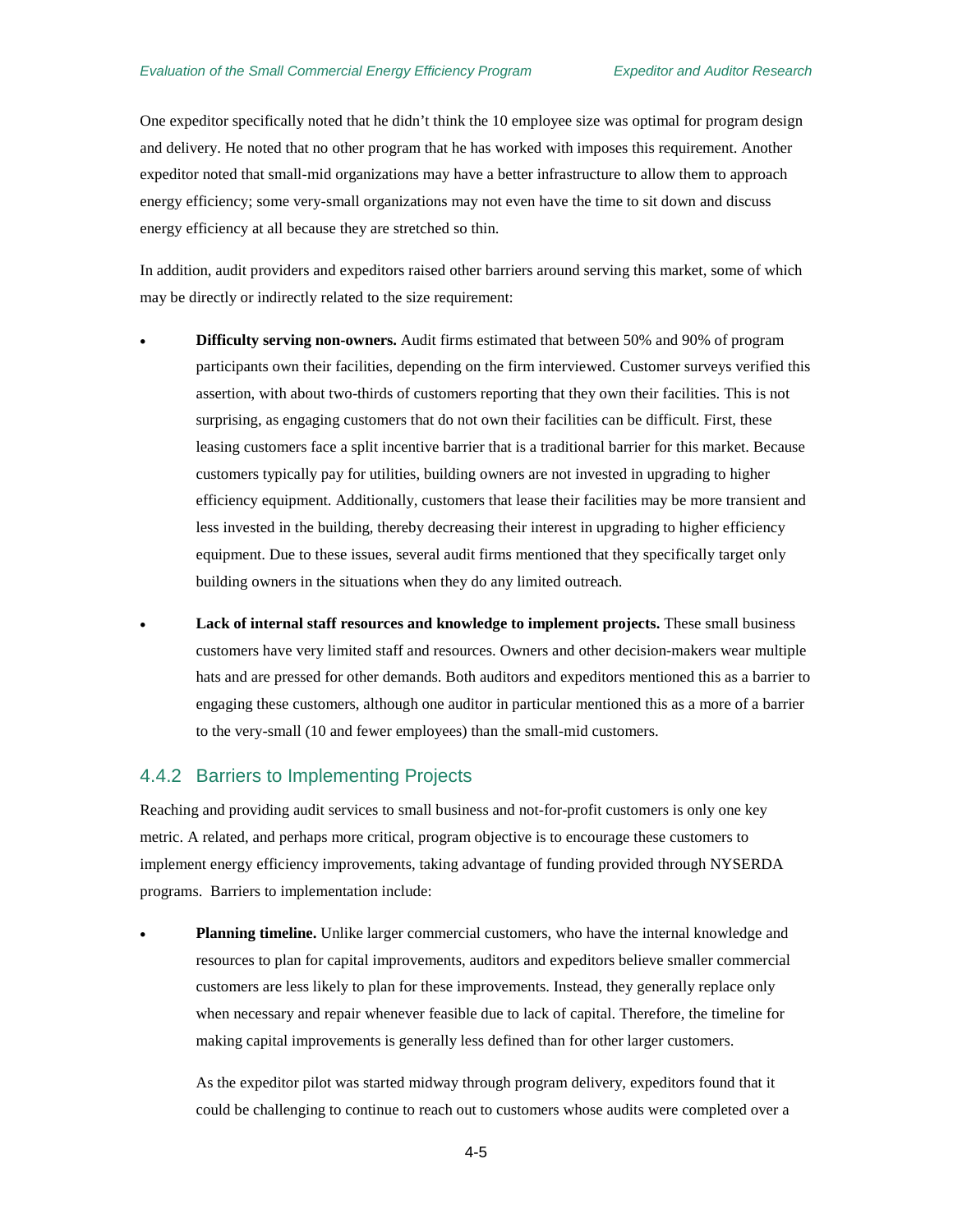One expeditor specifically noted that he didn't think the 10 employee size was optimal for program design and delivery. He noted that no other program that he has worked with imposes this requirement. Another expeditor noted that small-mid organizations may have a better infrastructure to allow them to approach energy efficiency; some very-small organizations may not even have the time to sit down and discuss energy efficiency at all because they are stretched so thin.

In addition, audit providers and expeditors raised other barriers around serving this market, some of which may be directly or indirectly related to the size requirement:

- **Difficulty serving non-owners.** Audit firms estimated that between 50% and 90% of program participants own their facilities, depending on the firm interviewed. Customer surveys verified this assertion, with about two-thirds of customers reporting that they own their facilities. This is not surprising, as engaging customers that do not own their facilities can be difficult. First, these leasing customers face a split incentive barrier that is a traditional barrier for this market. Because customers typically pay for utilities, building owners are not invested in upgrading to higher efficiency equipment. Additionally, customers that lease their facilities may be more transient and less invested in the building, thereby decreasing their interest in upgrading to higher efficiency equipment. Due to these issues, several audit firms mentioned that they specifically target only building owners in the situations when they do any limited outreach.
- **Lack of internal staff resources and knowledge to implement projects.** These small business customers have very limited staff and resources. Owners and other decision-makers wear multiple hats and are pressed for other demands. Both auditors and expeditors mentioned this as a barrier to engaging these customers, although one auditor in particular mentioned this as a more of a barrier to the very-small (10 and fewer employees) than the small-mid customers.

#### <span id="page-34-0"></span>4.4.2 Barriers to Implementing Projects

Reaching and providing audit services to small business and not-for-profit customers is only one key metric. A related, and perhaps more critical, program objective is to encourage these customers to implement energy efficiency improvements, taking advantage of funding provided through NYSERDA programs. Barriers to implementation include:

**Planning timeline.** Unlike larger commercial customers, who have the internal knowledge and resources to plan for capital improvements, auditors and expeditors believe smaller commercial customers are less likely to plan for these improvements. Instead, they generally replace only when necessary and repair whenever feasible due to lack of capital. Therefore, the timeline for making capital improvements is generally less defined than for other larger customers.

As the expeditor pilot was started midway through program delivery, expeditors found that it could be challenging to continue to reach out to customers whose audits were completed over a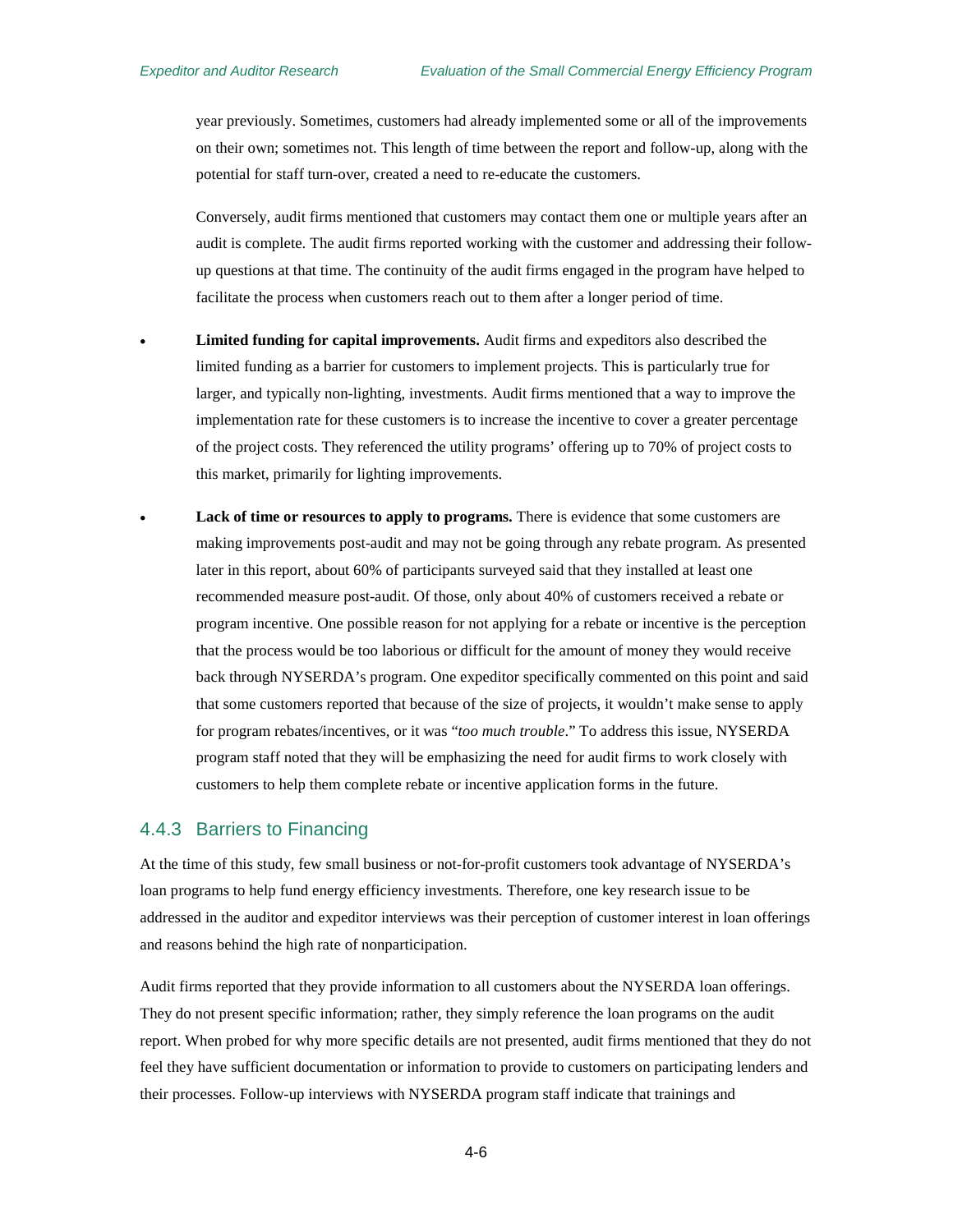year previously. Sometimes, customers had already implemented some or all of the improvements on their own; sometimes not. This length of time between the report and follow-up, along with the potential for staff turn-over, created a need to re-educate the customers.

Conversely, audit firms mentioned that customers may contact them one or multiple years after an audit is complete. The audit firms reported working with the customer and addressing their followup questions at that time. The continuity of the audit firms engaged in the program have helped to facilitate the process when customers reach out to them after a longer period of time.

- **Limited funding for capital improvements.** Audit firms and expeditors also described the limited funding as a barrier for customers to implement projects. This is particularly true for larger, and typically non-lighting, investments. Audit firms mentioned that a way to improve the implementation rate for these customers is to increase the incentive to cover a greater percentage of the project costs. They referenced the utility programs' offering up to 70% of project costs to this market, primarily for lighting improvements.
	- **Lack of time or resources to apply to programs.** There is evidence that some customers are making improvements post-audit and may not be going through any rebate program. As presented later in this report, about 60% of participants surveyed said that they installed at least one recommended measure post-audit. Of those, only about 40% of customers received a rebate or program incentive. One possible reason for not applying for a rebate or incentive is the perception that the process would be too laborious or difficult for the amount of money they would receive back through NYSERDA's program. One expeditor specifically commented on this point and said that some customers reported that because of the size of projects, it wouldn't make sense to apply for program rebates/incentives, or it was "*too much trouble*." To address this issue, NYSERDA program staff noted that they will be emphasizing the need for audit firms to work closely with customers to help them complete rebate or incentive application forms in the future.

#### <span id="page-35-0"></span>4.4.3 Barriers to Financing

At the time of this study, few small business or not-for-profit customers took advantage of NYSERDA's loan programs to help fund energy efficiency investments. Therefore, one key research issue to be addressed in the auditor and expeditor interviews was their perception of customer interest in loan offerings and reasons behind the high rate of nonparticipation.

Audit firms reported that they provide information to all customers about the NYSERDA loan offerings. They do not present specific information; rather, they simply reference the loan programs on the audit report. When probed for why more specific details are not presented, audit firms mentioned that they do not feel they have sufficient documentation or information to provide to customers on participating lenders and their processes. Follow-up interviews with NYSERDA program staff indicate that trainings and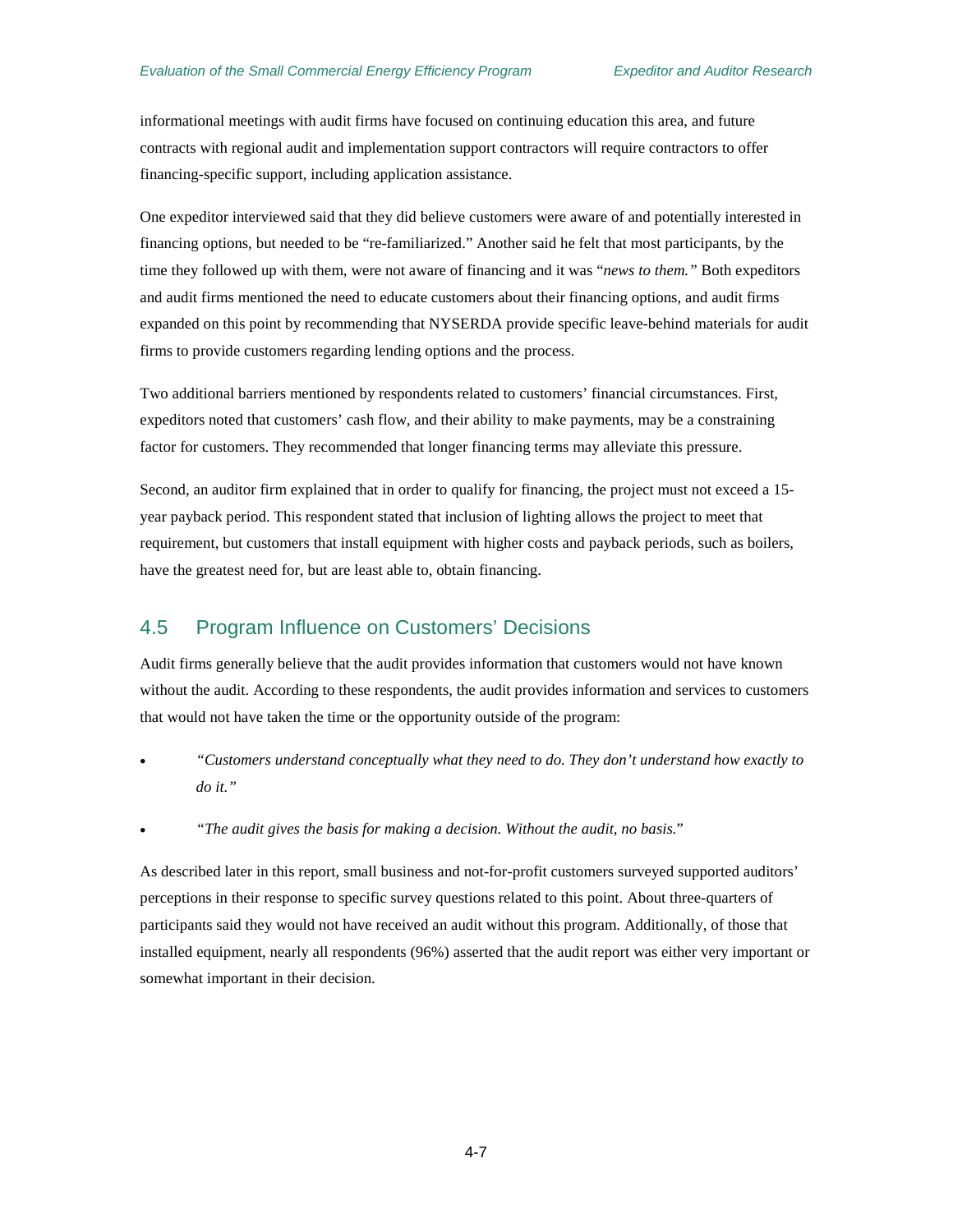informational meetings with audit firms have focused on continuing education this area, and future contracts with regional audit and implementation support contractors will require contractors to offer financing-specific support, including application assistance.

One expeditor interviewed said that they did believe customers were aware of and potentially interested in financing options, but needed to be "re-familiarized." Another said he felt that most participants, by the time they followed up with them, were not aware of financing and it was "*news to them."* Both expeditors and audit firms mentioned the need to educate customers about their financing options, and audit firms expanded on this point by recommending that NYSERDA provide specific leave-behind materials for audit firms to provide customers regarding lending options and the process.

Two additional barriers mentioned by respondents related to customers' financial circumstances. First, expeditors noted that customers' cash flow, and their ability to make payments, may be a constraining factor for customers. They recommended that longer financing terms may alleviate this pressure.

Second, an auditor firm explained that in order to qualify for financing, the project must not exceed a 15 year payback period. This respondent stated that inclusion of lighting allows the project to meet that requirement, but customers that install equipment with higher costs and payback periods, such as boilers, have the greatest need for, but are least able to, obtain financing.

### 4.5 Program Influence on Customers' Decisions

Audit firms generally believe that the audit provides information that customers would not have known without the audit. According to these respondents, the audit provides information and services to customers that would not have taken the time or the opportunity outside of the program:

- *"Customers understand conceptually what they need to do. They don't understand how exactly to do it."*
- *"The audit gives the basis for making a decision. Without the audit, no basis.*"

As described later in this report, small business and not-for-profit customers surveyed supported auditors' perceptions in their response to specific survey questions related to this point. About three-quarters of participants said they would not have received an audit without this program. Additionally, of those that installed equipment, nearly all respondents (96%) asserted that the audit report was either very important or somewhat important in their decision.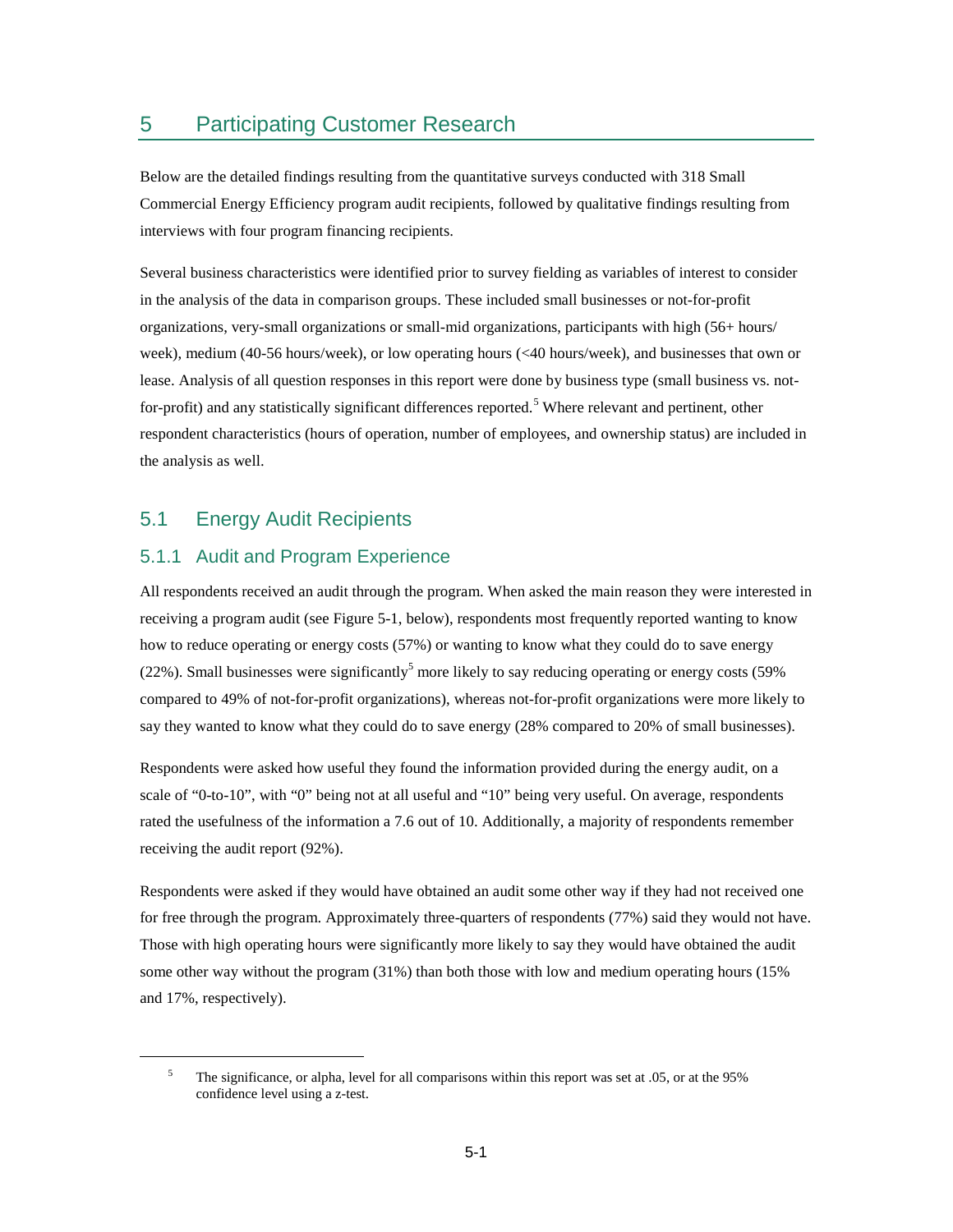## 5 Participating Customer Research

Below are the detailed findings resulting from the quantitative surveys conducted with 318 Small Commercial Energy Efficiency program audit recipients, followed by qualitative findings resulting from interviews with four program financing recipients.

Several business characteristics were identified prior to survey fielding as variables of interest to consider in the analysis of the data in comparison groups. These included small businesses or not-for-profit organizations, very-small organizations or small-mid organizations, participants with high (56+ hours/ week), medium (40-56 hours/week), or low operating hours (<40 hours/week), and businesses that own or lease. Analysis of all question responses in this report were done by business type (small business vs. not-for-profit) and any statistically significant differences reported.<sup>[5](#page-38-0)</sup> Where relevant and pertinent, other respondent characteristics (hours of operation, number of employees, and ownership status) are included in the analysis as well.

## 5.1 Energy Audit Recipients

<span id="page-38-0"></span> $\overline{a}$ 

### 5.1.1 Audit and Program Experience

All respondents received an audit through the program. When asked the main reason they were interested in receiving a program audit (see [Figure 5-1,](#page-39-0) below), respondents most frequently reported wanting to know how to reduce operating or energy costs (57%) or wanting to know what they could do to save energy (22%). Small businesses were significantly<sup>5</sup> more likely to say reducing operating or energy costs (59%) compared to 49% of not-for-profit organizations), whereas not-for-profit organizations were more likely to say they wanted to know what they could do to save energy (28% compared to 20% of small businesses).

Respondents were asked how useful they found the information provided during the energy audit, on a scale of "0-to-10", with "0" being not at all useful and "10" being very useful. On average, respondents rated the usefulness of the information a 7.6 out of 10. Additionally, a majority of respondents remember receiving the audit report (92%).

Respondents were asked if they would have obtained an audit some other way if they had not received one for free through the program. Approximately three-quarters of respondents (77%) said they would not have. Those with high operating hours were significantly more likely to say they would have obtained the audit some other way without the program (31%) than both those with low and medium operating hours (15% and 17%, respectively).

<sup>&</sup>lt;sup>5</sup> The significance, or alpha, level for all comparisons within this report was set at .05, or at the 95% confidence level using a z-test.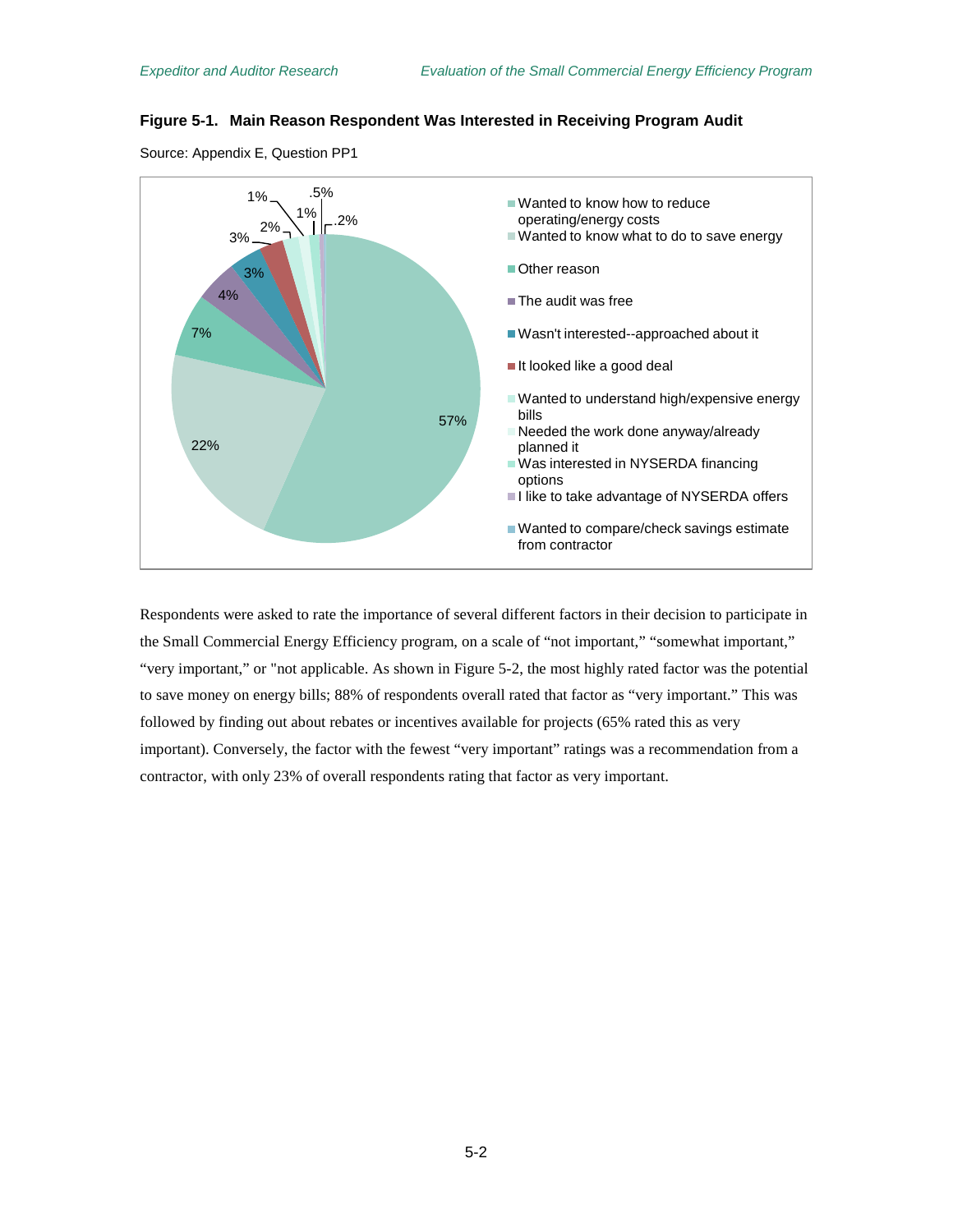### <span id="page-39-0"></span>**Figure 5-1. Main Reason Respondent Was Interested in Receiving Program Audit**





Respondents were asked to rate the importance of several different factors in their decision to participate in the Small Commercial Energy Efficiency program, on a scale of "not important," "somewhat important," "very important," or "not applicable. As shown in [Figure 5-2,](#page-40-0) the most highly rated factor was the potential to save money on energy bills; 88% of respondents overall rated that factor as "very important." This was followed by finding out about rebates or incentives available for projects (65% rated this as very important). Conversely, the factor with the fewest "very important" ratings was a recommendation from a contractor, with only 23% of overall respondents rating that factor as very important.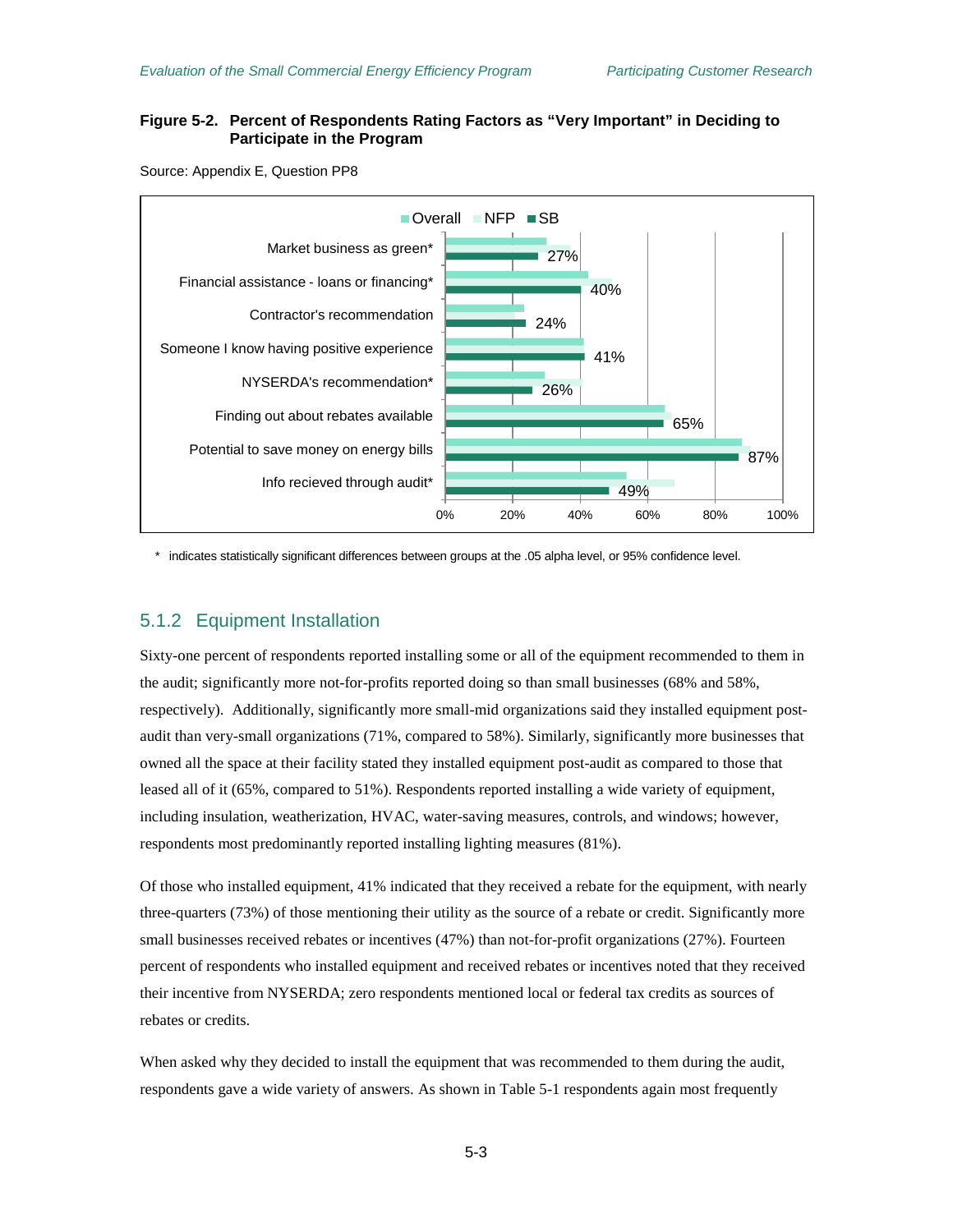### <span id="page-40-0"></span>**Figure 5-2. Percent of Respondents Rating Factors as "Very Important" in Deciding to Participate in the Program**

Source: Appendix E, Question PP8



\* indicates statistically significant differences between groups at the .05 alpha level, or 95% confidence level.

### 5.1.2 Equipment Installation

Sixty-one percent of respondents reported installing some or all of the equipment recommended to them in the audit; significantly more not-for-profits reported doing so than small businesses (68% and 58%, respectively). Additionally, significantly more small-mid organizations said they installed equipment postaudit than very-small organizations (71%, compared to 58%). Similarly, significantly more businesses that owned all the space at their facility stated they installed equipment post-audit as compared to those that leased all of it (65%, compared to 51%). Respondents reported installing a wide variety of equipment, including insulation, weatherization, HVAC, water-saving measures, controls, and windows; however, respondents most predominantly reported installing lighting measures (81%).

Of those who installed equipment, 41% indicated that they received a rebate for the equipment, with nearly three-quarters (73%) of those mentioning their utility as the source of a rebate or credit. Significantly more small businesses received rebates or incentives (47%) than not-for-profit organizations (27%). Fourteen percent of respondents who installed equipment and received rebates or incentives noted that they received their incentive from NYSERDA; zero respondents mentioned local or federal tax credits as sources of rebates or credits.

When asked why they decided to install the equipment that was recommended to them during the audit, respondents gave a wide variety of answers. As shown in [Table 5-1](#page-41-0) respondents again most frequently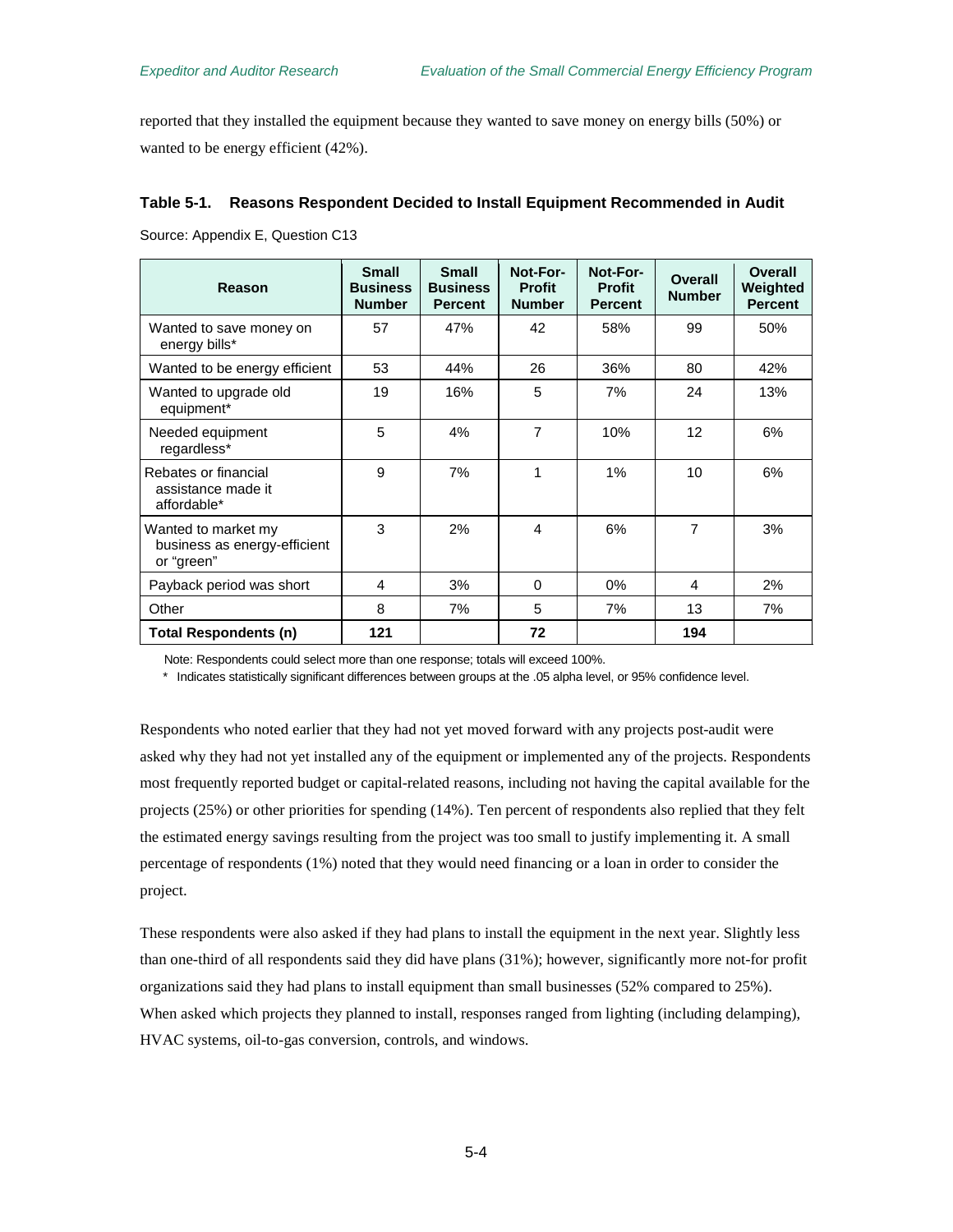reported that they installed the equipment because they wanted to save money on energy bills (50%) or wanted to be energy efficient (42%).

#### <span id="page-41-0"></span>**Table 5-1. Reasons Respondent Decided to Install Equipment Recommended in Audit**

Source: Appendix E, Question C13

| Reason                                                            | <b>Small</b><br><b>Business</b><br><b>Number</b> | <b>Small</b><br><b>Business</b><br><b>Percent</b> | Not-For-<br><b>Profit</b><br><b>Number</b> | Not-For-<br><b>Profit</b><br><b>Percent</b> | Overall<br><b>Number</b> | <b>Overall</b><br>Weighted<br><b>Percent</b> |
|-------------------------------------------------------------------|--------------------------------------------------|---------------------------------------------------|--------------------------------------------|---------------------------------------------|--------------------------|----------------------------------------------|
| Wanted to save money on<br>energy bills*                          | 57                                               | 47%                                               | 42                                         | 58%                                         | 99                       | 50%                                          |
| Wanted to be energy efficient                                     | 53                                               | 44%                                               | 26                                         | 36%                                         | 80                       | 42%                                          |
| Wanted to upgrade old<br>equipment*                               | 19                                               | 16%                                               | 5                                          | 7%                                          | 24                       | 13%                                          |
| Needed equipment<br>regardless*                                   | 5                                                | 4%                                                | $\overline{7}$                             | 10%                                         | 12                       | 6%                                           |
| Rebates or financial<br>assistance made it<br>affordable*         | 9                                                | 7%                                                | 1                                          | $1\%$                                       | 10                       | 6%                                           |
| Wanted to market my<br>business as energy-efficient<br>or "green" | 3                                                | 2%                                                | 4                                          | 6%                                          | 7                        | 3%                                           |
| Payback period was short                                          | 4                                                | 3%                                                | $\Omega$                                   | 0%                                          | 4                        | 2%                                           |
| Other                                                             | 8                                                | 7%                                                | 5                                          | 7%                                          | 13                       | 7%                                           |
| Total Respondents (n)                                             | 121                                              |                                                   | 72                                         |                                             | 194                      |                                              |

Note: Respondents could select more than one response; totals will exceed 100%.

\* Indicates statistically significant differences between groups at the .05 alpha level, or 95% confidence level.

Respondents who noted earlier that they had not yet moved forward with any projects post-audit were asked why they had not yet installed any of the equipment or implemented any of the projects. Respondents most frequently reported budget or capital-related reasons, including not having the capital available for the projects (25%) or other priorities for spending (14%). Ten percent of respondents also replied that they felt the estimated energy savings resulting from the project was too small to justify implementing it. A small percentage of respondents (1%) noted that they would need financing or a loan in order to consider the project.

These respondents were also asked if they had plans to install the equipment in the next year. Slightly less than one-third of all respondents said they did have plans (31%); however, significantly more not-for profit organizations said they had plans to install equipment than small businesses (52% compared to 25%). When asked which projects they planned to install, responses ranged from lighting (including delamping), HVAC systems, oil-to-gas conversion, controls, and windows.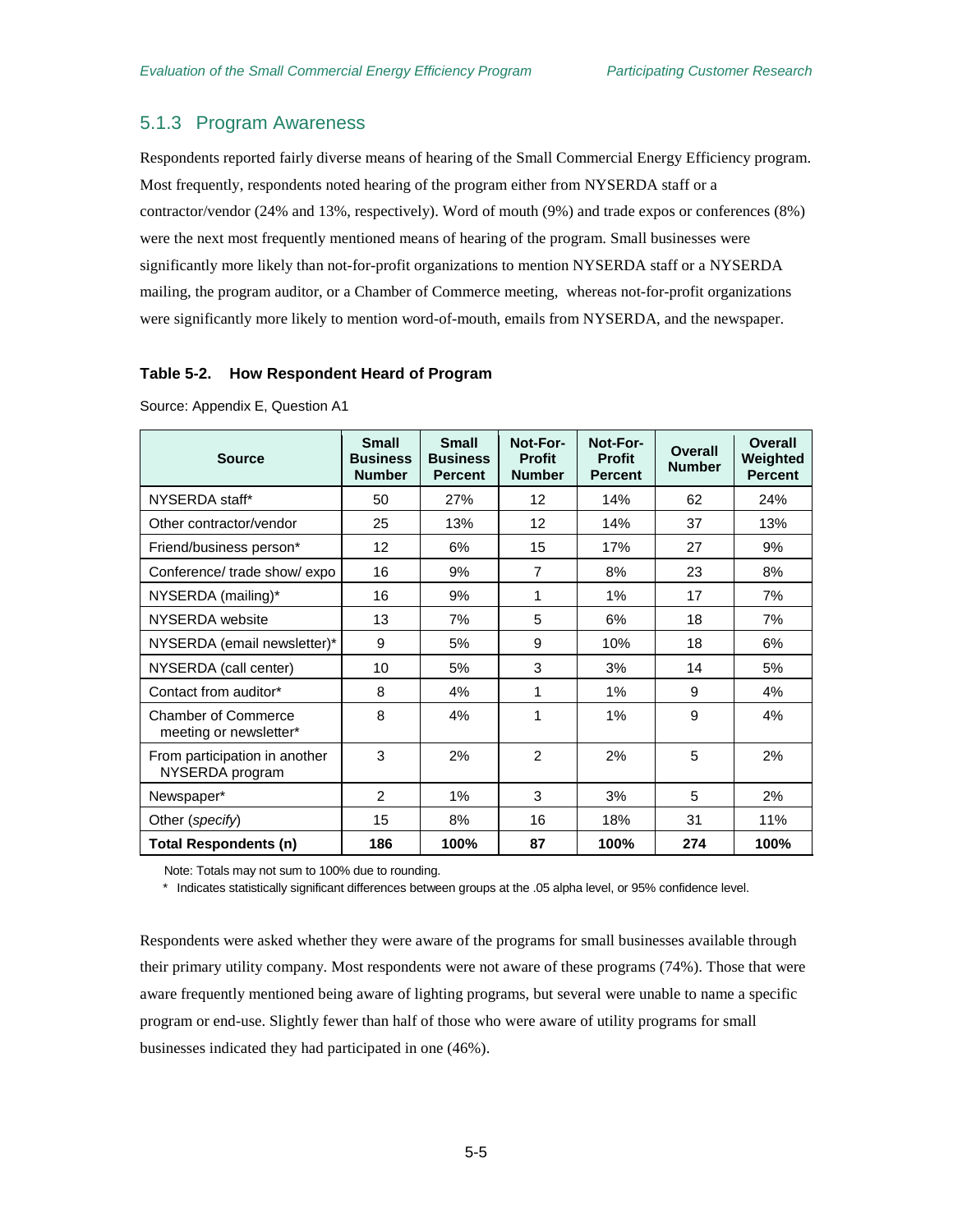### 5.1.3 Program Awareness

Respondents reported fairly diverse means of hearing of the Small Commercial Energy Efficiency program. Most frequently, respondents noted hearing of the program either from NYSERDA staff or a contractor/vendor (24% and 13%, respectively). Word of mouth (9%) and trade expos or conferences (8%) were the next most frequently mentioned means of hearing of the program. Small businesses were significantly more likely than not-for-profit organizations to mention NYSERDA staff or a NYSERDA mailing, the program auditor, or a Chamber of Commerce meeting, whereas not-for-profit organizations were significantly more likely to mention word-of-mouth, emails from NYSERDA, and the newspaper.

#### **Table 5-2. How Respondent Heard of Program**

| <b>Source</b>                                    | <b>Small</b><br><b>Business</b><br><b>Number</b> | <b>Small</b><br><b>Business</b><br><b>Percent</b> | Not-For-<br><b>Profit</b><br><b>Number</b> | Not-For-<br><b>Profit</b><br><b>Percent</b> | Overall<br><b>Number</b> | Overall<br>Weighted<br><b>Percent</b> |
|--------------------------------------------------|--------------------------------------------------|---------------------------------------------------|--------------------------------------------|---------------------------------------------|--------------------------|---------------------------------------|
| NYSERDA staff*                                   | 50                                               | 27%                                               | $12 \overline{ }$                          | 14%                                         | 62                       | 24%                                   |
| Other contractor/vendor                          | 25                                               | 13%                                               | 12                                         | 14%                                         | 37                       | 13%                                   |
| Friend/business person*                          | 12                                               | 6%                                                | 15                                         | 17%                                         | 27                       | 9%                                    |
| Conference/ trade show/ expo                     | 16                                               | 9%                                                | $\overline{7}$                             | 8%                                          | 23                       | 8%                                    |
| NYSERDA (mailing)*                               | 16                                               | 9%                                                | 1                                          | 1%                                          | 17                       | 7%                                    |
| NYSERDA website                                  | 13                                               | 7%                                                | 5                                          | 6%                                          | 18                       | 7%                                    |
| NYSERDA (email newsletter)*                      | 9                                                | 5%                                                | 9                                          | 10%                                         | 18                       | 6%                                    |
| NYSERDA (call center)                            | 10                                               | 5%                                                | 3                                          | 3%                                          | 14                       | 5%                                    |
| Contact from auditor*                            | 8                                                | 4%                                                | 1                                          | 1%                                          | 9                        | 4%                                    |
| Chamber of Commerce<br>meeting or newsletter*    | 8                                                | 4%                                                | 1                                          | 1%                                          | 9                        | 4%                                    |
| From participation in another<br>NYSERDA program | 3                                                | 2%                                                | $\overline{2}$                             | 2%                                          | 5                        | 2%                                    |
| Newspaper*                                       | $\mathfrak{p}$                                   | 1%                                                | 3                                          | 3%                                          | 5                        | 2%                                    |
| Other (specify)                                  | 15                                               | 8%                                                | 16                                         | 18%                                         | 31                       | 11%                                   |
| <b>Total Respondents (n)</b>                     | 186                                              | 100%                                              | 87                                         | 100%                                        | 274                      | 100%                                  |

Source: Appendix E, Question A1

Note: Totals may not sum to 100% due to rounding.

\* Indicates statistically significant differences between groups at the .05 alpha level, or 95% confidence level.

Respondents were asked whether they were aware of the programs for small businesses available through their primary utility company. Most respondents were not aware of these programs (74%). Those that were aware frequently mentioned being aware of lighting programs, but several were unable to name a specific program or end-use. Slightly fewer than half of those who were aware of utility programs for small businesses indicated they had participated in one (46%).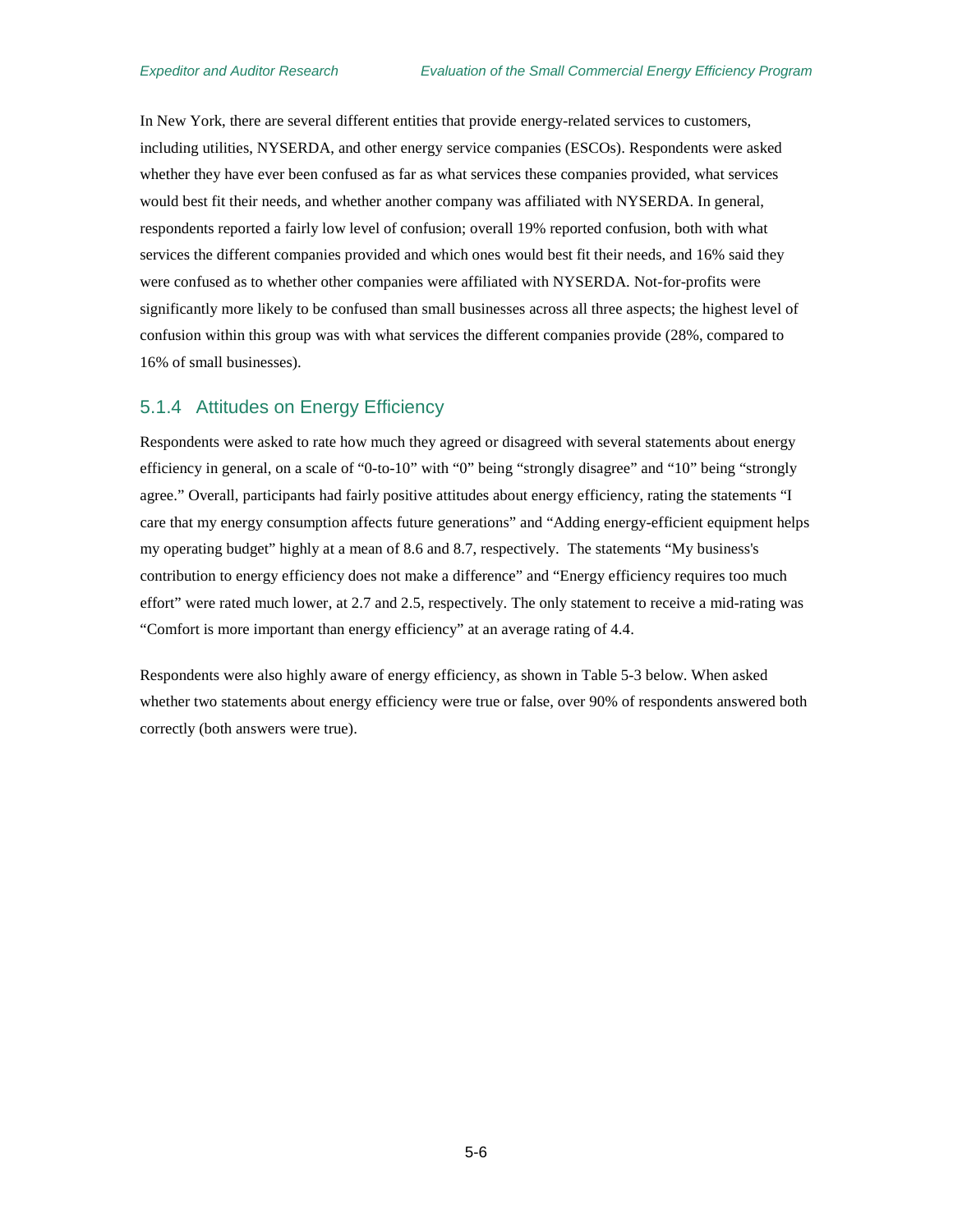In New York, there are several different entities that provide energy-related services to customers, including utilities, NYSERDA, and other energy service companies (ESCOs). Respondents were asked whether they have ever been confused as far as what services these companies provided, what services would best fit their needs, and whether another company was affiliated with NYSERDA. In general, respondents reported a fairly low level of confusion; overall 19% reported confusion, both with what services the different companies provided and which ones would best fit their needs, and 16% said they were confused as to whether other companies were affiliated with NYSERDA. Not-for-profits were significantly more likely to be confused than small businesses across all three aspects; the highest level of confusion within this group was with what services the different companies provide (28%, compared to 16% of small businesses).

### 5.1.4 Attitudes on Energy Efficiency

Respondents were asked to rate how much they agreed or disagreed with several statements about energy efficiency in general, on a scale of "0-to-10" with "0" being "strongly disagree" and "10" being "strongly agree." Overall, participants had fairly positive attitudes about energy efficiency, rating the statements "I care that my energy consumption affects future generations" and "Adding energy-efficient equipment helps my operating budget" highly at a mean of 8.6 and 8.7, respectively. The statements "My business's contribution to energy efficiency does not make a difference" and "Energy efficiency requires too much effort" were rated much lower, at 2.7 and 2.5, respectively. The only statement to receive a mid-rating was "Comfort is more important than energy efficiency" at an average rating of 4.4.

Respondents were also highly aware of energy efficiency, as shown in [Table 5-3](#page-44-0) below. When asked whether two statements about energy efficiency were true or false, over 90% of respondents answered both correctly (both answers were true).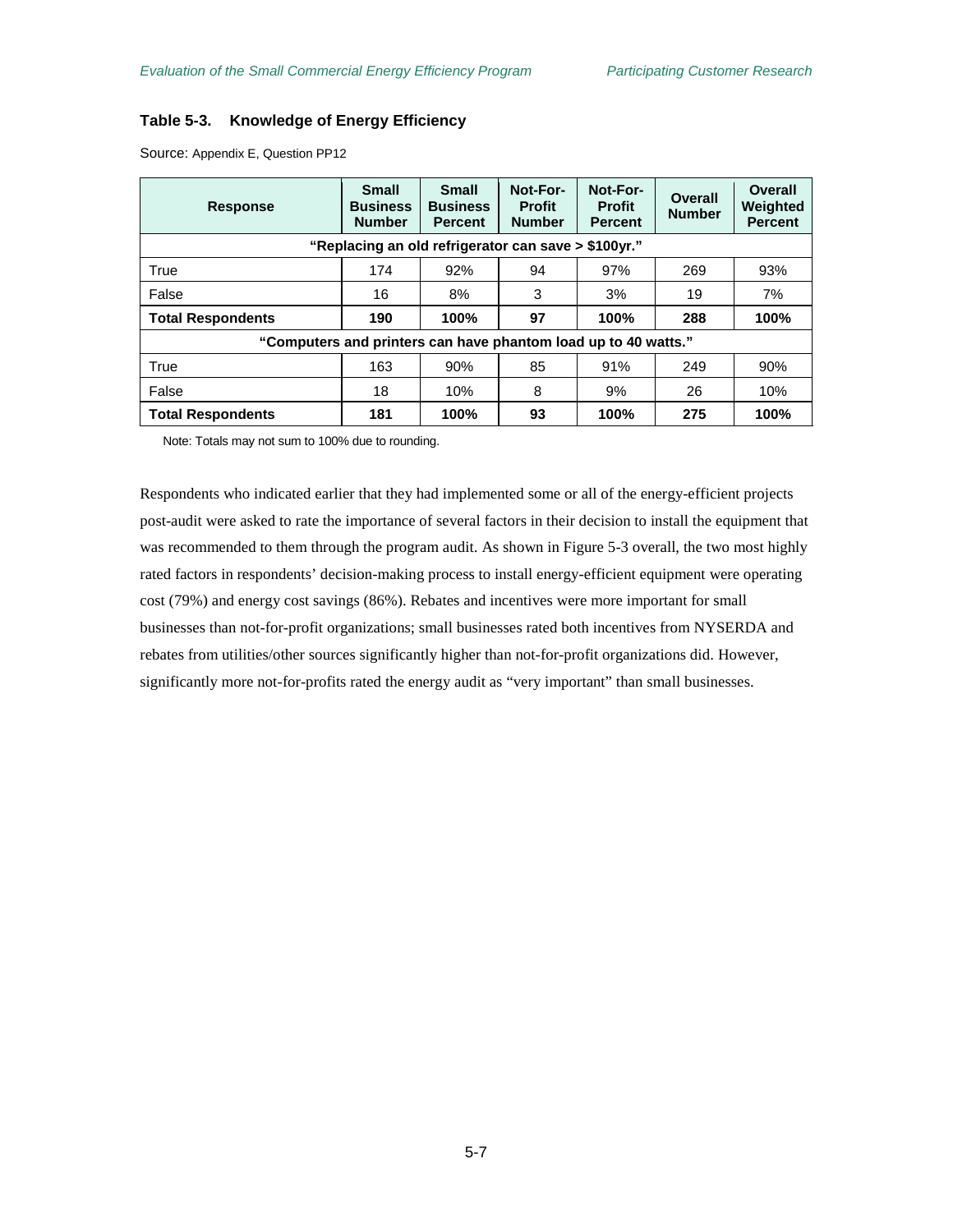### <span id="page-44-0"></span>**Table 5-3. Knowledge of Energy Efficiency**

| <b>Response</b>                                                | <b>Small</b><br><b>Business</b><br><b>Number</b> | <b>Small</b><br><b>Business</b><br><b>Percent</b> | Not-For-<br><b>Profit</b><br><b>Number</b> | Not-For-<br><b>Profit</b><br><b>Percent</b> | <b>Overall</b><br><b>Number</b> | Overall<br>Weighted<br><b>Percent</b> |  |  |  |  |
|----------------------------------------------------------------|--------------------------------------------------|---------------------------------------------------|--------------------------------------------|---------------------------------------------|---------------------------------|---------------------------------------|--|--|--|--|
| "Replacing an old refrigerator can save > \$100yr."            |                                                  |                                                   |                                            |                                             |                                 |                                       |  |  |  |  |
| True                                                           | 174                                              | 92%                                               | 94                                         | 97%                                         | 269                             | 93%                                   |  |  |  |  |
| False                                                          | 16                                               | 8%                                                | 3                                          | 3%                                          | 19                              | 7%                                    |  |  |  |  |
| <b>Total Respondents</b>                                       | 190                                              | 100%                                              | 97                                         | 100%                                        | 288                             | 100%                                  |  |  |  |  |
| "Computers and printers can have phantom load up to 40 watts." |                                                  |                                                   |                                            |                                             |                                 |                                       |  |  |  |  |
| True                                                           | 163                                              | 90%                                               | 85                                         | 91%                                         | 249                             | 90%                                   |  |  |  |  |
| False                                                          | 18                                               | 10%                                               | 8                                          | 9%                                          | 26                              | 10%                                   |  |  |  |  |
| <b>Total Respondents</b>                                       | 181                                              | 100%                                              | 93                                         | 100%                                        | 275                             | 100%                                  |  |  |  |  |

Source: Appendix E, Question PP12

Note: Totals may not sum to 100% due to rounding.

Respondents who indicated earlier that they had implemented some or all of the energy-efficient projects post-audit were asked to rate the importance of several factors in their decision to install the equipment that was recommended to them through the program audit. As shown in [Figure 5-3](#page-45-0) overall, the two most highly rated factors in respondents' decision-making process to install energy-efficient equipment were operating cost (79%) and energy cost savings (86%). Rebates and incentives were more important for small businesses than not-for-profit organizations; small businesses rated both incentives from NYSERDA and rebates from utilities/other sources significantly higher than not-for-profit organizations did. However, significantly more not-for-profits rated the energy audit as "very important" than small businesses.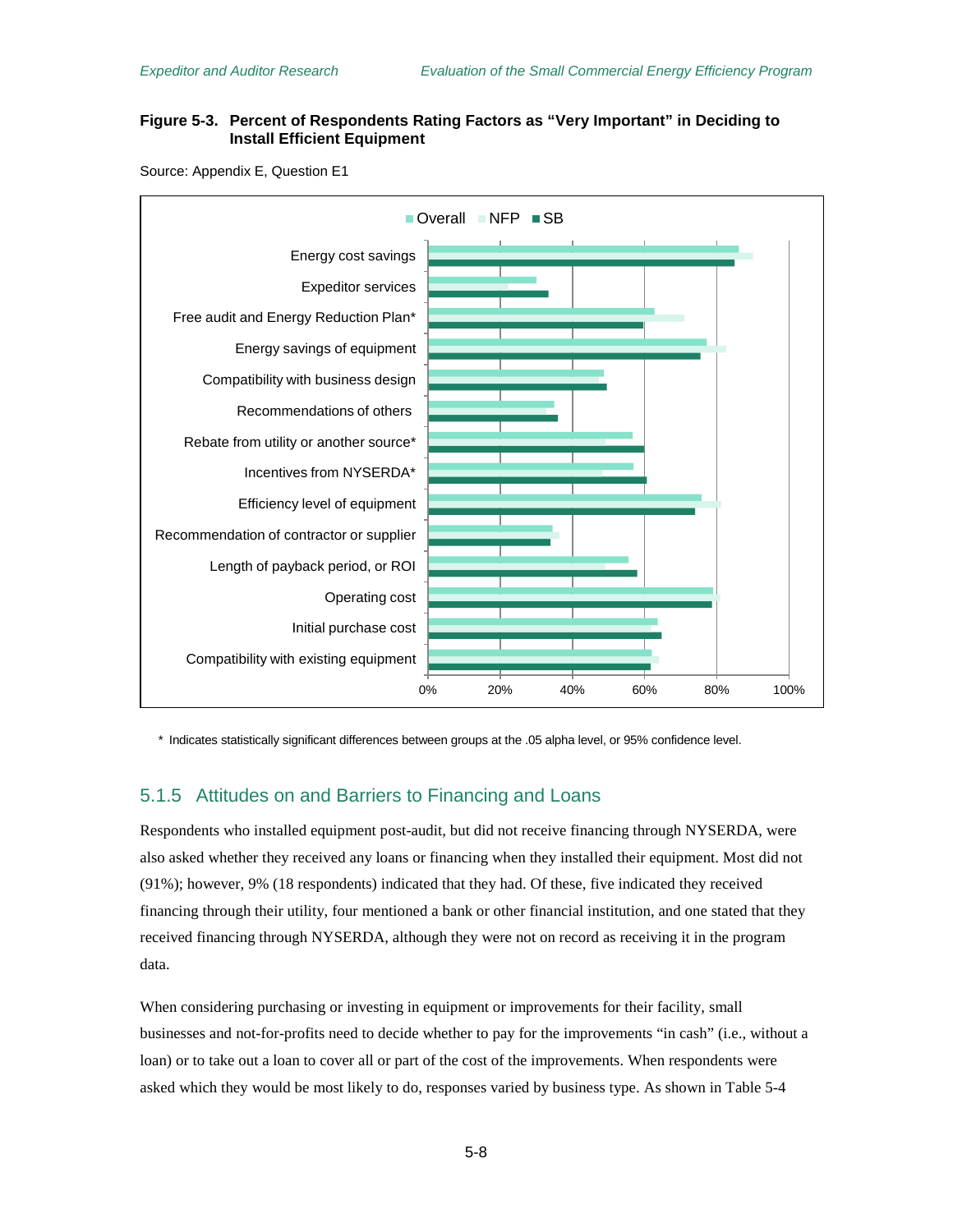### <span id="page-45-0"></span>**Figure 5-3. Percent of Respondents Rating Factors as "Very Important" in Deciding to Install Efficient Equipment**

Source: Appendix E, Question E1



\* Indicates statistically significant differences between groups at the .05 alpha level, or 95% confidence level.

### 5.1.5 Attitudes on and Barriers to Financing and Loans

Respondents who installed equipment post-audit, but did not receive financing through NYSERDA, were also asked whether they received any loans or financing when they installed their equipment. Most did not (91%); however, 9% (18 respondents) indicated that they had. Of these, five indicated they received financing through their utility, four mentioned a bank or other financial institution, and one stated that they received financing through NYSERDA, although they were not on record as receiving it in the program data.

When considering purchasing or investing in equipment or improvements for their facility, small businesses and not-for-profits need to decide whether to pay for the improvements "in cash" (i.e., without a loan) or to take out a loan to cover all or part of the cost of the improvements. When respondents were asked which they would be most likely to do, responses varied by business type. As shown in [Table 5-4](#page-46-0)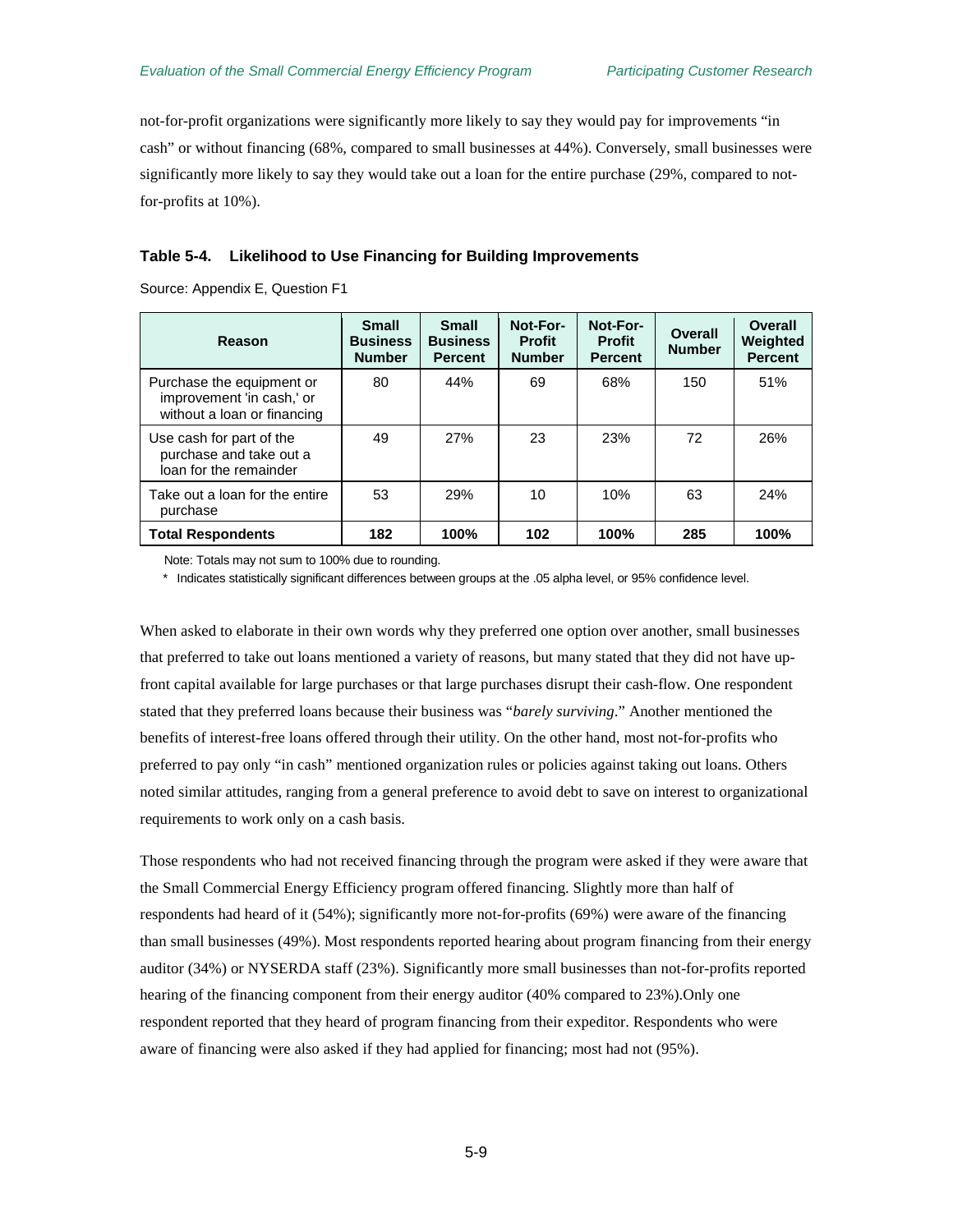not-for-profit organizations were significantly more likely to say they would pay for improvements "in cash" or without financing (68%, compared to small businesses at 44%). Conversely, small businesses were significantly more likely to say they would take out a loan for the entire purchase (29%, compared to notfor-profits at 10%).

#### <span id="page-46-0"></span>**Table 5-4. Likelihood to Use Financing for Building Improvements**

Source: Appendix E, Question F1

| Reason                                                                                | <b>Small</b><br><b>Business</b><br><b>Number</b> | <b>Small</b><br><b>Business</b><br><b>Percent</b> | Not-For-<br><b>Profit</b><br><b>Number</b> | Not-For-<br><b>Profit</b><br><b>Percent</b> | Overall<br><b>Number</b> | Overall<br>Weighted<br><b>Percent</b> |
|---------------------------------------------------------------------------------------|--------------------------------------------------|---------------------------------------------------|--------------------------------------------|---------------------------------------------|--------------------------|---------------------------------------|
| Purchase the equipment or<br>improvement 'in cash,' or<br>without a loan or financing | 80                                               | 44%                                               | 69                                         | 68%                                         | 150                      | 51%                                   |
| Use cash for part of the<br>purchase and take out a<br>loan for the remainder         | 49                                               | 27%                                               | 23                                         | 23%                                         | 72                       | 26%                                   |
| Take out a loan for the entire<br>purchase                                            | 53                                               | 29%                                               | 10                                         | 10%                                         | 63                       | 24%                                   |
| <b>Total Respondents</b>                                                              | 182                                              | 100%                                              | 102                                        | 100%                                        | 285                      | 100%                                  |

Note: Totals may not sum to 100% due to rounding.

\* Indicates statistically significant differences between groups at the .05 alpha level, or 95% confidence level.

When asked to elaborate in their own words why they preferred one option over another, small businesses that preferred to take out loans mentioned a variety of reasons, but many stated that they did not have upfront capital available for large purchases or that large purchases disrupt their cash-flow. One respondent stated that they preferred loans because their business was "*barely surviving*." Another mentioned the benefits of interest-free loans offered through their utility. On the other hand, most not-for-profits who preferred to pay only "in cash" mentioned organization rules or policies against taking out loans. Others noted similar attitudes, ranging from a general preference to avoid debt to save on interest to organizational requirements to work only on a cash basis.

Those respondents who had not received financing through the program were asked if they were aware that the Small Commercial Energy Efficiency program offered financing. Slightly more than half of respondents had heard of it (54%); significantly more not-for-profits (69%) were aware of the financing than small businesses (49%). Most respondents reported hearing about program financing from their energy auditor (34%) or NYSERDA staff (23%). Significantly more small businesses than not-for-profits reported hearing of the financing component from their energy auditor (40% compared to 23%).Only one respondent reported that they heard of program financing from their expeditor. Respondents who were aware of financing were also asked if they had applied for financing; most had not (95%).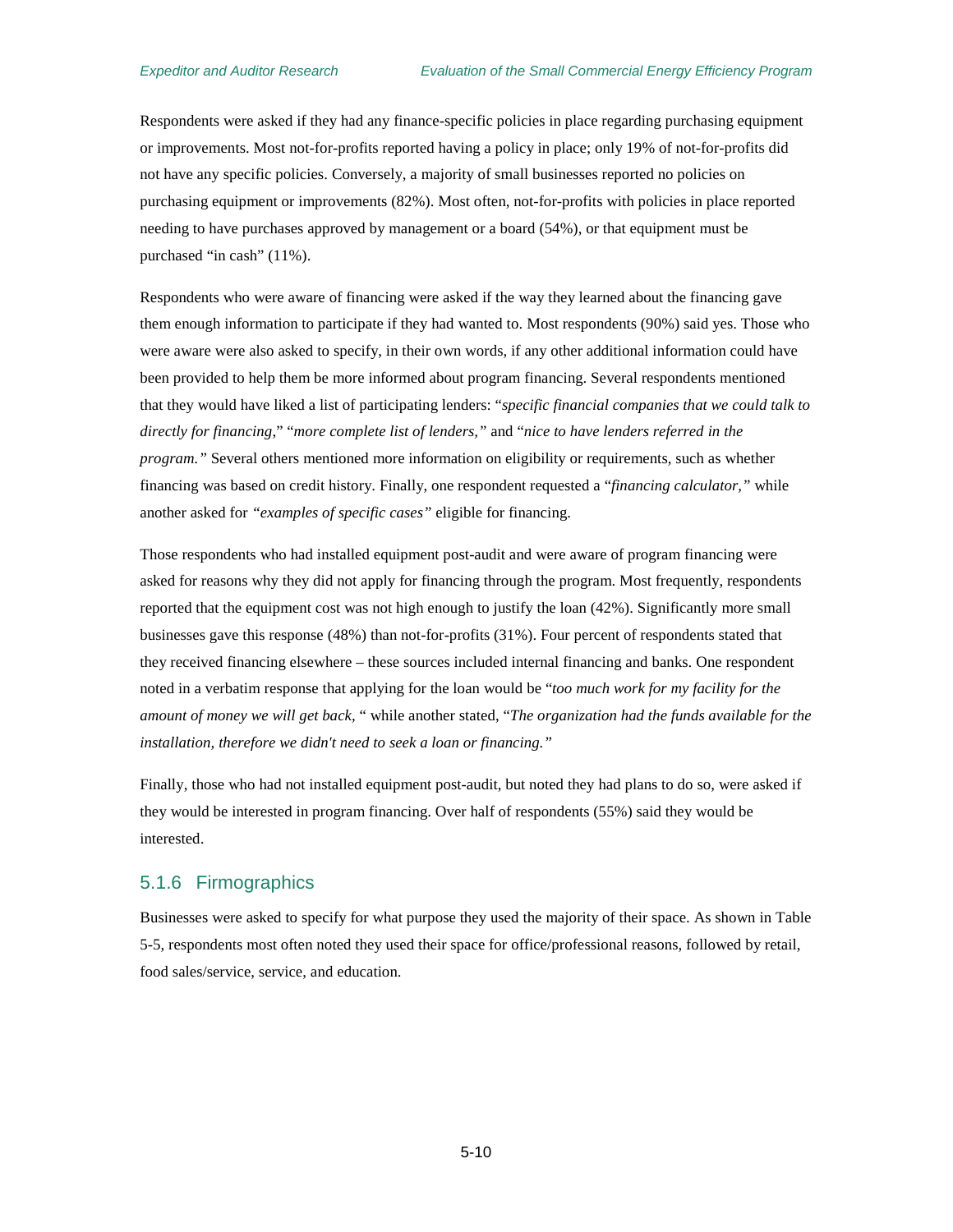Respondents were asked if they had any finance-specific policies in place regarding purchasing equipment or improvements. Most not-for-profits reported having a policy in place; only 19% of not-for-profits did not have any specific policies. Conversely, a majority of small businesses reported no policies on purchasing equipment or improvements (82%). Most often, not-for-profits with policies in place reported needing to have purchases approved by management or a board (54%), or that equipment must be purchased "in cash" (11%).

Respondents who were aware of financing were asked if the way they learned about the financing gave them enough information to participate if they had wanted to. Most respondents (90%) said yes. Those who were aware were also asked to specify, in their own words, if any other additional information could have been provided to help them be more informed about program financing. Several respondents mentioned that they would have liked a list of participating lenders: "*specific financial companies that we could talk to directly for financing*," "*more complete list of lenders,"* and "*nice to have lenders referred in the program."* Several others mentioned more information on eligibility or requirements, such as whether financing was based on credit history. Finally, one respondent requested a "*financing calculator,"* while another asked for *"examples of specific cases"* eligible for financing.

Those respondents who had installed equipment post-audit and were aware of program financing were asked for reasons why they did not apply for financing through the program. Most frequently, respondents reported that the equipment cost was not high enough to justify the loan (42%). Significantly more small businesses gave this response (48%) than not-for-profits (31%). Four percent of respondents stated that they received financing elsewhere – these sources included internal financing and banks. One respondent noted in a verbatim response that applying for the loan would be "*too much work for my facility for the amount of money we will get back,* " while another stated, "*The organization had the funds available for the installation, therefore we didn't need to seek a loan or financing."*

Finally, those who had not installed equipment post-audit, but noted they had plans to do so, were asked if they would be interested in program financing. Over half of respondents (55%) said they would be interested.

### 5.1.6 Firmographics

Businesses were asked to specify for what purpose they used the majority of their space. As shown i[n Table](#page-48-0)  [5-5,](#page-48-0) respondents most often noted they used their space for office/professional reasons, followed by retail, food sales/service, service, and education.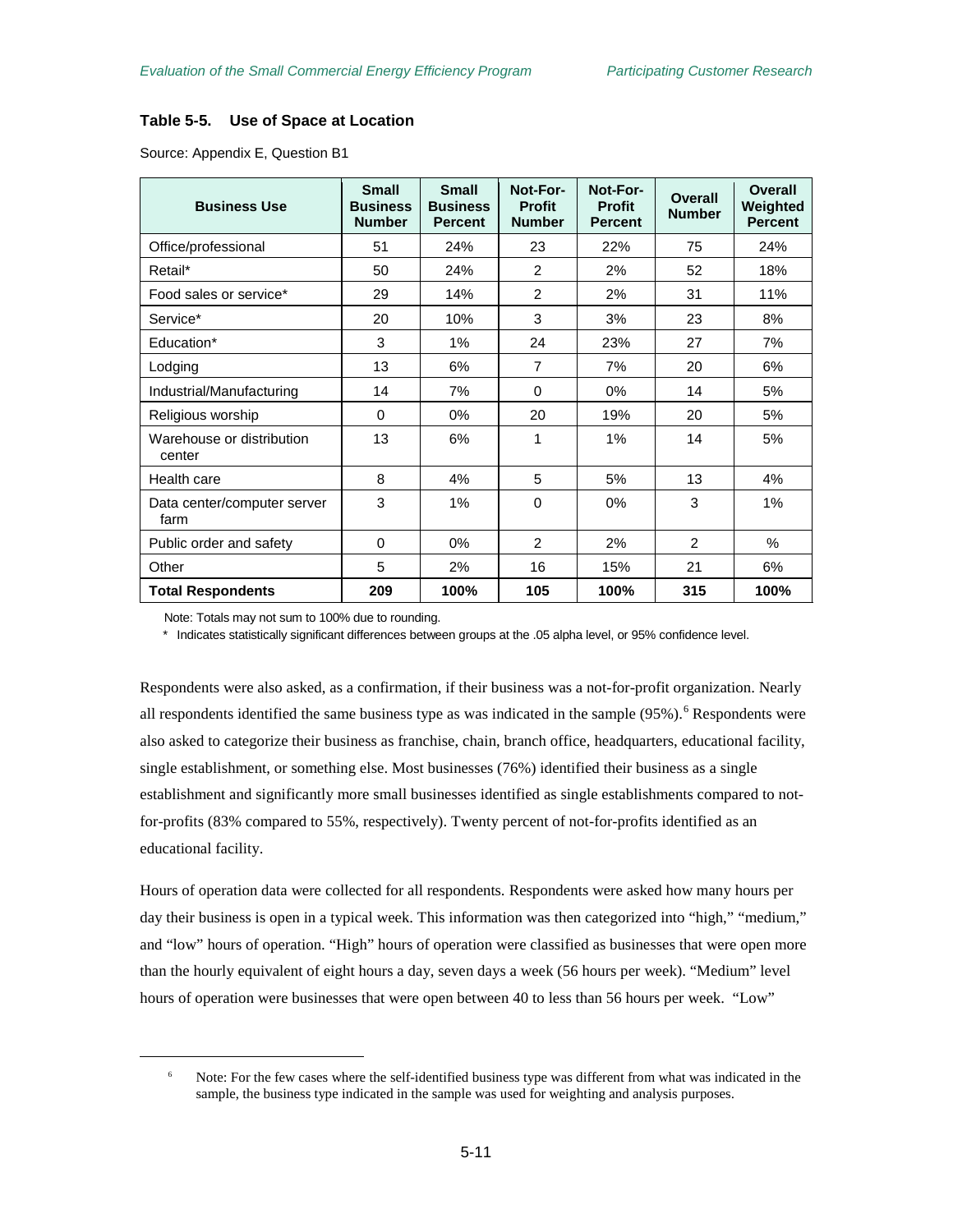### <span id="page-48-0"></span>**Table 5-5. Use of Space at Location**

Source: Appendix E, Question B1

| <b>Business Use</b>                 | <b>Small</b><br><b>Business</b><br><b>Number</b> | <b>Small</b><br><b>Business</b><br><b>Percent</b> | Not-For-<br><b>Profit</b><br><b>Number</b> | Not-For-<br><b>Profit</b><br><b>Percent</b> | <b>Overall</b><br><b>Number</b> | Overall<br>Weighted<br><b>Percent</b> |
|-------------------------------------|--------------------------------------------------|---------------------------------------------------|--------------------------------------------|---------------------------------------------|---------------------------------|---------------------------------------|
| Office/professional                 | 51                                               | 24%                                               | 23                                         | 22%                                         | 75                              | 24%                                   |
| Retail*                             | 50                                               | 24%                                               | 2                                          | 2%                                          | 52                              | 18%                                   |
| Food sales or service*              | 29                                               | 14%                                               | 2                                          | 2%                                          | 31                              | 11%                                   |
| Service*                            | 20                                               | 10%                                               | 3                                          | 3%                                          | 23                              | 8%                                    |
| Education*                          | 3                                                | 1%                                                | 24                                         | 23%                                         | 27                              | 7%                                    |
| Lodging                             | 13                                               | 6%                                                | $\overline{7}$                             | 7%                                          | 20                              | 6%                                    |
| Industrial/Manufacturing            | 14                                               | 7%                                                | 0                                          | 0%                                          | 14                              | 5%                                    |
| Religious worship                   | 0                                                | 0%                                                | 20                                         | 19%                                         | 20                              | 5%                                    |
| Warehouse or distribution<br>center | 13                                               | 6%                                                | 1                                          | $1\%$                                       | 14                              | 5%                                    |
| Health care                         | 8                                                | 4%                                                | 5                                          | 5%                                          | 13                              | 4%                                    |
| Data center/computer server<br>farm | 3                                                | $1\%$                                             | $\Omega$                                   | 0%                                          | 3                               | 1%                                    |
| Public order and safety             | $\Omega$                                         | 0%                                                | 2                                          | 2%                                          | $\mathfrak{p}$                  | $\%$                                  |
| Other                               | 5                                                | 2%                                                | 16                                         | 15%                                         | 21                              | 6%                                    |
| <b>Total Respondents</b>            | 209                                              | 100%                                              | 105                                        | 100%                                        | 315                             | 100%                                  |

Note: Totals may not sum to 100% due to rounding.

<span id="page-48-1"></span> $\overline{a}$ 

\* Indicates statistically significant differences between groups at the .05 alpha level, or 95% confidence level.

Respondents were also asked, as a confirmation, if their business was a not-for-profit organization. Nearly all respondents identified the same business type as was indicated in the sample (95%).<sup>[6](#page-48-1)</sup> Respondents were also asked to categorize their business as franchise, chain, branch office, headquarters, educational facility, single establishment, or something else. Most businesses (76%) identified their business as a single establishment and significantly more small businesses identified as single establishments compared to notfor-profits (83% compared to 55%, respectively). Twenty percent of not-for-profits identified as an educational facility.

Hours of operation data were collected for all respondents. Respondents were asked how many hours per day their business is open in a typical week. This information was then categorized into "high," "medium," and "low" hours of operation. "High" hours of operation were classified as businesses that were open more than the hourly equivalent of eight hours a day, seven days a week (56 hours per week). "Medium" level hours of operation were businesses that were open between 40 to less than 56 hours per week. "Low"

<sup>&</sup>lt;sup>6</sup> Note: For the few cases where the self-identified business type was different from what was indicated in the sample, the business type indicated in the sample was used for weighting and analysis purposes.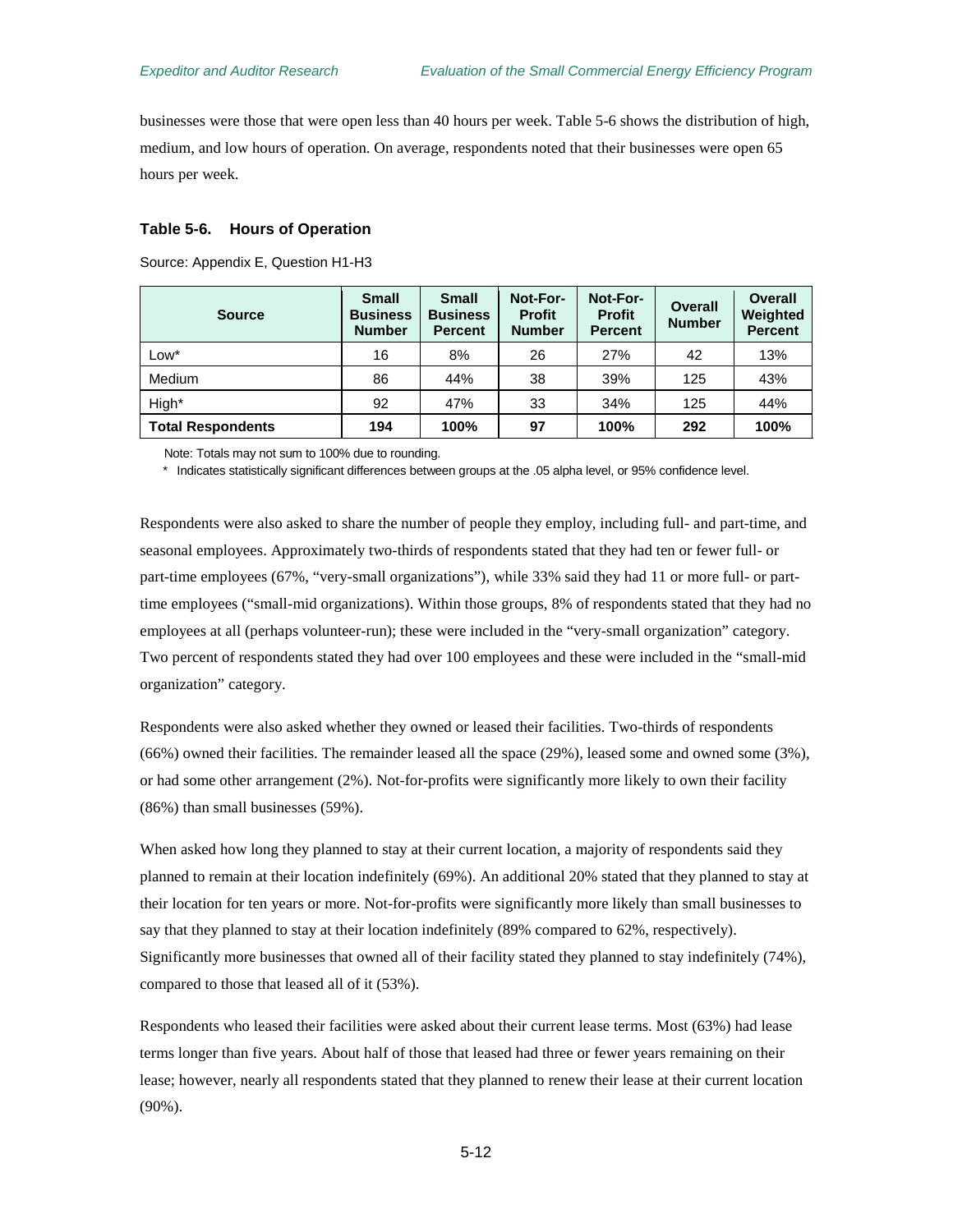businesses were those that were open less than 40 hours per week. [Table 5-6](#page-49-0) shows the distribution of high, medium, and low hours of operation. On average, respondents noted that their businesses were open 65 hours per week.

#### <span id="page-49-0"></span>**Table 5-6. Hours of Operation**

Source: Appendix E, Question H1-H3

| <b>Source</b>            | <b>Small</b><br><b>Business</b><br><b>Number</b> | <b>Small</b><br><b>Business</b><br><b>Percent</b> | Not-For-<br><b>Profit</b><br><b>Number</b> | Not-For-<br><b>Profit</b><br><b>Percent</b> | <b>Overall</b><br><b>Number</b> | Overall<br>Weighted<br><b>Percent</b> |
|--------------------------|--------------------------------------------------|---------------------------------------------------|--------------------------------------------|---------------------------------------------|---------------------------------|---------------------------------------|
| Low*                     | 16                                               | 8%                                                | 26                                         | 27%                                         | 42                              | 13%                                   |
| Medium                   | 86                                               | 44%                                               | 38                                         | 39%                                         | 125                             | 43%                                   |
| High*                    | 92                                               | 47%                                               | 33                                         | 34%                                         | 125                             | 44%                                   |
| <b>Total Respondents</b> | 194                                              | 100%                                              | 97                                         | 100%                                        | 292                             | 100%                                  |

Note: Totals may not sum to 100% due to rounding.

\* Indicates statistically significant differences between groups at the .05 alpha level, or 95% confidence level.

Respondents were also asked to share the number of people they employ, including full- and part-time, and seasonal employees. Approximately two-thirds of respondents stated that they had ten or fewer full- or part-time employees (67%, "very-small organizations"), while 33% said they had 11 or more full- or parttime employees ("small-mid organizations). Within those groups, 8% of respondents stated that they had no employees at all (perhaps volunteer-run); these were included in the "very-small organization" category. Two percent of respondents stated they had over 100 employees and these were included in the "small-mid organization" category.

Respondents were also asked whether they owned or leased their facilities. Two-thirds of respondents (66%) owned their facilities. The remainder leased all the space (29%), leased some and owned some (3%), or had some other arrangement (2%). Not-for-profits were significantly more likely to own their facility (86%) than small businesses (59%).

When asked how long they planned to stay at their current location, a majority of respondents said they planned to remain at their location indefinitely (69%). An additional 20% stated that they planned to stay at their location for ten years or more. Not-for-profits were significantly more likely than small businesses to say that they planned to stay at their location indefinitely (89% compared to 62%, respectively). Significantly more businesses that owned all of their facility stated they planned to stay indefinitely (74%), compared to those that leased all of it (53%).

Respondents who leased their facilities were asked about their current lease terms. Most (63%) had lease terms longer than five years. About half of those that leased had three or fewer years remaining on their lease; however, nearly all respondents stated that they planned to renew their lease at their current location (90%).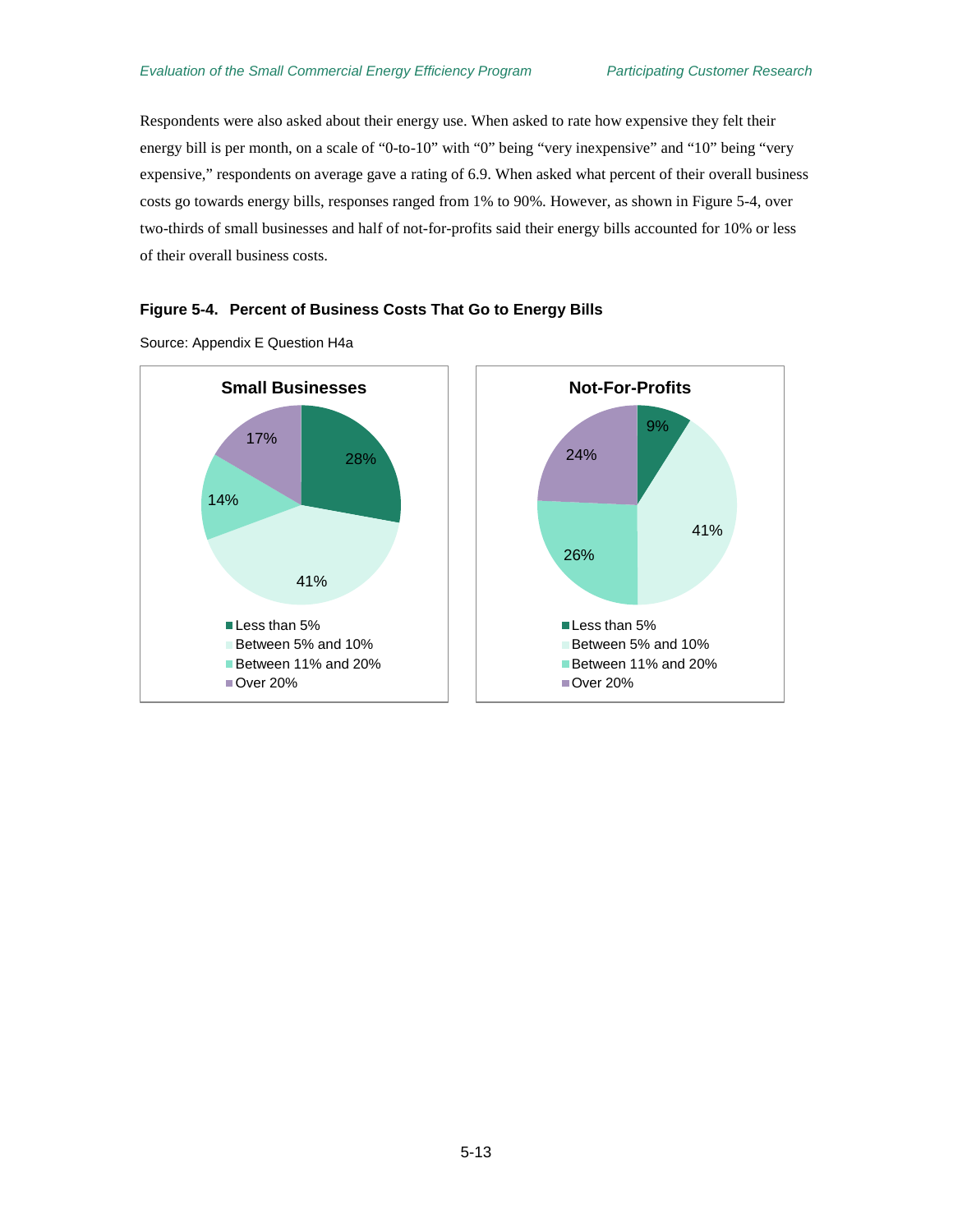Respondents were also asked about their energy use. When asked to rate how expensive they felt their energy bill is per month, on a scale of "0-to-10" with "0" being "very inexpensive" and "10" being "very expensive," respondents on average gave a rating of 6.9. When asked what percent of their overall business costs go towards energy bills, responses ranged from 1% to 90%. However, as shown in [Figure 5-4,](#page-50-0) over two-thirds of small businesses and half of not-for-profits said their energy bills accounted for 10% or less of their overall business costs.

#### <span id="page-50-0"></span>**Figure 5-4. Percent of Business Costs That Go to Energy Bills**



Source: Appendix E Question H4a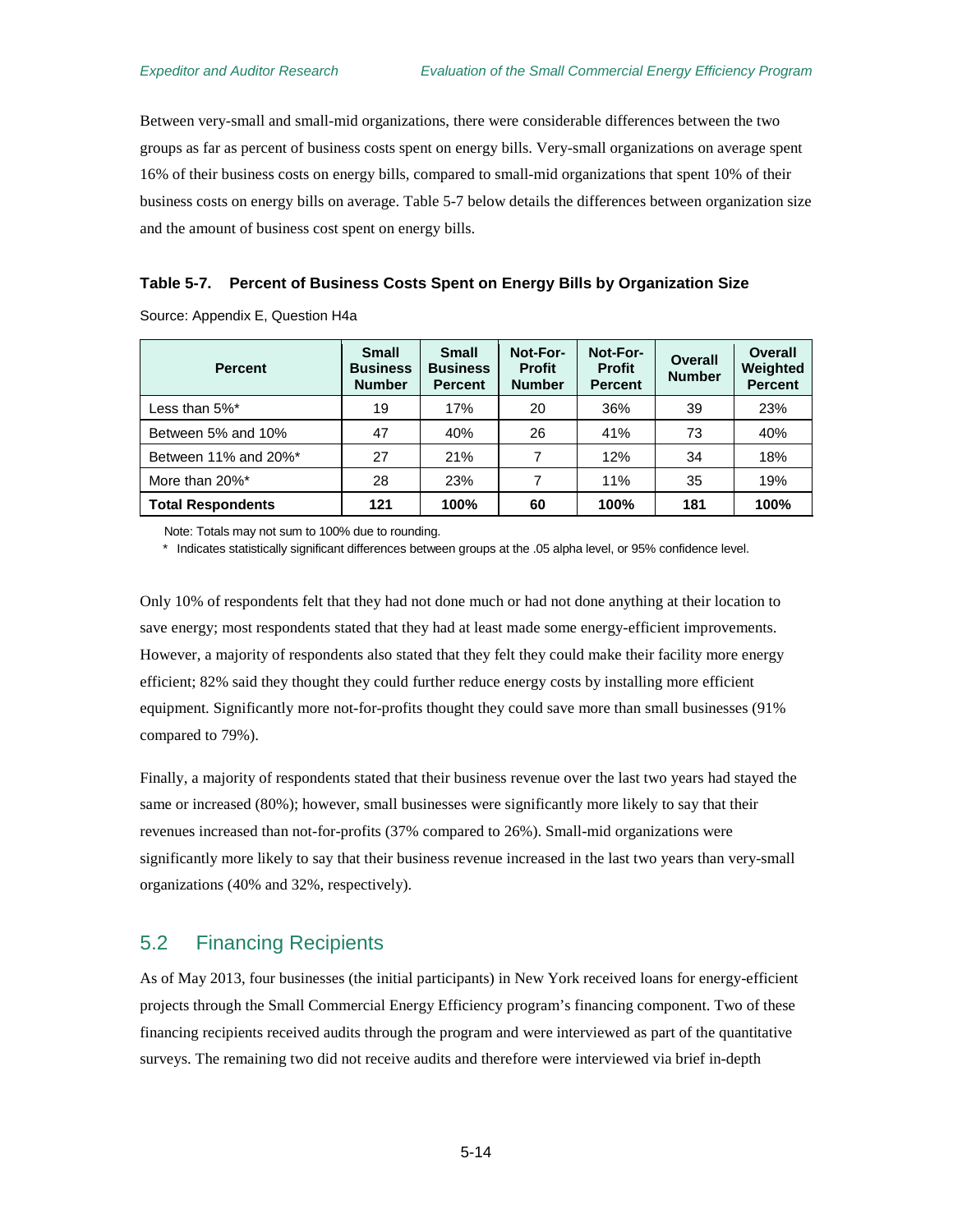Between very-small and small-mid organizations, there were considerable differences between the two groups as far as percent of business costs spent on energy bills. Very-small organizations on average spent 16% of their business costs on energy bills, compared to small-mid organizations that spent 10% of their business costs on energy bills on average. [Table 5-7](#page-51-0) below details the differences between organization size and the amount of business cost spent on energy bills.

#### <span id="page-51-0"></span>**Table 5-7. Percent of Business Costs Spent on Energy Bills by Organization Size**

Source: Appendix E, Question H4a

| <b>Percent</b>           | <b>Small</b><br><b>Business</b><br><b>Number</b> | <b>Small</b><br><b>Business</b><br><b>Percent</b> | Not-For-<br><b>Profit</b><br><b>Number</b> | Not-For-<br><b>Profit</b><br><b>Percent</b> | Overall<br><b>Number</b> | Overall<br>Weighted<br><b>Percent</b> |
|--------------------------|--------------------------------------------------|---------------------------------------------------|--------------------------------------------|---------------------------------------------|--------------------------|---------------------------------------|
| Less than 5%*            | 19                                               | 17%                                               | 20                                         | 36%                                         | 39                       | 23%                                   |
| Between 5% and 10%       | 47                                               | 40%                                               | 26                                         | 41%                                         | 73                       | 40%                                   |
| Between 11% and 20%*     | 27                                               | 21%                                               | 7                                          | 12%                                         | 34                       | 18%                                   |
| More than 20%*           | 28                                               | 23%                                               | 7                                          | 11%                                         | 35                       | 19%                                   |
| <b>Total Respondents</b> | 121                                              | 100%                                              | 60                                         | 100%                                        | 181                      | 100%                                  |

Note: Totals may not sum to 100% due to rounding.

\* Indicates statistically significant differences between groups at the .05 alpha level, or 95% confidence level.

Only 10% of respondents felt that they had not done much or had not done anything at their location to save energy; most respondents stated that they had at least made some energy-efficient improvements. However, a majority of respondents also stated that they felt they could make their facility more energy efficient; 82% said they thought they could further reduce energy costs by installing more efficient equipment. Significantly more not-for-profits thought they could save more than small businesses (91% compared to 79%).

Finally, a majority of respondents stated that their business revenue over the last two years had stayed the same or increased (80%); however, small businesses were significantly more likely to say that their revenues increased than not-for-profits (37% compared to 26%). Small-mid organizations were significantly more likely to say that their business revenue increased in the last two years than very-small organizations (40% and 32%, respectively).

## 5.2 Financing Recipients

As of May 2013, four businesses (the initial participants) in New York received loans for energy-efficient projects through the Small Commercial Energy Efficiency program's financing component. Two of these financing recipients received audits through the program and were interviewed as part of the quantitative surveys. The remaining two did not receive audits and therefore were interviewed via brief in-depth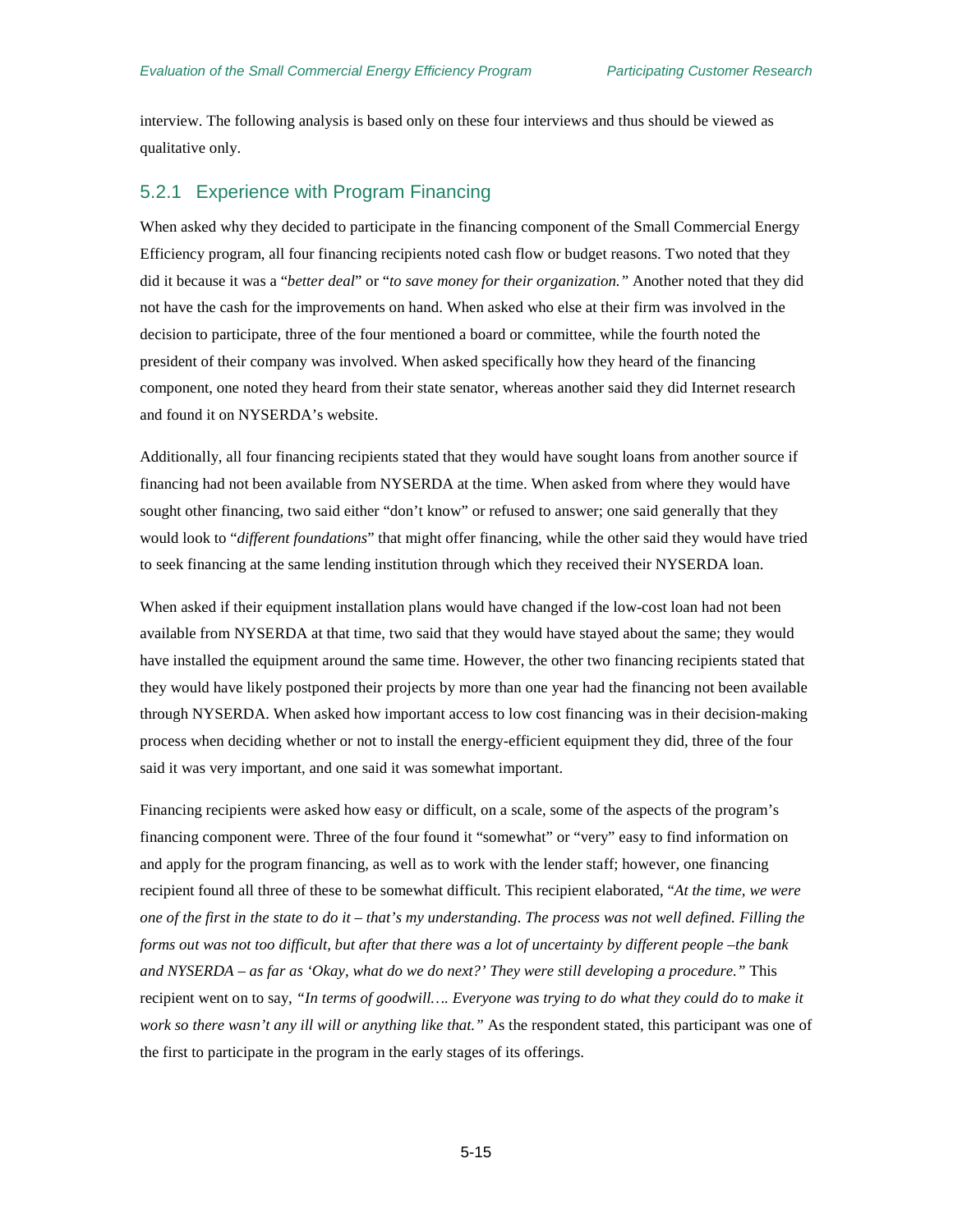interview. The following analysis is based only on these four interviews and thus should be viewed as qualitative only.

### 5.2.1 Experience with Program Financing

When asked why they decided to participate in the financing component of the Small Commercial Energy Efficiency program, all four financing recipients noted cash flow or budget reasons. Two noted that they did it because it was a "*better deal*" or "*to save money for their organization."* Another noted that they did not have the cash for the improvements on hand. When asked who else at their firm was involved in the decision to participate, three of the four mentioned a board or committee, while the fourth noted the president of their company was involved. When asked specifically how they heard of the financing component, one noted they heard from their state senator, whereas another said they did Internet research and found it on NYSERDA's website.

Additionally, all four financing recipients stated that they would have sought loans from another source if financing had not been available from NYSERDA at the time. When asked from where they would have sought other financing, two said either "don't know" or refused to answer; one said generally that they would look to "*different foundations*" that might offer financing, while the other said they would have tried to seek financing at the same lending institution through which they received their NYSERDA loan.

When asked if their equipment installation plans would have changed if the low-cost loan had not been available from NYSERDA at that time, two said that they would have stayed about the same; they would have installed the equipment around the same time. However, the other two financing recipients stated that they would have likely postponed their projects by more than one year had the financing not been available through NYSERDA. When asked how important access to low cost financing was in their decision-making process when deciding whether or not to install the energy-efficient equipment they did, three of the four said it was very important, and one said it was somewhat important.

Financing recipients were asked how easy or difficult, on a scale, some of the aspects of the program's financing component were. Three of the four found it "somewhat" or "very" easy to find information on and apply for the program financing, as well as to work with the lender staff; however, one financing recipient found all three of these to be somewhat difficult. This recipient elaborated, "*At the time, we were one of the first in the state to do it – that's my understanding. The process was not well defined. Filling the forms out was not too difficult, but after that there was a lot of uncertainty by different people –the bank and NYSERDA – as far as 'Okay, what do we do next?' They were still developing a procedure."* This recipient went on to say, *"In terms of goodwill…. Everyone was trying to do what they could do to make it work so there wasn't any ill will or anything like that."* As the respondent stated, this participant was one of the first to participate in the program in the early stages of its offerings.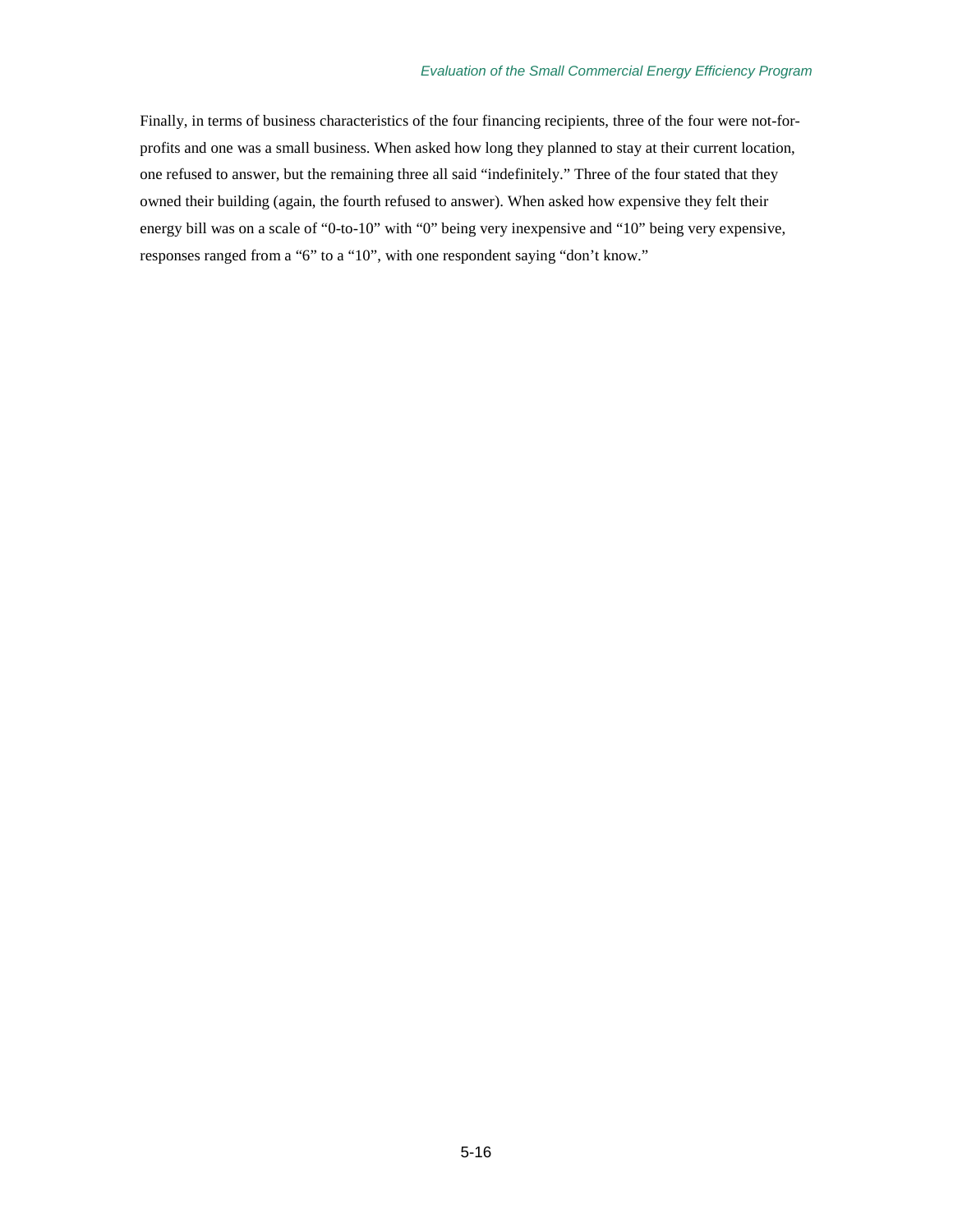#### *Evaluation of the Small Commercial Energy Efficiency Program*

Finally, in terms of business characteristics of the four financing recipients, three of the four were not-forprofits and one was a small business. When asked how long they planned to stay at their current location, one refused to answer, but the remaining three all said "indefinitely." Three of the four stated that they owned their building (again, the fourth refused to answer). When asked how expensive they felt their energy bill was on a scale of "0-to-10" with "0" being very inexpensive and "10" being very expensive, responses ranged from a "6" to a "10", with one respondent saying "don't know."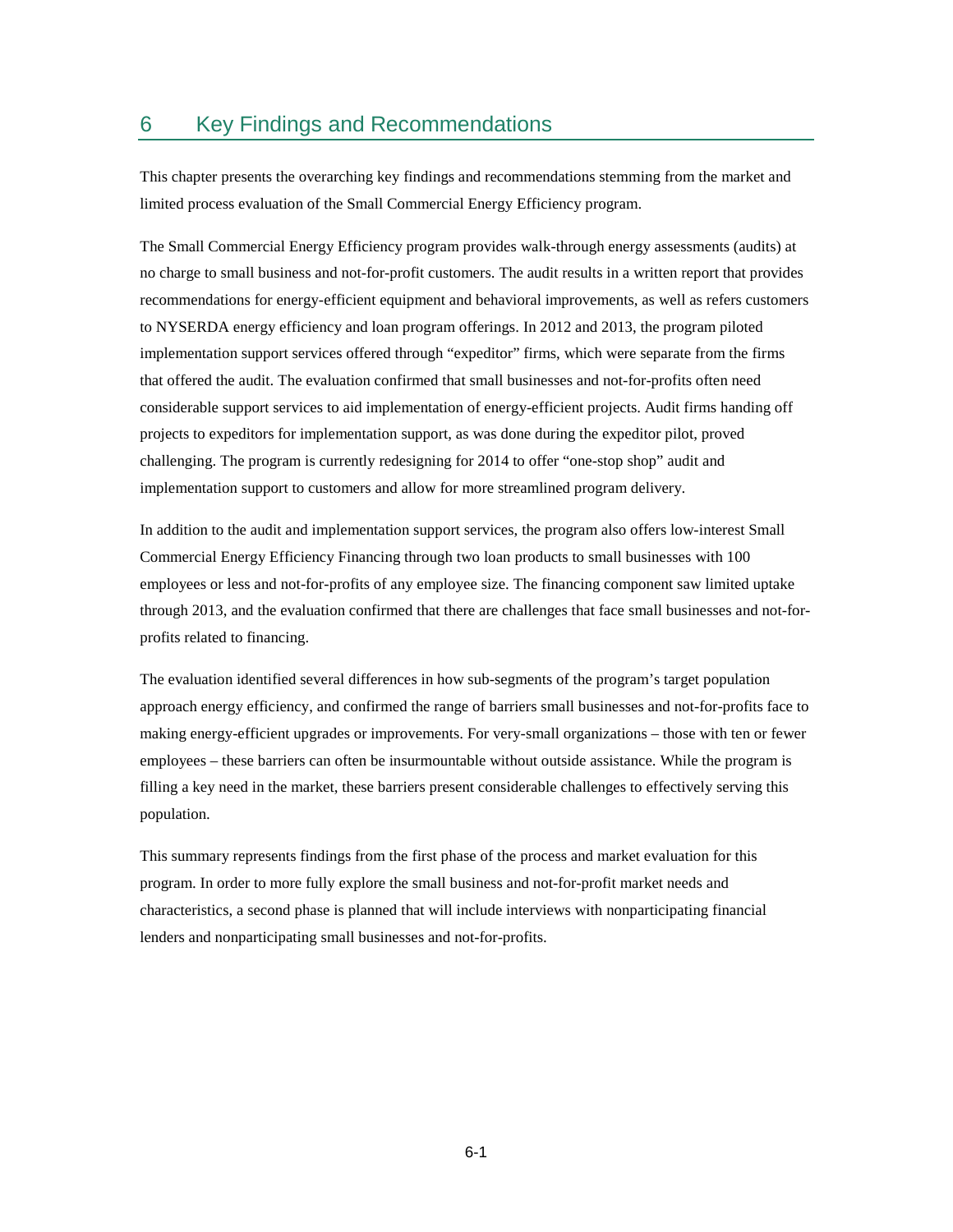## 6 Key Findings and Recommendations

This chapter presents the overarching key findings and recommendations stemming from the market and limited process evaluation of the Small Commercial Energy Efficiency program.

The Small Commercial Energy Efficiency program provides walk-through energy assessments (audits) at no charge to small business and not-for-profit customers. The audit results in a written report that provides recommendations for energy-efficient equipment and behavioral improvements, as well as refers customers to NYSERDA energy efficiency and loan program offerings. In 2012 and 2013, the program piloted implementation support services offered through "expeditor" firms, which were separate from the firms that offered the audit. The evaluation confirmed that small businesses and not-for-profits often need considerable support services to aid implementation of energy-efficient projects. Audit firms handing off projects to expeditors for implementation support, as was done during the expeditor pilot, proved challenging. The program is currently redesigning for 2014 to offer "one-stop shop" audit and implementation support to customers and allow for more streamlined program delivery.

In addition to the audit and implementation support services, the program also offers low-interest Small Commercial Energy Efficiency Financing through two loan products to small businesses with 100 employees or less and not-for-profits of any employee size. The financing component saw limited uptake through 2013, and the evaluation confirmed that there are challenges that face small businesses and not-forprofits related to financing.

The evaluation identified several differences in how sub-segments of the program's target population approach energy efficiency, and confirmed the range of barriers small businesses and not-for-profits face to making energy-efficient upgrades or improvements. For very-small organizations – those with ten or fewer employees – these barriers can often be insurmountable without outside assistance. While the program is filling a key need in the market, these barriers present considerable challenges to effectively serving this population.

This summary represents findings from the first phase of the process and market evaluation for this program. In order to more fully explore the small business and not-for-profit market needs and characteristics, a second phase is planned that will include interviews with nonparticipating financial lenders and nonparticipating small businesses and not-for-profits.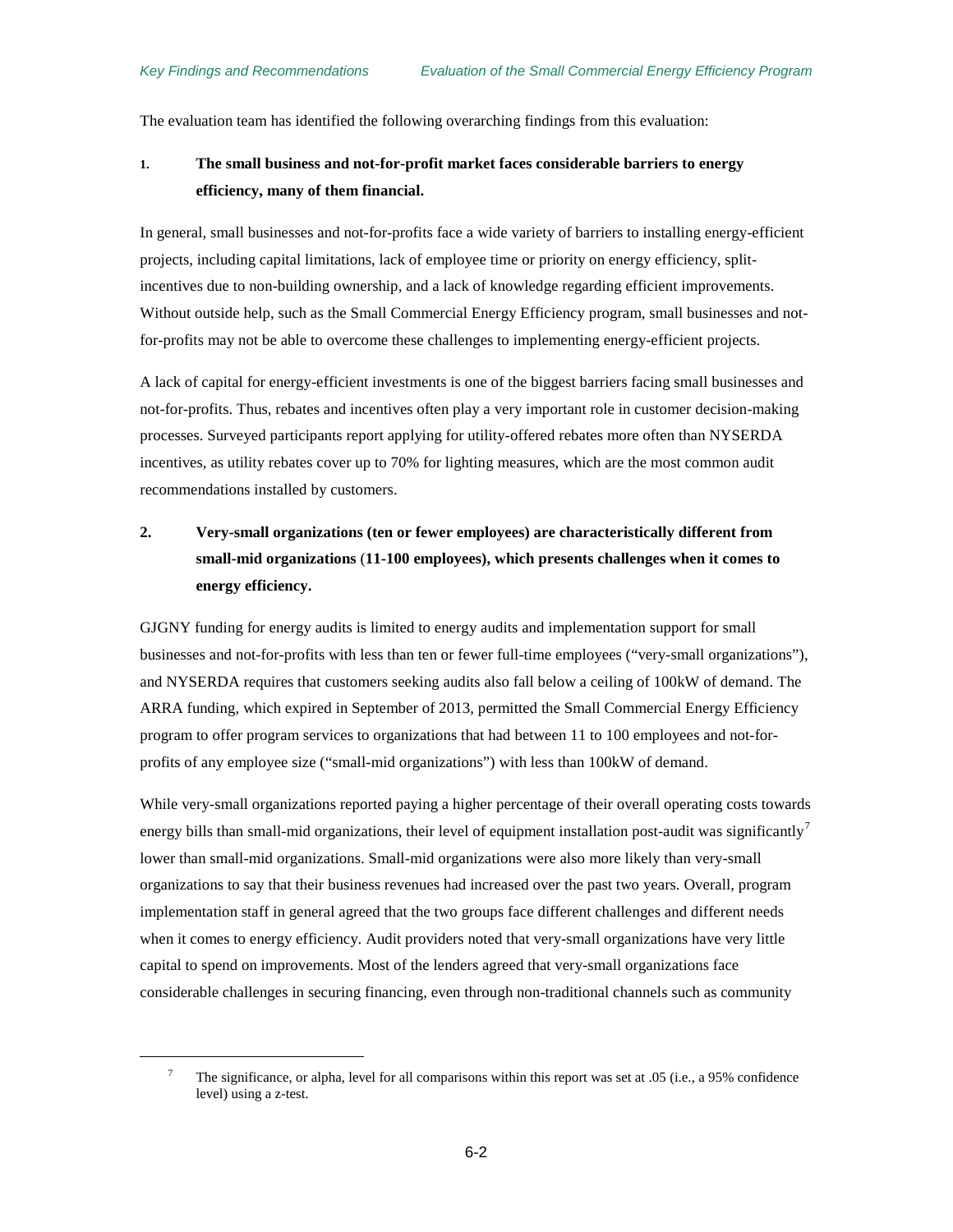<span id="page-55-0"></span> $\overline{a}$ 

The evaluation team has identified the following overarching findings from this evaluation:

### **1. The small business and not-for-profit market faces considerable barriers to energy efficiency, many of them financial.**

In general, small businesses and not-for-profits face a wide variety of barriers to installing energy-efficient projects, including capital limitations, lack of employee time or priority on energy efficiency, splitincentives due to non-building ownership, and a lack of knowledge regarding efficient improvements. Without outside help, such as the Small Commercial Energy Efficiency program, small businesses and notfor-profits may not be able to overcome these challenges to implementing energy-efficient projects.

A lack of capital for energy-efficient investments is one of the biggest barriers facing small businesses and not-for-profits. Thus, rebates and incentives often play a very important role in customer decision-making processes. Surveyed participants report applying for utility-offered rebates more often than NYSERDA incentives, as utility rebates cover up to 70% for lighting measures, which are the most common audit recommendations installed by customers.

## **2. Very-small organizations (ten or fewer employees) are characteristically different from small-mid organizations** (**11-100 employees), which presents challenges when it comes to energy efficiency.**

GJGNY funding for energy audits is limited to energy audits and implementation support for small businesses and not-for-profits with less than ten or fewer full-time employees ("very-small organizations"), and NYSERDA requires that customers seeking audits also fall below a ceiling of 100kW of demand. The ARRA funding, which expired in September of 2013, permitted the Small Commercial Energy Efficiency program to offer program services to organizations that had between 11 to 100 employees and not-forprofits of any employee size ("small-mid organizations") with less than 100kW of demand.

While very-small organizations reported paying a higher percentage of their overall operating costs towards energy bills than small-mid organizations, their level of equipment installation post-audit was significantly<sup>[7](#page-55-0)</sup> lower than small-mid organizations. Small-mid organizations were also more likely than very-small organizations to say that their business revenues had increased over the past two years. Overall, program implementation staff in general agreed that the two groups face different challenges and different needs when it comes to energy efficiency. Audit providers noted that very-small organizations have very little capital to spend on improvements. Most of the lenders agreed that very-small organizations face considerable challenges in securing financing, even through non-traditional channels such as community

<sup>&</sup>lt;sup>7</sup> The significance, or alpha, level for all comparisons within this report was set at .05 (i.e., a 95% confidence level) using a z-test.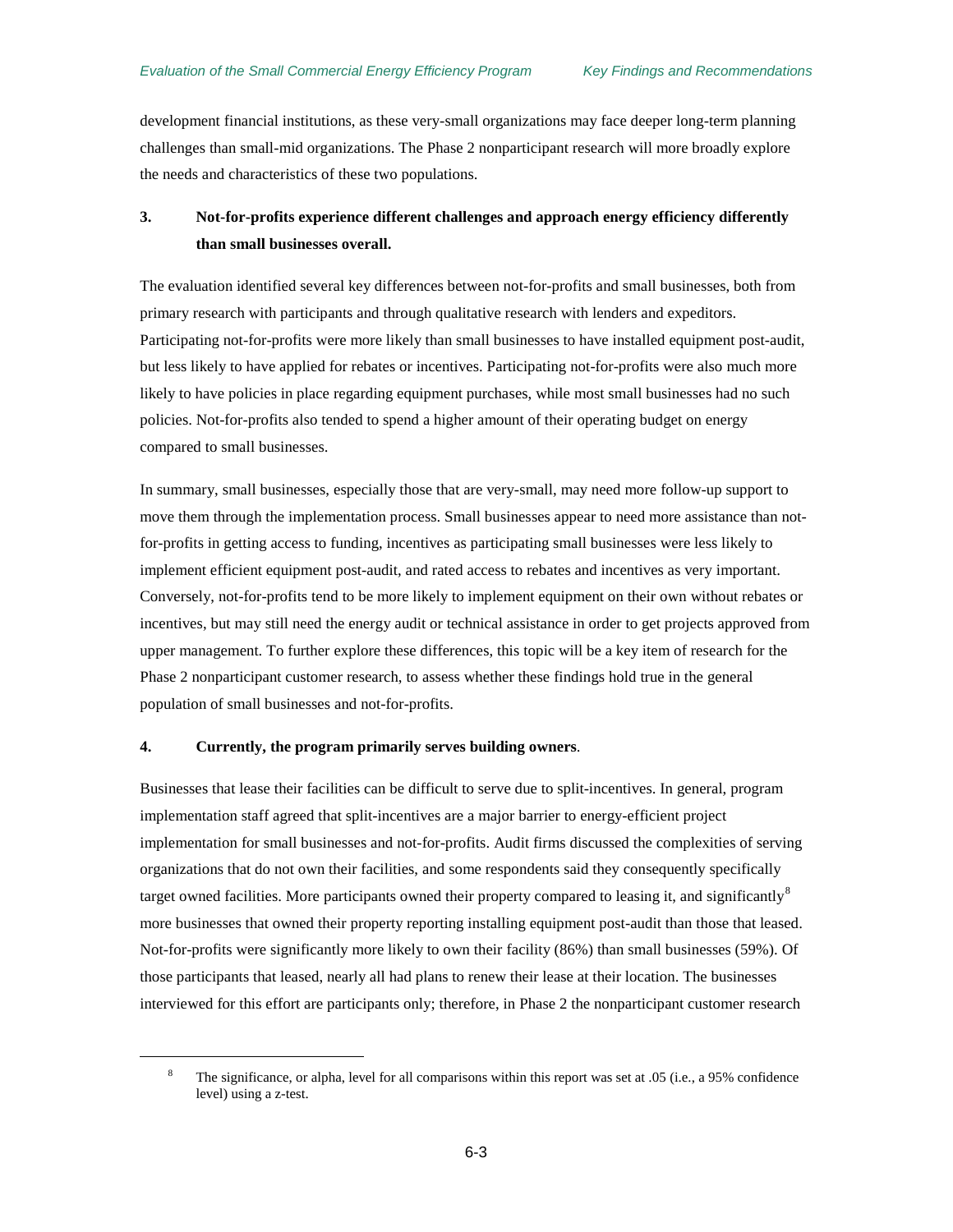development financial institutions, as these very-small organizations may face deeper long-term planning challenges than small-mid organizations. The Phase 2 nonparticipant research will more broadly explore the needs and characteristics of these two populations.

## **3. Not-for-profits experience different challenges and approach energy efficiency differently than small businesses overall.**

The evaluation identified several key differences between not-for-profits and small businesses, both from primary research with participants and through qualitative research with lenders and expeditors. Participating not-for-profits were more likely than small businesses to have installed equipment post-audit, but less likely to have applied for rebates or incentives. Participating not-for-profits were also much more likely to have policies in place regarding equipment purchases, while most small businesses had no such policies. Not-for-profits also tended to spend a higher amount of their operating budget on energy compared to small businesses.

In summary, small businesses, especially those that are very-small, may need more follow-up support to move them through the implementation process. Small businesses appear to need more assistance than notfor-profits in getting access to funding, incentives as participating small businesses were less likely to implement efficient equipment post-audit, and rated access to rebates and incentives as very important. Conversely, not-for-profits tend to be more likely to implement equipment on their own without rebates or incentives, but may still need the energy audit or technical assistance in order to get projects approved from upper management. To further explore these differences, this topic will be a key item of research for the Phase 2 nonparticipant customer research, to assess whether these findings hold true in the general population of small businesses and not-for-profits.

#### **4. Currently, the program primarily serves building owners**.

<span id="page-56-0"></span> $\overline{a}$ 

Businesses that lease their facilities can be difficult to serve due to split-incentives. In general, program implementation staff agreed that split-incentives are a major barrier to energy-efficient project implementation for small businesses and not-for-profits. Audit firms discussed the complexities of serving organizations that do not own their facilities, and some respondents said they consequently specifically target owned facilities. More participants owned their property compared to leasing it, and significantly $^8$  $^8$ more businesses that owned their property reporting installing equipment post-audit than those that leased. Not-for-profits were significantly more likely to own their facility (86%) than small businesses (59%). Of those participants that leased, nearly all had plans to renew their lease at their location. The businesses interviewed for this effort are participants only; therefore, in Phase 2 the nonparticipant customer research

<sup>&</sup>lt;sup>8</sup> The significance, or alpha, level for all comparisons within this report was set at .05 (i.e., a 95% confidence level) using a z-test.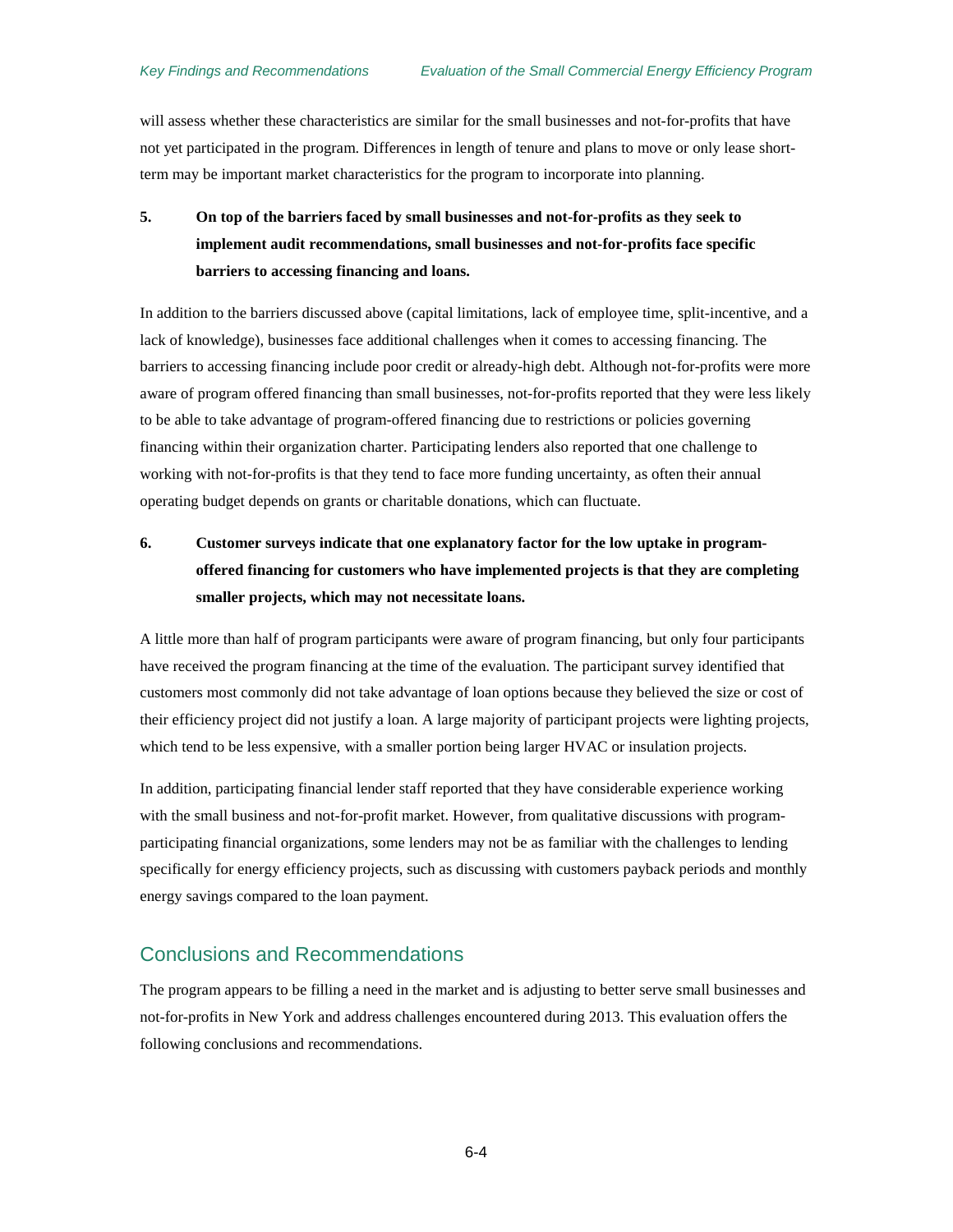will assess whether these characteristics are similar for the small businesses and not-for-profits that have not yet participated in the program. Differences in length of tenure and plans to move or only lease shortterm may be important market characteristics for the program to incorporate into planning.

## **5. On top of the barriers faced by small businesses and not-for-profits as they seek to implement audit recommendations, small businesses and not-for-profits face specific barriers to accessing financing and loans.**

In addition to the barriers discussed above (capital limitations, lack of employee time, split-incentive, and a lack of knowledge), businesses face additional challenges when it comes to accessing financing. The barriers to accessing financing include poor credit or already-high debt. Although not-for-profits were more aware of program offered financing than small businesses, not-for-profits reported that they were less likely to be able to take advantage of program-offered financing due to restrictions or policies governing financing within their organization charter. Participating lenders also reported that one challenge to working with not-for-profits is that they tend to face more funding uncertainty, as often their annual operating budget depends on grants or charitable donations, which can fluctuate.

## **6. Customer surveys indicate that one explanatory factor for the low uptake in programoffered financing for customers who have implemented projects is that they are completing smaller projects, which may not necessitate loans.**

A little more than half of program participants were aware of program financing, but only four participants have received the program financing at the time of the evaluation. The participant survey identified that customers most commonly did not take advantage of loan options because they believed the size or cost of their efficiency project did not justify a loan. A large majority of participant projects were lighting projects, which tend to be less expensive, with a smaller portion being larger HVAC or insulation projects.

In addition, participating financial lender staff reported that they have considerable experience working with the small business and not-for-profit market. However, from qualitative discussions with programparticipating financial organizations, some lenders may not be as familiar with the challenges to lending specifically for energy efficiency projects, such as discussing with customers payback periods and monthly energy savings compared to the loan payment.

### Conclusions and Recommendations

The program appears to be filling a need in the market and is adjusting to better serve small businesses and not-for-profits in New York and address challenges encountered during 2013. This evaluation offers the following conclusions and recommendations.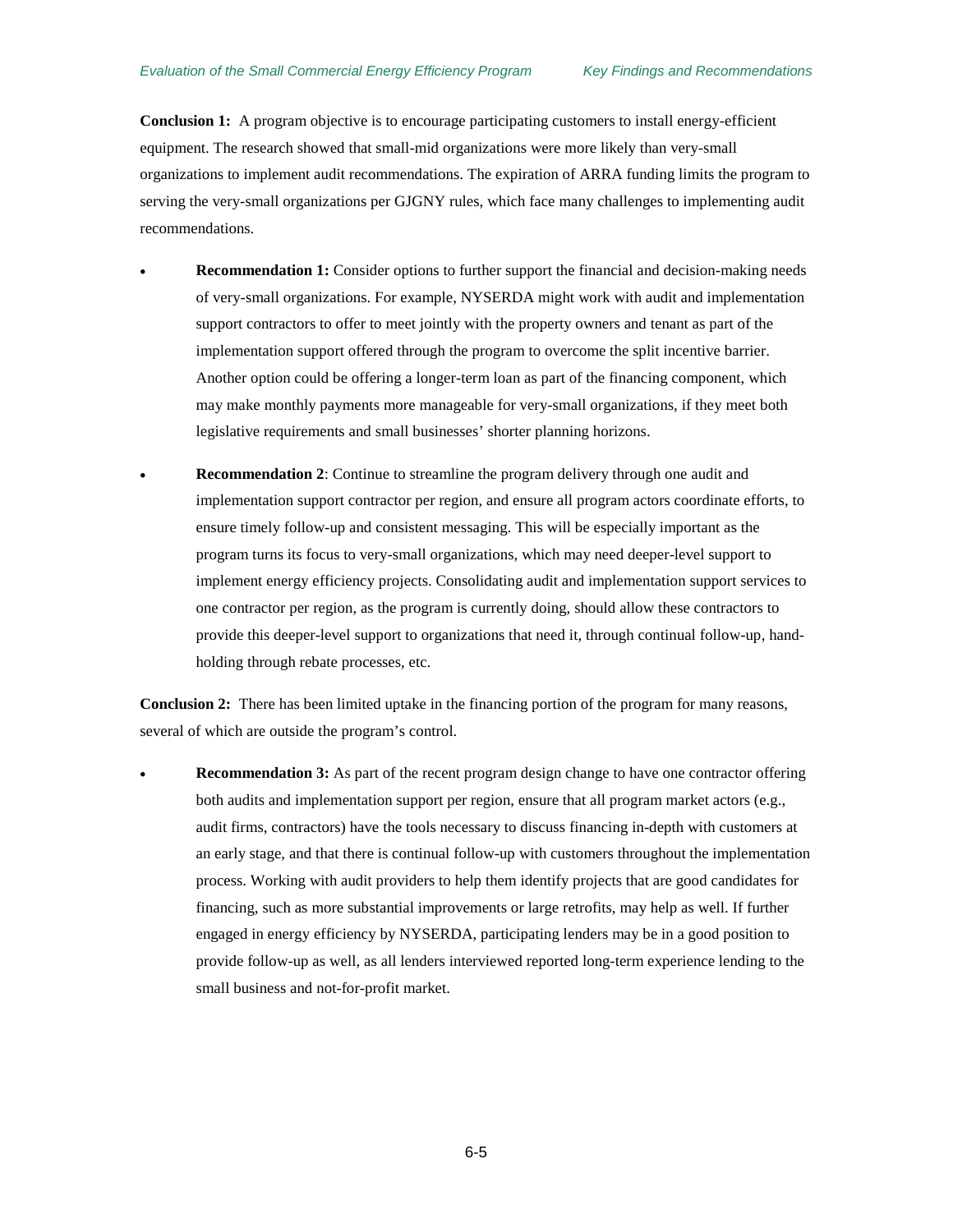**Conclusion 1:** A program objective is to encourage participating customers to install energy-efficient equipment. The research showed that small-mid organizations were more likely than very-small organizations to implement audit recommendations. The expiration of ARRA funding limits the program to serving the very-small organizations per GJGNY rules, which face many challenges to implementing audit recommendations.

- **Recommendation 1:** Consider options to further support the financial and decision-making needs of very-small organizations. For example, NYSERDA might work with audit and implementation support contractors to offer to meet jointly with the property owners and tenant as part of the implementation support offered through the program to overcome the split incentive barrier. Another option could be offering a longer-term loan as part of the financing component, which may make monthly payments more manageable for very-small organizations, if they meet both legislative requirements and small businesses' shorter planning horizons.
- **Recommendation 2**: Continue to streamline the program delivery through one audit and implementation support contractor per region, and ensure all program actors coordinate efforts, to ensure timely follow-up and consistent messaging. This will be especially important as the program turns its focus to very-small organizations, which may need deeper-level support to implement energy efficiency projects. Consolidating audit and implementation support services to one contractor per region, as the program is currently doing, should allow these contractors to provide this deeper-level support to organizations that need it, through continual follow-up, handholding through rebate processes, etc.

**Conclusion 2:** There has been limited uptake in the financing portion of the program for many reasons, several of which are outside the program's control.

**Recommendation 3:** As part of the recent program design change to have one contractor offering both audits and implementation support per region, ensure that all program market actors (e.g., audit firms, contractors) have the tools necessary to discuss financing in-depth with customers at an early stage, and that there is continual follow-up with customers throughout the implementation process. Working with audit providers to help them identify projects that are good candidates for financing, such as more substantial improvements or large retrofits, may help as well. If further engaged in energy efficiency by NYSERDA, participating lenders may be in a good position to provide follow-up as well, as all lenders interviewed reported long-term experience lending to the small business and not-for-profit market.

6-5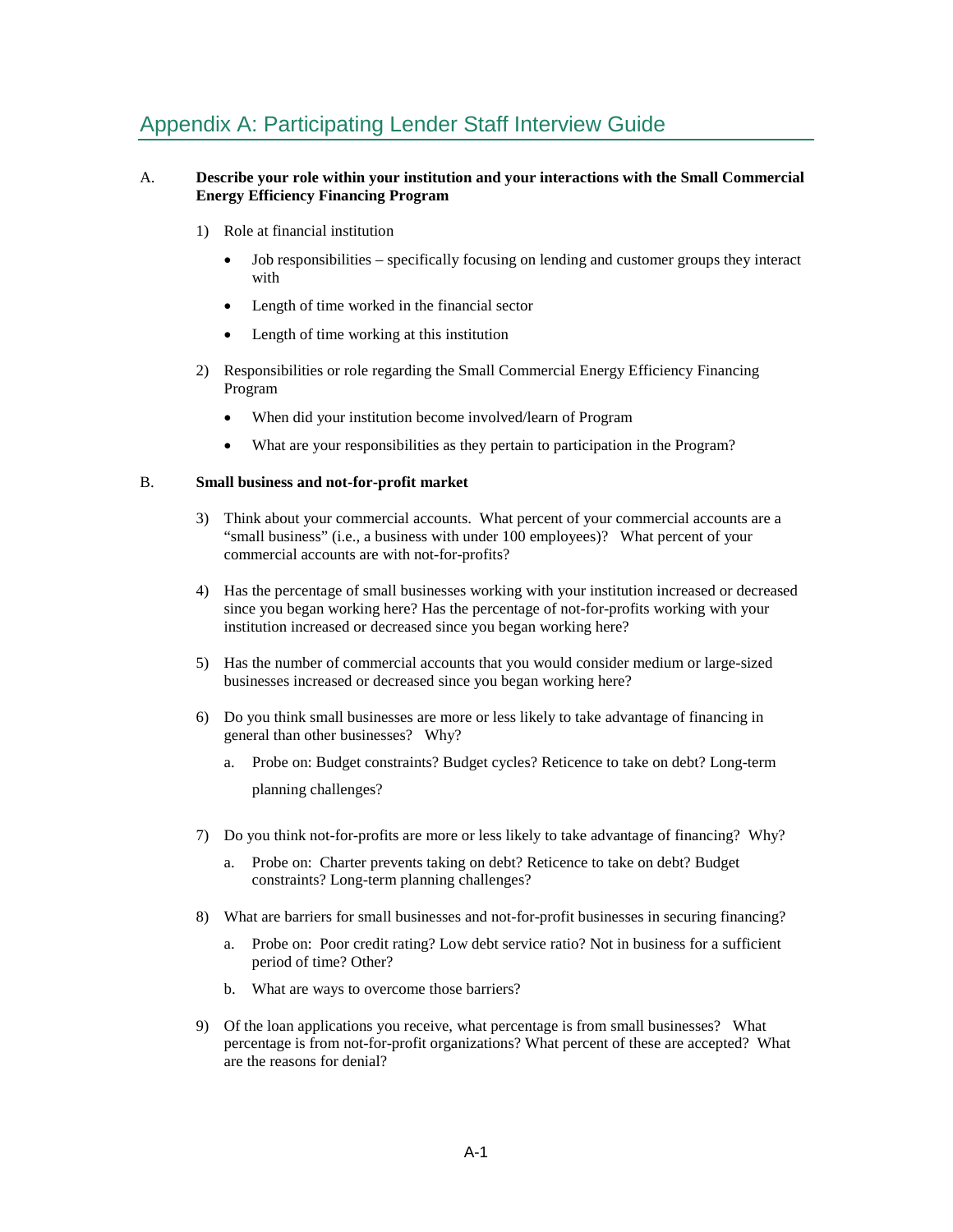# Appendix A: Participating Lender Staff Interview Guide

### A. **Describe your role within your institution and your interactions with the Small Commercial Energy Efficiency Financing Program**

- 1) Role at financial institution
	- Job responsibilities specifically focusing on lending and customer groups they interact with
	- Length of time worked in the financial sector
	- Length of time working at this institution
- 2) Responsibilities or role regarding the Small Commercial Energy Efficiency Financing Program
	- When did your institution become involved/learn of Program
	- What are your responsibilities as they pertain to participation in the Program?

#### B. **Small business and not-for-profit market**

- 3) Think about your commercial accounts. What percent of your commercial accounts are a "small business" (i.e., a business with under 100 employees)? What percent of your commercial accounts are with not-for-profits?
- 4) Has the percentage of small businesses working with your institution increased or decreased since you began working here? Has the percentage of not-for-profits working with your institution increased or decreased since you began working here?
- 5) Has the number of commercial accounts that you would consider medium or large-sized businesses increased or decreased since you began working here?
- 6) Do you think small businesses are more or less likely to take advantage of financing in general than other businesses? Why?
	- a. Probe on: Budget constraints? Budget cycles? Reticence to take on debt? Long-term planning challenges?
- 7) Do you think not-for-profits are more or less likely to take advantage of financing? Why?
	- a. Probe on: Charter prevents taking on debt? Reticence to take on debt? Budget constraints? Long-term planning challenges?
- 8) What are barriers for small businesses and not-for-profit businesses in securing financing?
	- a. Probe on: Poor credit rating? Low debt service ratio? Not in business for a sufficient period of time? Other?
	- b. What are ways to overcome those barriers?
- 9) Of the loan applications you receive, what percentage is from small businesses? What percentage is from not-for-profit organizations? What percent of these are accepted? What are the reasons for denial?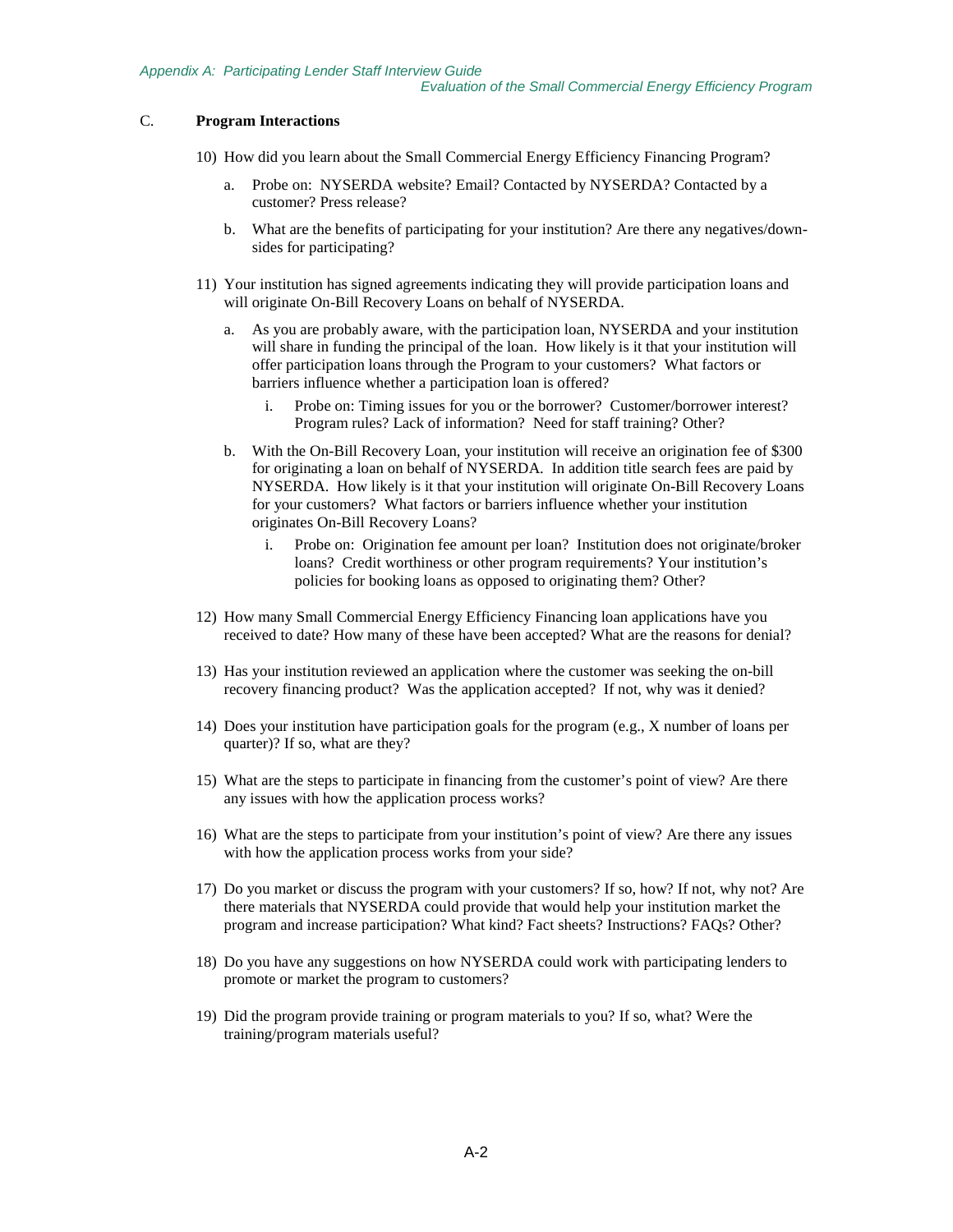#### C. **Program Interactions**

- 10) How did you learn about the Small Commercial Energy Efficiency Financing Program?
	- a. Probe on: NYSERDA website? Email? Contacted by NYSERDA? Contacted by a customer? Press release?
	- b. What are the benefits of participating for your institution? Are there any negatives/downsides for participating?
- 11) Your institution has signed agreements indicating they will provide participation loans and will originate On-Bill Recovery Loans on behalf of NYSERDA.
	- a. As you are probably aware, with the participation loan, NYSERDA and your institution will share in funding the principal of the loan. How likely is it that your institution will offer participation loans through the Program to your customers? What factors or barriers influence whether a participation loan is offered?
		- i. Probe on: Timing issues for you or the borrower? Customer/borrower interest? Program rules? Lack of information? Need for staff training? Other?
	- b. With the On-Bill Recovery Loan, your institution will receive an origination fee of \$300 for originating a loan on behalf of NYSERDA. In addition title search fees are paid by NYSERDA. How likely is it that your institution will originate On-Bill Recovery Loans for your customers? What factors or barriers influence whether your institution originates On-Bill Recovery Loans?
		- i. Probe on: Origination fee amount per loan? Institution does not originate/broker loans? Credit worthiness or other program requirements? Your institution's policies for booking loans as opposed to originating them? Other?
- 12) How many Small Commercial Energy Efficiency Financing loan applications have you received to date? How many of these have been accepted? What are the reasons for denial?
- 13) Has your institution reviewed an application where the customer was seeking the on-bill recovery financing product? Was the application accepted? If not, why was it denied?
- 14) Does your institution have participation goals for the program (e.g., X number of loans per quarter)? If so, what are they?
- 15) What are the steps to participate in financing from the customer's point of view? Are there any issues with how the application process works?
- 16) What are the steps to participate from your institution's point of view? Are there any issues with how the application process works from your side?
- 17) Do you market or discuss the program with your customers? If so, how? If not, why not? Are there materials that NYSERDA could provide that would help your institution market the program and increase participation? What kind? Fact sheets? Instructions? FAQs? Other?
- 18) Do you have any suggestions on how NYSERDA could work with participating lenders to promote or market the program to customers?
- 19) Did the program provide training or program materials to you? If so, what? Were the training/program materials useful?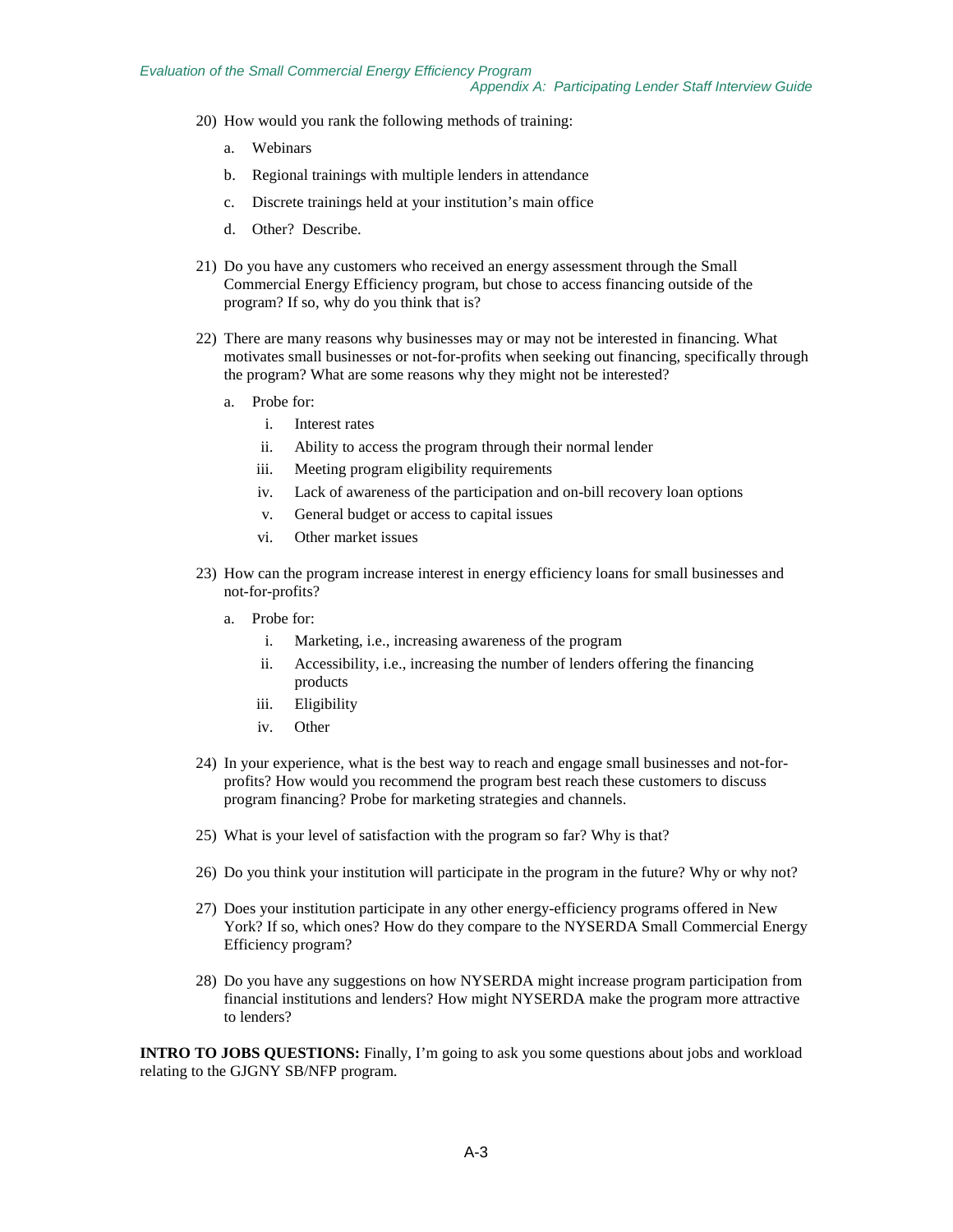- 20) How would you rank the following methods of training:
	- a. Webinars
	- b. Regional trainings with multiple lenders in attendance
	- c. Discrete trainings held at your institution's main office
	- d. Other? Describe.
- 21) Do you have any customers who received an energy assessment through the Small Commercial Energy Efficiency program, but chose to access financing outside of the program? If so, why do you think that is?
- 22) There are many reasons why businesses may or may not be interested in financing. What motivates small businesses or not-for-profits when seeking out financing, specifically through the program? What are some reasons why they might not be interested?
	- a. Probe for:
		- i. Interest rates
		- ii. Ability to access the program through their normal lender
		- iii. Meeting program eligibility requirements
		- iv. Lack of awareness of the participation and on-bill recovery loan options
		- v. General budget or access to capital issues
		- vi. Other market issues
- 23) How can the program increase interest in energy efficiency loans for small businesses and not-for-profits?
	- a. Probe for:
		- i. Marketing, i.e., increasing awareness of the program
		- ii. Accessibility, i.e., increasing the number of lenders offering the financing products
		- iii. Eligibility
		- iv. Other
- 24) In your experience, what is the best way to reach and engage small businesses and not-forprofits? How would you recommend the program best reach these customers to discuss program financing? Probe for marketing strategies and channels.
- 25) What is your level of satisfaction with the program so far? Why is that?
- 26) Do you think your institution will participate in the program in the future? Why or why not?
- 27) Does your institution participate in any other energy-efficiency programs offered in New York? If so, which ones? How do they compare to the NYSERDA Small Commercial Energy Efficiency program?
- 28) Do you have any suggestions on how NYSERDA might increase program participation from financial institutions and lenders? How might NYSERDA make the program more attractive to lenders?

**INTRO TO JOBS QUESTIONS:** Finally, I'm going to ask you some questions about jobs and workload relating to the GJGNY SB/NFP program.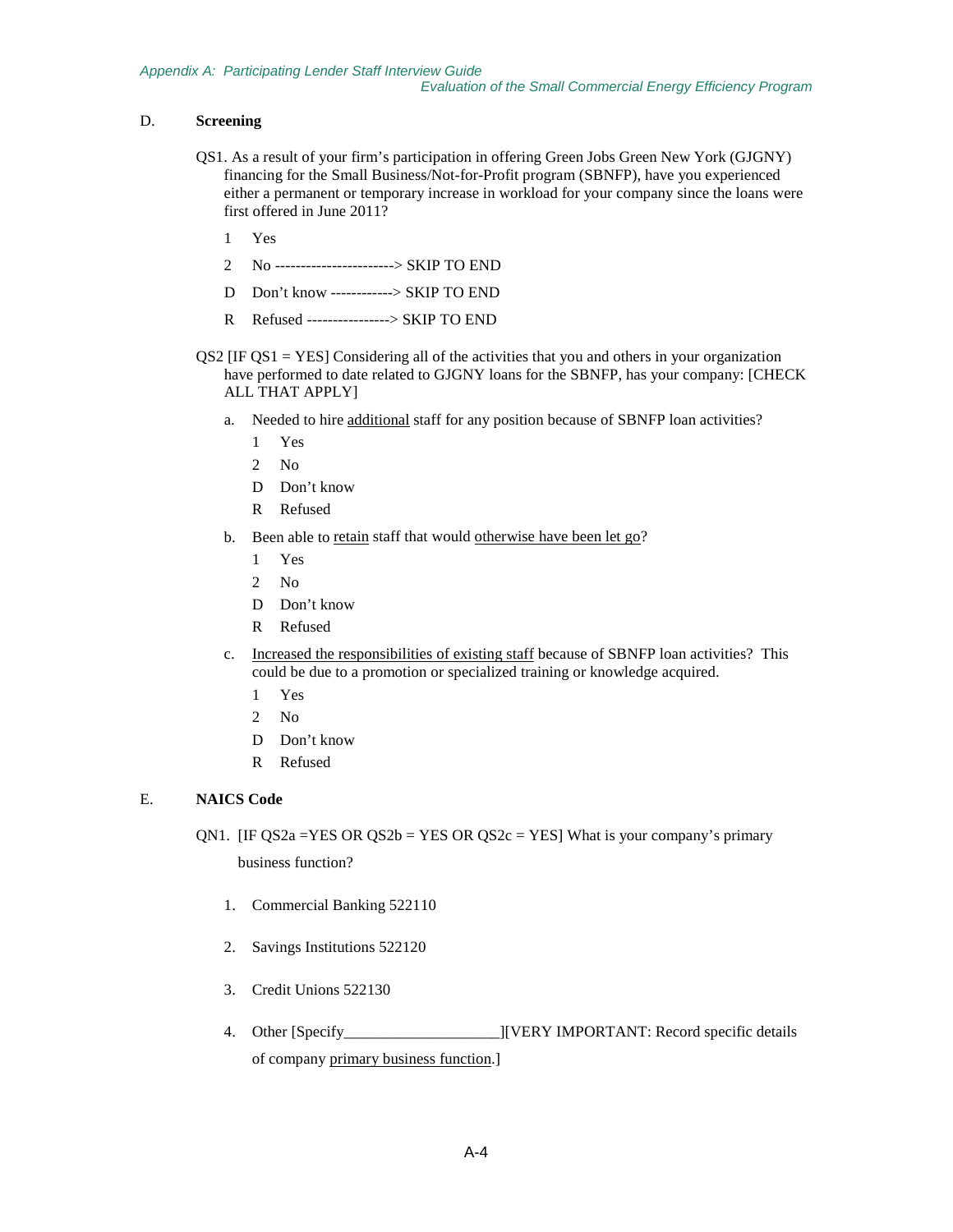### D. **Screening**

- QS1. As a result of your firm's participation in offering Green Jobs Green New York (GJGNY) financing for the Small Business/Not-for-Profit program (SBNFP), have you experienced either a permanent or temporary increase in workload for your company since the loans were first offered in June 2011?
	- 1 Yes
	- 2 No -----------------------> SKIP TO END
	- D Don't know ------------> SKIP TO END
	- R Refused ----------------> SKIP TO END
- $\text{QS2}$  [IF  $\text{QS1} = \text{YES}$ ] Considering all of the activities that you and others in your organization have performed to date related to GJGNY loans for the SBNFP, has your company: [CHECK ALL THAT APPLY]
	- a. Needed to hire additional staff for any position because of SBNFP loan activities?
		- 1 Yes
		- 2 No
		- D Don't know
		- R Refused
	- b. Been able to retain staff that would otherwise have been let go?
		- 1 Yes
		- 2 No
		- D Don't know
		- R Refused
	- c. Increased the responsibilities of existing staff because of SBNFP loan activities? This could be due to a promotion or specialized training or knowledge acquired.
		- 1 Yes
		- 2 No
		- D Don't know
		- R Refused

### E. **NAICS Code**

QN1. [IF QS2a = YES OR QS2b = YES OR QS2c = YES] What is your company's primary

business function?

- 1. Commercial Banking 522110
- 2. Savings Institutions 522120
- 3. Credit Unions 522130
- 4. Other [Specify\_\_\_\_\_\_\_\_\_\_\_\_\_\_\_\_\_\_\_\_][VERY IMPORTANT: Record specific details of company primary business function.]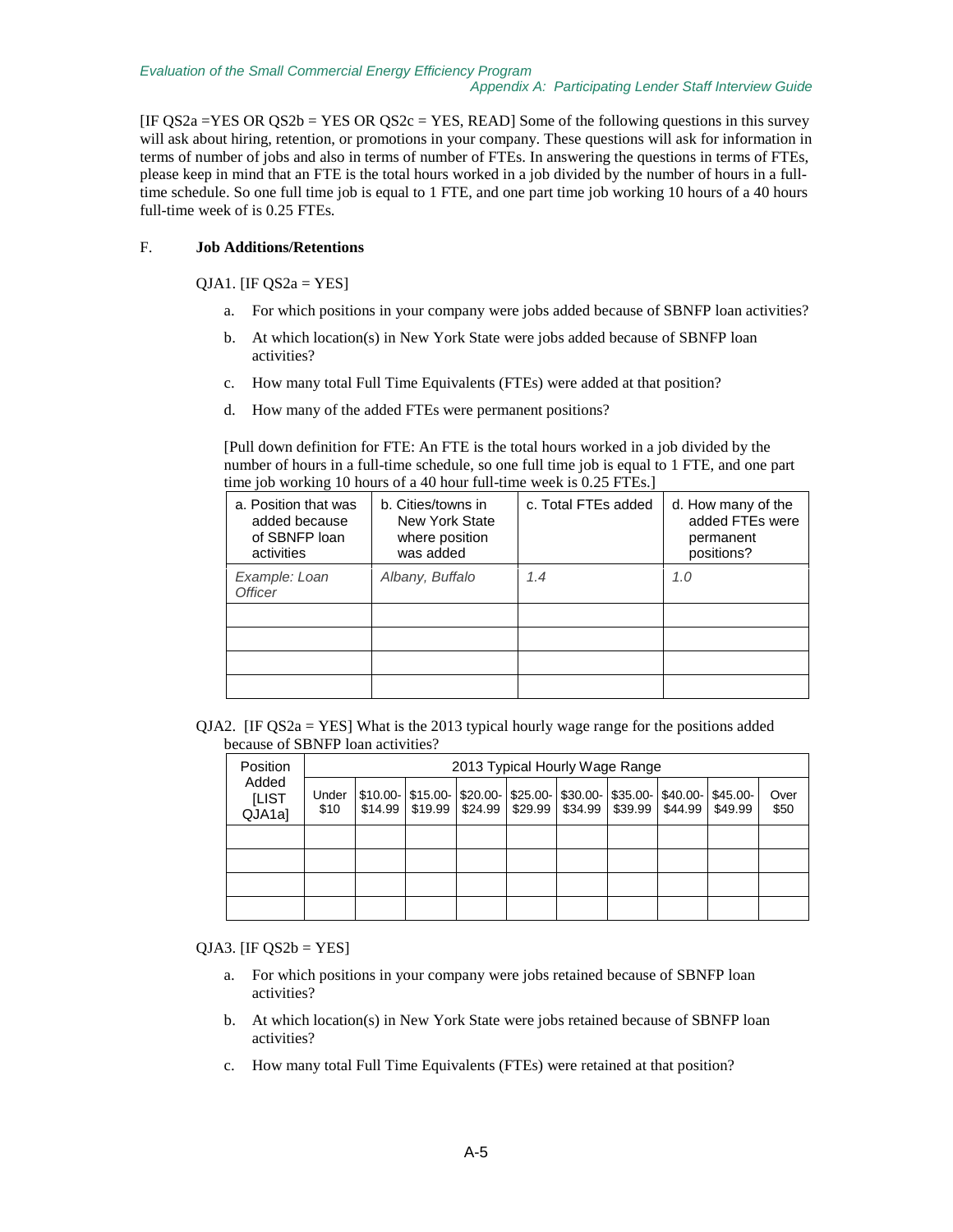$[IF QS2a = YES OR QS2b = YES OR QS2c = YES, READ] Some of the following questions in this survey$ will ask about hiring, retention, or promotions in your company. These questions will ask for information in terms of number of jobs and also in terms of number of FTEs. In answering the questions in terms of FTEs, please keep in mind that an FTE is the total hours worked in a job divided by the number of hours in a fulltime schedule. So one full time job is equal to 1 FTE, and one part time job working 10 hours of a 40 hours full-time week of is 0.25 FTEs.

### F. **Job Additions/Retentions**

QJA1. [IF  $QS2a = YES$ ]

- a. For which positions in your company were jobs added because of SBNFP loan activities?
- b. At which location(s) in New York State were jobs added because of SBNFP loan activities?
- c. How many total Full Time Equivalents (FTEs) were added at that position?
- d. How many of the added FTEs were permanent positions?

[Pull down definition for FTE: An FTE is the total hours worked in a job divided by the number of hours in a full-time schedule, so one full time job is equal to 1 FTE, and one part time job working 10 hours of a 40 hour full-time week is 0.25 FTEs.

| a. Position that was<br>added because<br>of SBNFP loan<br>activities | b. Cities/towns in<br>New York State<br>where position<br>was added | c. Total FTEs added | d. How many of the<br>added FTEs were<br>permanent<br>positions? |
|----------------------------------------------------------------------|---------------------------------------------------------------------|---------------------|------------------------------------------------------------------|
| Example: Loan<br><b>Officer</b>                                      | Albany, Buffalo                                                     | 1.4                 | 1.0                                                              |
|                                                                      |                                                                     |                     |                                                                  |
|                                                                      |                                                                     |                     |                                                                  |
|                                                                      |                                                                     |                     |                                                                  |
|                                                                      |                                                                     |                     |                                                                  |

QJA2. [IF QS2a = YES] What is the 2013 typical hourly wage range for the positions added because of SBNFP loan activities?

| Position                        | 2013 Typical Hourly Wage Range |         |  |                                                            |  |  |  |                                                                                                    |              |
|---------------------------------|--------------------------------|---------|--|------------------------------------------------------------|--|--|--|----------------------------------------------------------------------------------------------------|--------------|
| Added<br><b>ILIST</b><br>QJA1al | Under<br>\$10                  | \$14.99 |  | $$19.99$   \$24.99   \$29.99   \$34.99   \$39.99   \$44.99 |  |  |  | $$10.00$ - $$15.00$ - $$20.00$ - $$25.00$ - $$30.00$ - $$35.00$ - $$40.00$ - $$45.00$ -<br>\$49.99 | Over<br>\$50 |
|                                 |                                |         |  |                                                            |  |  |  |                                                                                                    |              |
|                                 |                                |         |  |                                                            |  |  |  |                                                                                                    |              |
|                                 |                                |         |  |                                                            |  |  |  |                                                                                                    |              |
|                                 |                                |         |  |                                                            |  |  |  |                                                                                                    |              |

 $QJA3.$  [IF  $QS2b = YES$ ]

- a. For which positions in your company were jobs retained because of SBNFP loan activities?
- b. At which location(s) in New York State were jobs retained because of SBNFP loan activities?
- c. How many total Full Time Equivalents (FTEs) were retained at that position?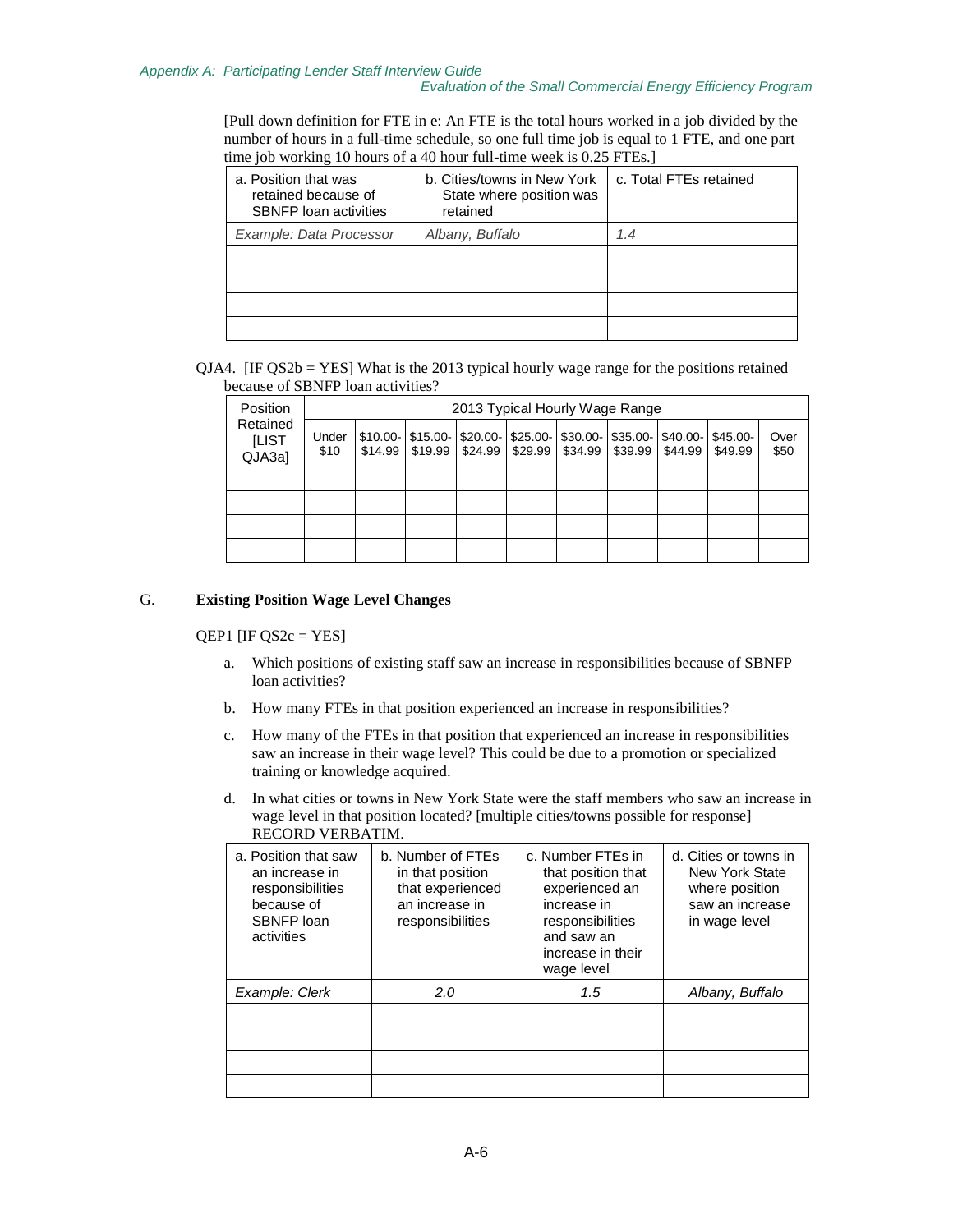#### *Evaluation of the Small Commercial Energy Efficiency Program*

[Pull down definition for FTE in e: An FTE is the total hours worked in a job divided by the number of hours in a full-time schedule, so one full time job is equal to 1 FTE, and one part time job working 10 hours of a 40 hour full-time week is 0.25 FTEs.]

| a. Position that was<br>retained because of<br><b>SBNFP</b> loan activities | b. Cities/towns in New York<br>State where position was<br>retained | c. Total FTEs retained |
|-----------------------------------------------------------------------------|---------------------------------------------------------------------|------------------------|
| Example: Data Processor                                                     | Albany, Buffalo                                                     | 1.4                    |
|                                                                             |                                                                     |                        |
|                                                                             |                                                                     |                        |
|                                                                             |                                                                     |                        |
|                                                                             |                                                                     |                        |

 $QJA4$ . [IF  $QS2b = YES$ ] What is the 2013 typical hourly wage range for the positions retained because of SBNFP loan activities?

| <b>Position</b>             | 2013 Typical Hourly Wage Range |  |  |                                             |  |                                                                                |                              |           |              |
|-----------------------------|--------------------------------|--|--|---------------------------------------------|--|--------------------------------------------------------------------------------|------------------------------|-----------|--------------|
| Retained<br>[LIST<br>QJA3al | Under<br>\$10                  |  |  | $$10.00$ - $$15.00$ - $$20.00$ - $$25.00$ - |  | $$14.99$   \$19.99   \$24.99   \$29.99   \$34.99   \$39.99   \$44.99   \$49.99 | $$30.00 - $35.00 - $40.00 -$ | $$45.00-$ | Over<br>\$50 |
|                             |                                |  |  |                                             |  |                                                                                |                              |           |              |
|                             |                                |  |  |                                             |  |                                                                                |                              |           |              |
|                             |                                |  |  |                                             |  |                                                                                |                              |           |              |
|                             |                                |  |  |                                             |  |                                                                                |                              |           |              |

### G. **Existing Position Wage Level Changes**

#### $QEP1$  [IF  $QS2c = YES$ ]

- a. Which positions of existing staff saw an increase in responsibilities because of SBNFP loan activities?
- b. How many FTEs in that position experienced an increase in responsibilities?
- c. How many of the FTEs in that position that experienced an increase in responsibilities saw an increase in their wage level? This could be due to a promotion or specialized training or knowledge acquired.
- d. In what cities or towns in New York State were the staff members who saw an increase in wage level in that position located? [multiple cities/towns possible for response] RECORD VERBATIM.

| a. Position that saw<br>an increase in<br>responsibilities<br>because of<br>SBNFP loan<br>activities | b. Number of FTEs<br>in that position<br>that experienced<br>an increase in<br>responsibilities | c. Number FTEs in<br>that position that<br>experienced an<br>increase in<br>responsibilities<br>and saw an<br>increase in their<br>wage level | d. Cities or towns in<br>New York State<br>where position<br>saw an increase<br>in wage level |
|------------------------------------------------------------------------------------------------------|-------------------------------------------------------------------------------------------------|-----------------------------------------------------------------------------------------------------------------------------------------------|-----------------------------------------------------------------------------------------------|
| Example: Clerk                                                                                       | 2.0                                                                                             | 1.5                                                                                                                                           | Albany, Buffalo                                                                               |
|                                                                                                      |                                                                                                 |                                                                                                                                               |                                                                                               |
|                                                                                                      |                                                                                                 |                                                                                                                                               |                                                                                               |
|                                                                                                      |                                                                                                 |                                                                                                                                               |                                                                                               |
|                                                                                                      |                                                                                                 |                                                                                                                                               |                                                                                               |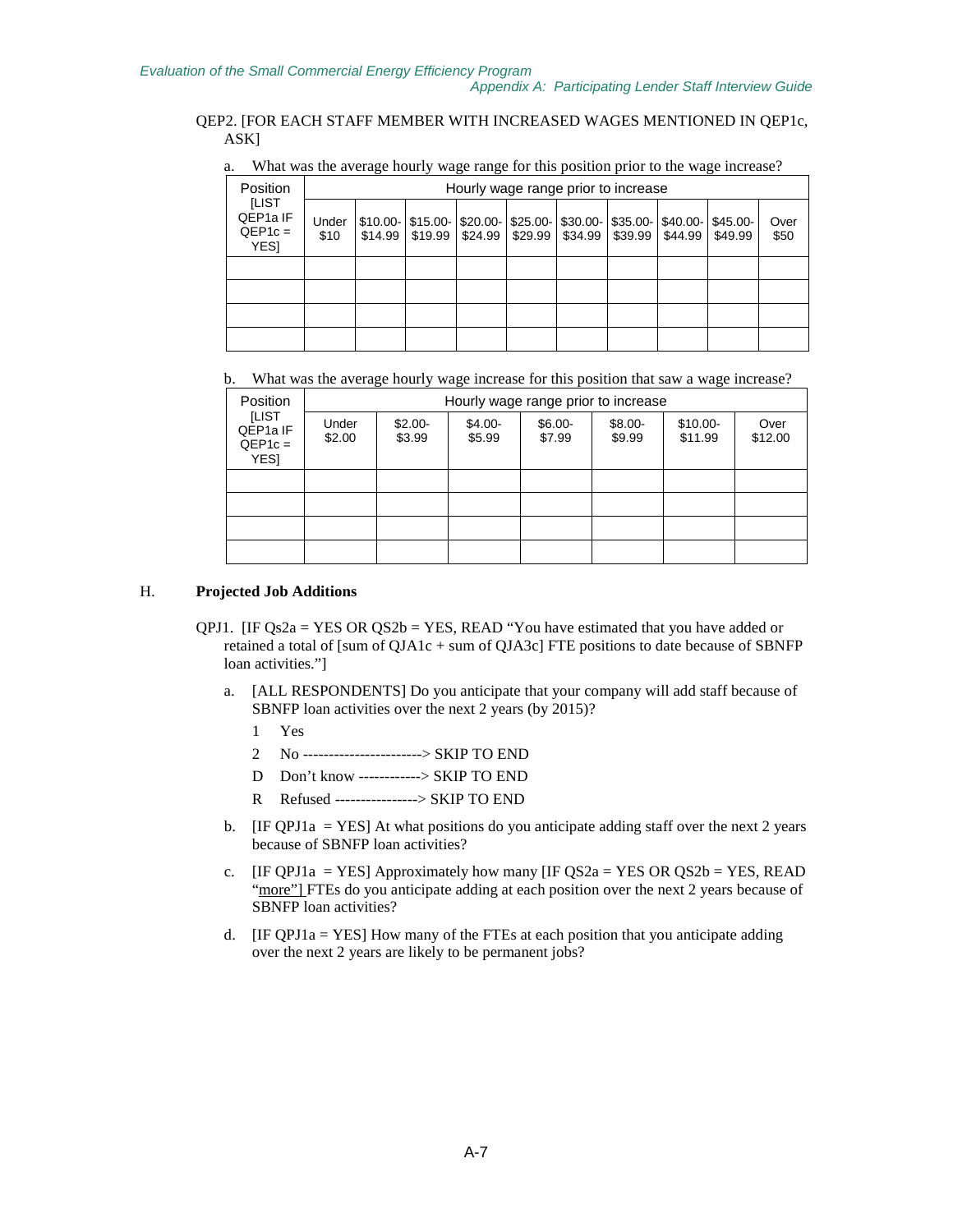### QEP2. [FOR EACH STAFF MEMBER WITH INCREASED WAGES MENTIONED IN QEP1c, ASK]

a. What was the average hourly wage range for this position prior to the wage increase?

| Position<br><b>ILIST</b><br>QEP1a IF<br>$QEP1c =$<br>YES] | Hourly wage range prior to increase |  |                   |                                                        |         |                                  |                   |         |                      |              |
|-----------------------------------------------------------|-------------------------------------|--|-------------------|--------------------------------------------------------|---------|----------------------------------|-------------------|---------|----------------------|--------------|
|                                                           | Under<br>\$10                       |  | $$14.99$ $$19.99$ | $$10.00$ - $$15.00$ - $$20.00$ - $$25.00$ -<br>\$24.99 | \$29.99 | $$30.00$ - $$35.00$ - $$40.00$ - | $$34.99$ $$39.99$ | \$44.99 | $$45.00-$<br>\$49.99 | Over<br>\$50 |
|                                                           |                                     |  |                   |                                                        |         |                                  |                   |         |                      |              |
|                                                           |                                     |  |                   |                                                        |         |                                  |                   |         |                      |              |
|                                                           |                                     |  |                   |                                                        |         |                                  |                   |         |                      |              |
|                                                           |                                     |  |                   |                                                        |         |                                  |                   |         |                      |              |

b. What was the average hourly wage increase for this position that saw a wage increase?

| <b>Position</b>                                                  | Hourly wage range prior to increase |                    |                    |                    |                    |                      |                 |  |  |
|------------------------------------------------------------------|-------------------------------------|--------------------|--------------------|--------------------|--------------------|----------------------|-----------------|--|--|
| <b>ILIST</b><br>QEP <sub>1a</sub> IF<br>$QEP1c =$<br><b>YESI</b> | Under<br>\$2.00                     | $$2.00-$<br>\$3.99 | $$4.00-$<br>\$5.99 | $$6.00-$<br>\$7.99 | $$8.00-$<br>\$9.99 | $$10.00-$<br>\$11.99 | Over<br>\$12.00 |  |  |
|                                                                  |                                     |                    |                    |                    |                    |                      |                 |  |  |
|                                                                  |                                     |                    |                    |                    |                    |                      |                 |  |  |
|                                                                  |                                     |                    |                    |                    |                    |                      |                 |  |  |
|                                                                  |                                     |                    |                    |                    |                    |                      |                 |  |  |

### H. **Projected Job Additions**

- QPJ1. [IF Qs2a = YES OR QS2b = YES, READ "You have estimated that you have added or retained a total of [sum of QJA1c + sum of QJA3c] FTE positions to date because of SBNFP loan activities."]
	- a. [ALL RESPONDENTS] Do you anticipate that your company will add staff because of SBNFP loan activities over the next 2 years (by 2015)?
		- 1 Yes
		- 2 No -----------------------> SKIP TO END
		- D Don't know ------------> SKIP TO END
		- R Refused ----------------> SKIP TO END
	- b. [IF QPJ1a = YES] At what positions do you anticipate adding staff over the next 2 years because of SBNFP loan activities?
	- c. [IF QPJ1a = YES] Approximately how many [IF QS2a = YES OR QS2b = YES, READ "more"] FTEs do you anticipate adding at each position over the next 2 years because of SBNFP loan activities?
	- d. [IF QPJ1a = YES] How many of the FTEs at each position that you anticipate adding over the next 2 years are likely to be permanent jobs?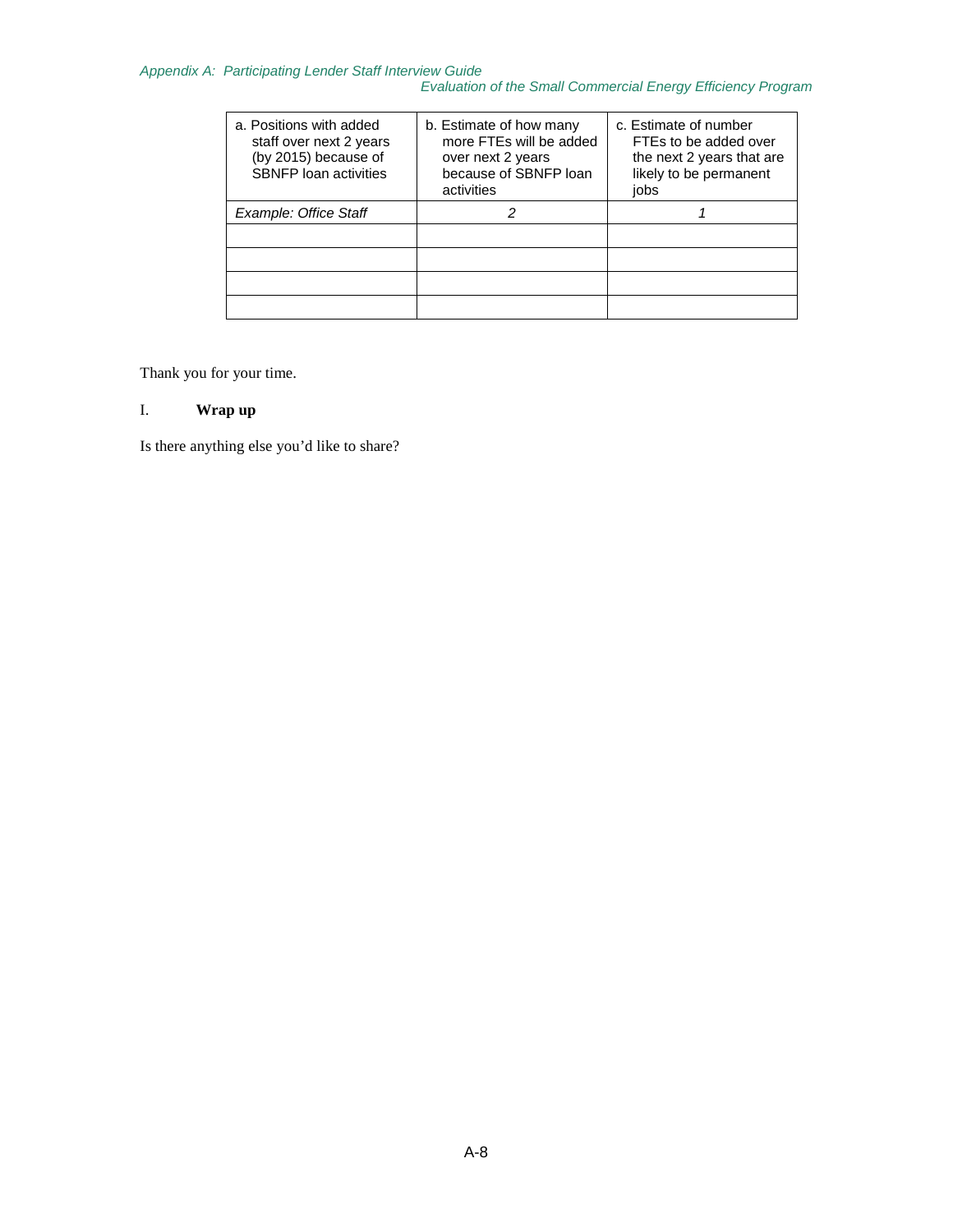### *Appendix A: Participating Lender Staff Interview Guide*

*Evaluation of the Small Commercial Energy Efficiency Program*

| a. Positions with added<br>staff over next 2 years<br>(by 2015) because of<br><b>SBNFP</b> loan activities | b. Estimate of how many<br>more FTEs will be added<br>over next 2 years<br>because of SBNFP loan<br>activities | c. Estimate of number<br>FTEs to be added over<br>the next 2 years that are<br>likely to be permanent<br>jobs |
|------------------------------------------------------------------------------------------------------------|----------------------------------------------------------------------------------------------------------------|---------------------------------------------------------------------------------------------------------------|
| Example: Office Staff                                                                                      |                                                                                                                |                                                                                                               |
|                                                                                                            |                                                                                                                |                                                                                                               |
|                                                                                                            |                                                                                                                |                                                                                                               |
|                                                                                                            |                                                                                                                |                                                                                                               |
|                                                                                                            |                                                                                                                |                                                                                                               |

Thank you for your time.

### I. **Wrap up**

Is there anything else you'd like to share?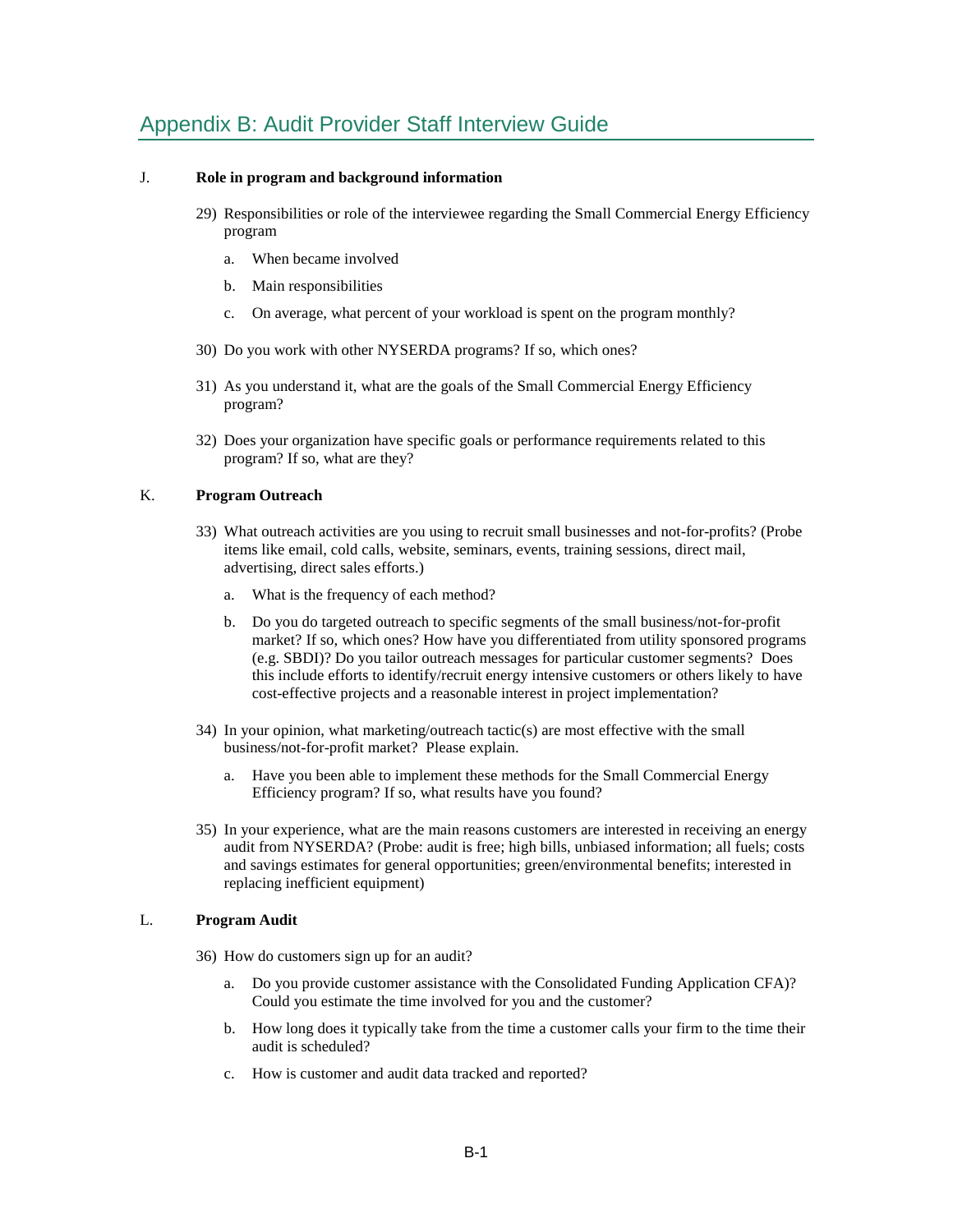# Appendix B: Audit Provider Staff Interview Guide

#### J. **Role in program and background information**

- 29) Responsibilities or role of the interviewee regarding the Small Commercial Energy Efficiency program
	- a. When became involved
	- b. Main responsibilities
	- c. On average, what percent of your workload is spent on the program monthly?
- 30) Do you work with other NYSERDA programs? If so, which ones?
- 31) As you understand it, what are the goals of the Small Commercial Energy Efficiency program?
- 32) Does your organization have specific goals or performance requirements related to this program? If so, what are they?

#### K. **Program Outreach**

- 33) What outreach activities are you using to recruit small businesses and not-for-profits? (Probe items like email, cold calls, website, seminars, events, training sessions, direct mail, advertising, direct sales efforts.)
	- a. What is the frequency of each method?
	- b. Do you do targeted outreach to specific segments of the small business/not-for-profit market? If so, which ones? How have you differentiated from utility sponsored programs (e.g. SBDI)? Do you tailor outreach messages for particular customer segments? Does this include efforts to identify/recruit energy intensive customers or others likely to have cost-effective projects and a reasonable interest in project implementation?
- 34) In your opinion, what marketing/outreach tactic(s) are most effective with the small business/not-for-profit market? Please explain.
	- a. Have you been able to implement these methods for the Small Commercial Energy Efficiency program? If so, what results have you found?
- 35) In your experience, what are the main reasons customers are interested in receiving an energy audit from NYSERDA? (Probe: audit is free; high bills, unbiased information; all fuels; costs and savings estimates for general opportunities; green/environmental benefits; interested in replacing inefficient equipment)

### L. **Program Audit**

- 36) How do customers sign up for an audit?
	- a. Do you provide customer assistance with the Consolidated Funding Application CFA)? Could you estimate the time involved for you and the customer?
	- b. How long does it typically take from the time a customer calls your firm to the time their audit is scheduled?
	- c. How is customer and audit data tracked and reported?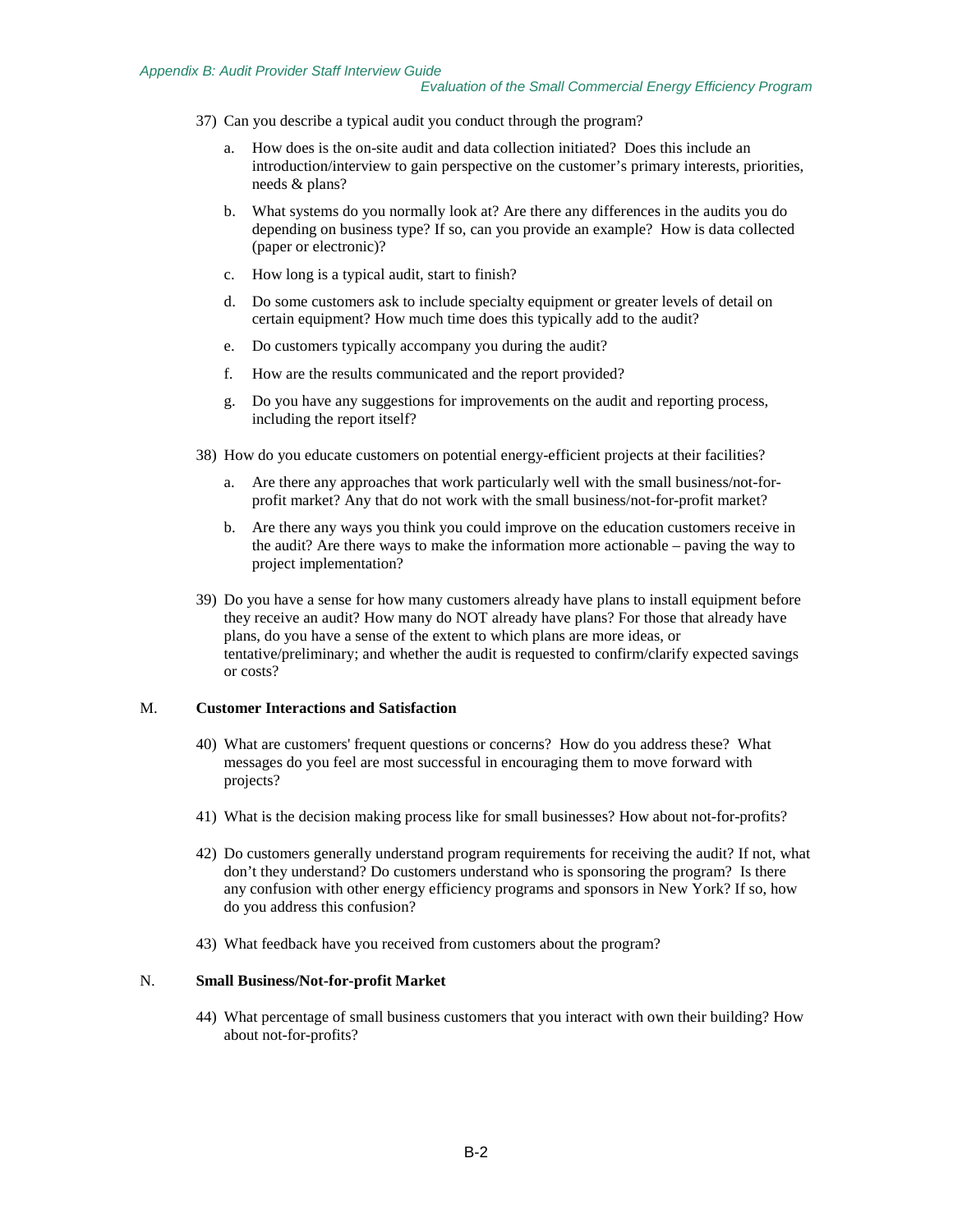- 37) Can you describe a typical audit you conduct through the program?
	- a. How does is the on-site audit and data collection initiated? Does this include an introduction/interview to gain perspective on the customer's primary interests, priorities, needs & plans?
	- b. What systems do you normally look at? Are there any differences in the audits you do depending on business type? If so, can you provide an example? How is data collected (paper or electronic)?
	- c. How long is a typical audit, start to finish?
	- d. Do some customers ask to include specialty equipment or greater levels of detail on certain equipment? How much time does this typically add to the audit?
	- e. Do customers typically accompany you during the audit?
	- f. How are the results communicated and the report provided?
	- g. Do you have any suggestions for improvements on the audit and reporting process, including the report itself?
- 38) How do you educate customers on potential energy-efficient projects at their facilities?
	- a. Are there any approaches that work particularly well with the small business/not-forprofit market? Any that do not work with the small business/not-for-profit market?
	- b. Are there any ways you think you could improve on the education customers receive in the audit? Are there ways to make the information more actionable – paving the way to project implementation?
- 39) Do you have a sense for how many customers already have plans to install equipment before they receive an audit? How many do NOT already have plans? For those that already have plans, do you have a sense of the extent to which plans are more ideas, or tentative/preliminary; and whether the audit is requested to confirm/clarify expected savings or costs?

#### M. **Customer Interactions and Satisfaction**

- 40) What are customers' frequent questions or concerns? How do you address these? What messages do you feel are most successful in encouraging them to move forward with projects?
- 41) What is the decision making process like for small businesses? How about not-for-profits?
- 42) Do customers generally understand program requirements for receiving the audit? If not, what don't they understand? Do customers understand who is sponsoring the program? Is there any confusion with other energy efficiency programs and sponsors in New York? If so, how do you address this confusion?
- 43) What feedback have you received from customers about the program?

#### N. **Small Business/Not-for-profit Market**

44) What percentage of small business customers that you interact with own their building? How about not-for-profits?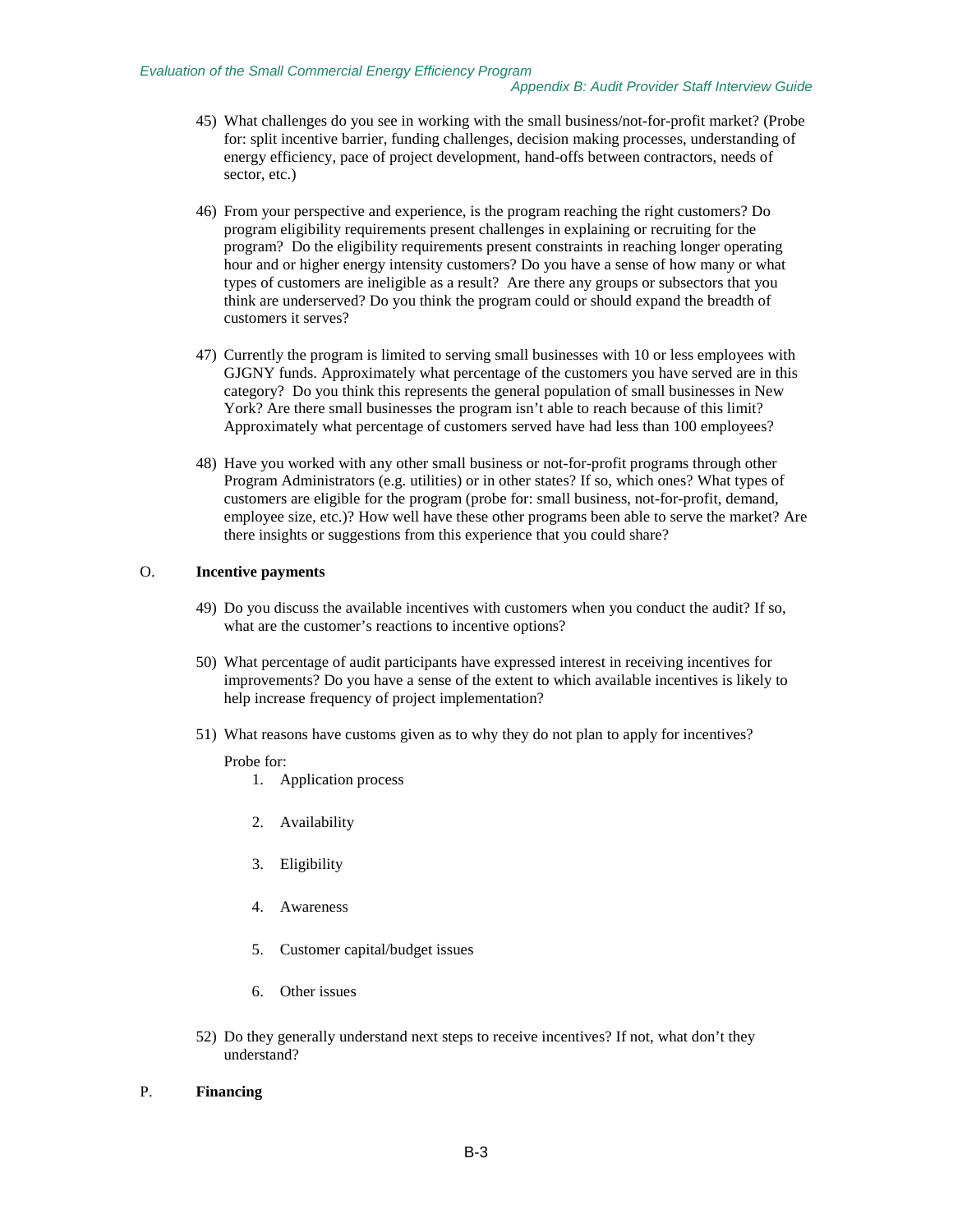- 45) What challenges do you see in working with the small business/not-for-profit market? (Probe for: split incentive barrier, funding challenges, decision making processes, understanding of energy efficiency, pace of project development, hand-offs between contractors, needs of sector, etc.)
- 46) From your perspective and experience, is the program reaching the right customers? Do program eligibility requirements present challenges in explaining or recruiting for the program? Do the eligibility requirements present constraints in reaching longer operating hour and or higher energy intensity customers? Do you have a sense of how many or what types of customers are ineligible as a result? Are there any groups or subsectors that you think are underserved? Do you think the program could or should expand the breadth of customers it serves?
- 47) Currently the program is limited to serving small businesses with 10 or less employees with GJGNY funds. Approximately what percentage of the customers you have served are in this category? Do you think this represents the general population of small businesses in New York? Are there small businesses the program isn't able to reach because of this limit? Approximately what percentage of customers served have had less than 100 employees?
- 48) Have you worked with any other small business or not-for-profit programs through other Program Administrators (e.g. utilities) or in other states? If so, which ones? What types of customers are eligible for the program (probe for: small business, not-for-profit, demand, employee size, etc.)? How well have these other programs been able to serve the market? Are there insights or suggestions from this experience that you could share?

#### O. **Incentive payments**

- 49) Do you discuss the available incentives with customers when you conduct the audit? If so, what are the customer's reactions to incentive options?
- 50) What percentage of audit participants have expressed interest in receiving incentives for improvements? Do you have a sense of the extent to which available incentives is likely to help increase frequency of project implementation?
- 51) What reasons have customs given as to why they do not plan to apply for incentives?

#### Probe for:

- 1. Application process
- 2. Availability
- 3. Eligibility
- 4. Awareness
- 5. Customer capital/budget issues
- 6. Other issues
- 52) Do they generally understand next steps to receive incentives? If not, what don't they understand?

#### P. **Financing**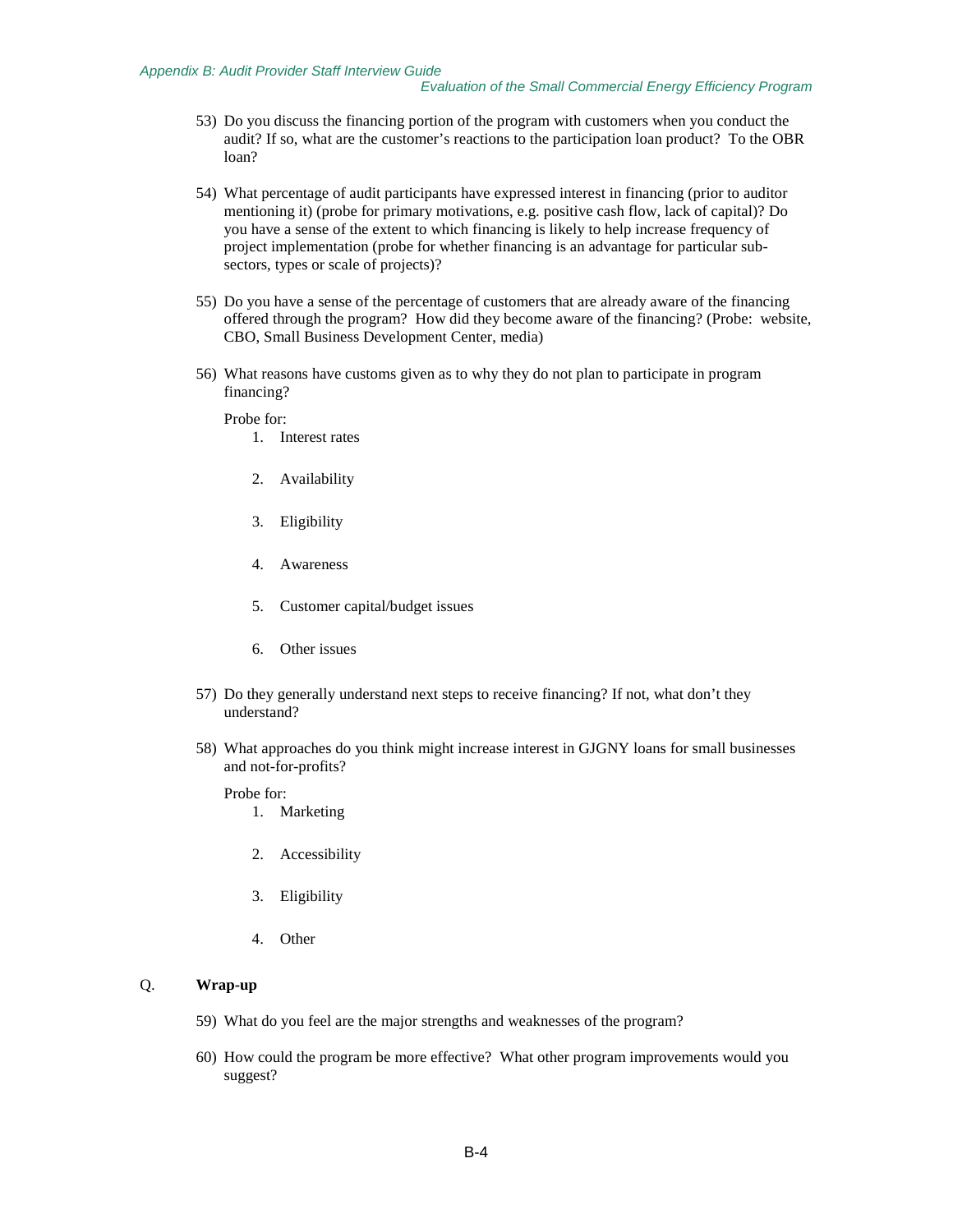- 53) Do you discuss the financing portion of the program with customers when you conduct the audit? If so, what are the customer's reactions to the participation loan product? To the OBR loan?
- 54) What percentage of audit participants have expressed interest in financing (prior to auditor mentioning it) (probe for primary motivations, e.g. positive cash flow, lack of capital)? Do you have a sense of the extent to which financing is likely to help increase frequency of project implementation (probe for whether financing is an advantage for particular subsectors, types or scale of projects)?
- 55) Do you have a sense of the percentage of customers that are already aware of the financing offered through the program? How did they become aware of the financing? (Probe: website, CBO, Small Business Development Center, media)
- 56) What reasons have customs given as to why they do not plan to participate in program financing?

Probe for:

- 1. Interest rates
- 2. Availability
- 3. Eligibility
- 4. Awareness
- 5. Customer capital/budget issues
- 6. Other issues
- 57) Do they generally understand next steps to receive financing? If not, what don't they understand?
- 58) What approaches do you think might increase interest in GJGNY loans for small businesses and not-for-profits?

Probe for:

- 1. Marketing
- 2. Accessibility
- 3. Eligibility
- 4. Other

### Q. **Wrap-up**

- 59) What do you feel are the major strengths and weaknesses of the program?
- 60) How could the program be more effective? What other program improvements would you suggest?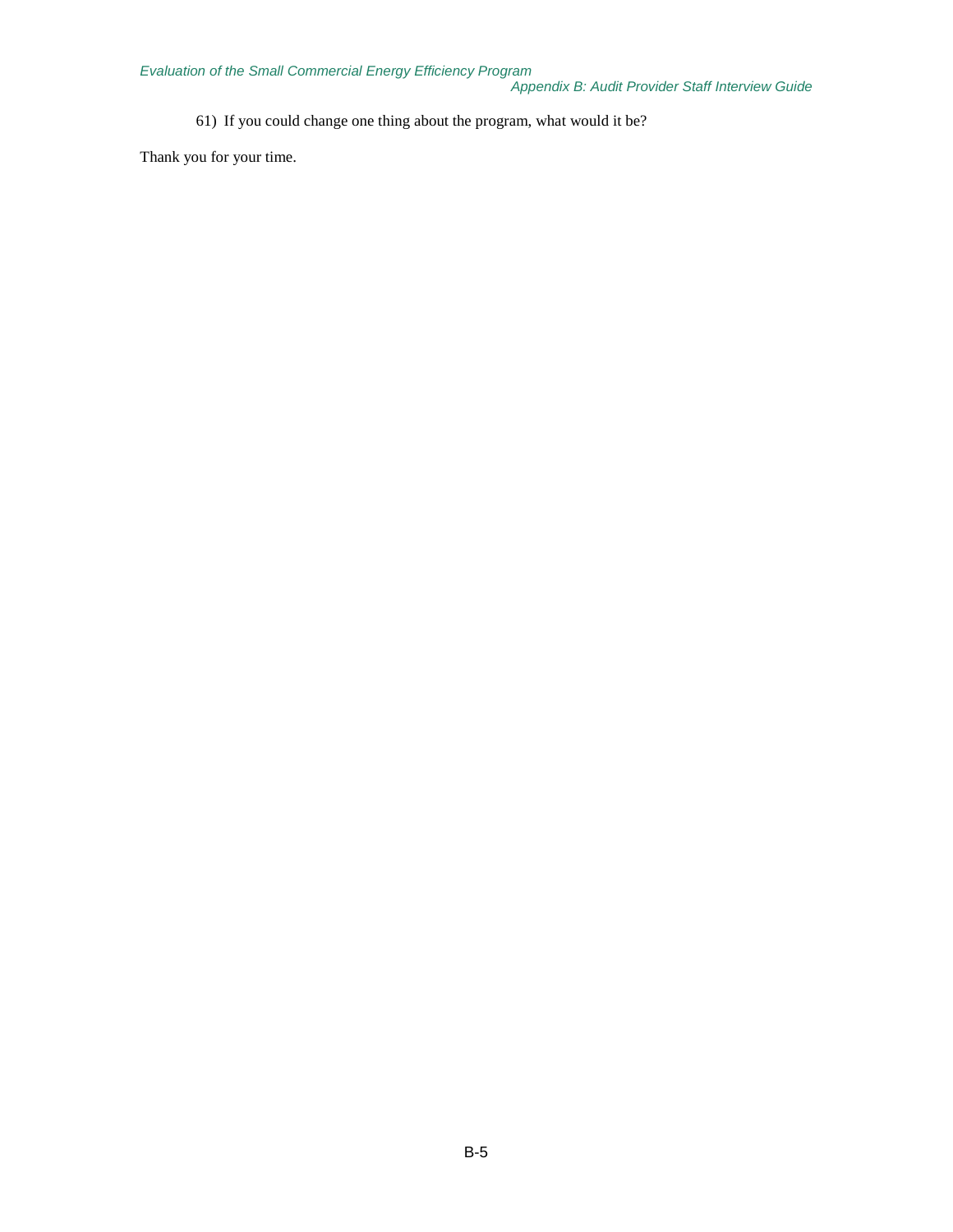61) If you could change one thing about the program, what would it be?

Thank you for your time.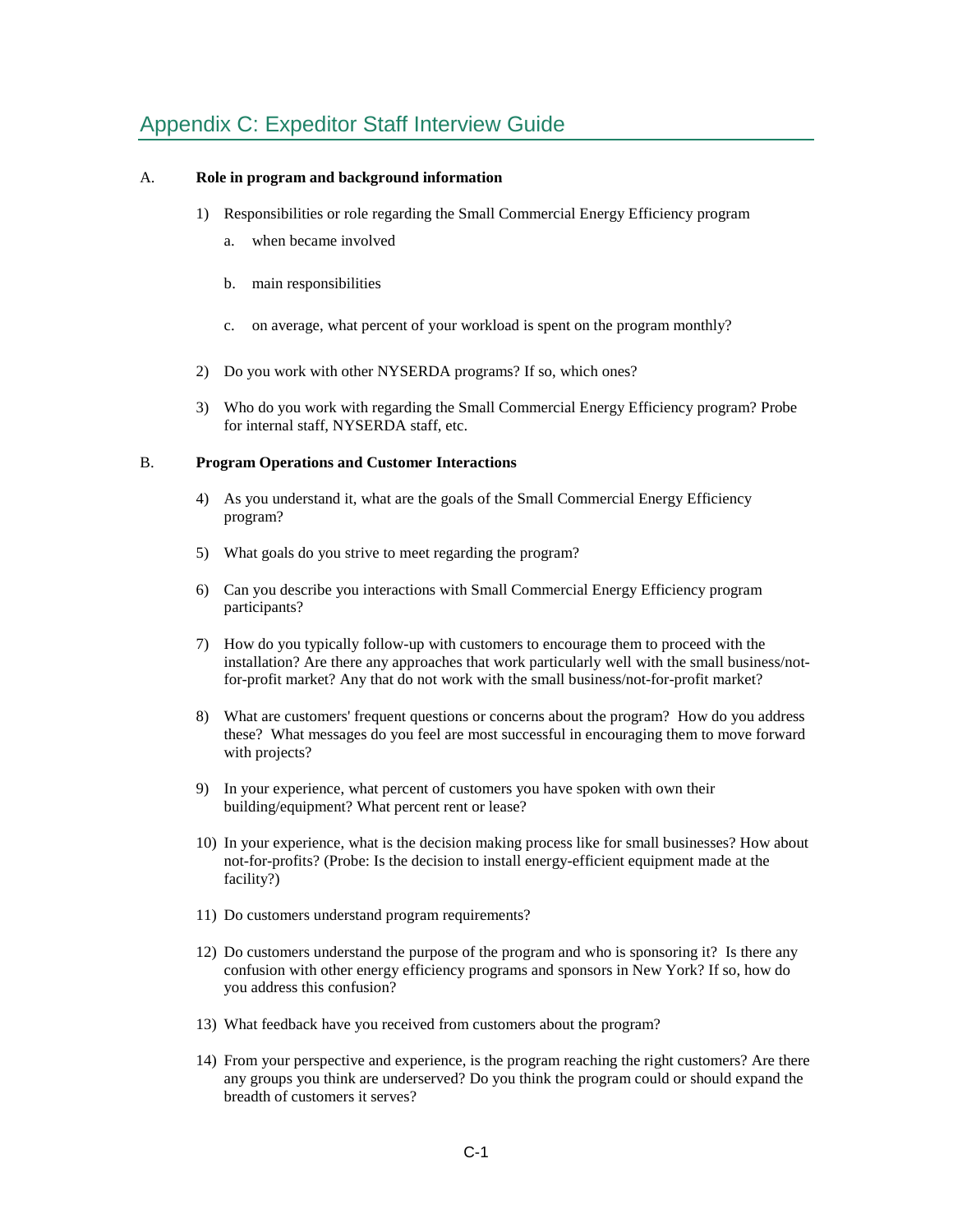# Appendix C: Expeditor Staff Interview Guide

## A. **Role in program and background information**

- 1) Responsibilities or role regarding the Small Commercial Energy Efficiency program
	- a. when became involved
	- b. main responsibilities
	- c. on average, what percent of your workload is spent on the program monthly?
- 2) Do you work with other NYSERDA programs? If so, which ones?
- 3) Who do you work with regarding the Small Commercial Energy Efficiency program? Probe for internal staff, NYSERDA staff, etc.

## B. **Program Operations and Customer Interactions**

- 4) As you understand it, what are the goals of the Small Commercial Energy Efficiency program?
- 5) What goals do you strive to meet regarding the program?
- 6) Can you describe you interactions with Small Commercial Energy Efficiency program participants?
- 7) How do you typically follow-up with customers to encourage them to proceed with the installation? Are there any approaches that work particularly well with the small business/notfor-profit market? Any that do not work with the small business/not-for-profit market?
- 8) What are customers' frequent questions or concerns about the program? How do you address these? What messages do you feel are most successful in encouraging them to move forward with projects?
- 9) In your experience, what percent of customers you have spoken with own their building/equipment? What percent rent or lease?
- 10) In your experience, what is the decision making process like for small businesses? How about not-for-profits? (Probe: Is the decision to install energy-efficient equipment made at the facility?)
- 11) Do customers understand program requirements?
- 12) Do customers understand the purpose of the program and who is sponsoring it? Is there any confusion with other energy efficiency programs and sponsors in New York? If so, how do you address this confusion?
- 13) What feedback have you received from customers about the program?
- 14) From your perspective and experience, is the program reaching the right customers? Are there any groups you think are underserved? Do you think the program could or should expand the breadth of customers it serves?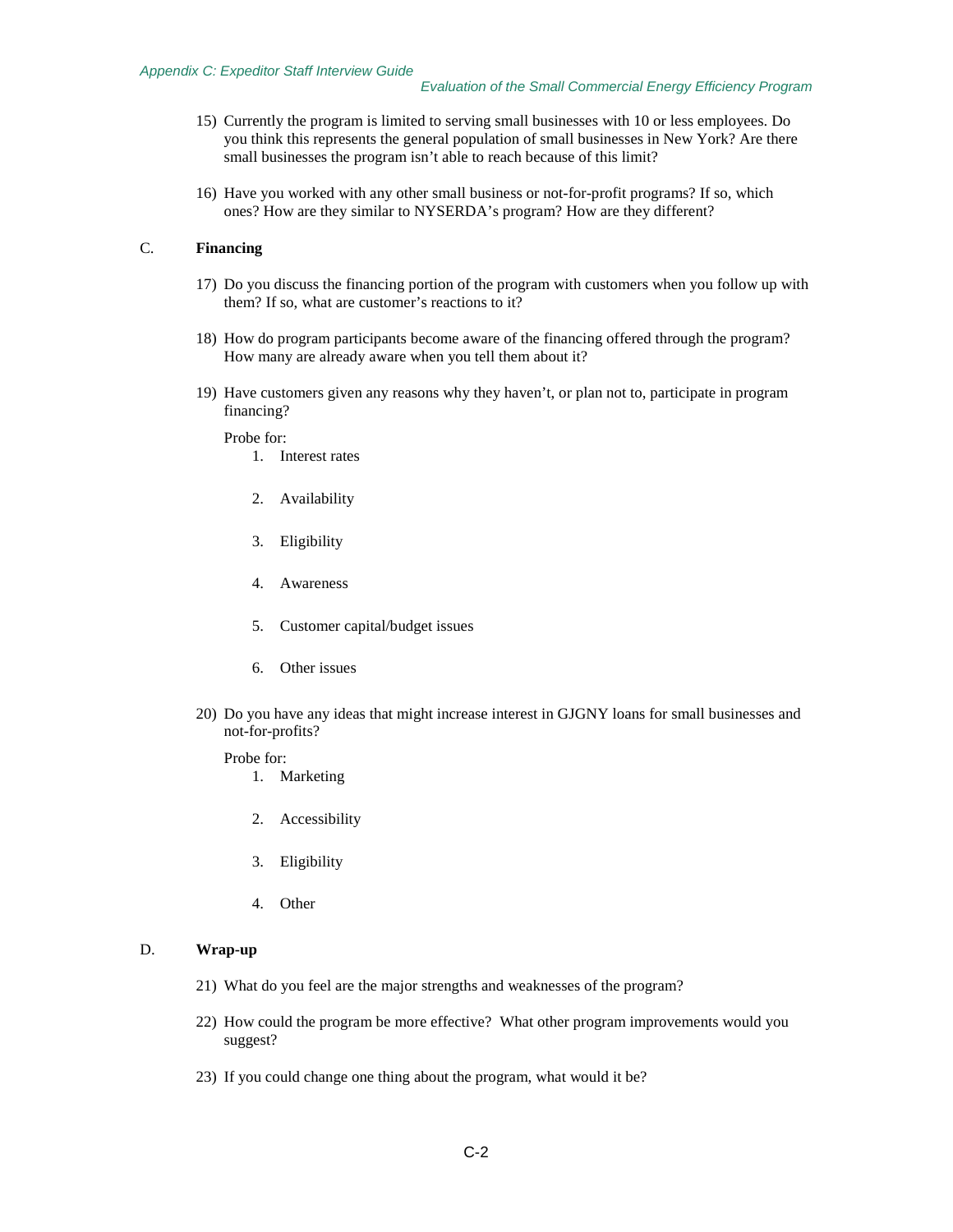#### *Appendix C: Expeditor Staff Interview Guide*

- 15) Currently the program is limited to serving small businesses with 10 or less employees. Do you think this represents the general population of small businesses in New York? Are there small businesses the program isn't able to reach because of this limit?
- 16) Have you worked with any other small business or not-for-profit programs? If so, which ones? How are they similar to NYSERDA's program? How are they different?

# C. **Financing**

- 17) Do you discuss the financing portion of the program with customers when you follow up with them? If so, what are customer's reactions to it?
- 18) How do program participants become aware of the financing offered through the program? How many are already aware when you tell them about it?
- 19) Have customers given any reasons why they haven't, or plan not to, participate in program financing?

Probe for:

- 1. Interest rates
- 2. Availability
- 3. Eligibility
- 4. Awareness
- 5. Customer capital/budget issues
- 6. Other issues
- 20) Do you have any ideas that might increase interest in GJGNY loans for small businesses and not-for-profits?

#### Probe for:

- 1. Marketing
- 2. Accessibility
- 3. Eligibility
- 4. Other

## D. **Wrap-up**

- 21) What do you feel are the major strengths and weaknesses of the program?
- 22) How could the program be more effective? What other program improvements would you suggest?
- 23) If you could change one thing about the program, what would it be?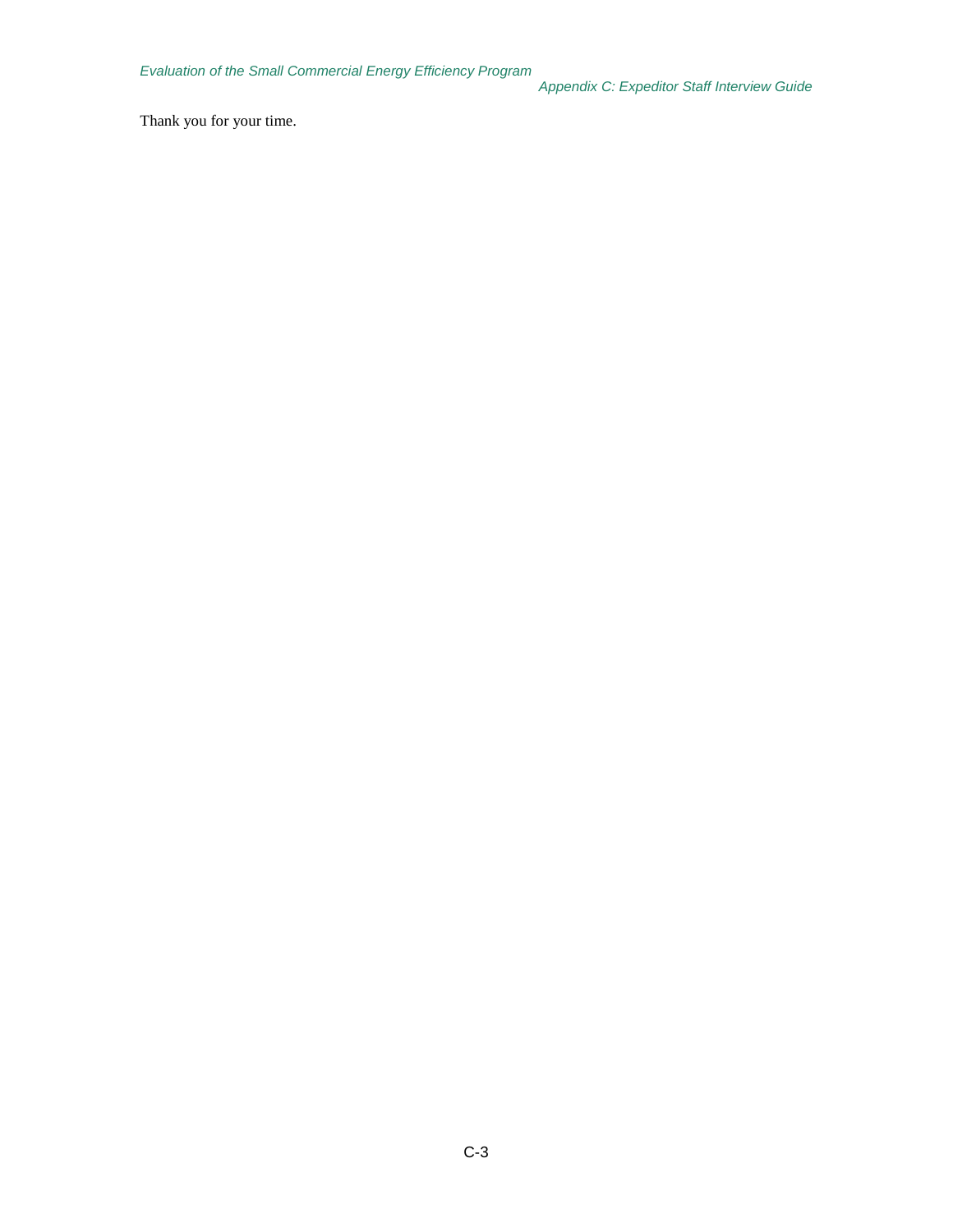Thank you for your time.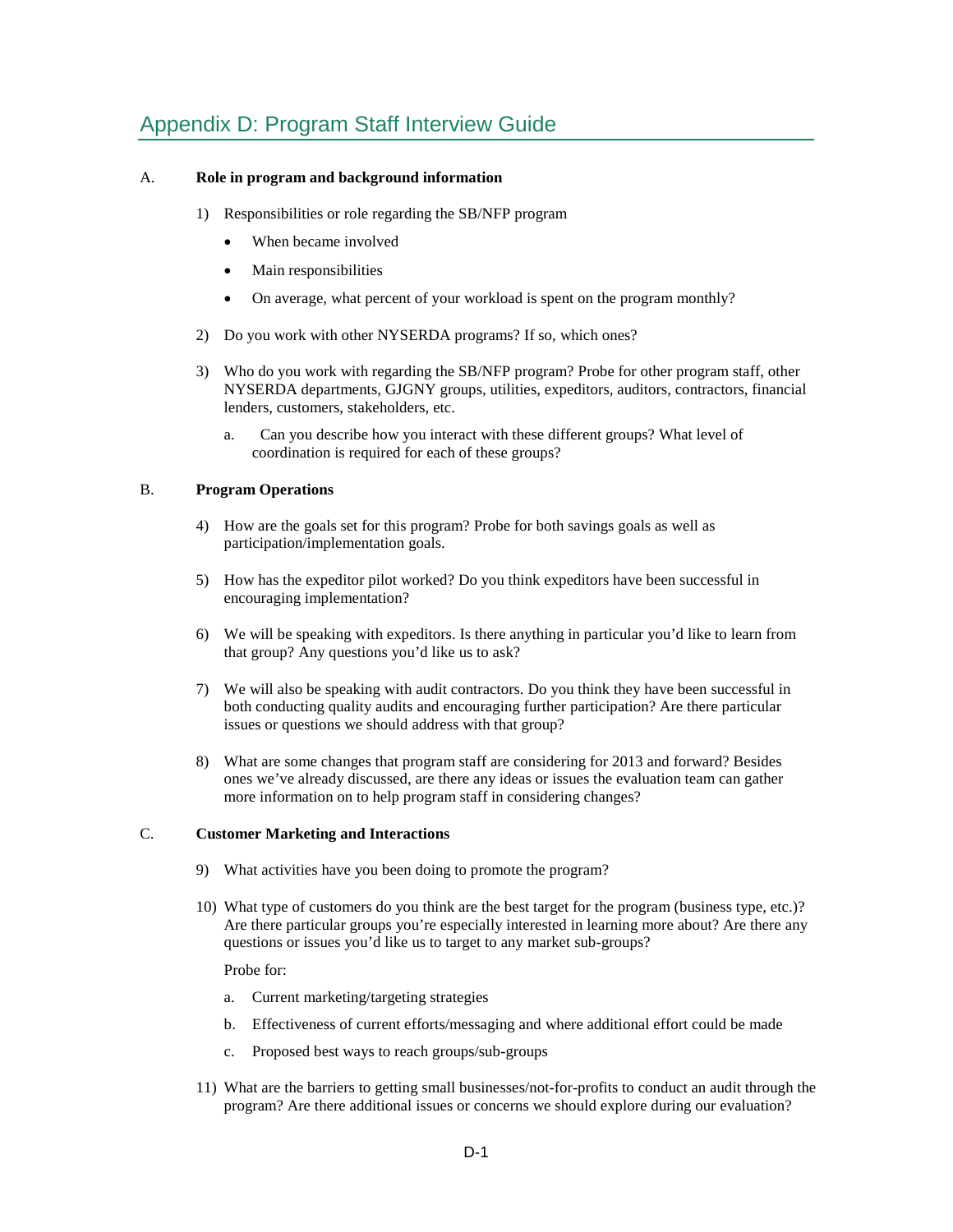# Appendix D: Program Staff Interview Guide

## A. **Role in program and background information**

- 1) Responsibilities or role regarding the SB/NFP program
	- When became involved
	- Main responsibilities
	- On average, what percent of your workload is spent on the program monthly?
- 2) Do you work with other NYSERDA programs? If so, which ones?
- 3) Who do you work with regarding the SB/NFP program? Probe for other program staff, other NYSERDA departments, GJGNY groups, utilities, expeditors, auditors, contractors, financial lenders, customers, stakeholders, etc.
	- a. Can you describe how you interact with these different groups? What level of coordination is required for each of these groups?

## B. **Program Operations**

- 4) How are the goals set for this program? Probe for both savings goals as well as participation/implementation goals.
- 5) How has the expeditor pilot worked? Do you think expeditors have been successful in encouraging implementation?
- 6) We will be speaking with expeditors. Is there anything in particular you'd like to learn from that group? Any questions you'd like us to ask?
- 7) We will also be speaking with audit contractors. Do you think they have been successful in both conducting quality audits and encouraging further participation? Are there particular issues or questions we should address with that group?
- 8) What are some changes that program staff are considering for 2013 and forward? Besides ones we've already discussed, are there any ideas or issues the evaluation team can gather more information on to help program staff in considering changes?

## C. **Customer Marketing and Interactions**

- 9) What activities have you been doing to promote the program?
- 10) What type of customers do you think are the best target for the program (business type, etc.)? Are there particular groups you're especially interested in learning more about? Are there any questions or issues you'd like us to target to any market sub-groups?

Probe for:

- a. Current marketing/targeting strategies
- b. Effectiveness of current efforts/messaging and where additional effort could be made
- c. Proposed best ways to reach groups/sub-groups
- 11) What are the barriers to getting small businesses/not-for-profits to conduct an audit through the program? Are there additional issues or concerns we should explore during our evaluation?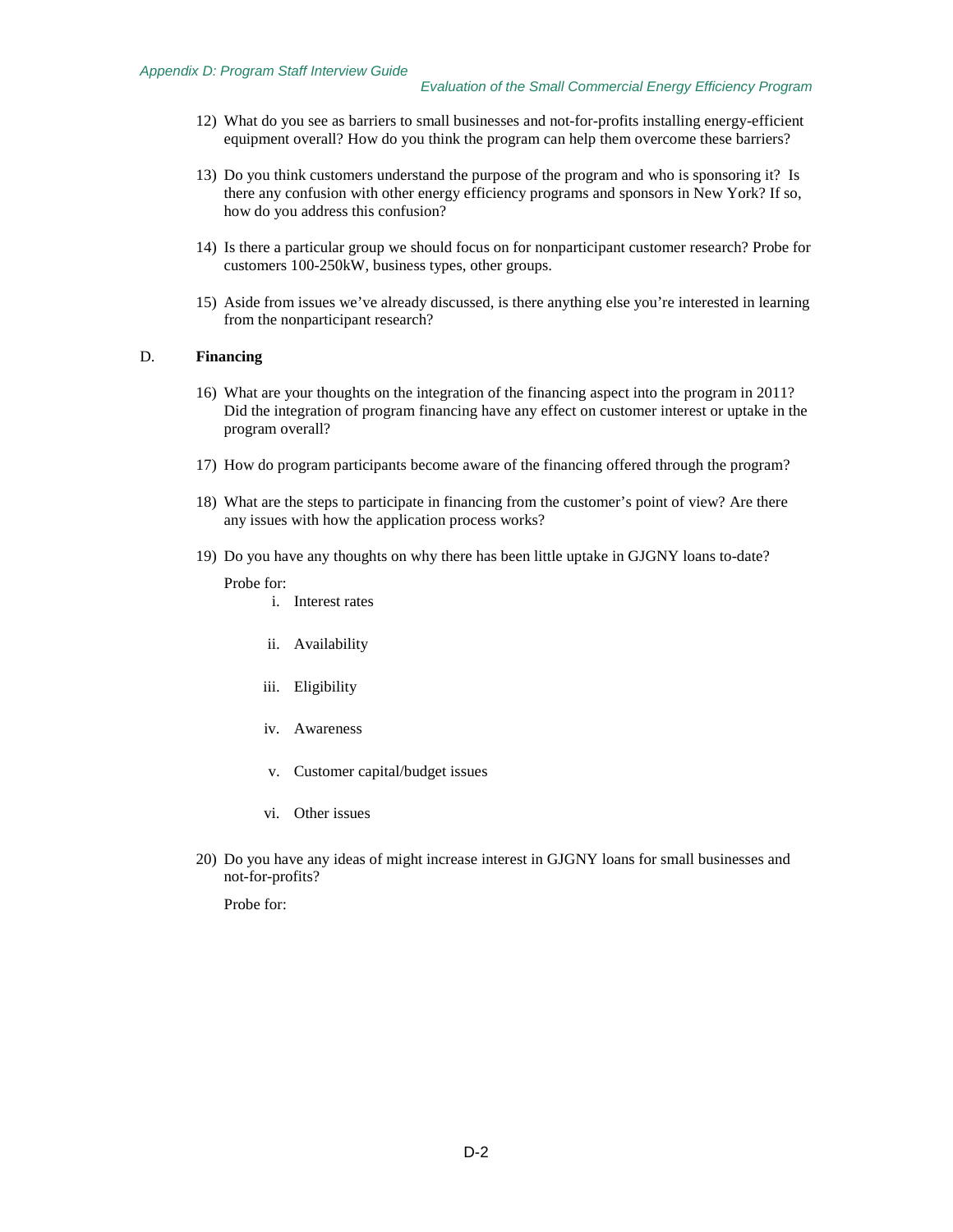- 12) What do you see as barriers to small businesses and not-for-profits installing energy-efficient equipment overall? How do you think the program can help them overcome these barriers?
- 13) Do you think customers understand the purpose of the program and who is sponsoring it? Is there any confusion with other energy efficiency programs and sponsors in New York? If so, how do you address this confusion?
- 14) Is there a particular group we should focus on for nonparticipant customer research? Probe for customers 100-250kW, business types, other groups.
- 15) Aside from issues we've already discussed, is there anything else you're interested in learning from the nonparticipant research?

#### D. **Financing**

- 16) What are your thoughts on the integration of the financing aspect into the program in 2011? Did the integration of program financing have any effect on customer interest or uptake in the program overall?
- 17) How do program participants become aware of the financing offered through the program?
- 18) What are the steps to participate in financing from the customer's point of view? Are there any issues with how the application process works?
- 19) Do you have any thoughts on why there has been little uptake in GJGNY loans to-date?

Probe for:

- i. Interest rates
- ii. Availability
- iii. Eligibility
- iv. Awareness
- v. Customer capital/budget issues
- vi. Other issues
- 20) Do you have any ideas of might increase interest in GJGNY loans for small businesses and not-for-profits?

Probe for: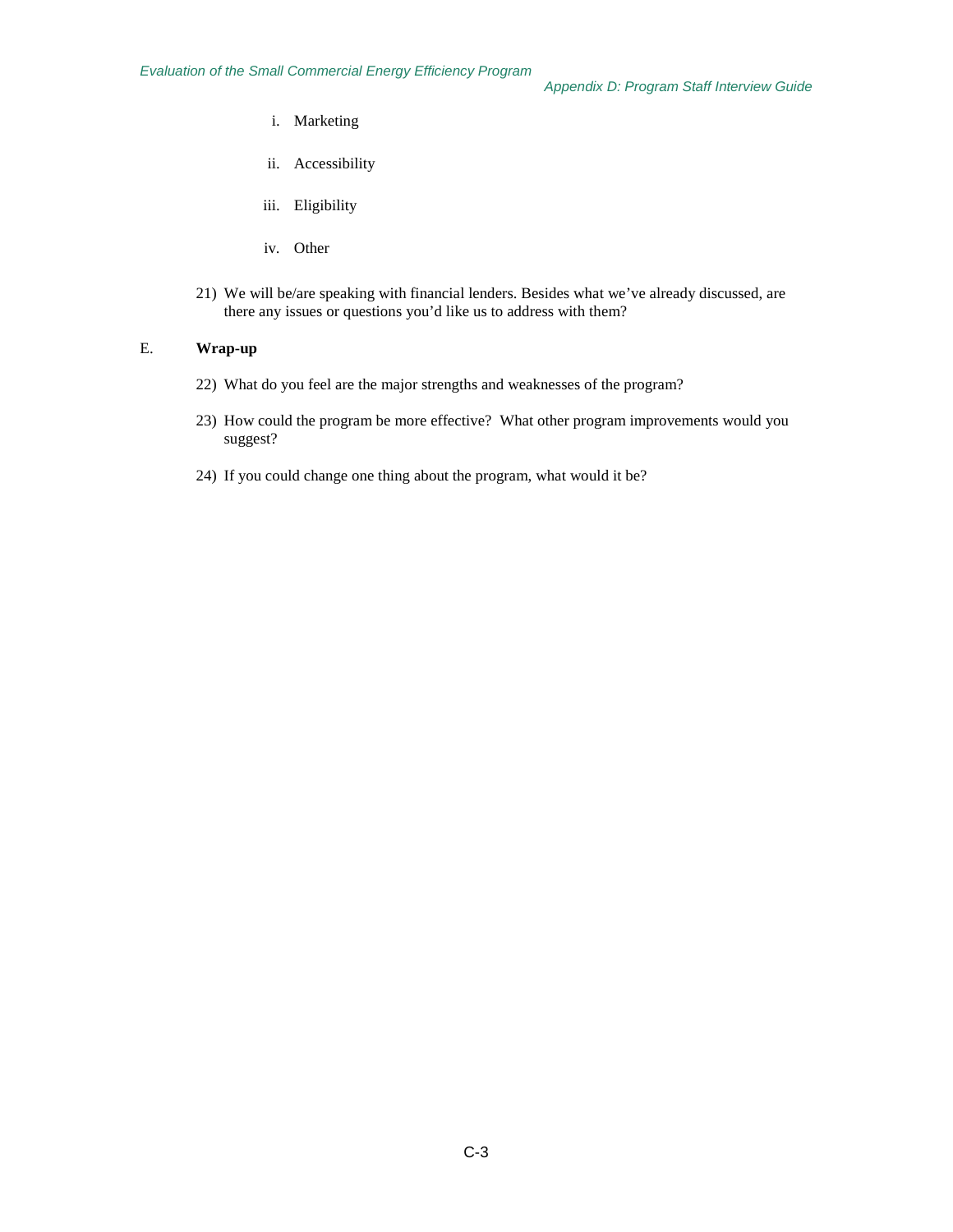- i. Marketing
- ii. Accessibility
- iii. Eligibility
- iv. Other
- 21) We will be/are speaking with financial lenders. Besides what we've already discussed, are there any issues or questions you'd like us to address with them?

## E. **Wrap-up**

- 22) What do you feel are the major strengths and weaknesses of the program?
- 23) How could the program be more effective? What other program improvements would you suggest?
- 24) If you could change one thing about the program, what would it be?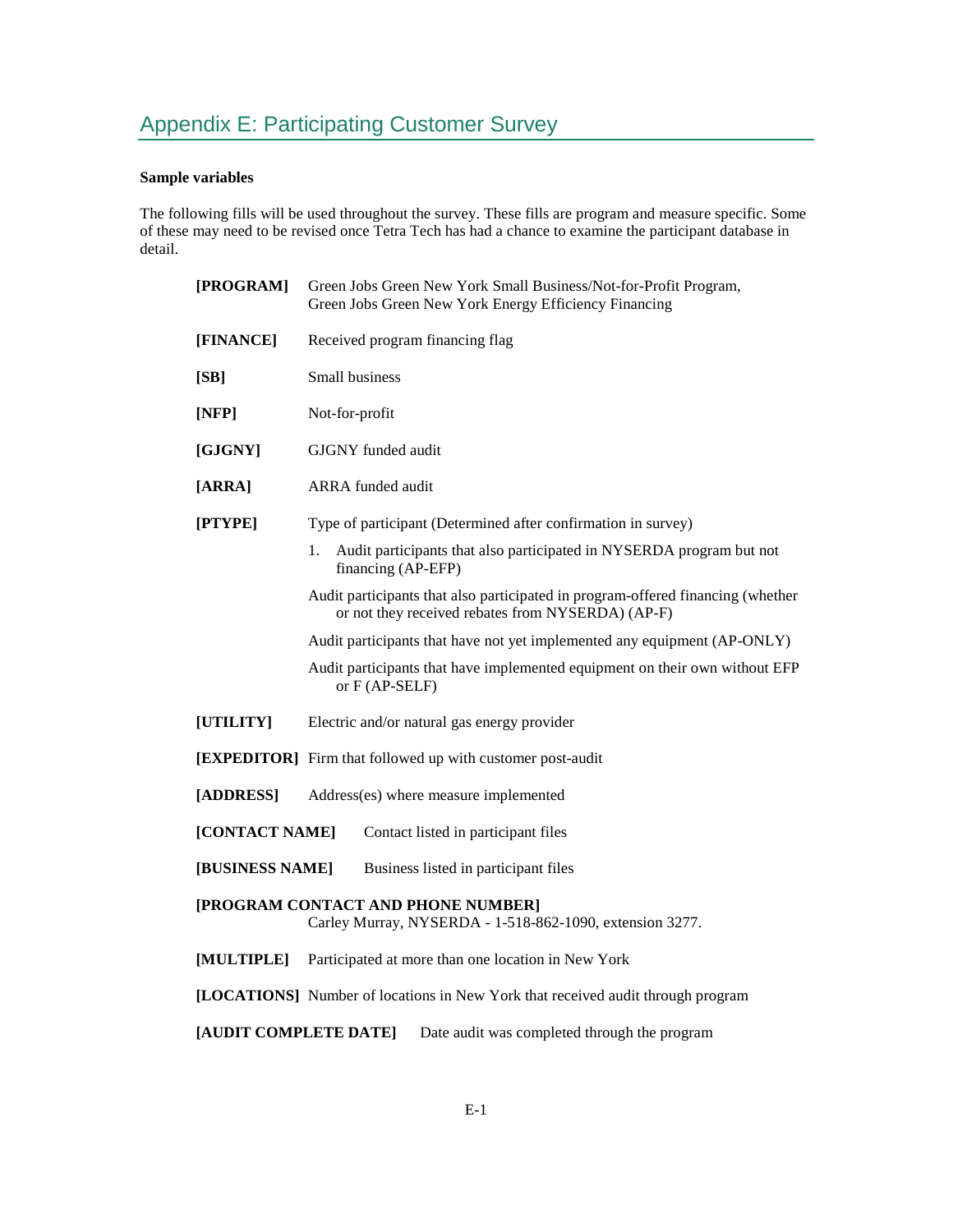# **Sample variables**

The following fills will be used throughout the survey. These fills are program and measure specific. Some of these may need to be revised once Tetra Tech has had a chance to examine the participant database in detail.

| [PROGRAM]                                                                                      | Green Jobs Green New York Small Business/Not-for-Profit Program,<br>Green Jobs Green New York Energy Efficiency Financing            |  |  |  |  |
|------------------------------------------------------------------------------------------------|--------------------------------------------------------------------------------------------------------------------------------------|--|--|--|--|
| [FINANCE]                                                                                      | Received program financing flag                                                                                                      |  |  |  |  |
| [SB]                                                                                           | <b>Small business</b>                                                                                                                |  |  |  |  |
| [NFP]                                                                                          | Not-for-profit                                                                                                                       |  |  |  |  |
| [GJGNY]                                                                                        | GJGNY funded audit                                                                                                                   |  |  |  |  |
| [ARRA]                                                                                         | <b>ARRA</b> funded audit                                                                                                             |  |  |  |  |
| [PTYPE]                                                                                        | Type of participant (Determined after confirmation in survey)                                                                        |  |  |  |  |
|                                                                                                | Audit participants that also participated in NYSERDA program but not<br>1.<br>financing (AP-EFP)                                     |  |  |  |  |
|                                                                                                | Audit participants that also participated in program-offered financing (whether<br>or not they received rebates from NYSERDA) (AP-F) |  |  |  |  |
|                                                                                                | Audit participants that have not yet implemented any equipment (AP-ONLY)                                                             |  |  |  |  |
|                                                                                                | Audit participants that have implemented equipment on their own without EFP<br>or $F$ (AP-SELF)                                      |  |  |  |  |
| [UTILITY]                                                                                      | Electric and/or natural gas energy provider                                                                                          |  |  |  |  |
|                                                                                                | [EXPEDITOR] Firm that followed up with customer post-audit                                                                           |  |  |  |  |
| [ADDRESS]                                                                                      | Address(es) where measure implemented                                                                                                |  |  |  |  |
| [CONTACT NAME]<br>Contact listed in participant files                                          |                                                                                                                                      |  |  |  |  |
| [BUSINESS NAME]                                                                                | Business listed in participant files                                                                                                 |  |  |  |  |
| [PROGRAM CONTACT AND PHONE NUMBER]<br>Carley Murray, NYSERDA - 1-518-862-1090, extension 3277. |                                                                                                                                      |  |  |  |  |
| [MULTIPLE]                                                                                     | Participated at more than one location in New York                                                                                   |  |  |  |  |
|                                                                                                | [LOCATIONS] Number of locations in New York that received audit through program                                                      |  |  |  |  |
| [AUDIT COMPLETE DATE]<br>Date audit was completed through the program                          |                                                                                                                                      |  |  |  |  |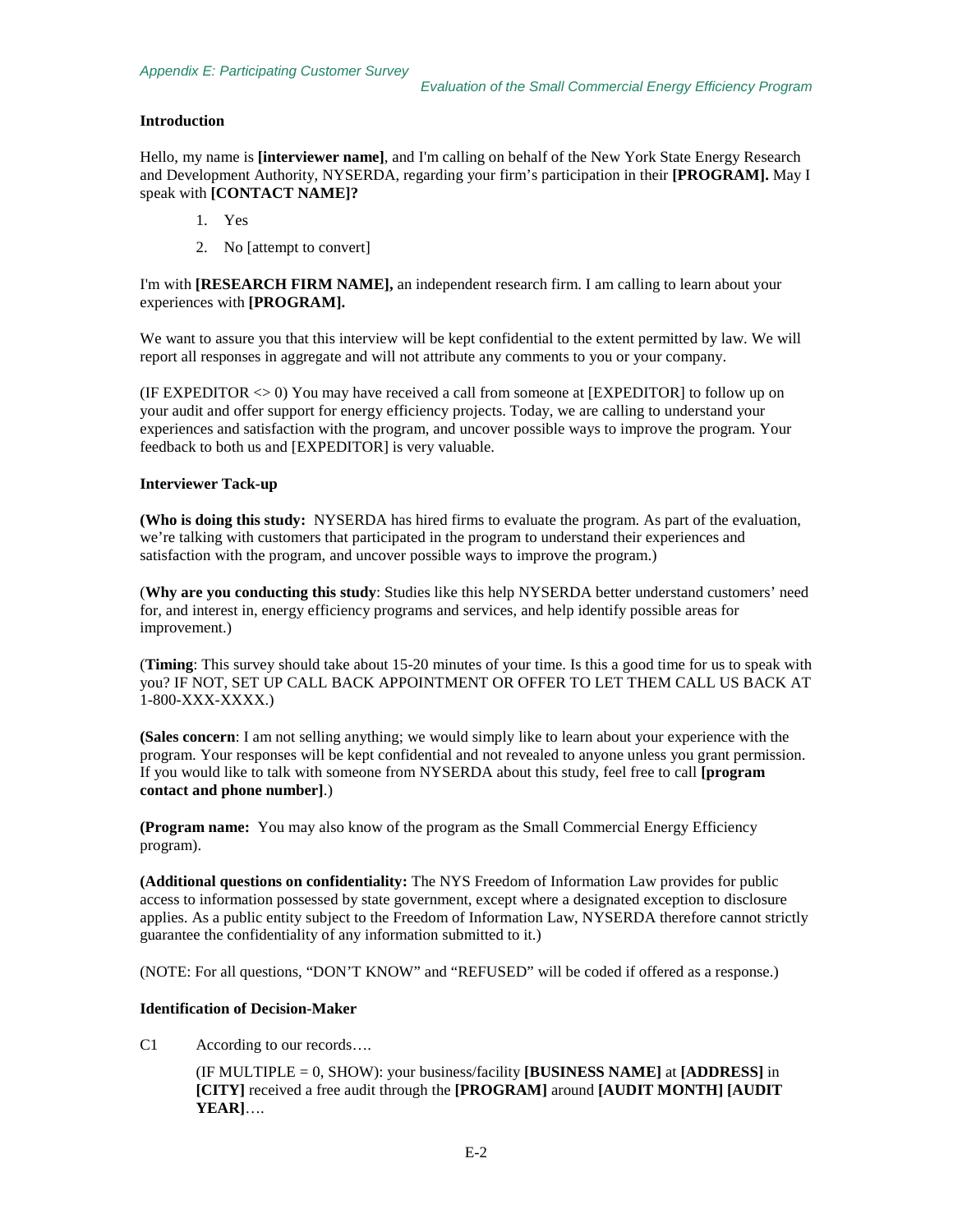## **Introduction**

Hello, my name is **[interviewer name]**, and I'm calling on behalf of the New York State Energy Research and Development Authority, NYSERDA, regarding your firm's participation in their **[PROGRAM].** May I speak with **[CONTACT NAME]?** 

- 1. Yes
- 2. No [attempt to convert]

I'm with **[RESEARCH FIRM NAME],** an independent research firm. I am calling to learn about your experiences with **[PROGRAM].**

We want to assure you that this interview will be kept confidential to the extent permitted by law. We will report all responses in aggregate and will not attribute any comments to you or your company.

(IF EXPEDITOR  $\leq$  0) You may have received a call from someone at [EXPEDITOR] to follow up on your audit and offer support for energy efficiency projects. Today, we are calling to understand your experiences and satisfaction with the program, and uncover possible ways to improve the program. Your feedback to both us and [EXPEDITOR] is very valuable.

## **Interviewer Tack-up**

**(Who is doing this study:** NYSERDA has hired firms to evaluate the program. As part of the evaluation, we're talking with customers that participated in the program to understand their experiences and satisfaction with the program, and uncover possible ways to improve the program.)

(**Why are you conducting this study**: Studies like this help NYSERDA better understand customers' need for, and interest in, energy efficiency programs and services, and help identify possible areas for improvement.)

(**Timing**: This survey should take about 15-20 minutes of your time. Is this a good time for us to speak with you? IF NOT, SET UP CALL BACK APPOINTMENT OR OFFER TO LET THEM CALL US BACK AT 1-800-XXX-XXXX.)

**(Sales concern**: I am not selling anything; we would simply like to learn about your experience with the program. Your responses will be kept confidential and not revealed to anyone unless you grant permission. If you would like to talk with someone from NYSERDA about this study, feel free to call **[program contact and phone number]**.)

**(Program name:** You may also know of the program as the Small Commercial Energy Efficiency program).

**(Additional questions on confidentiality:** The NYS Freedom of Information Law provides for public access to information possessed by state government, except where a designated exception to disclosure applies. As a public entity subject to the Freedom of Information Law, NYSERDA therefore cannot strictly guarantee the confidentiality of any information submitted to it.)

(NOTE: For all questions, "DON'T KNOW" and "REFUSED" will be coded if offered as a response.)

## **Identification of Decision-Maker**

C1 According to our records….

(IF MULTIPLE = 0, SHOW): your business/facility **[BUSINESS NAME]** at **[ADDRESS]** in **[CITY]** received a free audit through the **[PROGRAM]** around **[AUDIT MONTH] [AUDIT YEAR]**….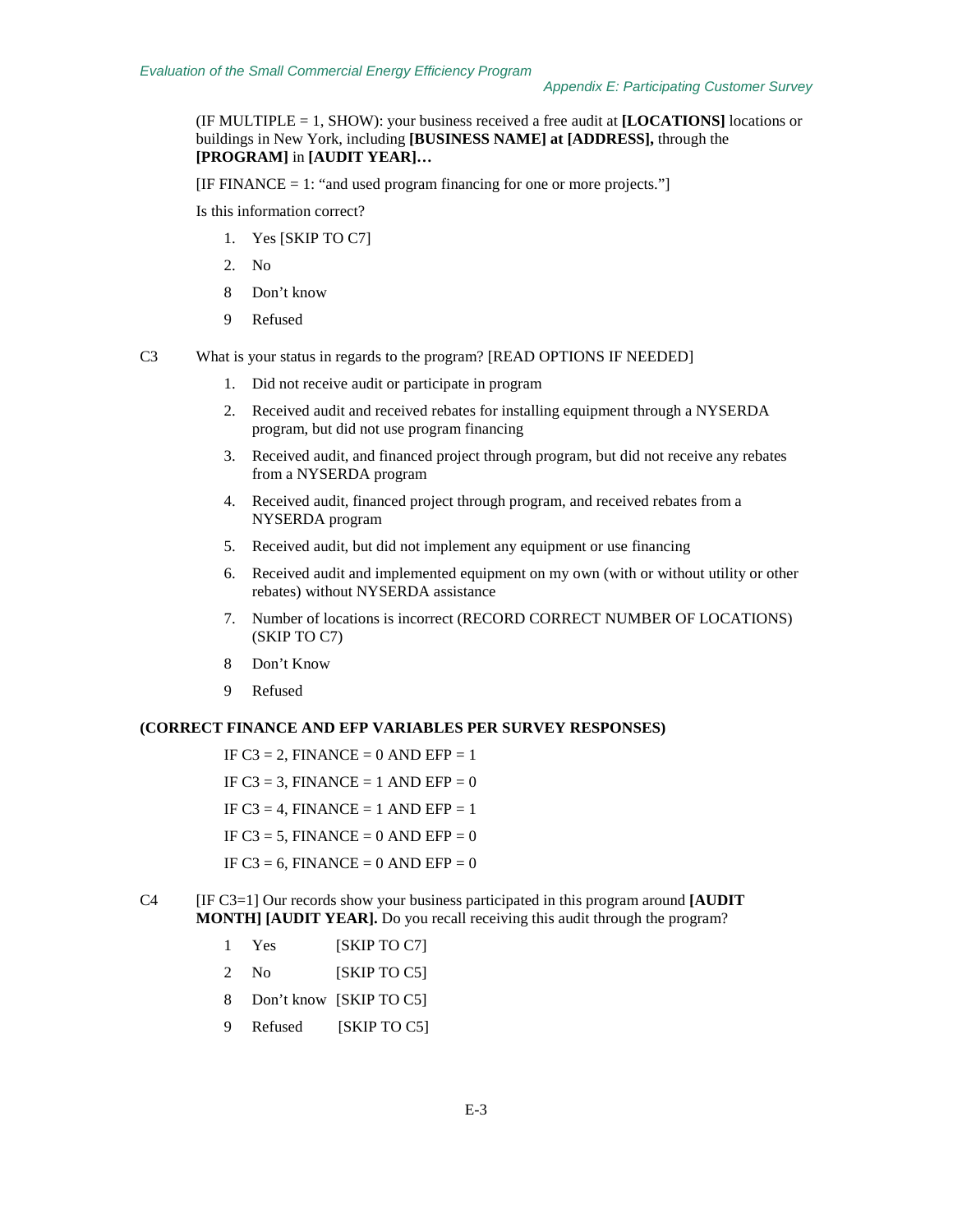(IF MULTIPLE = 1, SHOW): your business received a free audit at **[LOCATIONS]** locations or buildings in New York, including **[BUSINESS NAME] at [ADDRESS],** through the **[PROGRAM]** in **[AUDIT YEAR]…**

 $[IF FINANCE = 1: "and used program financing for one or more projects."]$ 

Is this information correct?

- 1. Yes [SKIP TO C7]
- 2. No
- 8 Don't know
- 9 Refused
- C3 What is your status in regards to the program? [READ OPTIONS IF NEEDED]
	- 1. Did not receive audit or participate in program
	- 2. Received audit and received rebates for installing equipment through a NYSERDA program, but did not use program financing
	- 3. Received audit, and financed project through program, but did not receive any rebates from a NYSERDA program
	- 4. Received audit, financed project through program, and received rebates from a NYSERDA program
	- 5. Received audit, but did not implement any equipment or use financing
	- 6. Received audit and implemented equipment on my own (with or without utility or other rebates) without NYSERDA assistance
	- 7. Number of locations is incorrect (RECORD CORRECT NUMBER OF LOCATIONS) (SKIP TO C7)
	- 8 Don't Know
	- 9 Refused

## **(CORRECT FINANCE AND EFP VARIABLES PER SURVEY RESPONSES)**

IF  $C3 = 2$ , FINANCE = 0 AND EFP = 1 IF  $C3 = 3$ , FINANCE = 1 AND EFP = 0 IF C3 = 4, FINANCE = 1 AND EFP = 1 IF  $C3 = 5$ , FINANCE = 0 AND EFP = 0 IF  $C3 = 6$ , FINANCE = 0 AND EFP = 0

- C4 [IF C3=1] Our records show your business participated in this program around **[AUDIT MONTH] [AUDIT YEAR].** Do you recall receiving this audit through the program?
	- 1 Yes [SKIP TO C7]
	- 2 No [SKIP TO C5]
	- 8 Don't know [SKIP TO C5]
	- 9 Refused [SKIP TO C5]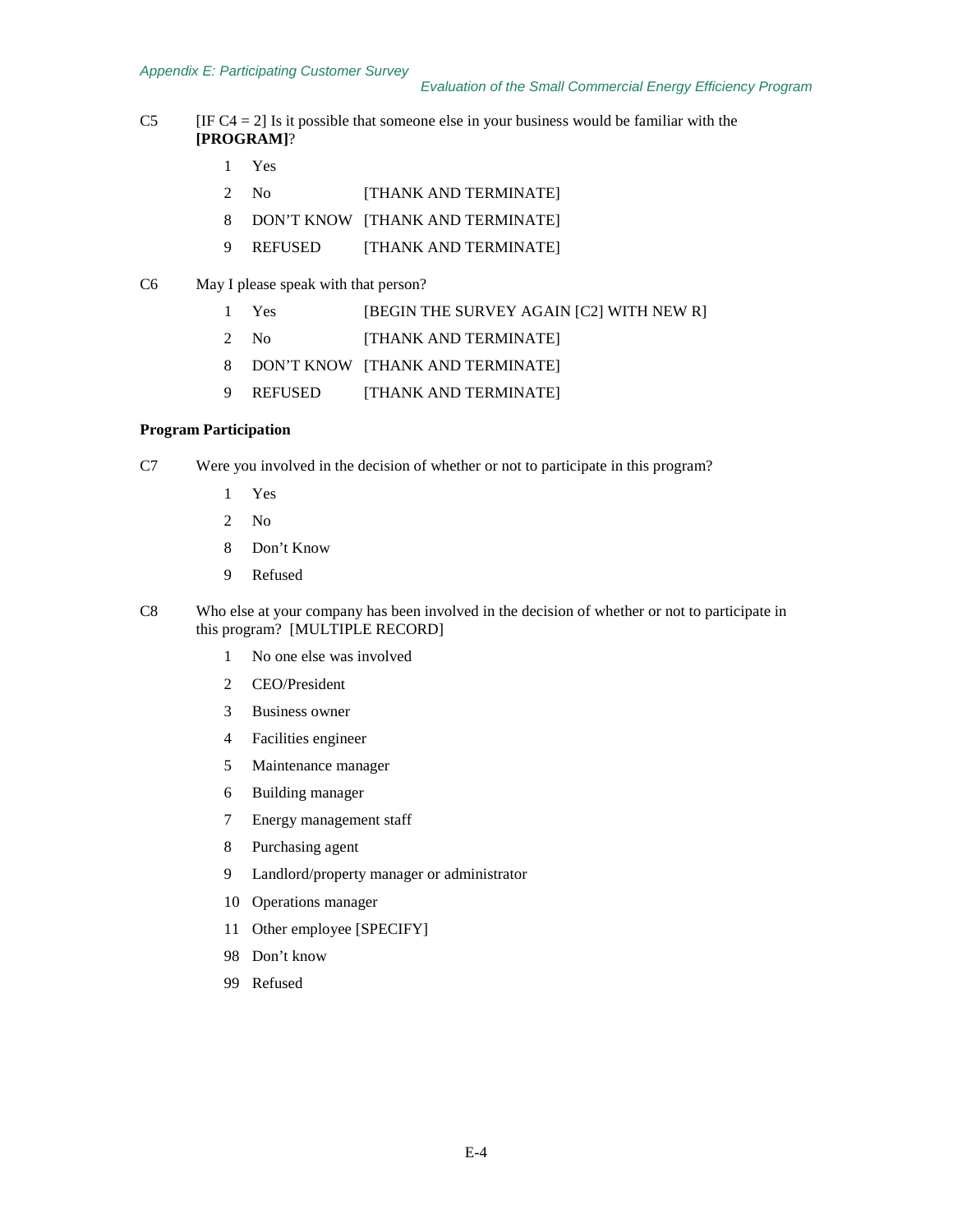- C5 [IF C4 = 2] Is it possible that someone else in your business would be familiar with the **[PROGRAM]**?
	- Yes
	- No [THANK AND TERMINATE]
	- DON'T KNOW [THANK AND TERMINATE]
	- REFUSED [THANK AND TERMINATE]
- C6 May I please speak with that person?
	- 1 Yes [BEGIN THE SURVEY AGAIN [C2] WITH NEW R]
	- No [THANK AND TERMINATE]
	- DON'T KNOW [THANK AND TERMINATE]
	- 9 REFUSED [THANK AND TERMINATE]

## **Program Participation**

- C7 Were you involved in the decision of whether or not to participate in this program?
	- Yes
	- No
	- Don't Know
	- 9 Refused
- C8 Who else at your company has been involved in the decision of whether or not to participate in this program? [MULTIPLE RECORD]
	- No one else was involved
	- CEO/President
	- Business owner
	- Facilities engineer
	- Maintenance manager
	- Building manager
	- Energy management staff
	- Purchasing agent
	- Landlord/property manager or administrator
	- Operations manager
	- Other employee [SPECIFY]
	- Don't know
	- Refused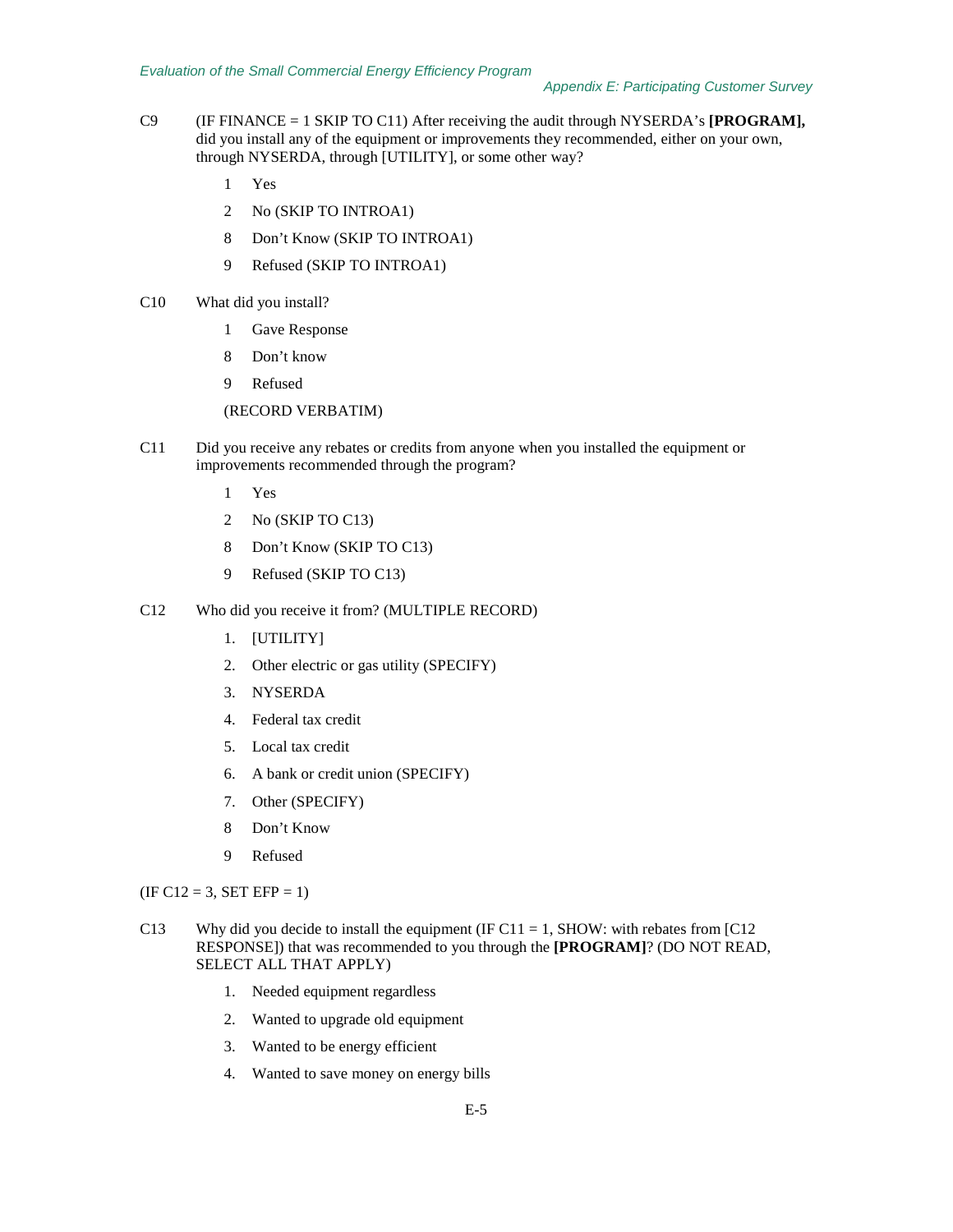- C9 (IF FINANCE = 1 SKIP TO C11) After receiving the audit through NYSERDA's **[PROGRAM],** did you install any of the equipment or improvements they recommended, either on your own, through NYSERDA, through [UTILITY], or some other way?
	- 1 Yes
	- 2 No (SKIP TO INTROA1)
	- 8 Don't Know (SKIP TO INTROA1)
	- 9 Refused (SKIP TO INTROA1)
- C10 What did you install?
	- 1 Gave Response
	- 8 Don't know
	- 9 Refused

(RECORD VERBATIM)

- C11 Did you receive any rebates or credits from anyone when you installed the equipment or improvements recommended through the program?
	- 1 Yes
	- 2 No (SKIP TO C13)
	- 8 Don't Know (SKIP TO C13)
	- 9 Refused (SKIP TO C13)
- C12 Who did you receive it from? (MULTIPLE RECORD)
	- 1. [UTILITY]
	- 2. Other electric or gas utility (SPECIFY)
	- 3. NYSERDA
	- 4. Federal tax credit
	- 5. Local tax credit
	- 6. A bank or credit union (SPECIFY)
	- 7. Other (SPECIFY)
	- 8 Don't Know
	- 9 Refused

 $(IF C12 = 3, SET EFP = 1)$ 

- C13 Why did you decide to install the equipment (IF C11 = 1, SHOW: with rebates from [C12 RESPONSE]) that was recommended to you through the **[PROGRAM]**? (DO NOT READ, SELECT ALL THAT APPLY)
	- 1. Needed equipment regardless
	- 2. Wanted to upgrade old equipment
	- 3. Wanted to be energy efficient
	- 4. Wanted to save money on energy bills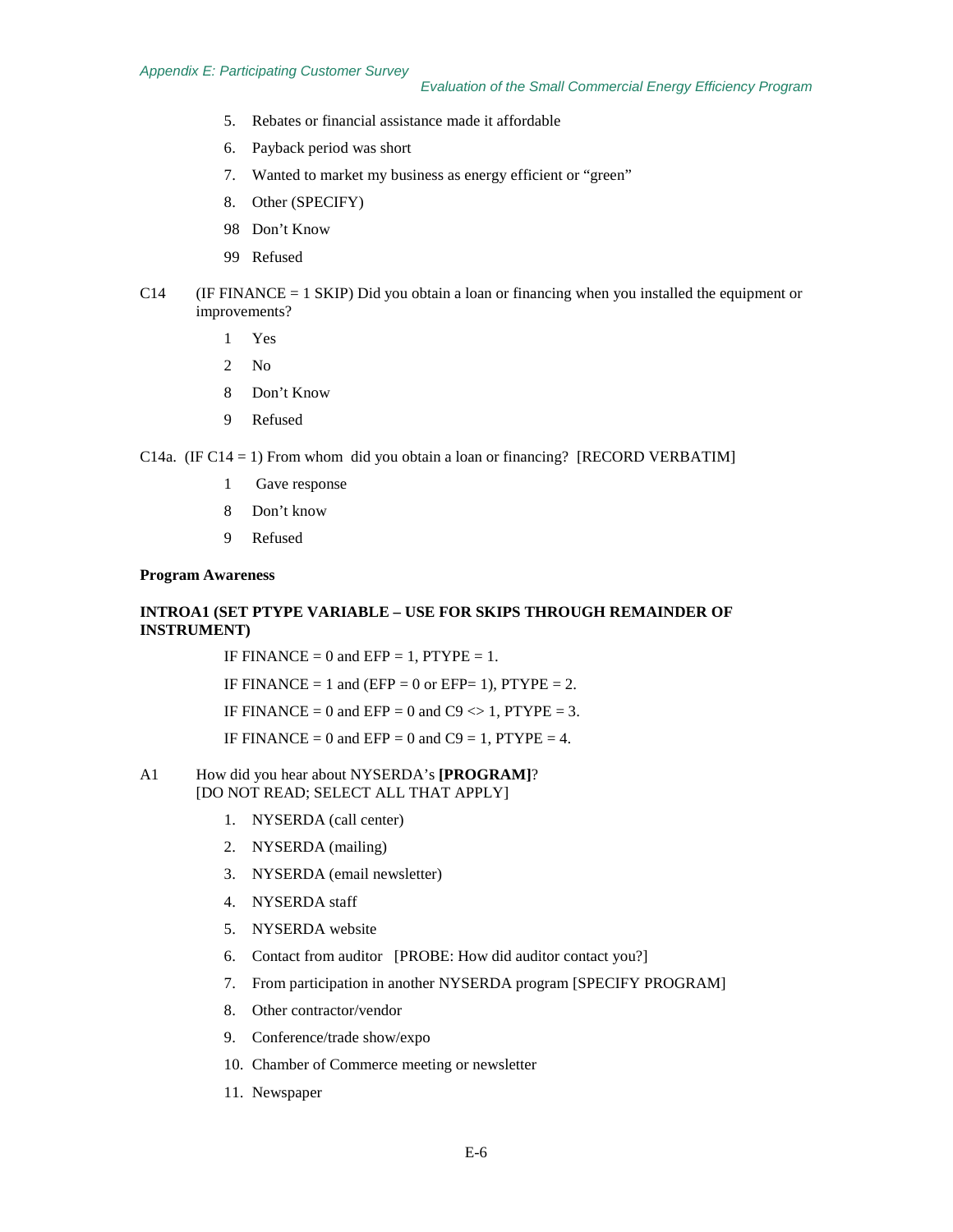- 5. Rebates or financial assistance made it affordable
- 6. Payback period was short
- 7. Wanted to market my business as energy efficient or "green"
- 8. Other (SPECIFY)
- 98 Don't Know
- 99 Refused
- C14 (IF FINANCE = 1 SKIP) Did you obtain a loan or financing when you installed the equipment or improvements?
	- 1 Yes
	- 2 No
	- 8 Don't Know
	- 9 Refused

C14a. (IF C14 = 1) From whom did you obtain a loan or financing? [RECORD VERBATIM]

- 1 Gave response
- 8 Don't know
- 9 Refused

#### **Program Awareness**

## **INTROA1 (SET PTYPE VARIABLE – USE FOR SKIPS THROUGH REMAINDER OF INSTRUMENT)**

IF FINANCE = 0 and EFP = 1,  $PTYPE = 1$ .

IF FINANCE = 1 and (EFP = 0 or EFP= 1), PTYPE = 2.

IF FINANCE = 0 and EFP = 0 and C9  $\leq$  1, PTYPE = 3.

IF FINANCE = 0 and EFP = 0 and C9 = 1, PTYPE = 4.

#### A1 How did you hear about NYSERDA's **[PROGRAM]**? [DO NOT READ; SELECT ALL THAT APPLY]

- 1. NYSERDA (call center)
- 2. NYSERDA (mailing)
- 3. NYSERDA (email newsletter)
- 4. NYSERDA staff
- 5. NYSERDA website
- 6. Contact from auditor [PROBE: How did auditor contact you?]
- 7. From participation in another NYSERDA program [SPECIFY PROGRAM]
- 8. Other contractor/vendor
- 9. Conference/trade show/expo
- 10. Chamber of Commerce meeting or newsletter
- 11. Newspaper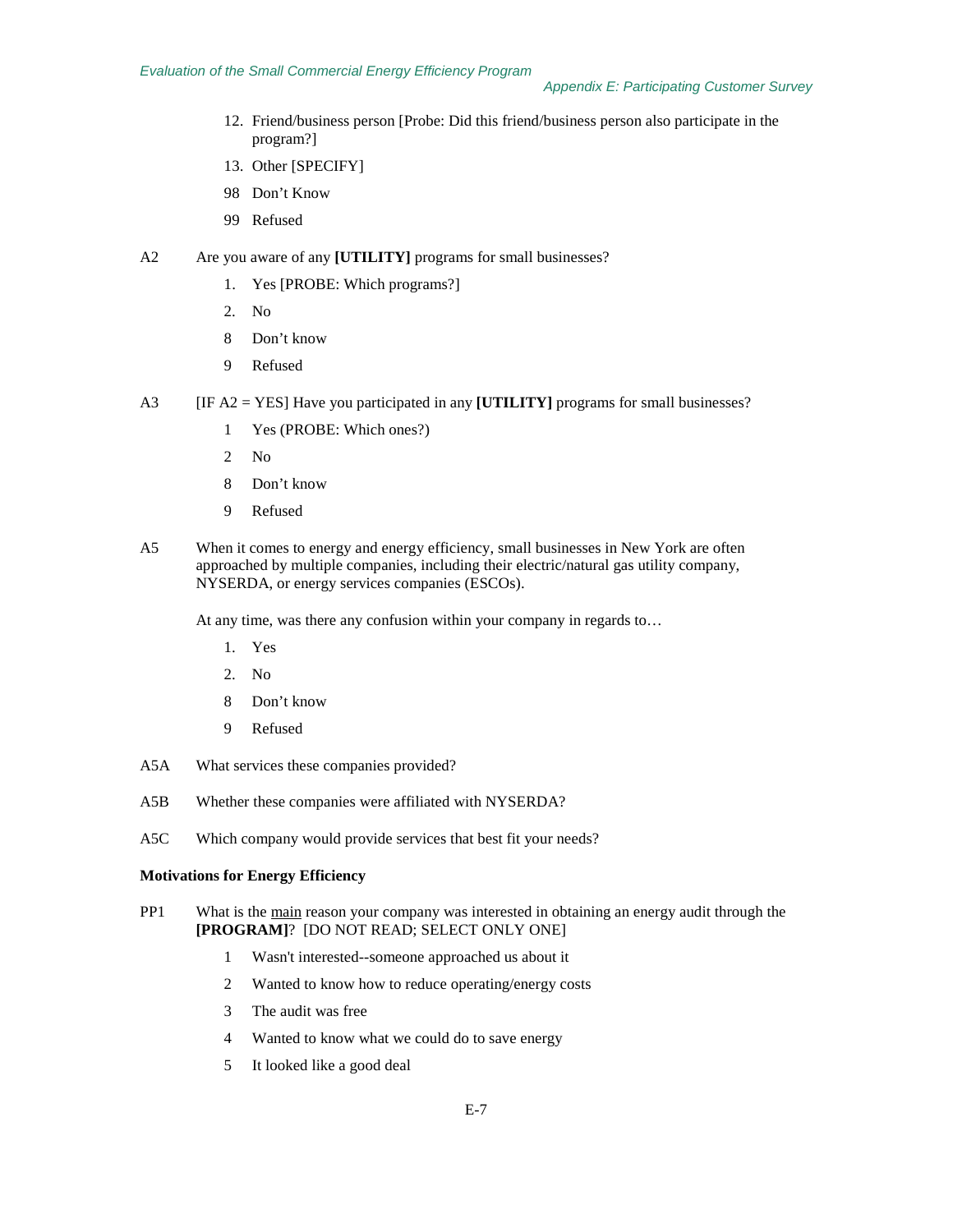- 12. Friend/business person [Probe: Did this friend/business person also participate in the program?]
- 13. Other [SPECIFY]
- 98 Don't Know
- 99 Refused
- A2 Are you aware of any **[UTILITY]** programs for small businesses?
	- 1. Yes [PROBE: Which programs?]
	- 2. No
	- 8 Don't know
	- 9 Refused
- A3 [IF A2 = YES] Have you participated in any **[UTILITY]** programs for small businesses?
	- 1 Yes (PROBE: Which ones?)
	- 2 No
	- 8 Don't know
	- 9 Refused
- A5 When it comes to energy and energy efficiency, small businesses in New York are often approached by multiple companies, including their electric/natural gas utility company, NYSERDA, or energy services companies (ESCOs).

At any time, was there any confusion within your company in regards to…

- 1. Yes
- 2. No
- 8 Don't know
- 9 Refused
- A5A What services these companies provided?
- A5B Whether these companies were affiliated with NYSERDA?
- A5C Which company would provide services that best fit your needs?

#### **Motivations for Energy Efficiency**

- PP1 What is the main reason your company was interested in obtaining an energy audit through the **[PROGRAM]**? [DO NOT READ; SELECT ONLY ONE]
	- 1 Wasn't interested--someone approached us about it
	- 2 Wanted to know how to reduce operating/energy costs
	- 3 The audit was free
	- 4 Wanted to know what we could do to save energy
	- 5 It looked like a good deal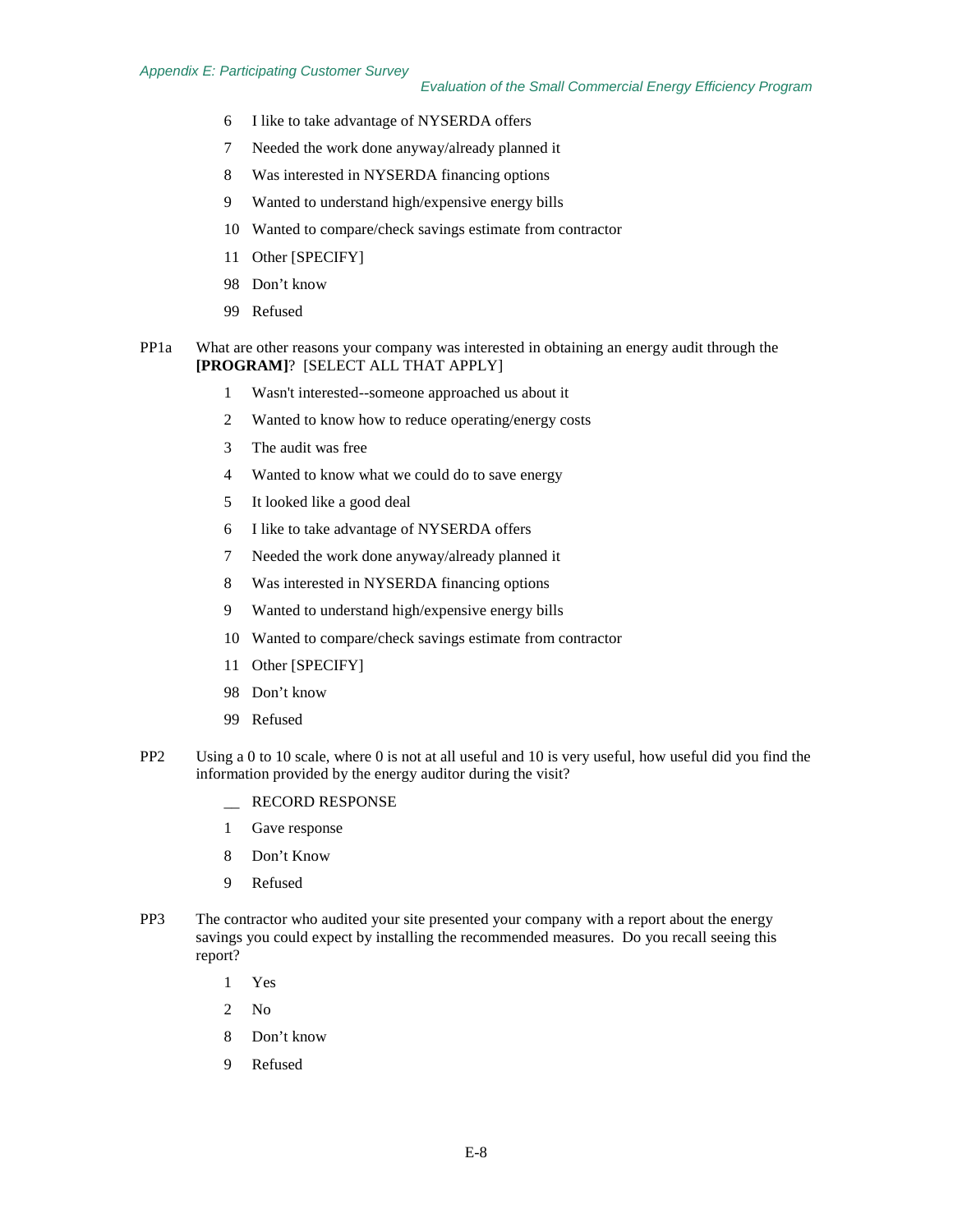- I like to take advantage of NYSERDA offers
- Needed the work done anyway/already planned it
- Was interested in NYSERDA financing options
- 9 Wanted to understand high/expensive energy bills
- Wanted to compare/check savings estimate from contractor
- Other [SPECIFY]
- Don't know
- Refused
- PP1a What are other reasons your company was interested in obtaining an energy audit through the **[PROGRAM]**? [SELECT ALL THAT APPLY]
	- Wasn't interested--someone approached us about it
	- Wanted to know how to reduce operating/energy costs
	- The audit was free
	- Wanted to know what we could do to save energy
	- It looked like a good deal
	- I like to take advantage of NYSERDA offers
	- Needed the work done anyway/already planned it
	- Was interested in NYSERDA financing options
	- 9 Wanted to understand high/expensive energy bills
	- Wanted to compare/check savings estimate from contractor
	- Other [SPECIFY]
	- Don't know
	- Refused
- PP2 Using a 0 to 10 scale, where 0 is not at all useful and 10 is very useful, how useful did you find the information provided by the energy auditor during the visit?
	- \_\_ RECORD RESPONSE
	- Gave response
	- Don't Know
	- Refused
- PP3 The contractor who audited your site presented your company with a report about the energy savings you could expect by installing the recommended measures. Do you recall seeing this report?
	- Yes
	- No
	- Don't know
	- Refused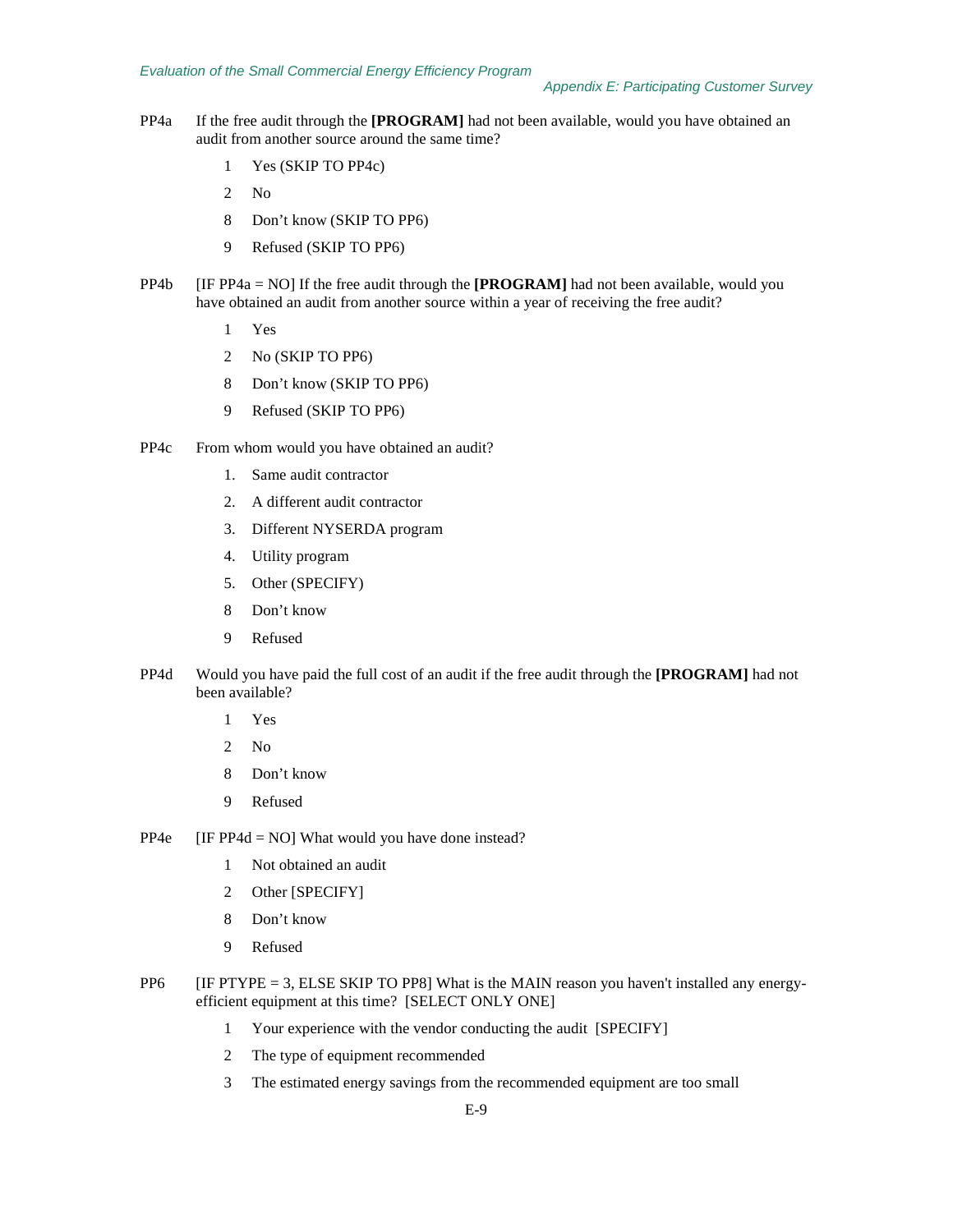- PP4a If the free audit through the **[PROGRAM]** had not been available, would you have obtained an audit from another source around the same time?
	- 1 Yes (SKIP TO PP4c)
	- 2 No
	- 8 Don't know (SKIP TO PP6)
	- 9 Refused (SKIP TO PP6)
- PP4b [IF PP4a = NO] If the free audit through the **[PROGRAM]** had not been available, would you have obtained an audit from another source within a year of receiving the free audit?
	- 1 Yes
	- 2 No (SKIP TO PP6)
	- 8 Don't know (SKIP TO PP6)
	- 9 Refused (SKIP TO PP6)
- PP4c From whom would you have obtained an audit?
	- 1. Same audit contractor
	- 2. A different audit contractor
	- 3. Different NYSERDA program
	- 4. Utility program
	- 5. Other (SPECIFY)
	- 8 Don't know
	- 9 Refused
- PP4d Would you have paid the full cost of an audit if the free audit through the **[PROGRAM]** had not been available?
	- 1 Yes
	- 2 No
	- 8 Don't know
	- 9 Refused
- PP4e [IF PP4d = NO] What would you have done instead?
	- 1 Not obtained an audit
	- 2 Other [SPECIFY]
	- 8 Don't know
	- 9 Refused
- $PP6$  [IF PTYPE = 3, ELSE SKIP TO PP8] What is the MAIN reason you haven't installed any energyefficient equipment at this time? [SELECT ONLY ONE]
	- 1 Your experience with the vendor conducting the audit [SPECIFY]
	- 2 The type of equipment recommended
	- 3 The estimated energy savings from the recommended equipment are too small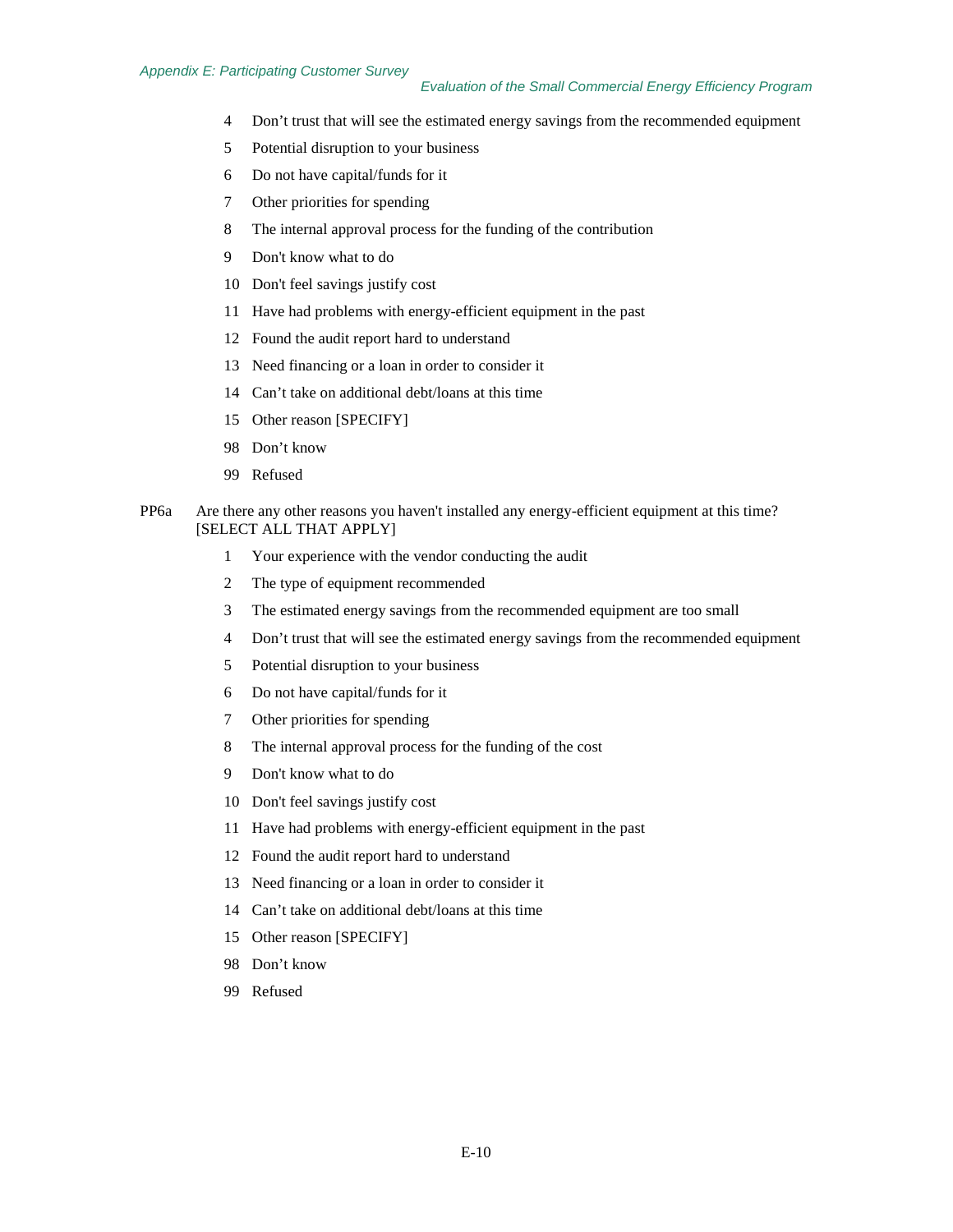- Don't trust that will see the estimated energy savings from the recommended equipment
- Potential disruption to your business
- Do not have capital/funds for it
- Other priorities for spending
- The internal approval process for the funding of the contribution
- Don't know what to do
- Don't feel savings justify cost
- Have had problems with energy-efficient equipment in the past
- Found the audit report hard to understand
- Need financing or a loan in order to consider it
- Can't take on additional debt/loans at this time
- Other reason [SPECIFY]
- Don't know
- Refused
- PP6a Are there any other reasons you haven't installed any energy-efficient equipment at this time? [SELECT ALL THAT APPLY]
	- Your experience with the vendor conducting the audit
	- The type of equipment recommended
	- The estimated energy savings from the recommended equipment are too small
	- Don't trust that will see the estimated energy savings from the recommended equipment
	- Potential disruption to your business
	- Do not have capital/funds for it
	- Other priorities for spending
	- The internal approval process for the funding of the cost
	- Don't know what to do
	- Don't feel savings justify cost
	- Have had problems with energy-efficient equipment in the past
	- Found the audit report hard to understand
	- Need financing or a loan in order to consider it
	- Can't take on additional debt/loans at this time
	- Other reason [SPECIFY]
	- Don't know
	- Refused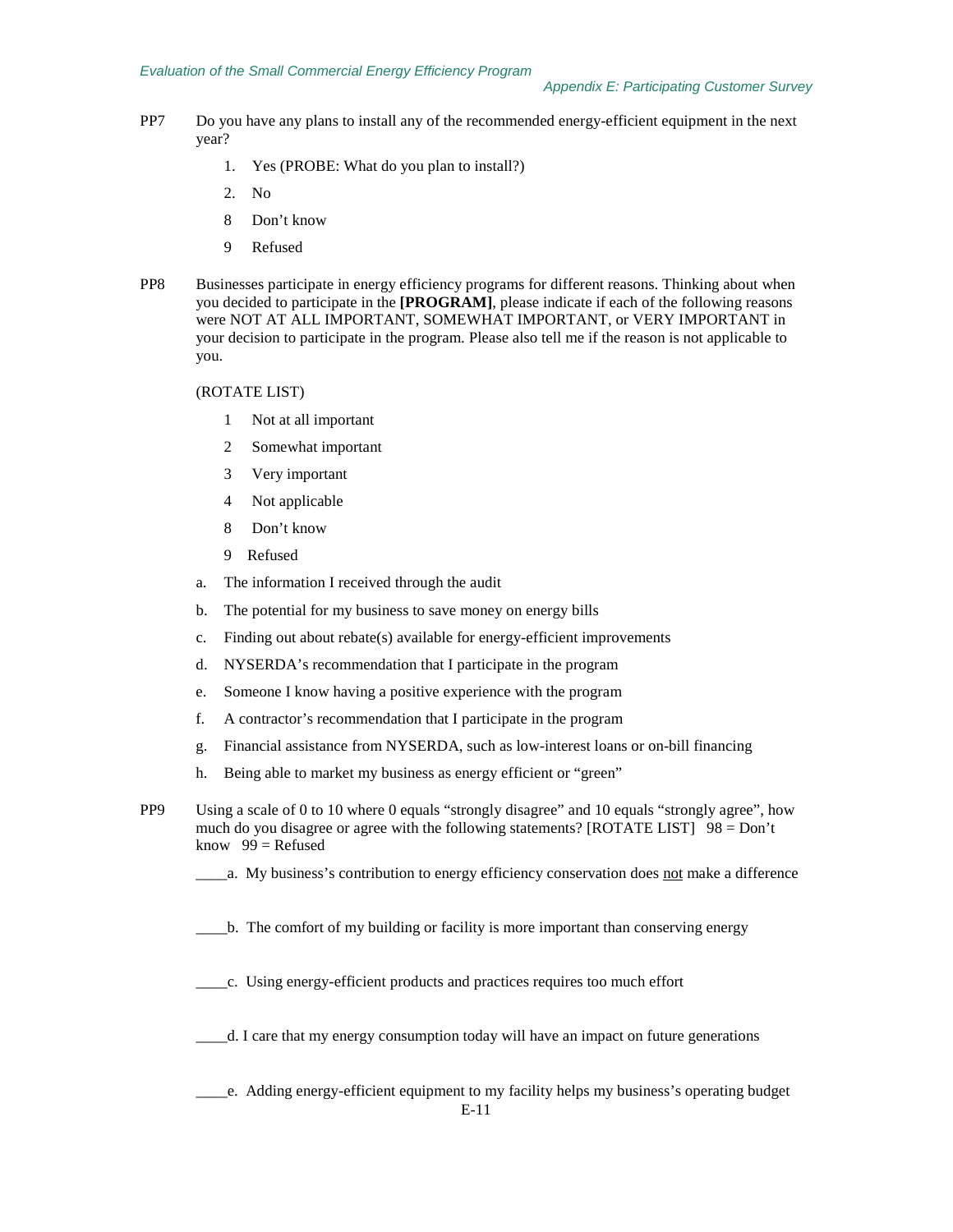- PP7 Do you have any plans to install any of the recommended energy-efficient equipment in the next year?
	- 1. Yes (PROBE: What do you plan to install?)
	- 2. No
	- 8 Don't know
	- 9 Refused
- PP8 Businesses participate in energy efficiency programs for different reasons. Thinking about when you decided to participate in the **[PROGRAM]**, please indicate if each of the following reasons were NOT AT ALL IMPORTANT, SOMEWHAT IMPORTANT, or VERY IMPORTANT in your decision to participate in the program. Please also tell me if the reason is not applicable to you.

## (ROTATE LIST)

- 1 Not at all important
- 2 Somewhat important
- 3 Very important
- 4 Not applicable
- 8 Don't know
- 9 Refused
- a. The information I received through the audit
- b. The potential for my business to save money on energy bills
- c. Finding out about rebate(s) available for energy-efficient improvements
- d. NYSERDA's recommendation that I participate in the program
- e. Someone I know having a positive experience with the program
- f. A contractor's recommendation that I participate in the program
- g. Financial assistance from NYSERDA, such as low-interest loans or on-bill financing
- h. Being able to market my business as energy efficient or "green"
- PP9 Using a scale of 0 to 10 where 0 equals "strongly disagree" and 10 equals "strongly agree", how much do you disagree or agree with the following statements? [ROTATE LIST] 98 = Don't know  $99$  = Refused
	- \_\_\_\_a. My business's contribution to energy efficiency conservation does not make a difference
	- \_\_\_\_b. The comfort of my building or facility is more important than conserving energy
	- \_\_\_\_c. Using energy-efficient products and practices requires too much effort
	- \_\_\_\_d. I care that my energy consumption today will have an impact on future generations
	- \_\_\_\_e. Adding energy-efficient equipment to my facility helps my business's operating budget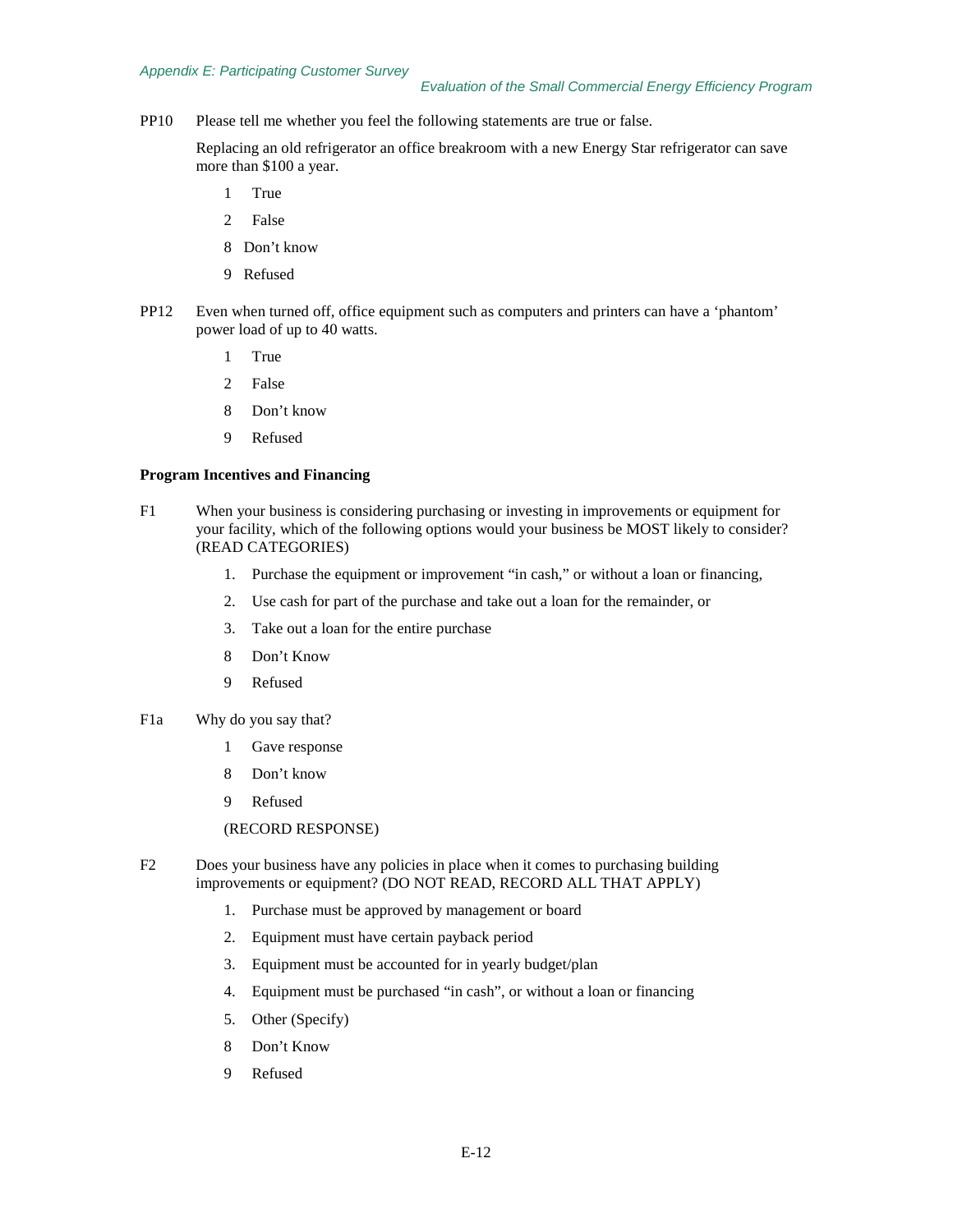PP10 Please tell me whether you feel the following statements are true or false.

Replacing an old refrigerator an office breakroom with a new Energy Star refrigerator can save more than \$100 a year.

- 1 True
- 2 False
- 8 Don't know
- 9 Refused
- PP12 Even when turned off, office equipment such as computers and printers can have a 'phantom' power load of up to 40 watts.
	- 1 True
	- 2 False
	- 8 Don't know
	- 9 Refused

#### **Program Incentives and Financing**

- F1 When your business is considering purchasing or investing in improvements or equipment for your facility, which of the following options would your business be MOST likely to consider? (READ CATEGORIES)
	- 1. Purchase the equipment or improvement "in cash," or without a loan or financing,
	- 2. Use cash for part of the purchase and take out a loan for the remainder, or
	- 3. Take out a loan for the entire purchase
	- 8 Don't Know
	- 9 Refused
- F1a Why do you say that?
	- 1 Gave response
	- 8 Don't know
	- 9 Refused
	- (RECORD RESPONSE)
- F2 Does your business have any policies in place when it comes to purchasing building improvements or equipment? (DO NOT READ, RECORD ALL THAT APPLY)
	- 1. Purchase must be approved by management or board
	- 2. Equipment must have certain payback period
	- 3. Equipment must be accounted for in yearly budget/plan
	- 4. Equipment must be purchased "in cash", or without a loan or financing
	- 5. Other (Specify)
	- 8 Don't Know
	- 9 Refused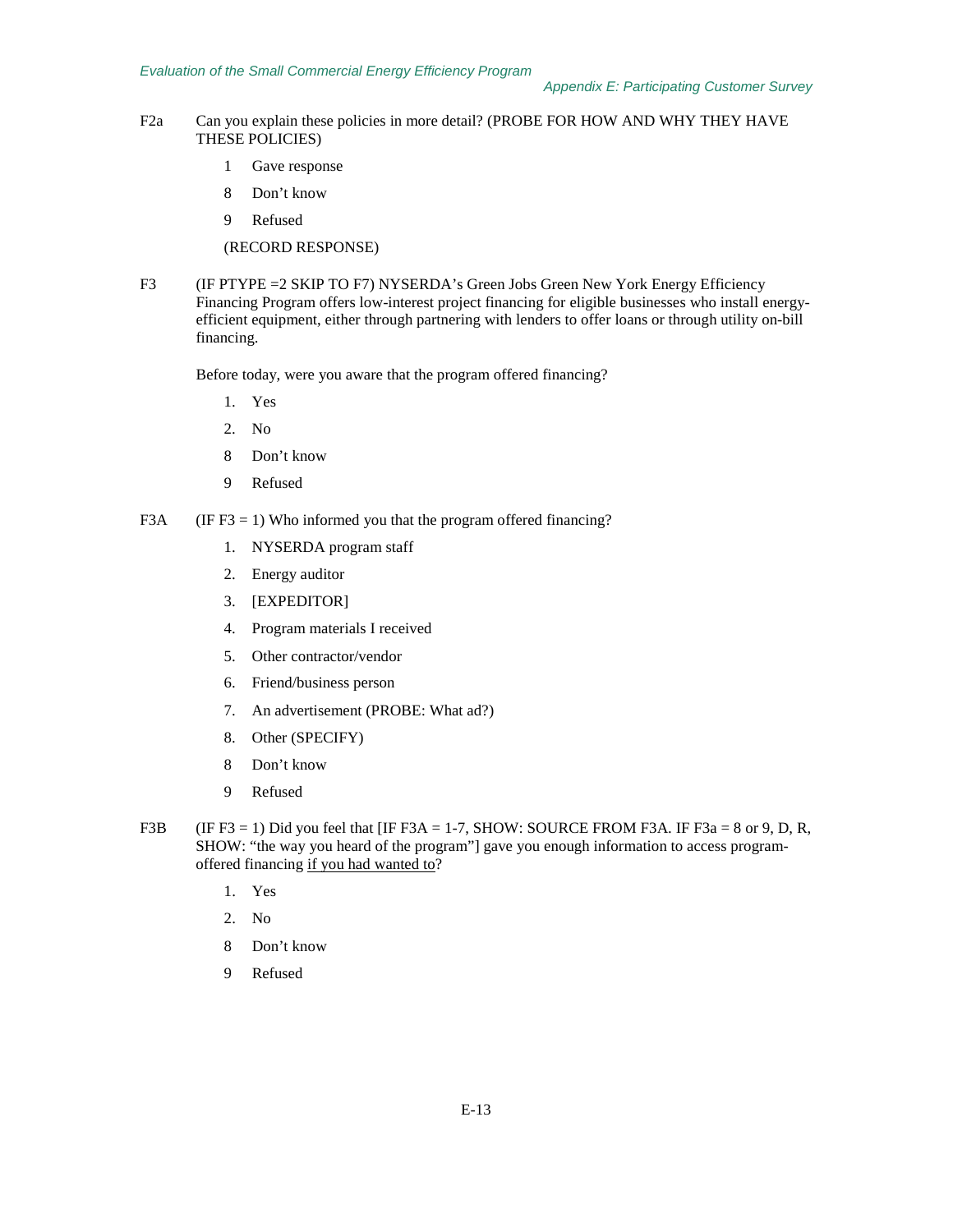- F2a Can you explain these policies in more detail? (PROBE FOR HOW AND WHY THEY HAVE THESE POLICIES)
	- 1 Gave response
	- 8 Don't know
	- 9 Refused

(RECORD RESPONSE)

F3 (IF PTYPE = 2 SKIP TO F7) NYSERDA's Green Jobs Green New York Energy Efficiency Financing Program offers low-interest project financing for eligible businesses who install energyefficient equipment, either through partnering with lenders to offer loans or through utility on-bill financing.

Before today, were you aware that the program offered financing?

- 1. Yes
- 2. No
- 8 Don't know
- 9 Refused
- F3A (IF F3 = 1) Who informed you that the program offered financing?
	- 1. NYSERDA program staff
	- 2. Energy auditor
	- 3. [EXPEDITOR]
	- 4. Program materials I received
	- 5. Other contractor/vendor
	- 6. Friend/business person
	- 7. An advertisement (PROBE: What ad?)
	- 8. Other (SPECIFY)
	- 8 Don't know
	- 9 Refused
- F3B (IF F3 = 1) Did you feel that [IF F3A = 1-7, SHOW: SOURCE FROM F3A. IF F3a = 8 or 9, D, R, SHOW: "the way you heard of the program"] gave you enough information to access programoffered financing if you had wanted to?
	- 1. Yes
	- 2. No
	- 8 Don't know
	- 9 Refused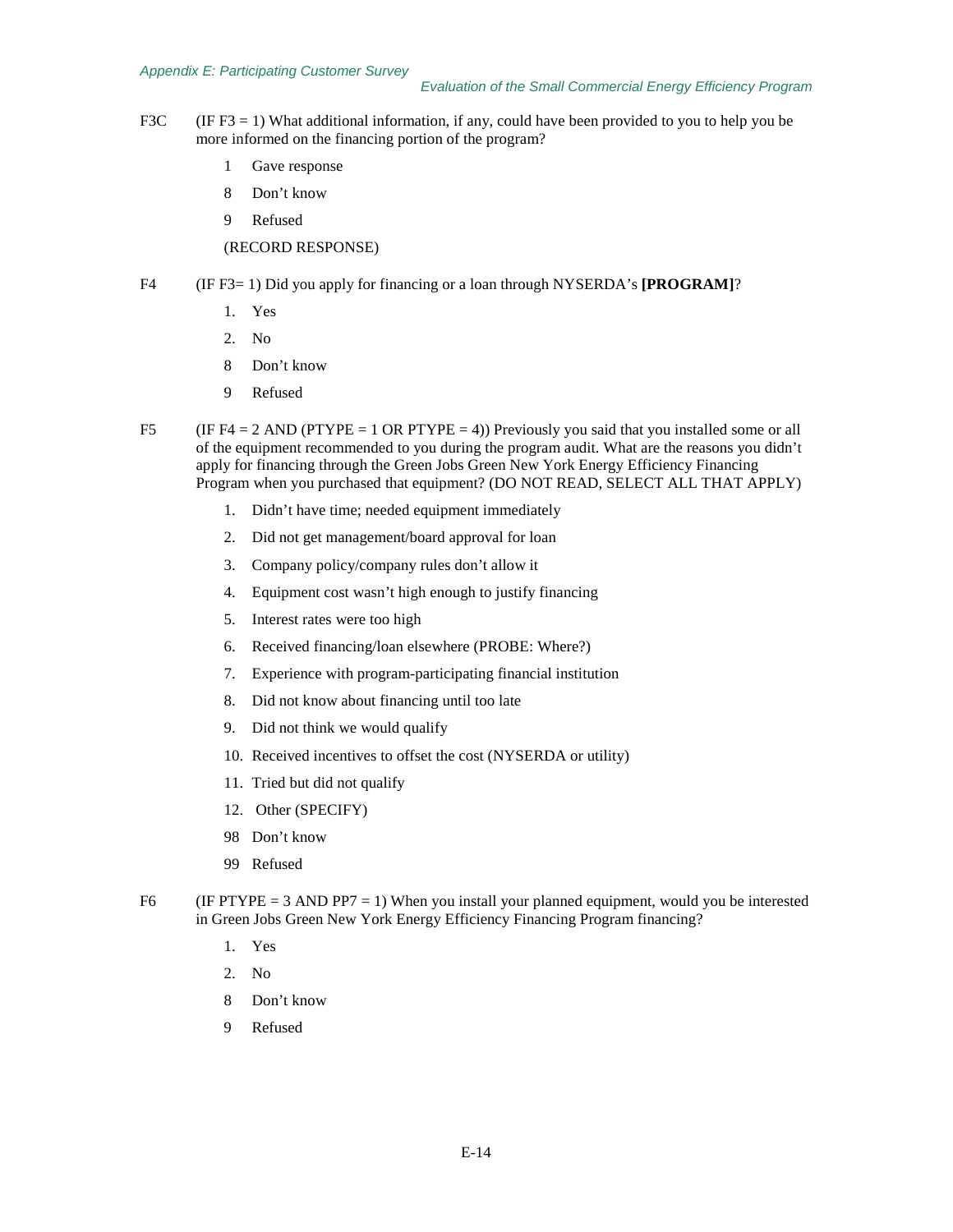#### *Appendix E: Participating Customer Survey*

- F3C (IF F3 = 1) What additional information, if any, could have been provided to you to help you be more informed on the financing portion of the program?
	- 1 Gave response
	- 8 Don't know
	- 9 Refused

## (RECORD RESPONSE)

- F4 (IF F3= 1) Did you apply for financing or a loan through NYSERDA's **[PROGRAM]**?
	- 1. Yes
	- 2. No
	- 8 Don't know
	- 9 Refused
- F5 (IF F4 = 2 AND (PTYPE = 1 OR PTYPE = 4)) Previously you said that you installed some or all of the equipment recommended to you during the program audit. What are the reasons you didn't apply for financing through the Green Jobs Green New York Energy Efficiency Financing Program when you purchased that equipment? (DO NOT READ, SELECT ALL THAT APPLY)
	- 1. Didn't have time; needed equipment immediately
	- 2. Did not get management/board approval for loan
	- 3. Company policy/company rules don't allow it
	- 4. Equipment cost wasn't high enough to justify financing
	- 5. Interest rates were too high
	- 6. Received financing/loan elsewhere (PROBE: Where?)
	- 7. Experience with program-participating financial institution
	- 8. Did not know about financing until too late
	- 9. Did not think we would qualify
	- 10. Received incentives to offset the cost (NYSERDA or utility)
	- 11. Tried but did not qualify
	- 12. Other (SPECIFY)
	- 98 Don't know
	- 99 Refused
- F6 (IF PTYPE  $= 3$  AND PP7  $= 1$ ) When you install your planned equipment, would you be interested in Green Jobs Green New York Energy Efficiency Financing Program financing?
	- 1. Yes
	- 2. No
	- 8 Don't know
	- 9 Refused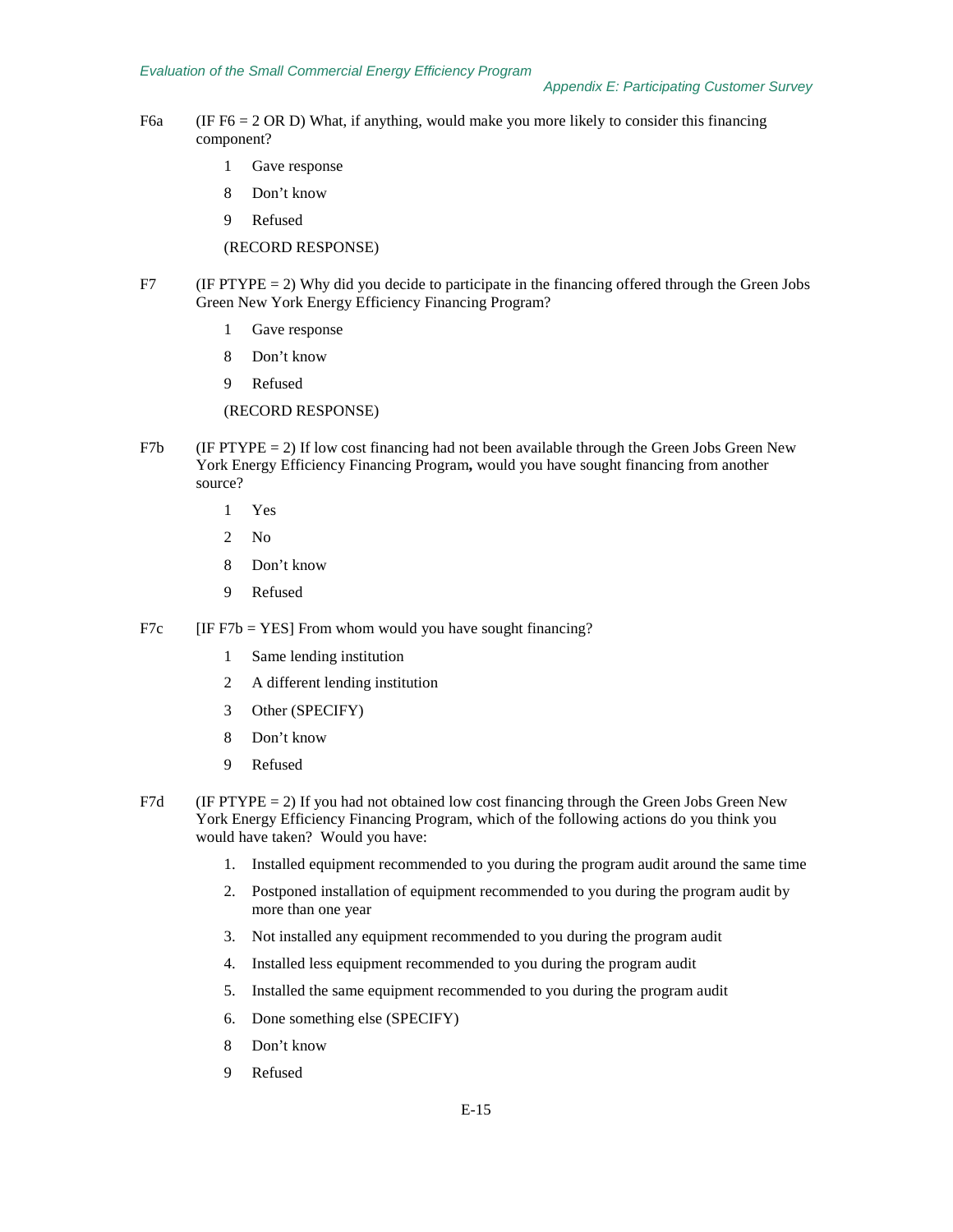- F6a (IF F6 = 2 OR D) What, if anything, would make you more likely to consider this financing component?
	- 1 Gave response
	- 8 Don't know
	- 9 Refused

(RECORD RESPONSE)

- $F7$  (IF PTYPE = 2) Why did you decide to participate in the financing offered through the Green Jobs Green New York Energy Efficiency Financing Program?
	- 1 Gave response
	- 8 Don't know
	- 9 Refused

(RECORD RESPONSE)

- F7b (IF PTYPE = 2) If low cost financing had not been available through the Green Jobs Green New York Energy Efficiency Financing Program**,** would you have sought financing from another source?
	- 1 Yes
	- 2 No
	- 8 Don't know
	- 9 Refused
- F7c  $[IF F7b = YES]$  From whom would you have sought financing?
	- 1 Same lending institution
	- 2 A different lending institution
	- 3 Other (SPECIFY)
	- 8 Don't know
	- 9 Refused
- F7d (IF PTYPE  $= 2$ ) If you had not obtained low cost financing through the Green Jobs Green New York Energy Efficiency Financing Program, which of the following actions do you think you would have taken? Would you have:
	- 1. Installed equipment recommended to you during the program audit around the same time
	- 2. Postponed installation of equipment recommended to you during the program audit by more than one year
	- 3. Not installed any equipment recommended to you during the program audit
	- 4. Installed less equipment recommended to you during the program audit
	- 5. Installed the same equipment recommended to you during the program audit
	- 6. Done something else (SPECIFY)
	- 8 Don't know
	- 9 Refused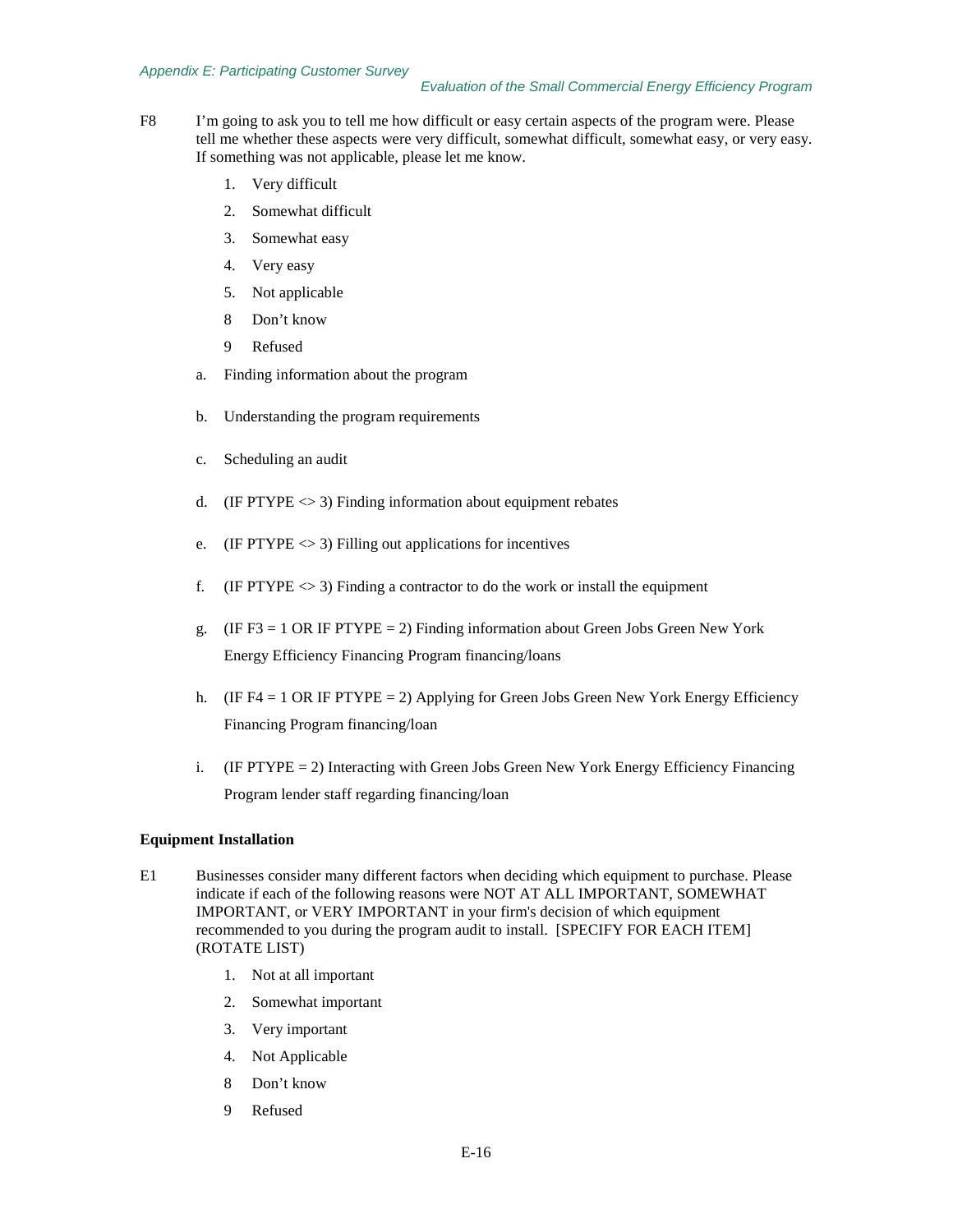#### *Appendix E: Participating Customer Survey*

#### *Evaluation of the Small Commercial Energy Efficiency Program*

- F8 I'm going to ask you to tell me how difficult or easy certain aspects of the program were. Please tell me whether these aspects were very difficult, somewhat difficult, somewhat easy, or very easy. If something was not applicable, please let me know.
	- 1. Very difficult
	- 2. Somewhat difficult
	- 3. Somewhat easy
	- 4. Very easy
	- 5. Not applicable
	- 8 Don't know
	- 9 Refused
	- a. Finding information about the program
	- b. Understanding the program requirements
	- c. Scheduling an audit
	- d. (IF PTYPE  $\leq$  3) Finding information about equipment rebates
	- e. (IF PTYPE  $\leq$  3) Filling out applications for incentives
	- f. (IF PTYPE  $\langle 3 \rangle$ ) Finding a contractor to do the work or install the equipment
	- g. (IF F3 = 1 OR IF PTYPE = 2) Finding information about Green Jobs Green New York Energy Efficiency Financing Program financing/loans
	- h. (IF F4 = 1 OR IF PTYPE = 2) Applying for Green Jobs Green New York Energy Efficiency Financing Program financing/loan
	- i. (IF PTYPE = 2) Interacting with Green Jobs Green New York Energy Efficiency Financing Program lender staff regarding financing/loan

#### **Equipment Installation**

- E1 Businesses consider many different factors when deciding which equipment to purchase. Please indicate if each of the following reasons were NOT AT ALL IMPORTANT, SOMEWHAT IMPORTANT, or VERY IMPORTANT in your firm's decision of which equipment recommended to you during the program audit to install. [SPECIFY FOR EACH ITEM] (ROTATE LIST)
	- 1. Not at all important
	- 2. Somewhat important
	- 3. Very important
	- 4. Not Applicable
	- 8 Don't know
	- 9 Refused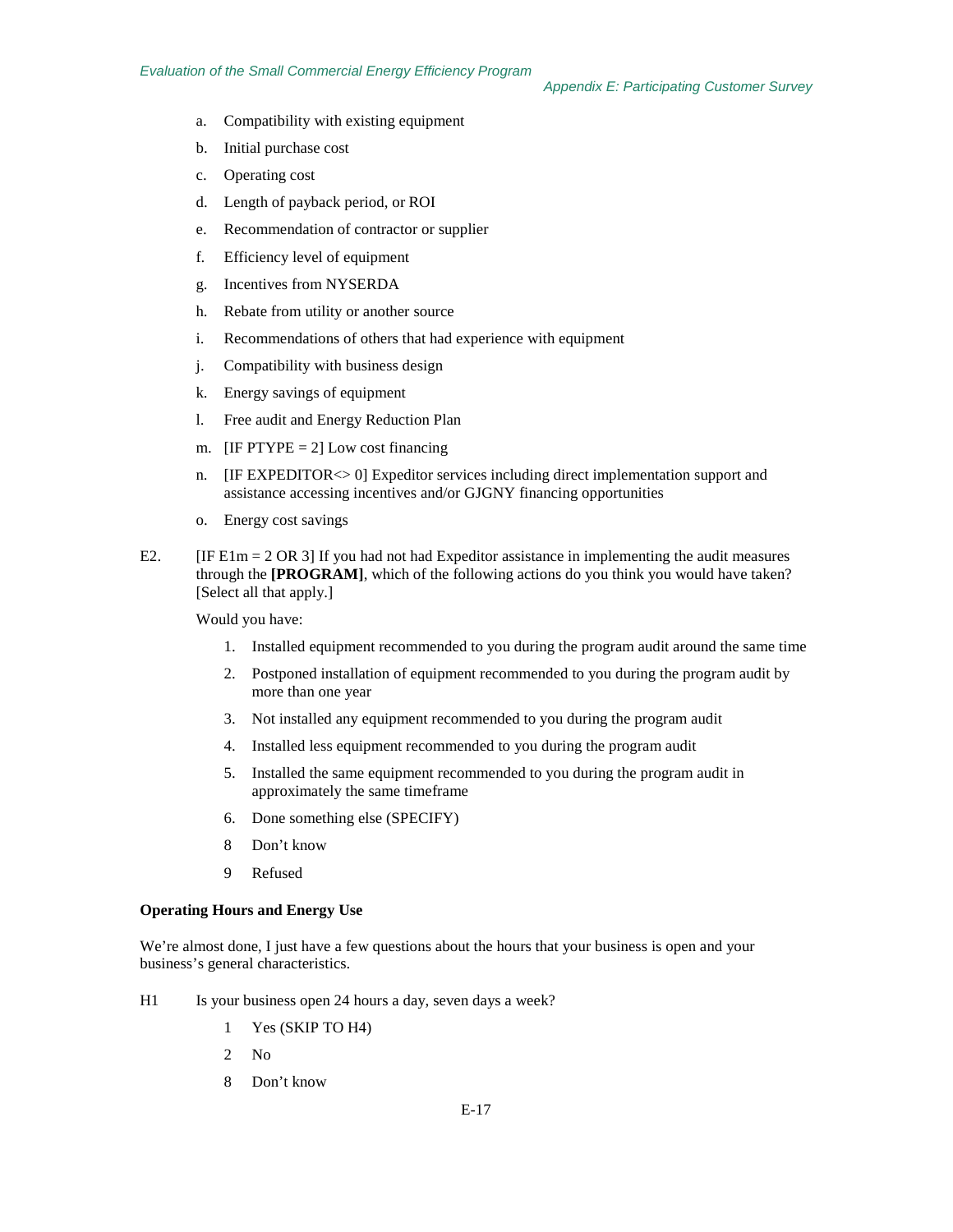*Appendix E: Participating Customer Survey*

- a. Compatibility with existing equipment
- b. Initial purchase cost
- c. Operating cost
- d. Length of payback period, or ROI
- e. Recommendation of contractor or supplier
- f. Efficiency level of equipment
- g. Incentives from NYSERDA
- h. Rebate from utility or another source
- i. Recommendations of others that had experience with equipment
- j. Compatibility with business design
- k. Energy savings of equipment
- l. Free audit and Energy Reduction Plan
- m. [IF PTYPE  $= 2$ ] Low cost financing
- n. [IF EXPEDITOR<> 0] Expeditor services including direct implementation support and assistance accessing incentives and/or GJGNY financing opportunities
- o. Energy cost savings
- E2.  $[IF El m = 2 OR 3] If you had not had Expectator assistance in implementing the audit measures]$ through the **[PROGRAM]**, which of the following actions do you think you would have taken? [Select all that apply.]

Would you have:

- 1. Installed equipment recommended to you during the program audit around the same time
- 2. Postponed installation of equipment recommended to you during the program audit by more than one year
- 3. Not installed any equipment recommended to you during the program audit
- 4. Installed less equipment recommended to you during the program audit
- 5. Installed the same equipment recommended to you during the program audit in approximately the same timeframe
- 6. Done something else (SPECIFY)
- 8 Don't know
- 9 Refused

## **Operating Hours and Energy Use**

We're almost done, I just have a few questions about the hours that your business is open and your business's general characteristics.

- H1 Is your business open 24 hours a day, seven days a week?
	- 1 Yes (SKIP TO H4)
	- 2 No
	- 8 Don't know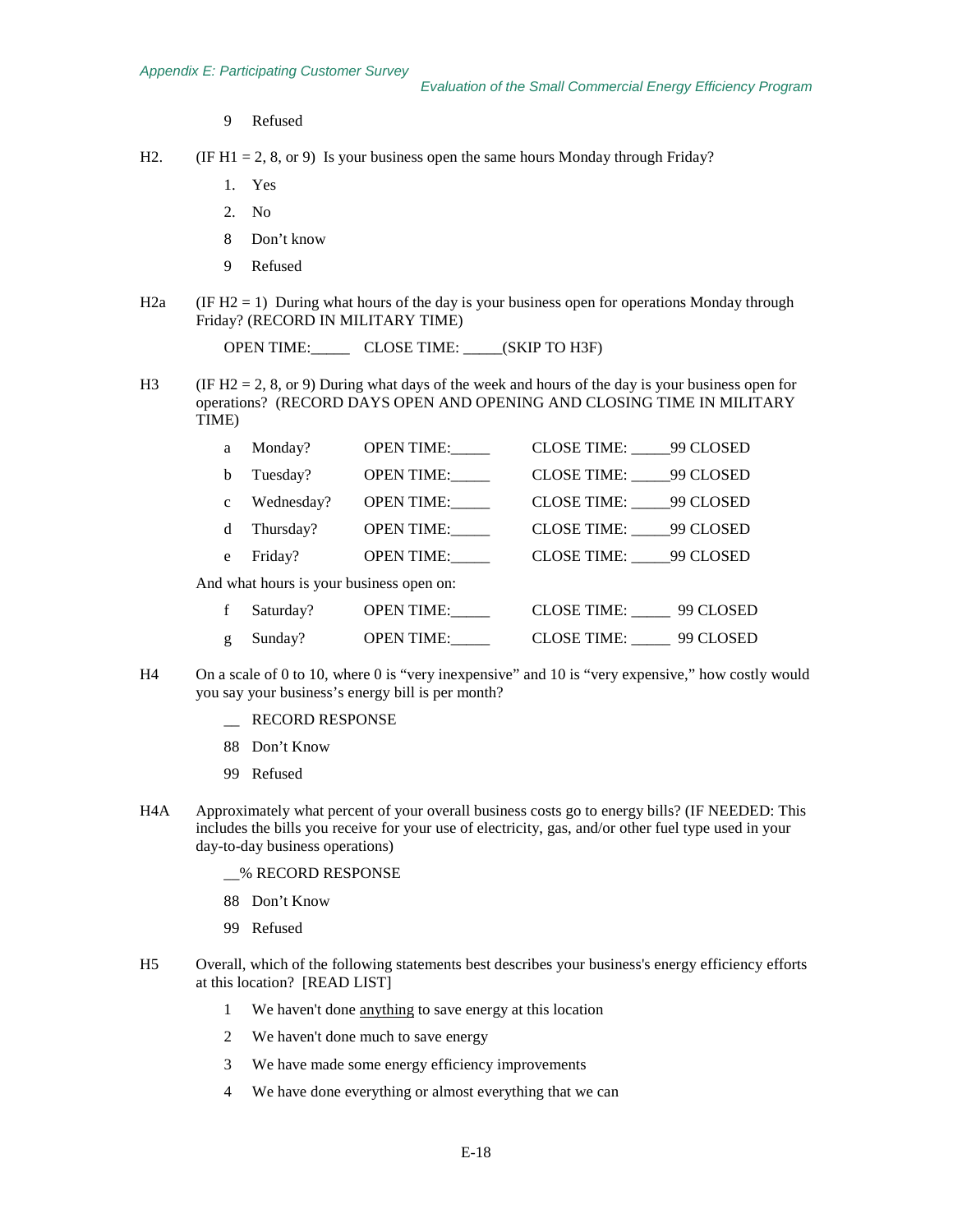9 Refused

H2. (IF H1 = 2, 8, or 9) Is your business open the same hours Monday through Friday?

- 1. Yes
- 2. No
- 8 Don't know
- 9 Refused
- H2a (IF H2 = 1) During what hours of the day is your business open for operations Monday through Friday? (RECORD IN MILITARY TIME)

OPEN TIME:\_\_\_\_\_ CLOSE TIME: \_\_\_\_\_(SKIP TO H3F)

H3 (IF H2 = 2, 8, or 9) During what days of the week and hours of the day is your business open for operations? (RECORD DAYS OPEN AND OPENING AND CLOSING TIME IN MILITARY TIME)

| a                                        | Monday?    | <b>OPEN TIME:</b> | CLOSE TIME: 99 CLOSED |           |  |
|------------------------------------------|------------|-------------------|-----------------------|-----------|--|
| b                                        | Tuesday?   | <b>OPEN TIME:</b> | CLOSE TIME: 99 CLOSED |           |  |
| $\mathbf{c}$                             | Wednesday? | <b>OPEN TIME:</b> | CLOSE TIME: 99 CLOSED |           |  |
| d                                        | Thursday?  | <b>OPEN TIME:</b> | CLOSE TIME: 99 CLOSED |           |  |
| e                                        | Friday?    | <b>OPEN TIME:</b> | CLOSE TIME: 99 CLOSED |           |  |
| And what hours is your business open on: |            |                   |                       |           |  |
|                                          | Saturday?  | <b>OPEN TIME:</b> | CLOSE TIME: 99 CLOSED |           |  |
| g                                        | Sunday?    | <b>OPEN TIME:</b> | CLOSE TIME:           | 99 CLOSED |  |

- H4 On a scale of 0 to 10, where 0 is "very inexpensive" and 10 is "very expensive," how costly would you say your business's energy bill is per month?
	- \_\_ RECORD RESPONSE
	- 88 Don't Know
	- 99 Refused
- H4A Approximately what percent of your overall business costs go to energy bills? (IF NEEDED: This includes the bills you receive for your use of electricity, gas, and/or other fuel type used in your day-to-day business operations)

\_\_% RECORD RESPONSE

- 88 Don't Know
- 99 Refused
- H5 Overall, which of the following statements best describes your business's energy efficiency efforts at this location? [READ LIST]
	- 1 We haven't done **anything** to save energy at this location
	- 2 We haven't done much to save energy
	- 3 We have made some energy efficiency improvements
	- 4 We have done everything or almost everything that we can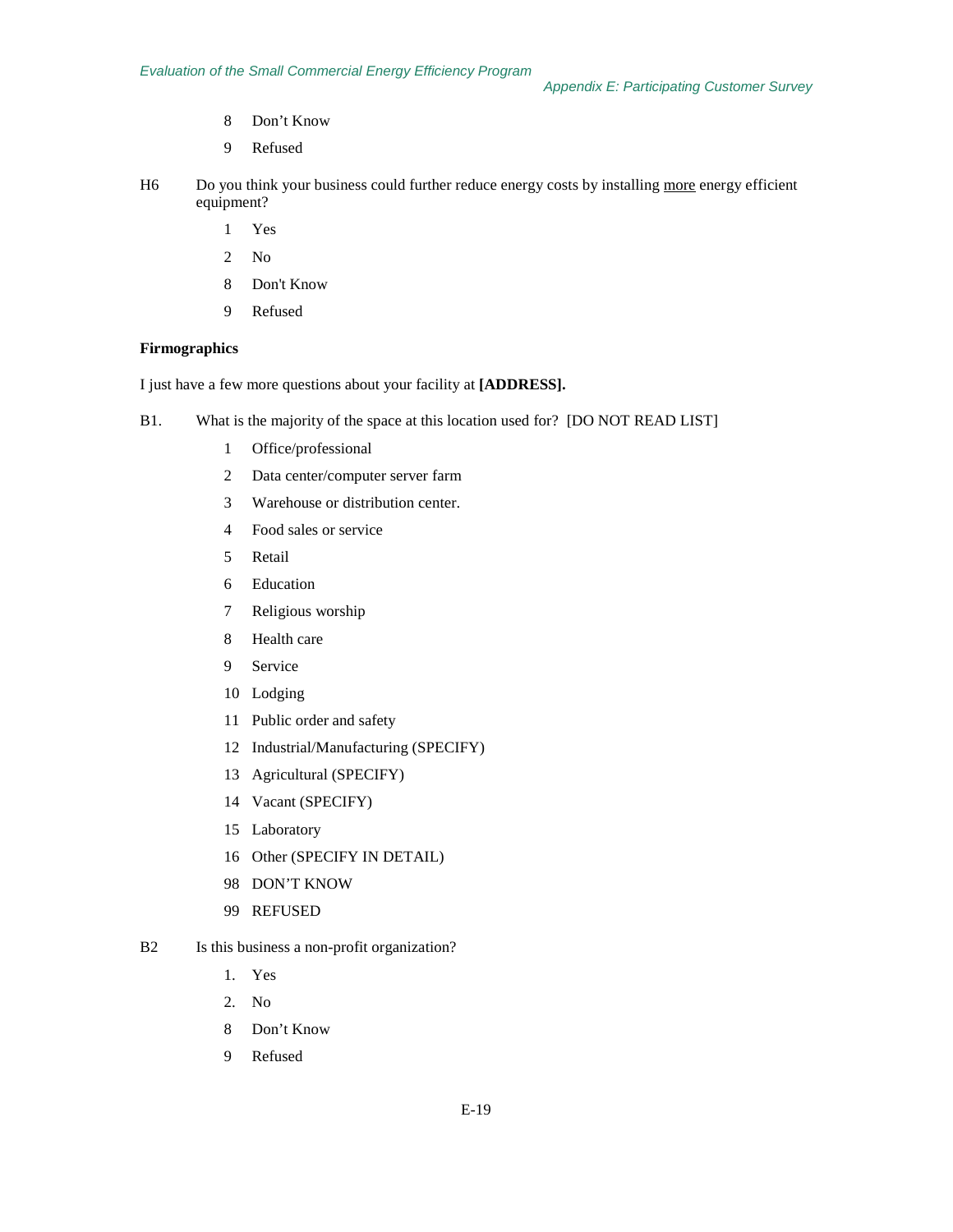- Don't Know
- Refused
- H6 Do you think your business could further reduce energy costs by installing more energy efficient equipment?
	- Yes
	- No
	- Don't Know
	- Refused

#### **Firmographics**

I just have a few more questions about your facility at **[ADDRESS].**

- B1. What is the majority of the space at this location used for? [DO NOT READ LIST]
	- Office/professional
	- Data center/computer server farm
	- Warehouse or distribution center.
	- Food sales or service
	- Retail
	- Education
	- Religious worship
	- Health care
	- Service
	- Lodging
	- Public order and safety
	- Industrial/Manufacturing (SPECIFY)
	- Agricultural (SPECIFY)
	- Vacant (SPECIFY)
	- Laboratory
	- Other (SPECIFY IN DETAIL)
	- DON'T KNOW
	- REFUSED
- B2 Is this business a non-profit organization?
	- 1. Yes
	- 2. No
	- Don't Know
	- Refused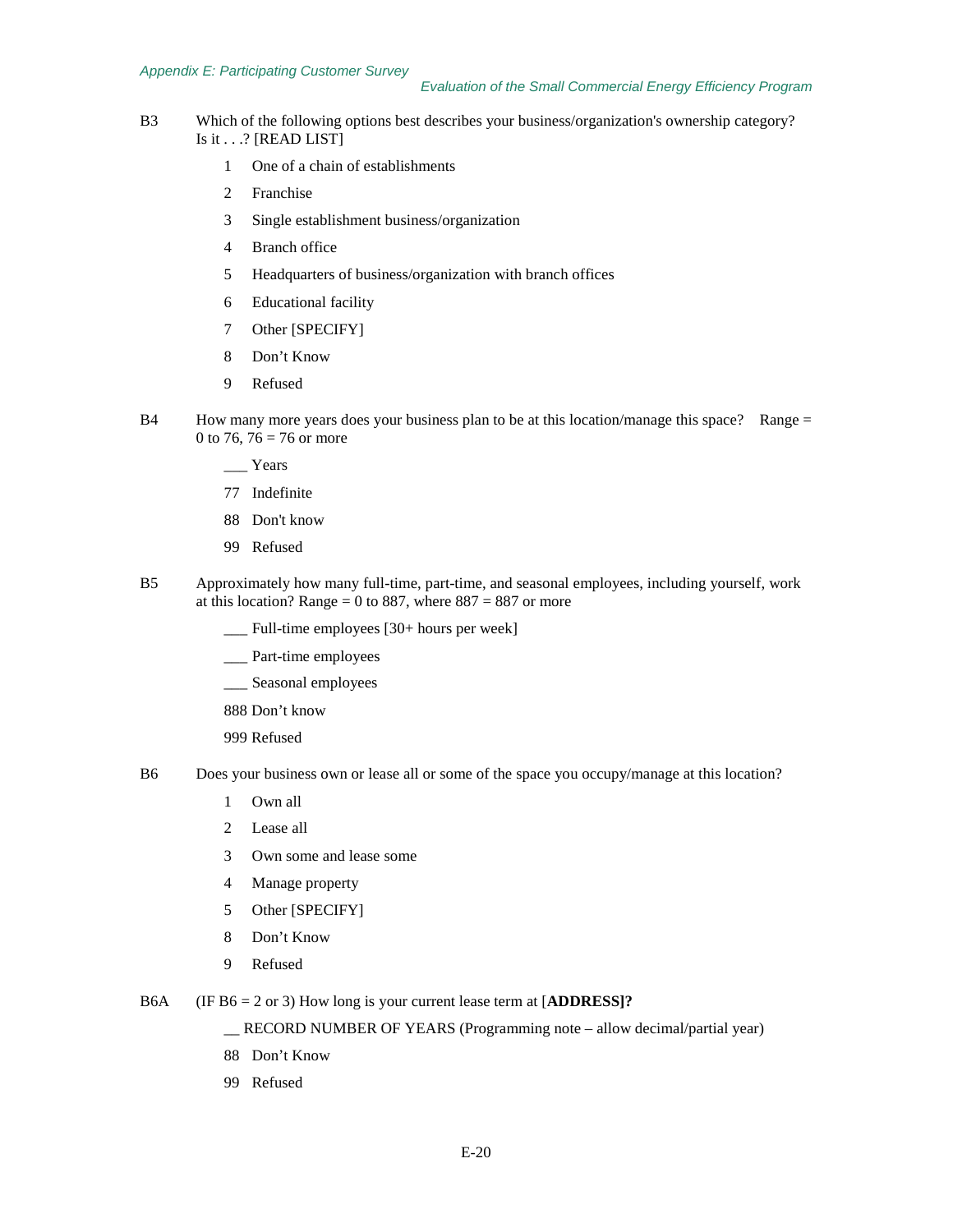#### *Appendix E: Participating Customer Survey*

- B3 Which of the following options best describes your business/organization's ownership category? Is it . . .? [READ LIST]
	- 1 One of a chain of establishments
	- 2 Franchise
	- 3 Single establishment business/organization
	- 4 Branch office
	- 5 Headquarters of business/organization with branch offices
	- 6 Educational facility
	- 7 Other [SPECIFY]
	- 8 Don't Know
	- 9 Refused
- B4 How many more years does your business plan to be at this location/manage this space? Range = 0 to 76, 76 = 76 or more
	- \_\_\_ Years
	- 77 Indefinite
	- 88 Don't know
	- 99 Refused
- B5 Approximately how many full-time, part-time, and seasonal employees, including yourself, work at this location? Range = 0 to 887, where  $887 = 887$  or more
	- \_\_\_ Full-time employees [30+ hours per week]
	- \_\_\_ Part-time employees
	- \_\_\_ Seasonal employees
	- 888 Don't know

999 Refused

- B6 Does your business own or lease all or some of the space you occupy/manage at this location?
	- 1 Own all
	- 2 Lease all
	- 3 Own some and lease some
	- 4 Manage property
	- 5 Other [SPECIFY]
	- 8 Don't Know
	- 9 Refused
- B6A (IF B6 = 2 or 3) How long is your current lease term at [**ADDRESS]?**

\_\_ RECORD NUMBER OF YEARS (Programming note – allow decimal/partial year)

- 88 Don't Know
- 99 Refused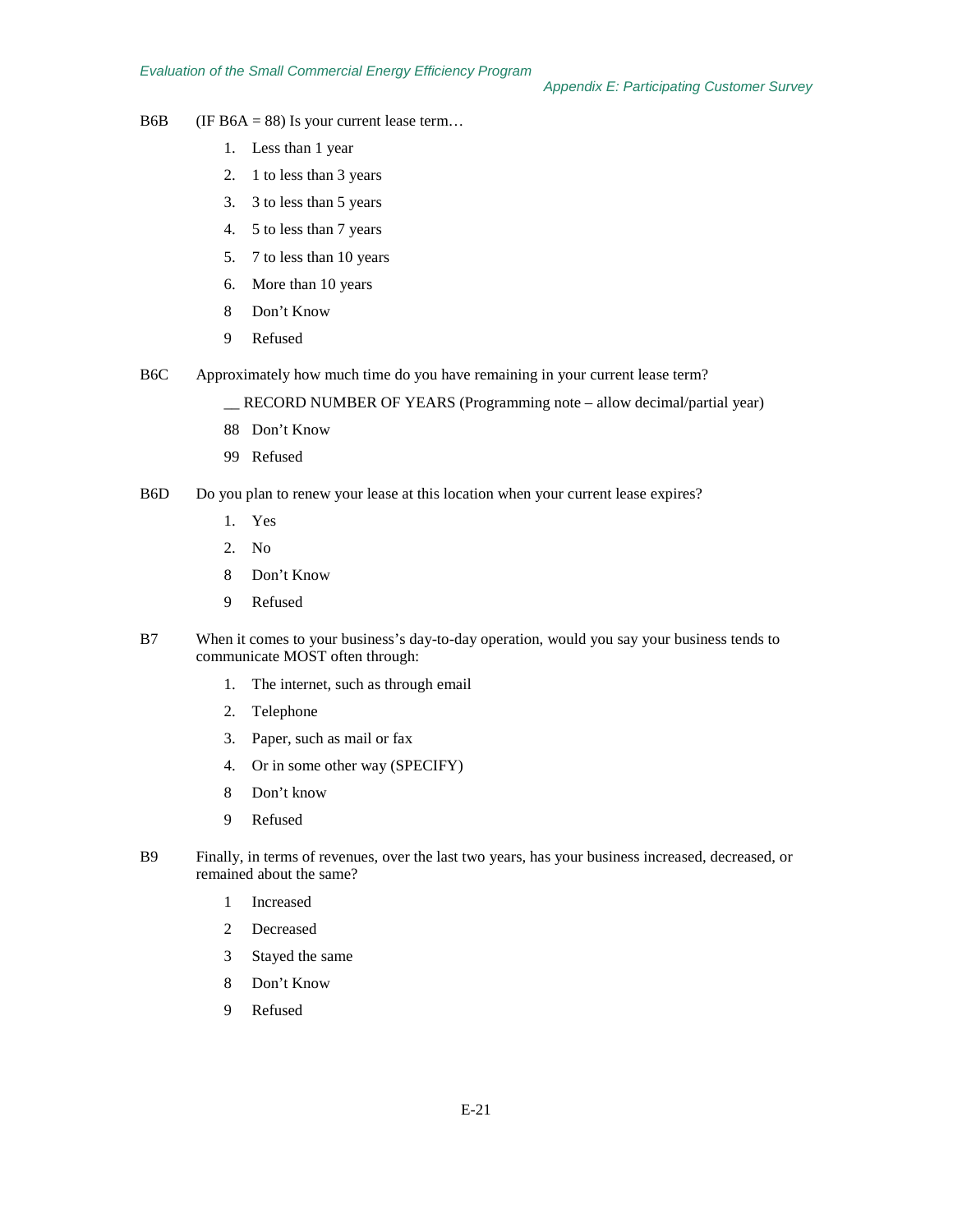*Appendix E: Participating Customer Survey*

- B6B (IF B6A = 88) Is your current lease term...
	- 1. Less than 1 year
	- 2. 1 to less than 3 years
	- 3. 3 to less than 5 years
	- 4. 5 to less than 7 years
	- 5. 7 to less than 10 years
	- 6. More than 10 years
	- 8 Don't Know
	- 9 Refused
- B6C Approximately how much time do you have remaining in your current lease term?

\_\_ RECORD NUMBER OF YEARS (Programming note – allow decimal/partial year)

- 88 Don't Know
- 99 Refused
- B6D Do you plan to renew your lease at this location when your current lease expires?
	- 1. Yes
	- 2. No
	- 8 Don't Know
	- 9 Refused
- B7 When it comes to your business's day-to-day operation, would you say your business tends to communicate MOST often through:
	- 1. The internet, such as through email
	- 2. Telephone
	- 3. Paper, such as mail or fax
	- 4. Or in some other way (SPECIFY)
	- 8 Don't know
	- 9 Refused
- B9 Finally, in terms of revenues, over the last two years, has your business increased, decreased, or remained about the same?
	- 1 Increased
	- 2 Decreased
	- 3 Stayed the same
	- 8 Don't Know
	- 9 Refused